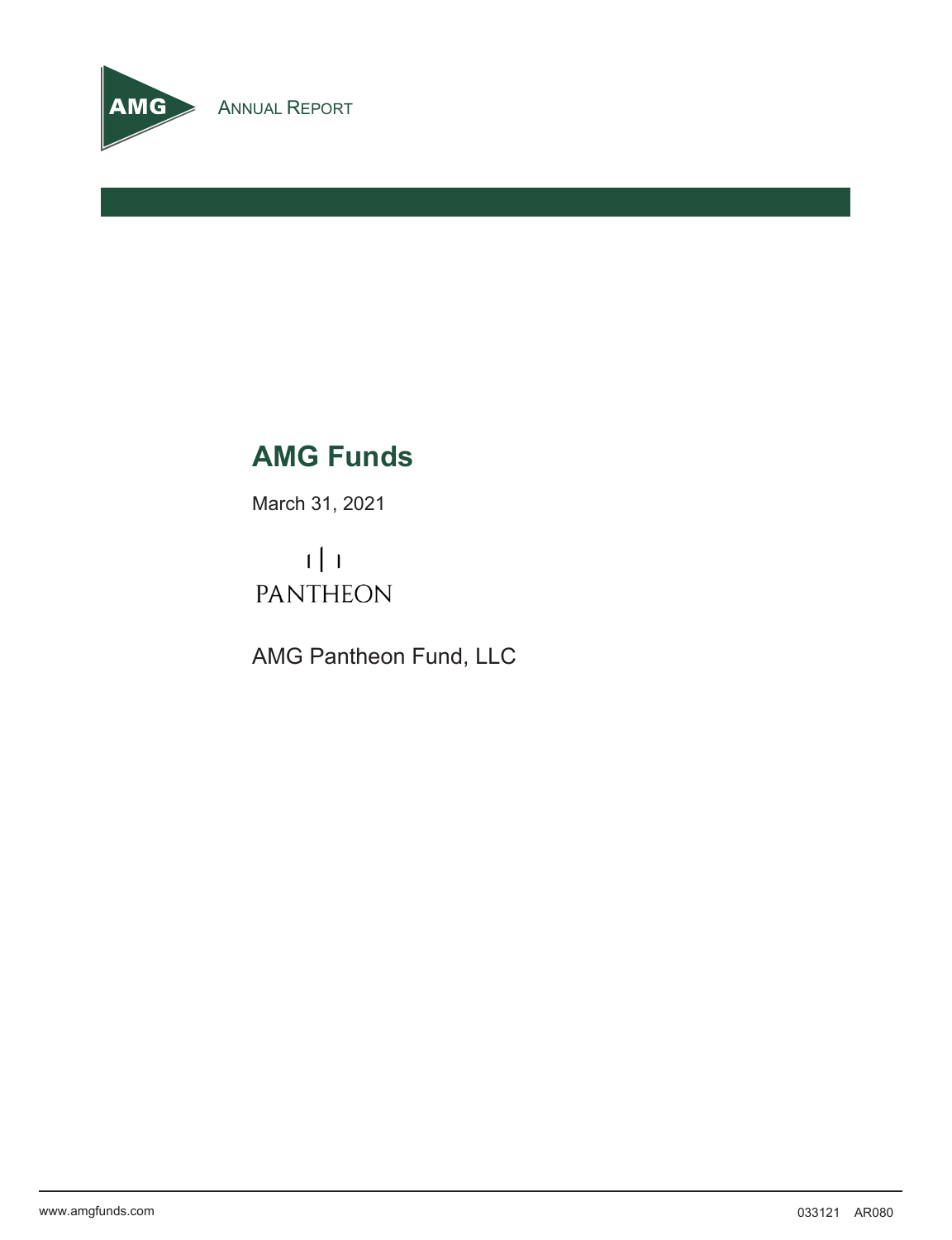

# **AMG Funds**

March 31, 2021

 $\lfloor \cdot \rfloor$ **PANTHEON** 

AMG Pantheon Fund, LLC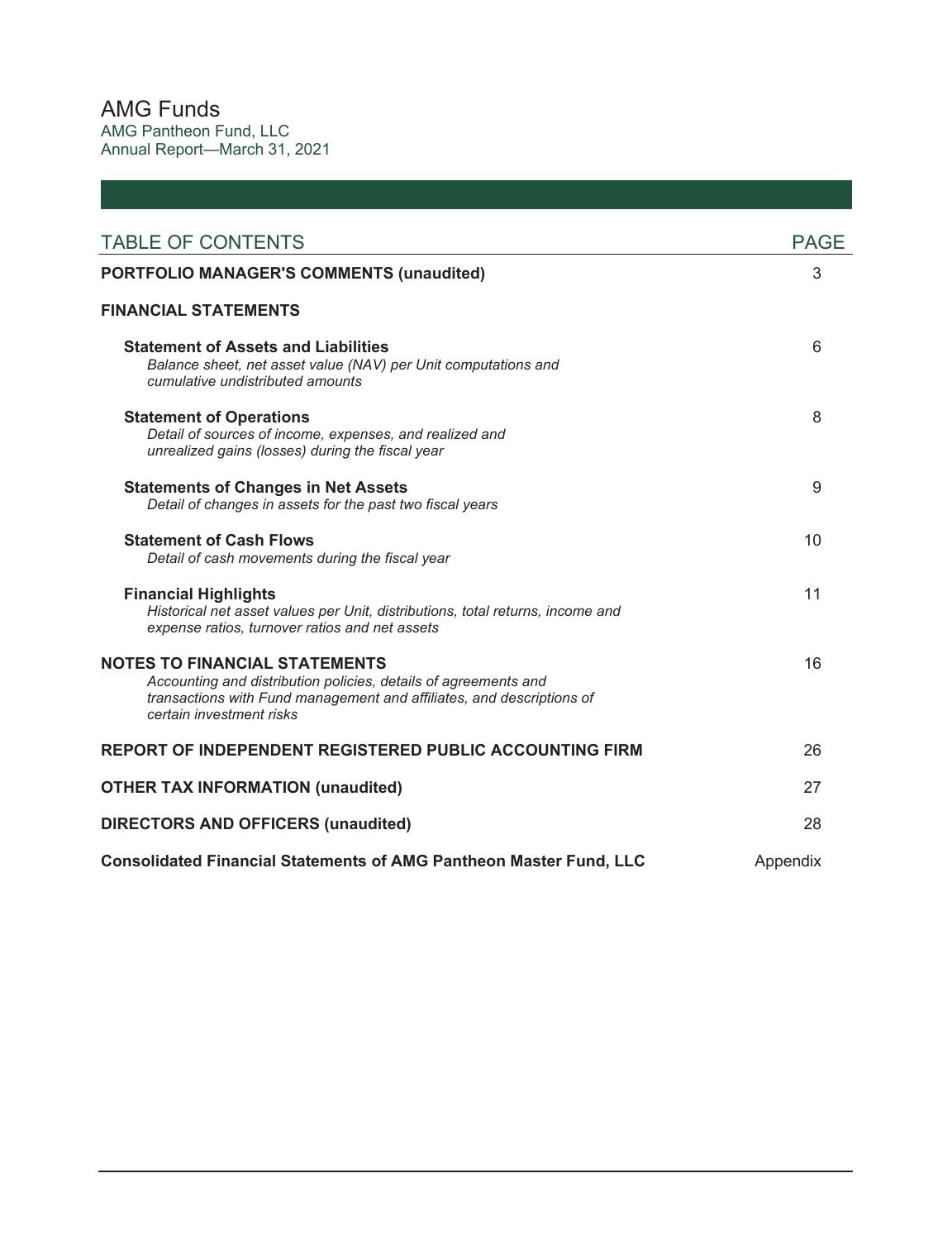AMG Funds AMG Pantheon Fund, LLC Annual Report—March 31, 2021

| <b>TABLE OF CONTENTS</b>                                                                                                                                                                                     | <b>PAGE</b> |
|--------------------------------------------------------------------------------------------------------------------------------------------------------------------------------------------------------------|-------------|
| <b>PORTFOLIO MANAGER'S COMMENTS (unaudited)</b>                                                                                                                                                              | 3           |
| <b>FINANCIAL STATEMENTS</b>                                                                                                                                                                                  |             |
| <b>Statement of Assets and Liabilities</b><br>Balance sheet, net asset value (NAV) per Unit computations and<br>cumulative undistributed amounts                                                             | 6           |
| <b>Statement of Operations</b><br>Detail of sources of income, expenses, and realized and<br>unrealized gains (losses) during the fiscal year                                                                | 8           |
| <b>Statements of Changes in Net Assets</b><br>Detail of changes in assets for the past two fiscal years                                                                                                      | 9           |
| <b>Statement of Cash Flows</b><br>Detail of cash movements during the fiscal year                                                                                                                            | 10          |
| <b>Financial Highlights</b><br>Historical net asset values per Unit, distributions, total returns, income and<br>expense ratios, turnover ratios and net assets                                              | 11          |
| <b>NOTES TO FINANCIAL STATEMENTS</b><br>Accounting and distribution policies, details of agreements and<br>transactions with Fund management and affiliates, and descriptions of<br>certain investment risks | 16          |
| REPORT OF INDEPENDENT REGISTERED PUBLIC ACCOUNTING FIRM                                                                                                                                                      | 26          |
| <b>OTHER TAX INFORMATION (unaudited)</b>                                                                                                                                                                     | 27          |
| <b>DIRECTORS AND OFFICERS (unaudited)</b>                                                                                                                                                                    | 28          |
| <b>Consolidated Financial Statements of AMG Pantheon Master Fund, LLC</b>                                                                                                                                    | Appendix    |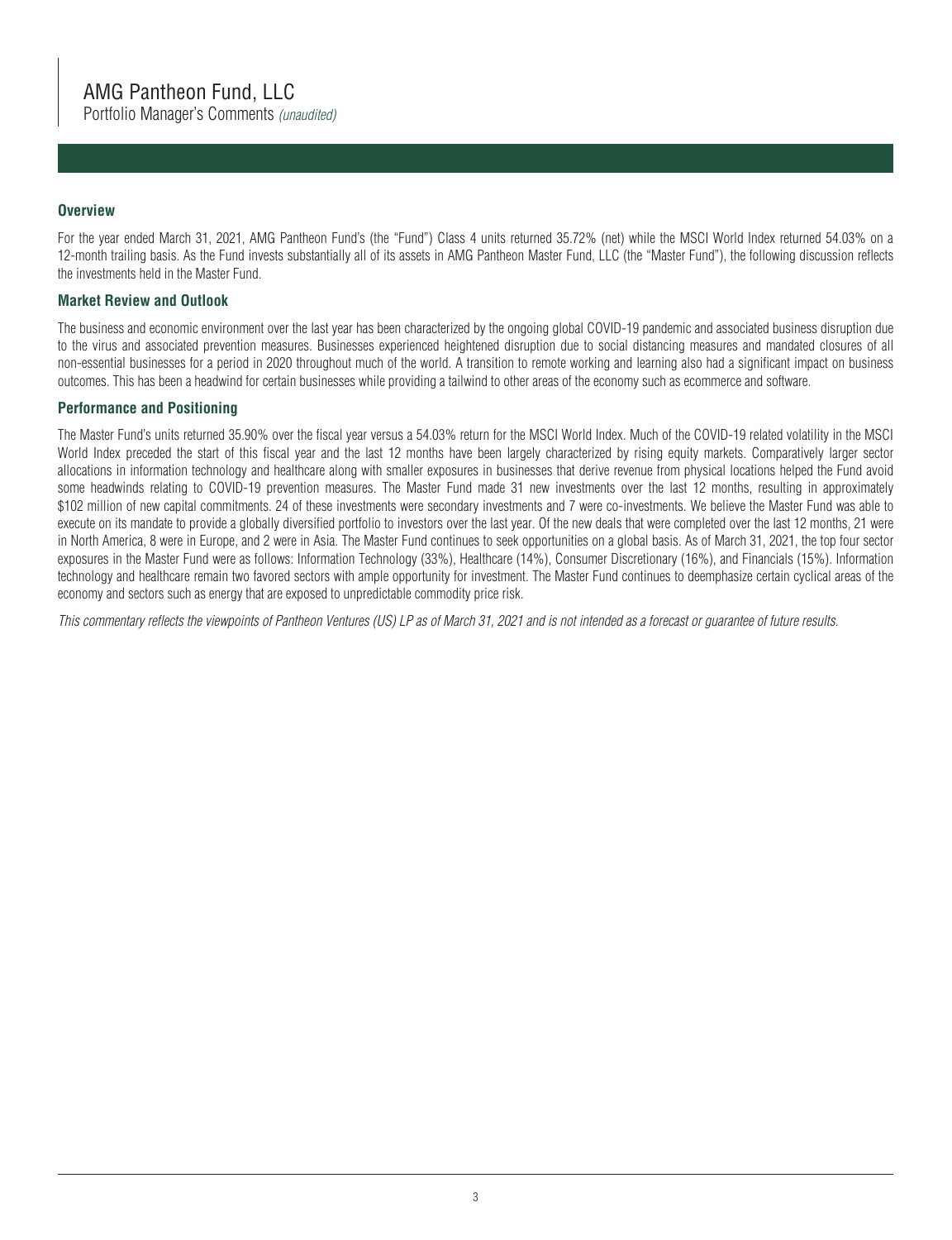Portfolio Manager's Comments *(unaudited)*

### **Overview**

For the year ended March 31, 2021, AMG Pantheon Fund's (the "Fund") Class 4 units returned 35.72% (net) while the MSCI World Index returned 54.03% on a 12-month trailing basis. As the Fund invests substantially all of its assets in AMG Pantheon Master Fund, LLC (the "Master Fund"), the following discussion reflects the investments held in the Master Fund.

#### **Market Review and Outlook**

The business and economic environment over the last year has been characterized by the ongoing global COVID-19 pandemic and associated business disruption due to the virus and associated prevention measures. Businesses experienced heightened disruption due to social distancing measures and mandated closures of all non-essential businesses for a period in 2020 throughout much of the world. A transition to remote working and learning also had a significant impact on business outcomes. This has been a headwind for certain businesses while providing a tailwind to other areas of the economy such as ecommerce and software.

#### **Performance and Positioning**

The Master Fund's units returned 35.90% over the fiscal year versus a 54.03% return for the MSCI World Index. Much of the COVID-19 related volatility in the MSCI World Index preceded the start of this fiscal year and the last 12 months have been largely characterized by rising equity markets. Comparatively larger sector allocations in information technology and healthcare along with smaller exposures in businesses that derive revenue from physical locations helped the Fund avoid some headwinds relating to COVID-19 prevention measures. The Master Fund made 31 new investments over the last 12 months, resulting in approximately \$102 million of new capital commitments. 24 of these investments were secondary investments and 7 were co-investments. We believe the Master Fund was able to execute on its mandate to provide a globally diversified portfolio to investors over the last year. Of the new deals that were completed over the last 12 months, 21 were in North America, 8 were in Europe, and 2 were in Asia. The Master Fund continues to seek opportunities on a global basis. As of March 31, 2021, the top four sector exposures in the Master Fund were as follows: Information Technology (33%), Healthcare (14%), Consumer Discretionary (16%), and Financials (15%). Information technology and healthcare remain two favored sectors with ample opportunity for investment. The Master Fund continues to deemphasize certain cyclical areas of the economy and sectors such as energy that are exposed to unpredictable commodity price risk.

*This commentary reflects the viewpoints of Pantheon Ventures (US) LP as of March 31, 2021 and is not intended as a forecast or guarantee of future results.*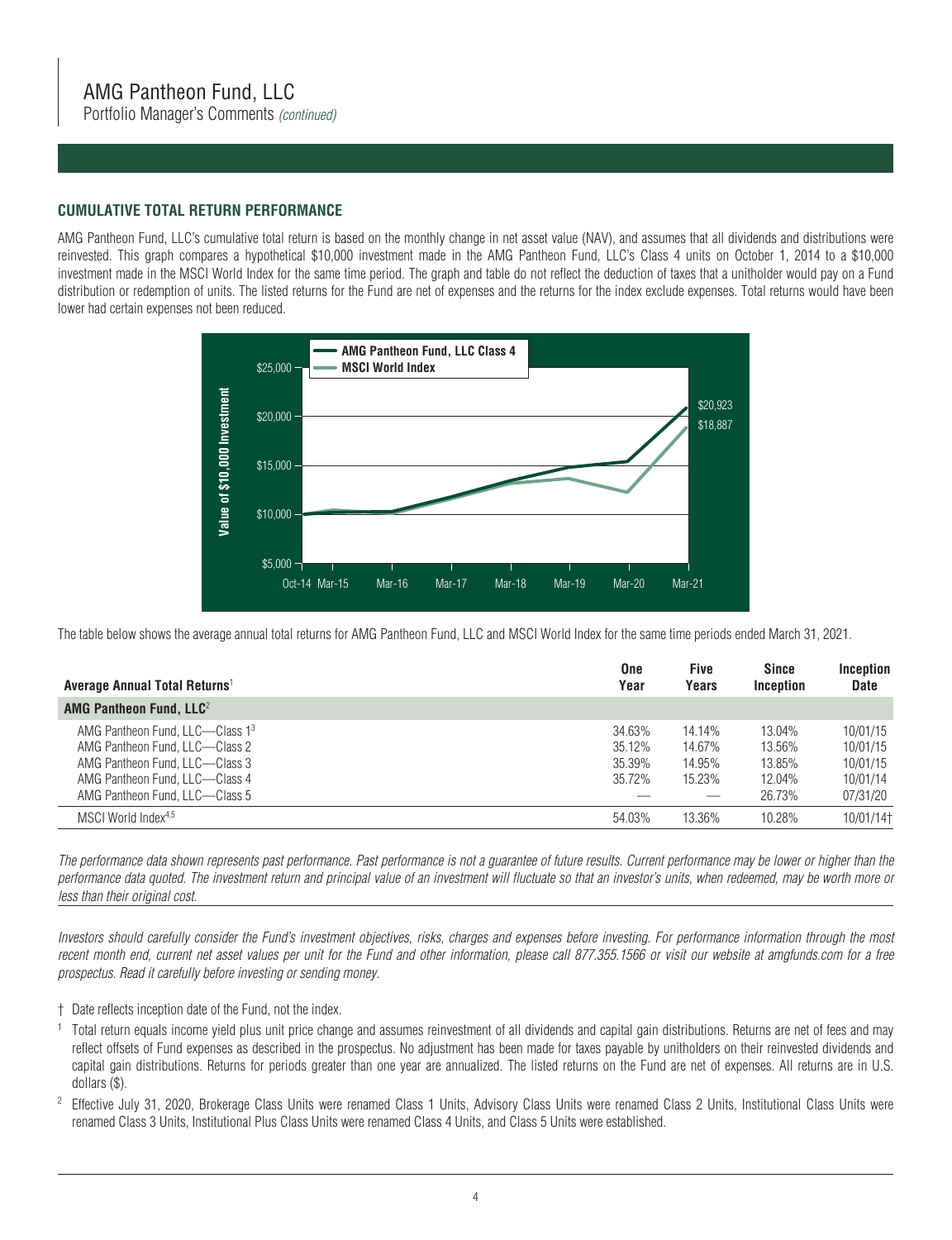Portfolio Manager's Comments *(continued)*

#### **CUMULATIVE TOTAL RETURN PERFORMANCE**

AMG Pantheon Fund, LLC's cumulative total return is based on the monthly change in net asset value (NAV), and assumes that all dividends and distributions were reinvested. This graph compares a hypothetical \$10,000 investment made in the AMG Pantheon Fund, LLC's Class 4 units on October 1, 2014 to a \$10,000 investment made in the MSCI World Index for the same time period. The graph and table do not reflect the deduction of taxes that a unitholder would pay on a Fund distribution or redemption of units. The listed returns for the Fund are net of expenses and the returns for the index exclude expenses. Total returns would have been lower had certain expenses not been reduced.



The table below shows the average annual total returns for AMG Pantheon Fund, LLC and MSCI World Index for the same time periods ended March 31, 2021.

| Average Annual Total Returns <sup>1</sup>                                                                                                                               | <b>One</b><br>Year                   | <b>Five</b><br>Years                 | <b>Since</b><br>Inception                      | Inception<br><b>Date</b>                                 |
|-------------------------------------------------------------------------------------------------------------------------------------------------------------------------|--------------------------------------|--------------------------------------|------------------------------------------------|----------------------------------------------------------|
| AMG Pantheon Fund, $LLC2$                                                                                                                                               |                                      |                                      |                                                |                                                          |
| AMG Pantheon Fund. LLC—Class 13<br>AMG Pantheon Fund. LLC-Class 2<br>AMG Pantheon Fund. LLC-Class 3<br>AMG Pantheon Fund. LLC-Class 4<br>AMG Pantheon Fund. LLC-Class 5 | 34.63%<br>35.12%<br>35.39%<br>35.72% | 14.14%<br>14.67%<br>14.95%<br>15.23% | 13.04%<br>13.56%<br>13.85%<br>12.04%<br>26.73% | 10/01/15<br>10/01/15<br>10/01/15<br>10/01/14<br>07/31/20 |
| MSCI World Index <sup>4,5</sup>                                                                                                                                         | 54.03%                               | 13.36%                               | 10.28%                                         | 10/01/14†                                                |

*The performance data shown represents past performance. Past performance is not a guarantee of future results. Current performance may be lower or higher than the performance data quoted. The investment return and principal value of an investment will fluctuate so that an investor's units, when redeemed, may be worth more or less than their original cost.*

*Investors should carefully consider the Fund's investment objectives, risks, charges and expenses before investing. For performance information through the most recent month end, current net asset values per unit for the Fund and other information, please call 877.355.1566 or visit our website at amgfunds.com for a free prospectus. Read it carefully before investing or sending money.*

- † Date reflects inception date of the Fund, not the index.
- <sup>1</sup> Total return equals income yield plus unit price change and assumes reinvestment of all dividends and capital gain distributions. Returns are net of fees and may reflect offsets of Fund expenses as described in the prospectus. No adjustment has been made for taxes payable by unitholders on their reinvested dividends and capital gain distributions. Returns for periods greater than one year are annualized. The listed returns on the Fund are net of expenses. All returns are in U.S. dollars (\$).
- $2$  Effective July 31, 2020, Brokerage Class Units were renamed Class 1 Units, Advisory Class Units were renamed Class 2 Units, Institutional Class Units were renamed Class 3 Units, Institutional Plus Class Units were renamed Class 4 Units, and Class 5 Units were established.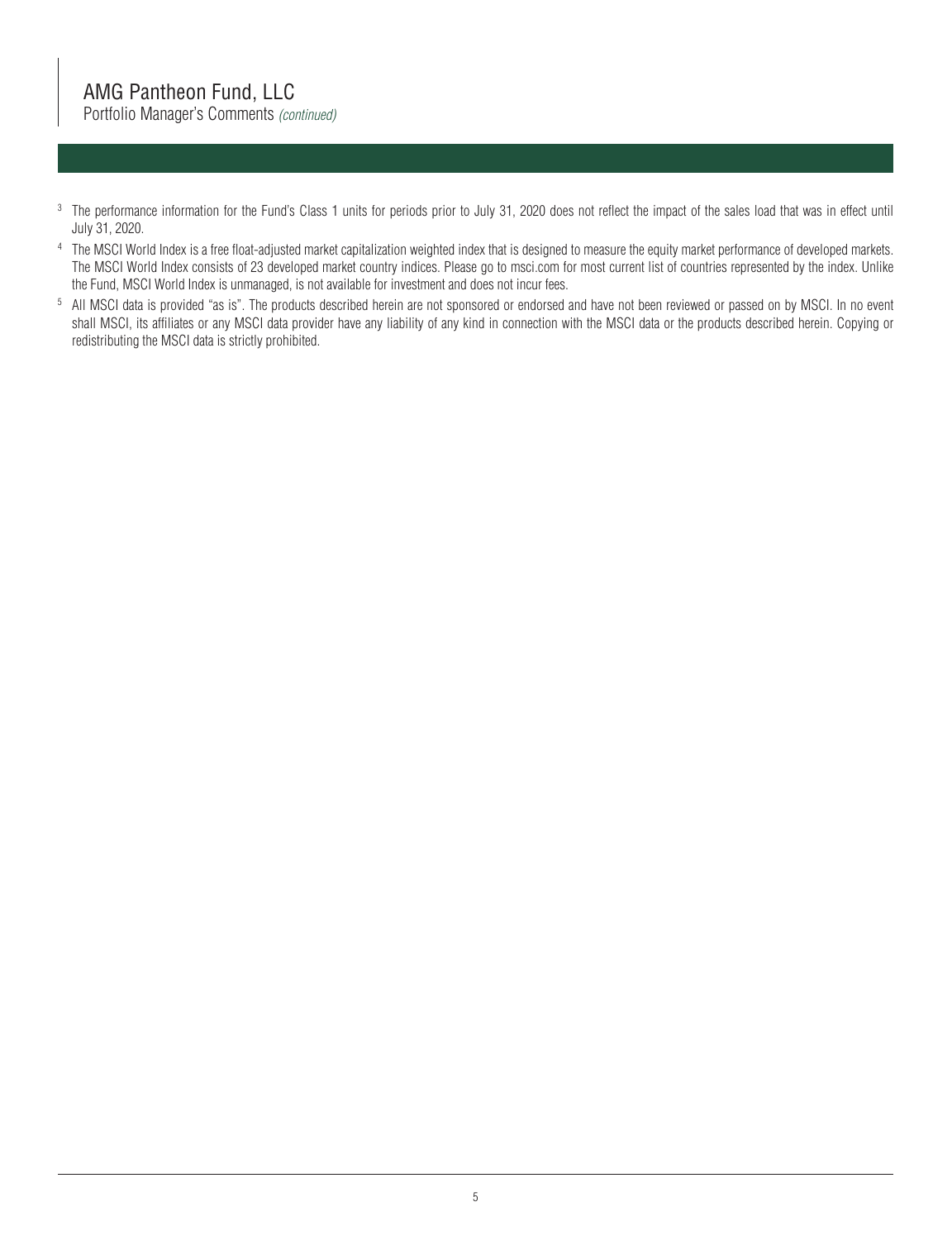# AMG Pantheon Fund, LLC

Portfolio Manager's Comments *(continued)*

- <sup>3</sup> The performance information for the Fund's Class 1 units for periods prior to July 31, 2020 does not reflect the impact of the sales load that was in effect until July 31, 2020.
- <sup>4</sup> The MSCI World Index is a free float-adjusted market capitalization weighted index that is designed to measure the equity market performance of developed markets. The MSCI World Index consists of 23 developed market country indices. Please go to msci.com for most current list of countries represented by the index. Unlike the Fund, MSCI World Index is unmanaged, is not available for investment and does not incur fees.
- 5 All MSCI data is provided "as is". The products described herein are not sponsored or endorsed and have not been reviewed or passed on by MSCI. In no event shall MSCI, its affiliates or any MSCI data provider have any liability of any kind in connection with the MSCI data or the products described herein. Copying or redistributing the MSCI data is strictly prohibited.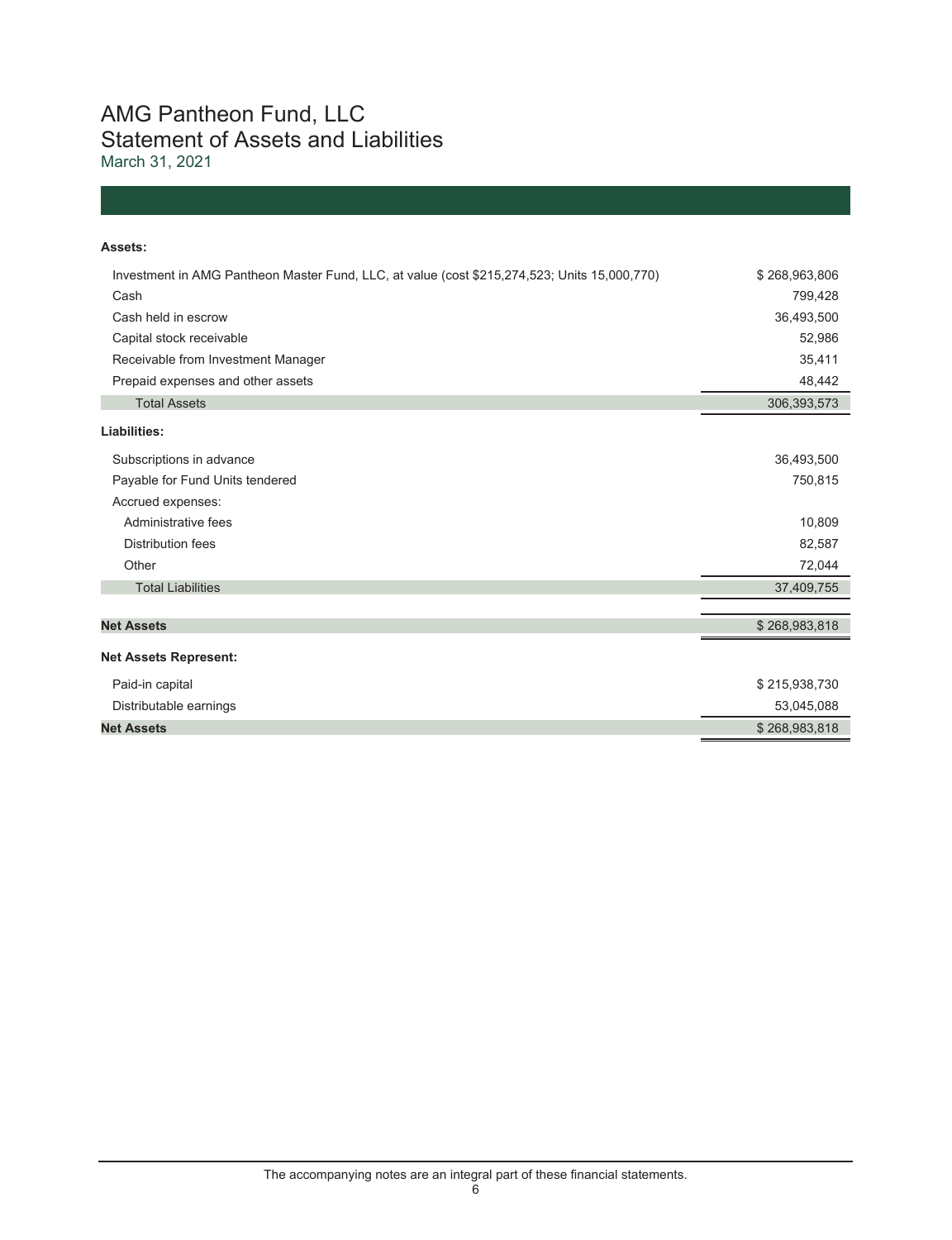## AMG Pantheon Fund, LLC Statement of Assets and Liabilities March 31, 2021

#### **Assets:**

| Investment in AMG Pantheon Master Fund, LLC, at value (cost \$215,274,523; Units 15,000,770) | \$268,963,806 |
|----------------------------------------------------------------------------------------------|---------------|
| Cash                                                                                         | 799,428       |
| Cash held in escrow                                                                          | 36,493,500    |
| Capital stock receivable                                                                     | 52,986        |
| Receivable from Investment Manager                                                           | 35,411        |
| Prepaid expenses and other assets                                                            | 48,442        |
| <b>Total Assets</b>                                                                          | 306,393,573   |
| Liabilities:                                                                                 |               |
| Subscriptions in advance                                                                     | 36,493,500    |
| Payable for Fund Units tendered                                                              | 750,815       |
| Accrued expenses:                                                                            |               |
| Administrative fees                                                                          | 10,809        |
| <b>Distribution fees</b>                                                                     | 82,587        |
| Other                                                                                        | 72,044        |
| <b>Total Liabilities</b>                                                                     | 37,409,755    |
|                                                                                              |               |
| <b>Net Assets</b>                                                                            | \$268,983,818 |
| <b>Net Assets Represent:</b>                                                                 |               |
| Paid-in capital                                                                              | \$215,938,730 |
| Distributable earnings                                                                       | 53,045,088    |
| <b>Net Assets</b>                                                                            | \$268,983,818 |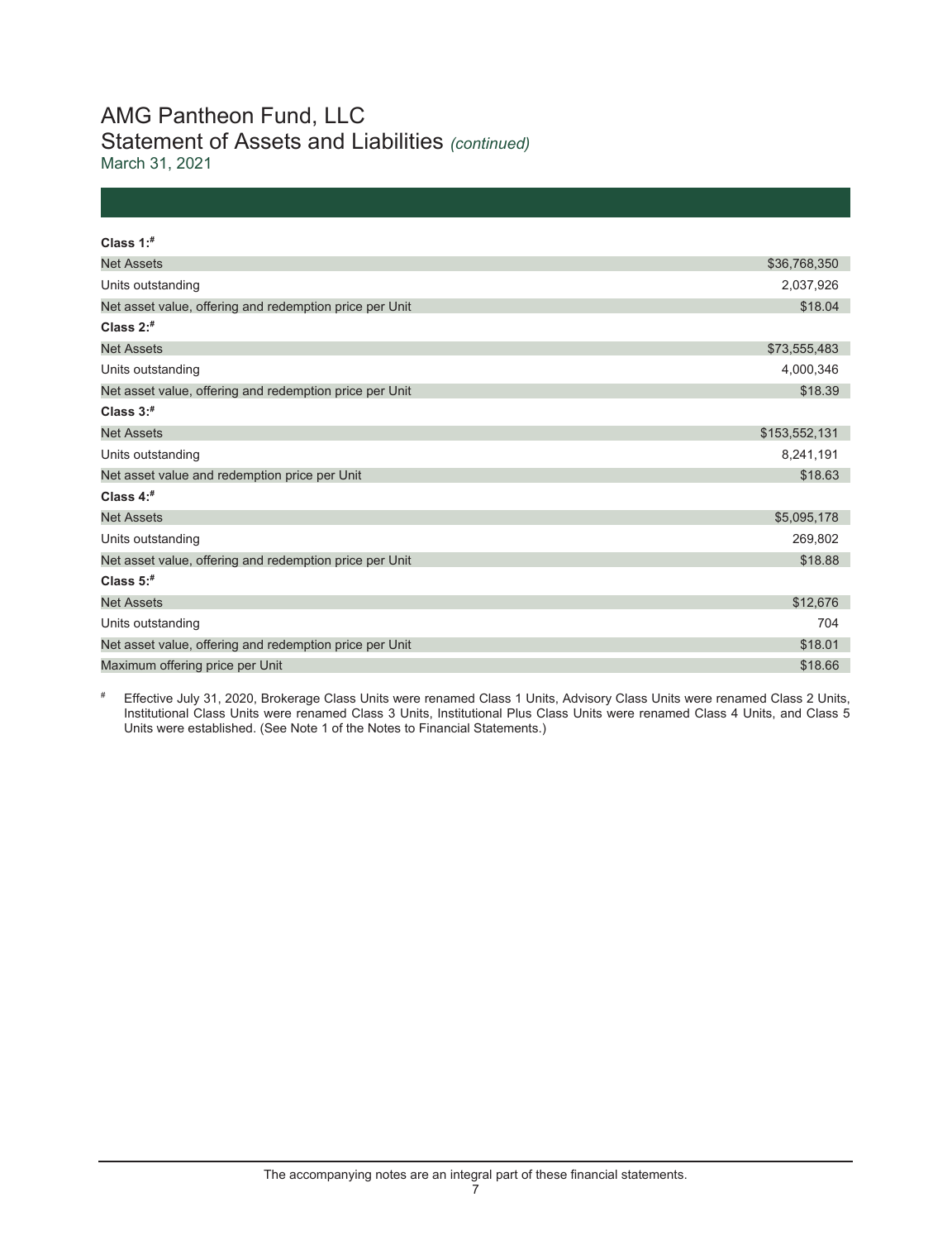# AMG Pantheon Fund, LLC Statement of Assets and Liabilities *(continued)*

March 31, 2021

| Class $1:$ <sup>#</sup>                                 |               |
|---------------------------------------------------------|---------------|
|                                                         |               |
| <b>Net Assets</b>                                       | \$36,768,350  |
| Units outstanding                                       | 2,037,926     |
| Net asset value, offering and redemption price per Unit | \$18.04       |
| Class $2:$ #                                            |               |
| <b>Net Assets</b>                                       | \$73,555,483  |
| Units outstanding                                       | 4,000,346     |
| Net asset value, offering and redemption price per Unit | \$18.39       |
| Class $3:$ #                                            |               |
| <b>Net Assets</b>                                       | \$153,552,131 |
| Units outstanding                                       | 8,241,191     |
| Net asset value and redemption price per Unit           | \$18.63       |
| Class $4:$ #                                            |               |
| <b>Net Assets</b>                                       | \$5,095,178   |
| Units outstanding                                       | 269,802       |
| Net asset value, offering and redemption price per Unit | \$18.88       |
| Class $5:$ #                                            |               |
| <b>Net Assets</b>                                       | \$12,676      |
| Units outstanding                                       | 704           |
| Net asset value, offering and redemption price per Unit | \$18.01       |
| Maximum offering price per Unit                         | \$18.66       |

# Effective July 31, 2020, Brokerage Class Units were renamed Class 1 Units, Advisory Class Units were renamed Class 2 Units, Institutional Class Units were renamed Class 3 Units, Institutional Plus Class Units were renamed Class 4 Units, and Class 5 Units were established. (See Note 1 of the Notes to Financial Statements.)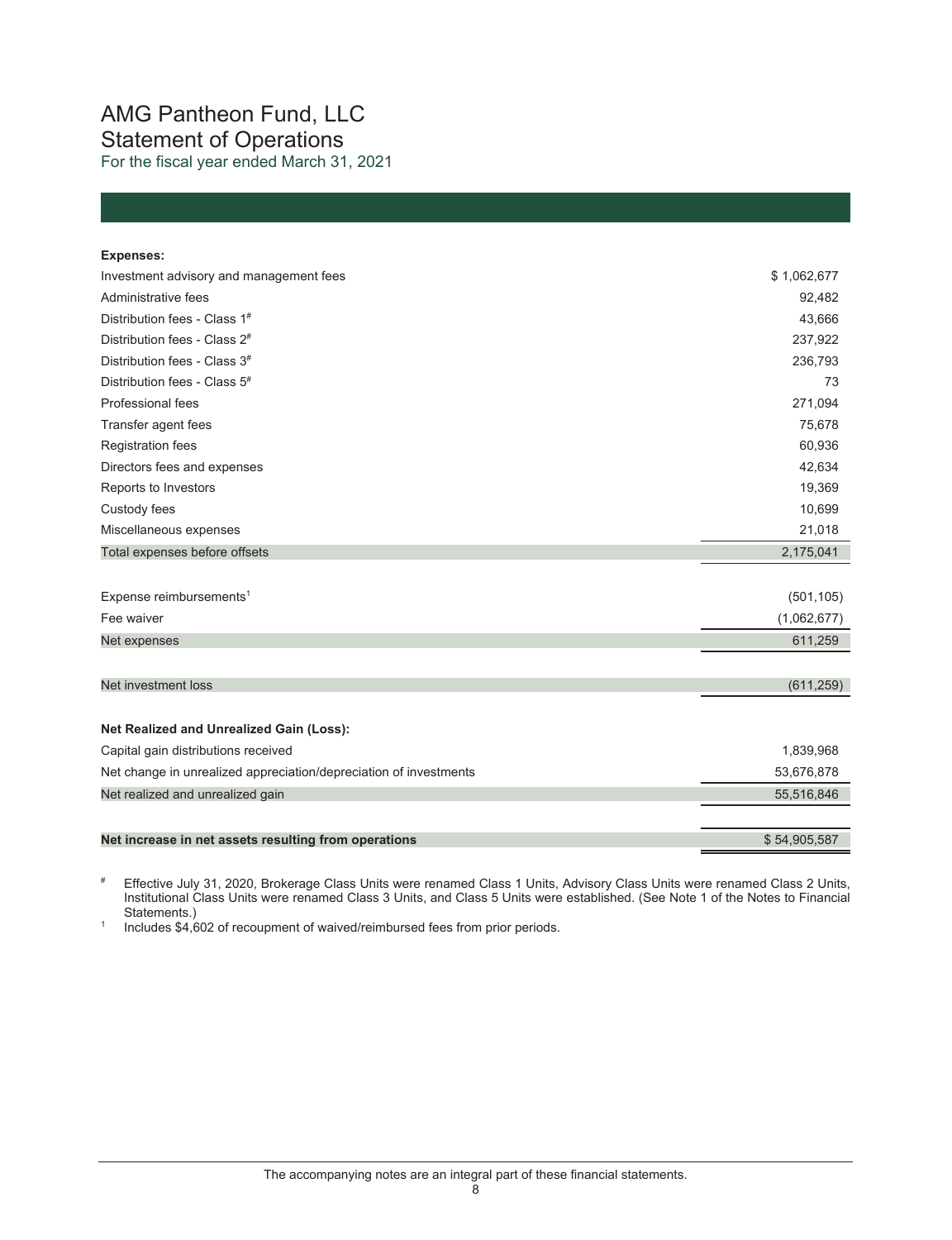## AMG Pantheon Fund, LLC Statement of Operations For the fiscal year ended March 31, 2021

| <b>Expenses:</b>                                                  |              |
|-------------------------------------------------------------------|--------------|
| Investment advisory and management fees                           | \$1,062,677  |
| Administrative fees                                               | 92,482       |
| Distribution fees - Class 1#                                      | 43,666       |
| Distribution fees - Class 2 <sup>#</sup>                          | 237,922      |
| Distribution fees - Class 3 <sup>#</sup>                          | 236,793      |
| Distribution fees - Class 5 <sup>#</sup>                          | 73           |
| Professional fees                                                 | 271,094      |
| Transfer agent fees                                               | 75,678       |
| <b>Registration fees</b>                                          | 60,936       |
| Directors fees and expenses                                       | 42,634       |
| Reports to Investors                                              | 19,369       |
| Custody fees                                                      | 10,699       |
| Miscellaneous expenses                                            | 21,018       |
| Total expenses before offsets                                     | 2,175,041    |
|                                                                   |              |
| Expense reimbursements <sup>1</sup>                               | (501, 105)   |
| Fee waiver                                                        | (1,062,677)  |
| Net expenses                                                      | 611,259      |
|                                                                   |              |
| Net investment loss                                               | (611, 259)   |
|                                                                   |              |
| Net Realized and Unrealized Gain (Loss):                          |              |
| Capital gain distributions received                               | 1,839,968    |
| Net change in unrealized appreciation/depreciation of investments | 53,676,878   |
| Net realized and unrealized gain                                  | 55,516,846   |
|                                                                   |              |
| Net increase in net assets resulting from operations              | \$54,905,587 |

# Effective July 31, 2020, Brokerage Class Units were renamed Class 1 Units, Advisory Class Units were renamed Class 2 Units, Institutional Class Units were renamed Class 3 Units, and Class 5 Units were established. (See Note 1 of the Notes to Financial

Statements.) 1 Includes \$4,602 of recoupment of waived/reimbursed fees from prior periods.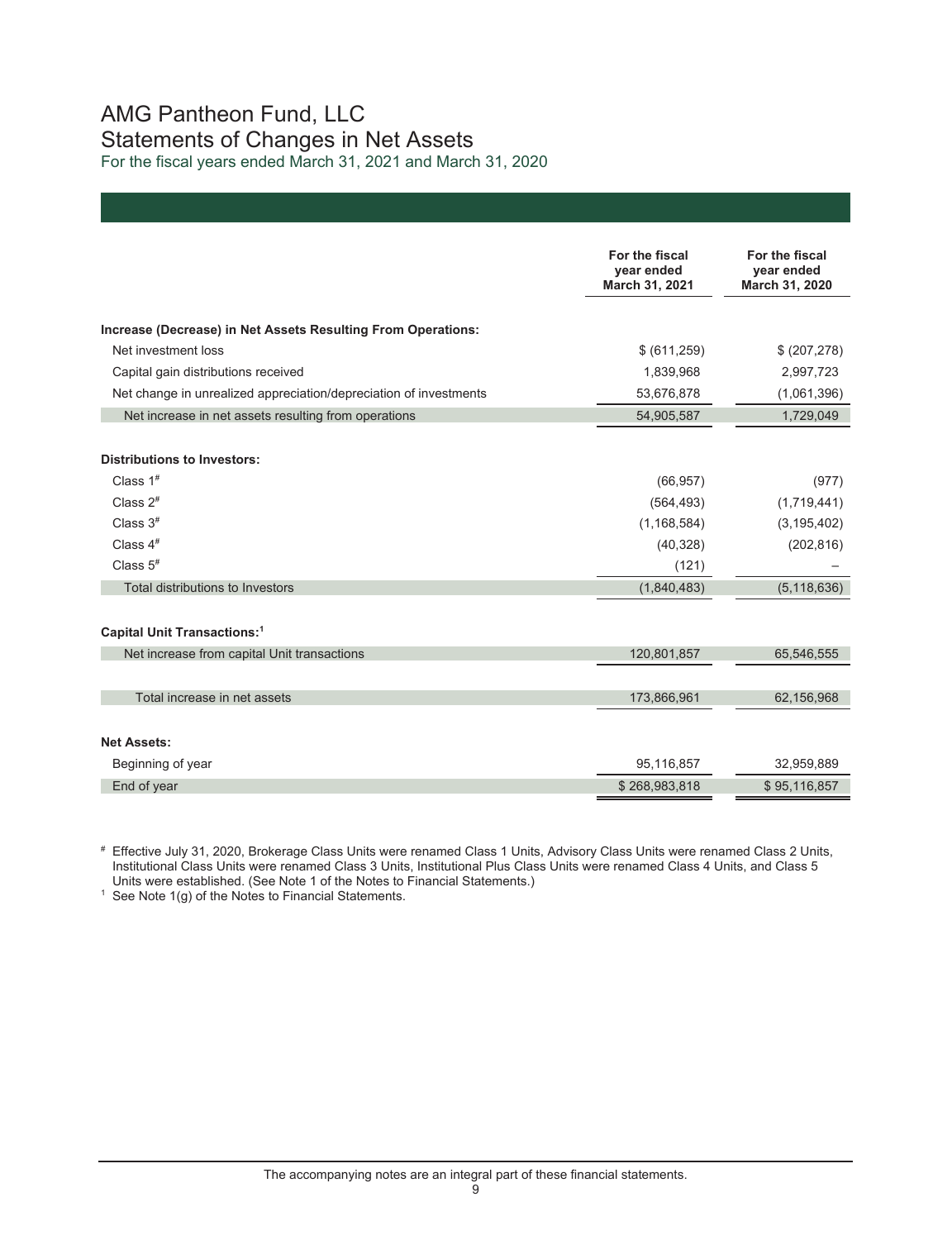## AMG Pantheon Fund, LLC Statements of Changes in Net Assets For the fiscal years ended March 31, 2021 and March 31, 2020

|                                                                   | For the fiscal<br>year ended<br>March 31, 2021 | For the fiscal<br>year ended<br>March 31, 2020 |
|-------------------------------------------------------------------|------------------------------------------------|------------------------------------------------|
| Increase (Decrease) in Net Assets Resulting From Operations:      |                                                |                                                |
| Net investment loss                                               | \$ (611, 259)                                  | \$ (207, 278)                                  |
| Capital gain distributions received                               | 1,839,968                                      | 2,997,723                                      |
| Net change in unrealized appreciation/depreciation of investments | 53,676,878                                     | (1,061,396)                                    |
| Net increase in net assets resulting from operations              | 54,905,587                                     | 1,729,049                                      |
|                                                                   |                                                |                                                |
| <b>Distributions to Investors:</b>                                |                                                |                                                |
| Class $1^{\#}$                                                    | (66, 957)                                      | (977)                                          |
| Class $2^{\#}$                                                    | (564, 493)                                     | (1,719,441)                                    |
| Class $3#$                                                        | (1, 168, 584)                                  | (3, 195, 402)                                  |
| Class $4#$                                                        | (40, 328)                                      | (202, 816)                                     |
| Class $5$ <sup>#</sup>                                            | (121)                                          |                                                |
| Total distributions to Investors                                  | (1,840,483)                                    | (5, 118, 636)                                  |
|                                                                   |                                                |                                                |
| Capital Unit Transactions: <sup>1</sup>                           |                                                |                                                |
| Net increase from capital Unit transactions                       | 120,801,857                                    | 65,546,555                                     |
|                                                                   |                                                |                                                |
| Total increase in net assets                                      | 173,866,961                                    | 62,156,968                                     |
|                                                                   |                                                |                                                |
| <b>Net Assets:</b>                                                |                                                |                                                |
| Beginning of year                                                 | 95,116,857                                     | 32,959,889                                     |
| End of year                                                       | \$268,983,818                                  | \$95,116,857                                   |

# Effective July 31, 2020, Brokerage Class Units were renamed Class 1 Units, Advisory Class Units were renamed Class 2 Units, Institutional Class Units were renamed Class 3 Units, Institutional Plus Class Units were renamed Class 4 Units, and Class 5 Units were established. (See Note 1 of the Notes to Financial Statements.)<br>
<sup>1</sup> See Note 1(g) of the Notes to Financial Statements.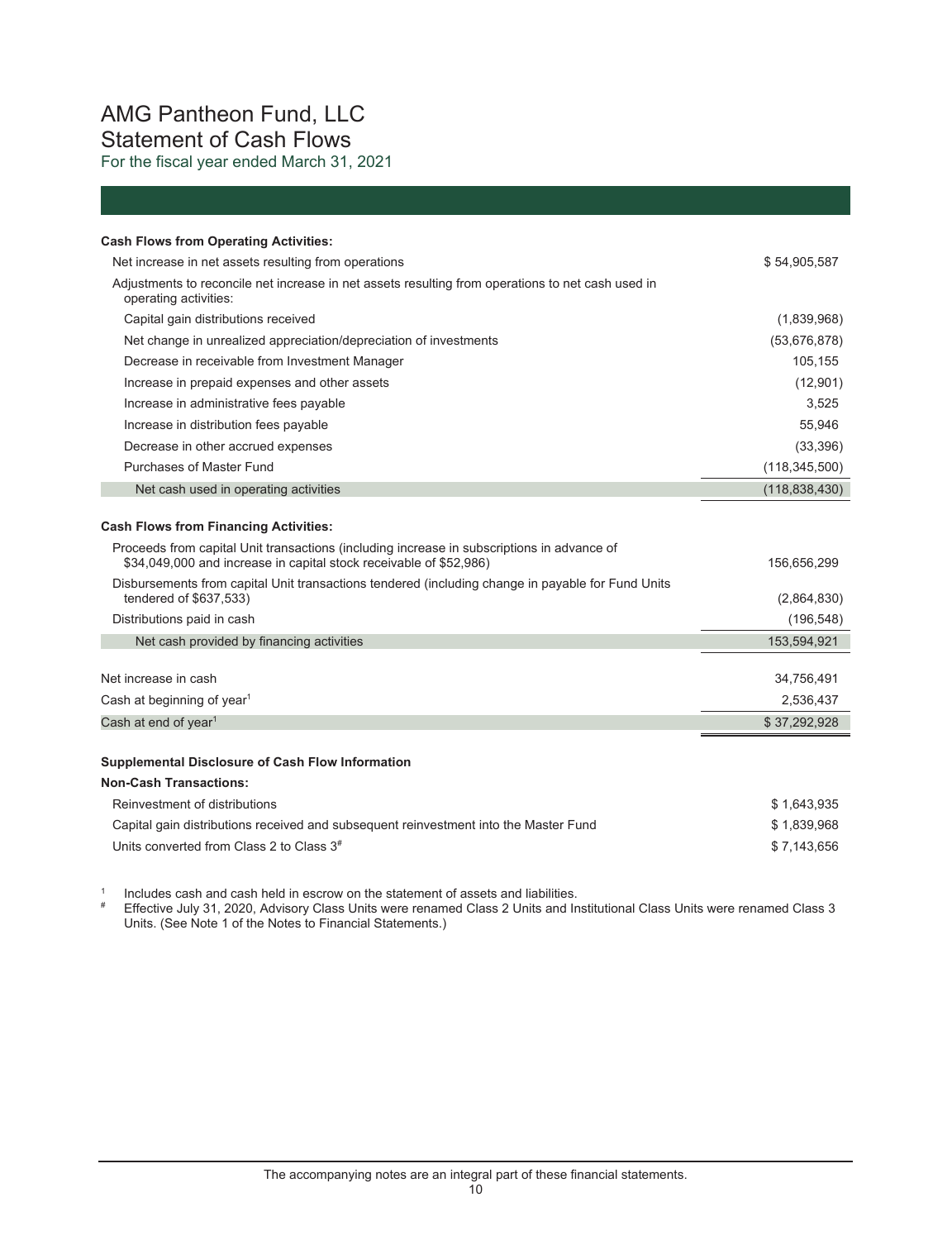## AMG Pantheon Fund, LLC Statement of Cash Flows For the fiscal year ended March 31, 2021

| <b>Cash Flows from Operating Activities:</b>                                                                                               |                 |
|--------------------------------------------------------------------------------------------------------------------------------------------|-----------------|
| Net increase in net assets resulting from operations                                                                                       | \$54,905,587    |
| Adjustments to reconcile net increase in net assets resulting from operations to net cash used in<br>operating activities:                 |                 |
| Capital gain distributions received                                                                                                        | (1,839,968)     |
| Net change in unrealized appreciation/depreciation of investments                                                                          | (53,676,878)    |
| Decrease in receivable from Investment Manager                                                                                             | 105,155         |
| Increase in prepaid expenses and other assets                                                                                              | (12,901)        |
| Increase in administrative fees payable                                                                                                    | 3,525           |
| Increase in distribution fees payable                                                                                                      | 55,946          |
| Decrease in other accrued expenses                                                                                                         | (33, 396)       |
| Purchases of Master Fund                                                                                                                   | (118, 345, 500) |
| Net cash used in operating activities                                                                                                      | (118, 838, 430) |
| <b>Cash Flows from Financing Activities:</b><br>Proceeds from capital Unit transactions (including increase in subscriptions in advance of |                 |
| \$34,049,000 and increase in capital stock receivable of \$52,986)                                                                         | 156,656,299     |
| Disbursements from capital Unit transactions tendered (including change in payable for Fund Units<br>tendered of \$637,533)                | (2,864,830)     |
| Distributions paid in cash                                                                                                                 | (196, 548)      |
| Net cash provided by financing activities                                                                                                  | 153,594,921     |
|                                                                                                                                            |                 |
| Net increase in cash                                                                                                                       | 34,756,491      |
| Cash at beginning of year <sup>1</sup>                                                                                                     | 2,536,437       |
| Cash at end of year $1$                                                                                                                    | \$37,292,928    |
| Supplemental Disclosure of Cash Flow Information                                                                                           |                 |
| <b>Non-Cash Transactions:</b>                                                                                                              |                 |

| Reinvestment of distributions                                                        | \$1.643.935 |
|--------------------------------------------------------------------------------------|-------------|
| Capital gain distributions received and subsequent reinvestment into the Master Fund | \$1.839.968 |
| Units converted from Class 2 to Class 3 <sup>#</sup>                                 | \$7.143.656 |

<sup>1</sup> Includes cash and cash held in escrow on the statement of assets and liabilities.<br># Effective July 31, 2020, Advisory Class Units were renamed Class 2 Units and Institutional Class Units were renamed Class 3 Units. (See Note 1 of the Notes to Financial Statements.)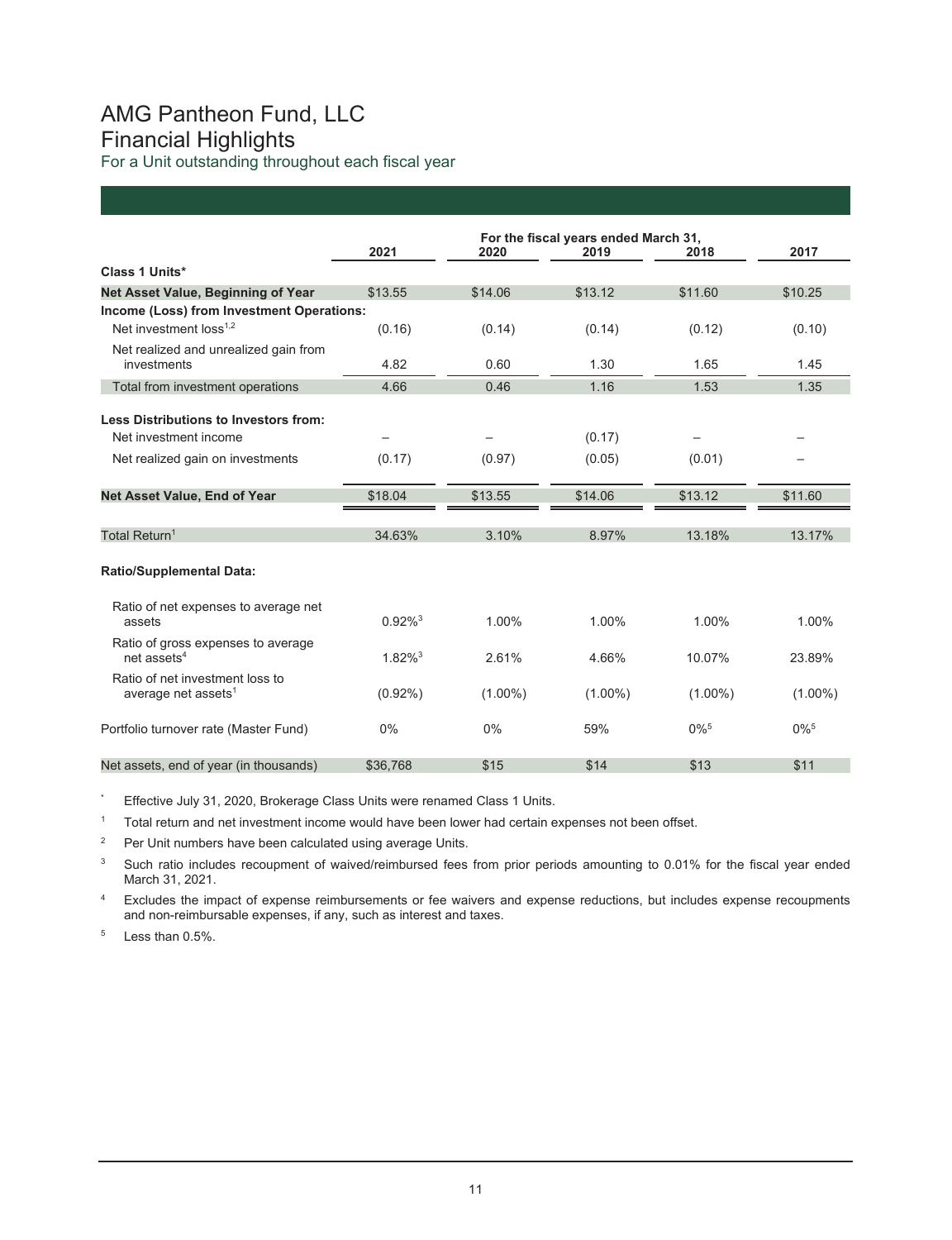## AMG Pantheon Fund, LLC Financial Highlights For a Unit outstanding throughout each fiscal year

|                                                                    | For the fiscal years ended March 31, |            |            |                    |                    |
|--------------------------------------------------------------------|--------------------------------------|------------|------------|--------------------|--------------------|
|                                                                    | 2021                                 | 2020       | 2019       | 2018               | 2017               |
| Class 1 Units*                                                     |                                      |            |            |                    |                    |
| Net Asset Value, Beginning of Year                                 | \$13.55                              | \$14.06    | \$13.12    | \$11.60            | \$10.25            |
| Income (Loss) from Investment Operations:                          |                                      |            |            |                    |                    |
| Net investment loss <sup>1,2</sup>                                 | (0.16)                               | (0.14)     | (0.14)     | (0.12)             | (0.10)             |
| Net realized and unrealized gain from<br>investments               | 4.82                                 | 0.60       | 1.30       | 1.65               | 1.45               |
| Total from investment operations                                   | 4.66                                 | 0.46       | 1.16       | 1.53               | 1.35               |
| Less Distributions to Investors from:                              |                                      |            |            |                    |                    |
| Net investment income                                              |                                      |            | (0.17)     |                    |                    |
| Net realized gain on investments                                   | (0.17)                               | (0.97)     | (0.05)     | (0.01)             |                    |
| Net Asset Value, End of Year                                       | \$18.04                              | \$13.55    | \$14.06    | \$13.12            | \$11.60            |
| Total Return <sup>1</sup>                                          | 34.63%                               | 3.10%      | 8.97%      | 13.18%             | 13.17%             |
| <b>Ratio/Supplemental Data:</b>                                    |                                      |            |            |                    |                    |
| Ratio of net expenses to average net<br>assets                     | $0.92\%$ <sup>3</sup>                | 1.00%      | 1.00%      | 1.00%              | 1.00%              |
| Ratio of gross expenses to average<br>net assets $4$               | $1.82\%$ <sup>3</sup>                | 2.61%      | 4.66%      | 10.07%             | 23.89%             |
| Ratio of net investment loss to<br>average net assets <sup>1</sup> | $(0.92\%)$                           | $(1.00\%)$ | $(1.00\%)$ | $(1.00\%)$         | $(1.00\%)$         |
| Portfolio turnover rate (Master Fund)                              | 0%                                   | 0%         | 59%        | $0\%$ <sup>5</sup> | $0\%$ <sup>5</sup> |
| Net assets, end of year (in thousands)                             | \$36,768                             | \$15       | \$14       | \$13               | \$11               |

\* Effective July 31, 2020, Brokerage Class Units were renamed Class 1 Units.

1 Total return and net investment income would have been lower had certain expenses not been offset.

2 Per Unit numbers have been calculated using average Units.

<sup>3</sup> Such ratio includes recoupment of waived/reimbursed fees from prior periods amounting to 0.01% for the fiscal year ended March 31, 2021.

<sup>4</sup> Excludes the impact of expense reimbursements or fee waivers and expense reductions, but includes expense recoupments and non-reimbursable expenses, if any, such as interest and taxes.

<sup>5</sup> Less than 0.5%.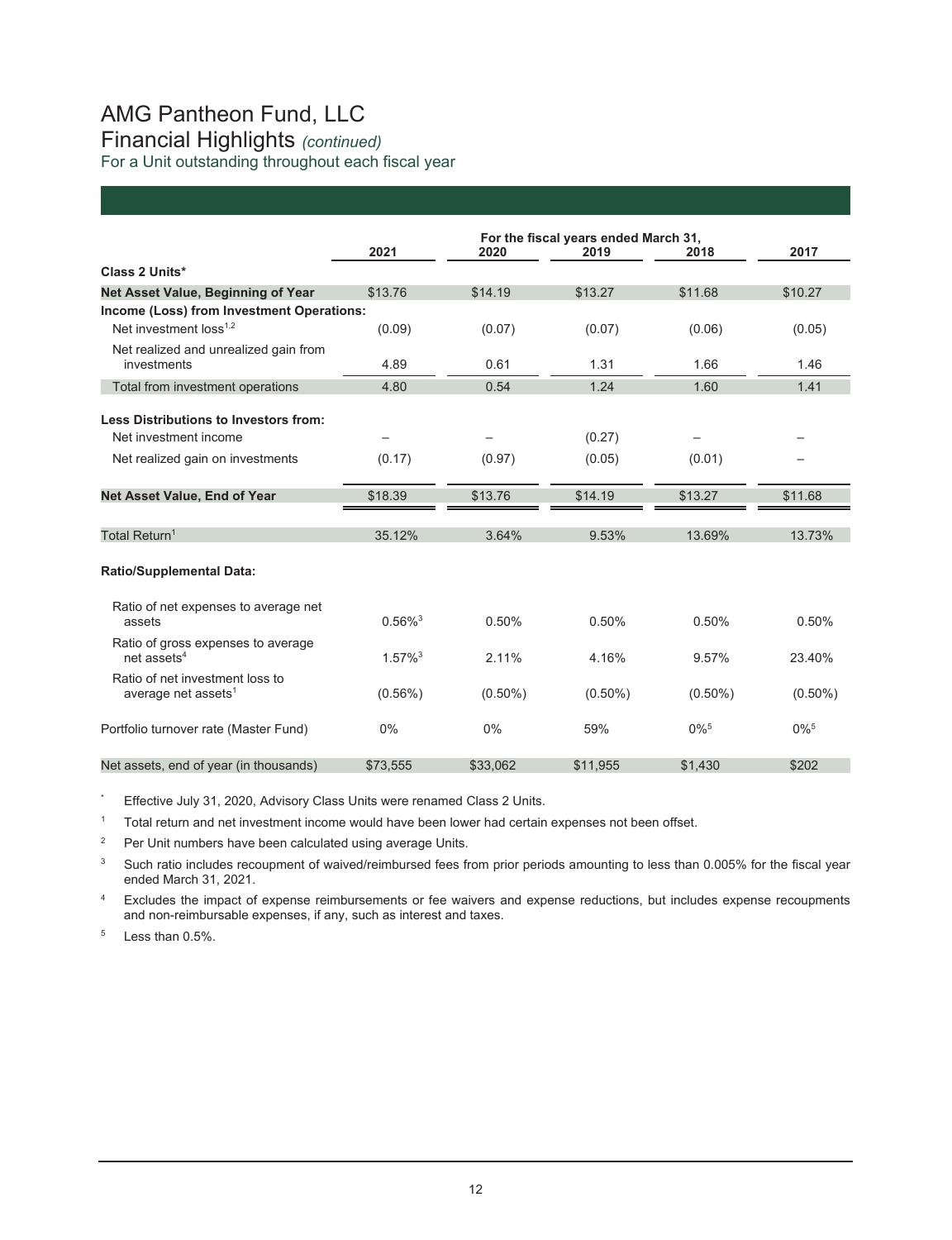## AMG Pantheon Fund, LLC Financial Highlights *(continued)*  For a Unit outstanding throughout each fiscal year

|                                           |                       |            | For the fiscal years ended March 31, |                    |                    |
|-------------------------------------------|-----------------------|------------|--------------------------------------|--------------------|--------------------|
|                                           | 2021                  | 2020       | 2019                                 | 2018               | 2017               |
| Class 2 Units*                            |                       |            |                                      |                    |                    |
| Net Asset Value, Beginning of Year        | \$13.76               | \$14.19    | \$13.27                              | \$11.68            | \$10.27            |
| Income (Loss) from Investment Operations: |                       |            |                                      |                    |                    |
| Net investment loss <sup>1,2</sup>        | (0.09)                | (0.07)     | (0.07)                               | (0.06)             | (0.05)             |
| Net realized and unrealized gain from     |                       |            |                                      |                    |                    |
| investments                               | 4.89                  | 0.61       | 1.31                                 | 1.66               | 1.46               |
| Total from investment operations          | 4.80                  | 0.54       | 1.24                                 | 1.60               | 1.41               |
| Less Distributions to Investors from:     |                       |            |                                      |                    |                    |
| Net investment income                     |                       |            | (0.27)                               |                    |                    |
| Net realized gain on investments          | (0.17)                | (0.97)     | (0.05)                               | (0.01)             |                    |
|                                           |                       |            |                                      |                    |                    |
| Net Asset Value, End of Year              | \$18.39               | \$13.76    | \$14.19                              | \$13.27            | \$11.68            |
| Total Return <sup>1</sup>                 | 35.12%                | 3.64%      | 9.53%                                | 13.69%             | 13.73%             |
|                                           |                       |            |                                      |                    |                    |
| <b>Ratio/Supplemental Data:</b>           |                       |            |                                      |                    |                    |
| Ratio of net expenses to average net      |                       |            |                                      |                    |                    |
| assets                                    | $0.56\%$ <sup>3</sup> | 0.50%      | 0.50%                                | 0.50%              | 0.50%              |
| Ratio of gross expenses to average        |                       |            |                                      |                    |                    |
| net assets $4$                            | $1.57\%$ <sup>3</sup> | 2.11%      | 4 16%                                | 9.57%              | 23.40%             |
| Ratio of net investment loss to           |                       |            |                                      |                    |                    |
| average net assets <sup>1</sup>           | $(0.56\%)$            | $(0.50\%)$ | $(0.50\%)$                           | $(0.50\%)$         | $(0.50\%)$         |
| Portfolio turnover rate (Master Fund)     | 0%                    | 0%         | 59%                                  | $0\%$ <sup>5</sup> | $0\%$ <sup>5</sup> |
| Net assets, end of year (in thousands)    | \$73,555              | \$33,062   | \$11,955                             | \$1,430            | \$202              |

\* Effective July 31, 2020, Advisory Class Units were renamed Class 2 Units.

<sup>1</sup> Total return and net investment income would have been lower had certain expenses not been offset.

2 Per Unit numbers have been calculated using average Units.

<sup>3</sup> Such ratio includes recoupment of waived/reimbursed fees from prior periods amounting to less than 0.005% for the fiscal year ended March 31, 2021.

4 Excludes the impact of expense reimbursements or fee waivers and expense reductions, but includes expense recoupments and non-reimbursable expenses, if any, such as interest and taxes.

5 Less than 0.5%.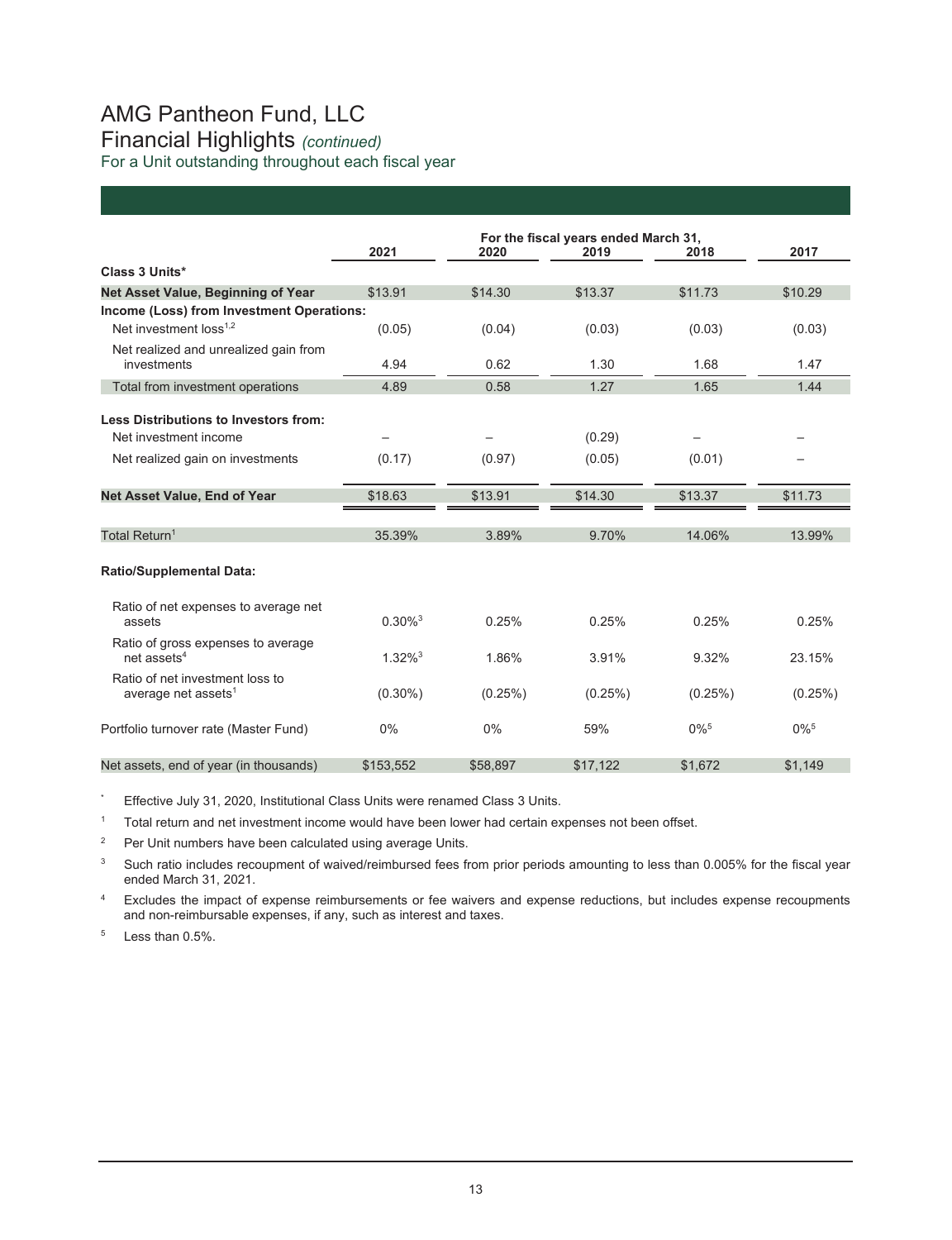## AMG Pantheon Fund, LLC Financial Highlights *(continued)*  For a Unit outstanding throughout each fiscal year

|                                                                                 | 2021                  | 2020     | For the fiscal years ended March 31,<br>2019 | 2018               | 2017               |
|---------------------------------------------------------------------------------|-----------------------|----------|----------------------------------------------|--------------------|--------------------|
| Class 3 Units*                                                                  |                       |          |                                              |                    |                    |
| Net Asset Value, Beginning of Year                                              | \$13.91               | \$14.30  | \$13.37                                      | \$11.73            | \$10.29            |
| Income (Loss) from Investment Operations:<br>Net investment loss <sup>1,2</sup> | (0.05)                | (0.04)   | (0.03)                                       | (0.03)             | (0.03)             |
| Net realized and unrealized gain from<br>investments                            | 4.94                  | 0.62     | 1.30                                         | 1.68               | 1.47               |
| Total from investment operations                                                | 4.89                  | 0.58     | 1.27                                         | 1.65               | 1.44               |
| Less Distributions to Investors from:<br>Net investment income                  |                       |          | (0.29)                                       |                    |                    |
| Net realized gain on investments                                                | (0.17)                | (0.97)   | (0.05)                                       | (0.01)             |                    |
| Net Asset Value, End of Year                                                    | \$18.63               | \$13.91  | \$14.30                                      | \$13.37            | \$11.73            |
| Total Return <sup>1</sup>                                                       | 35.39%                | 3.89%    | 9.70%                                        | 14.06%             | 13.99%             |
| <b>Ratio/Supplemental Data:</b>                                                 |                       |          |                                              |                    |                    |
| Ratio of net expenses to average net<br>assets                                  | $0.30\%$ <sup>3</sup> | 0.25%    | 0.25%                                        | 0.25%              | 0.25%              |
| Ratio of gross expenses to average<br>net assets $4$                            | $1.32\%$ <sup>3</sup> | 1.86%    | 3.91%                                        | 9.32%              | 23.15%             |
| Ratio of net investment loss to<br>average net assets <sup>1</sup>              | $(0.30\%)$            | (0.25%)  | (0.25%)                                      | (0.25%)            | (0.25%)            |
| Portfolio turnover rate (Master Fund)                                           | $0\%$                 | 0%       | 59%                                          | $0\%$ <sup>5</sup> | $0\%$ <sup>5</sup> |
| Net assets, end of year (in thousands)                                          | \$153,552             | \$58,897 | \$17,122                                     | \$1,672            | \$1,149            |

\* Effective July 31, 2020, Institutional Class Units were renamed Class 3 Units.

<sup>1</sup> Total return and net investment income would have been lower had certain expenses not been offset.

2 Per Unit numbers have been calculated using average Units.

<sup>3</sup> Such ratio includes recoupment of waived/reimbursed fees from prior periods amounting to less than 0.005% for the fiscal year ended March 31, 2021.

<sup>4</sup> Excludes the impact of expense reimbursements or fee waivers and expense reductions, but includes expense recoupments and non-reimbursable expenses, if any, such as interest and taxes.

5 Less than 0.5%.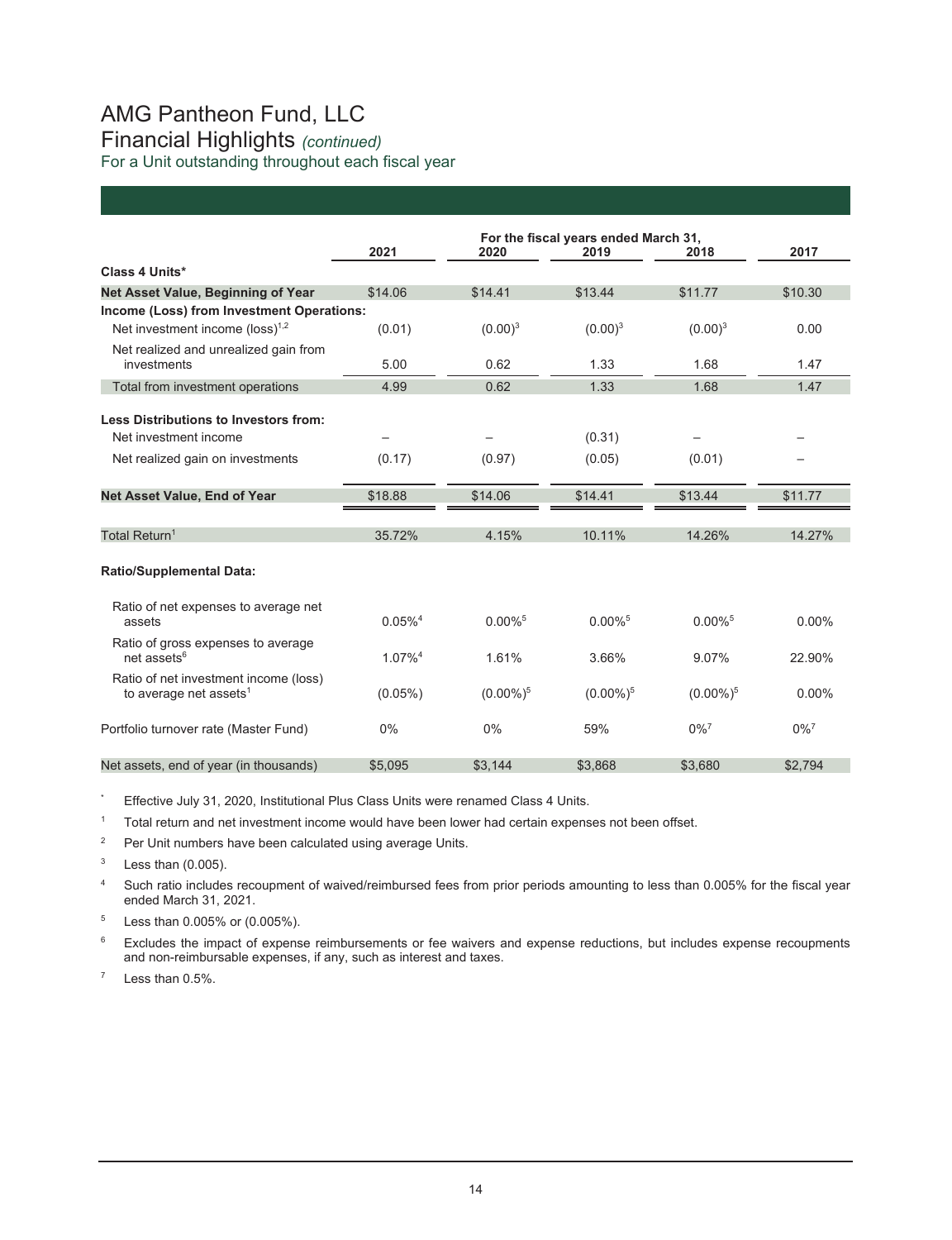## AMG Pantheon Fund, LLC Financial Highlights *(continued)*  For a Unit outstanding throughout each fiscal year

|                                                                             | 2021                  | 2020                  | For the fiscal years ended March 31,<br>2019 | 2018                  | 2017               |
|-----------------------------------------------------------------------------|-----------------------|-----------------------|----------------------------------------------|-----------------------|--------------------|
| Class 4 Units*                                                              |                       |                       |                                              |                       |                    |
| Net Asset Value, Beginning of Year                                          | \$14.06               | \$14.41               | \$13.44                                      | \$11.77               | \$10.30            |
| Income (Loss) from Investment Operations:                                   |                       |                       |                                              |                       |                    |
| Net investment income ( $loss$ ) <sup>1,2</sup>                             | (0.01)                | $(0.00)^3$            | $(0.00)^3$                                   | $(0.00)^3$            | 0.00               |
| Net realized and unrealized gain from<br>investments                        | 5.00                  | 0.62                  | 1.33                                         | 1.68                  | 1.47               |
| Total from investment operations                                            | 4.99                  | 0.62                  | 1.33                                         | 1.68                  | 1.47               |
| Less Distributions to Investors from:                                       |                       |                       |                                              |                       |                    |
| Net investment income                                                       |                       |                       | (0.31)                                       |                       |                    |
| Net realized gain on investments                                            | (0.17)                | (0.97)                | (0.05)                                       | (0.01)                |                    |
| Net Asset Value, End of Year                                                | \$18.88               | \$14.06               | \$14.41                                      | \$13.44               | \$11.77            |
| Total Return <sup>1</sup>                                                   | 35.72%                | 4.15%                 | 10.11%                                       | 14.26%                | 14.27%             |
| <b>Ratio/Supplemental Data:</b>                                             |                       |                       |                                              |                       |                    |
| Ratio of net expenses to average net<br>assets                              | $0.05\%$ <sup>4</sup> | $0.00\%$ <sup>5</sup> | $0.00\%$ <sup>5</sup>                        | $0.00\%$ <sup>5</sup> | 0.00%              |
| Ratio of gross expenses to average<br>net assets <sup>6</sup>               | 1.07% <sup>4</sup>    | 1.61%                 | 3.66%                                        | 9.07%                 | 22.90%             |
| Ratio of net investment income (loss)<br>to average net assets <sup>1</sup> | $(0.05\%)$            | $(0.00\%)^5$          | $(0.00\%)^5$                                 | $(0.00\%)^5$          | $0.00\%$           |
| Portfolio turnover rate (Master Fund)                                       | 0%                    | 0%                    | 59%                                          | $0\%$ <sup>7</sup>    | $0\%$ <sup>7</sup> |
| Net assets, end of year (in thousands)                                      | \$5,095               | \$3,144               | \$3,868                                      | \$3,680               | \$2.794            |

Effective July 31, 2020, Institutional Plus Class Units were renamed Class 4 Units.

 $1$  Total return and net investment income would have been lower had certain expenses not been offset.

<sup>2</sup> Per Unit numbers have been calculated using average Units.

 $3$  Less than  $(0.005)$ .

<sup>4</sup> Such ratio includes recoupment of waived/reimbursed fees from prior periods amounting to less than 0.005% for the fiscal year ended March 31, 2021.

5 Less than 0.005% or (0.005%).

<sup>6</sup> Excludes the impact of expense reimbursements or fee waivers and expense reductions, but includes expense recoupments and non-reimbursable expenses, if any, such as interest and taxes.

 $7$  Less than  $0.5\%$ .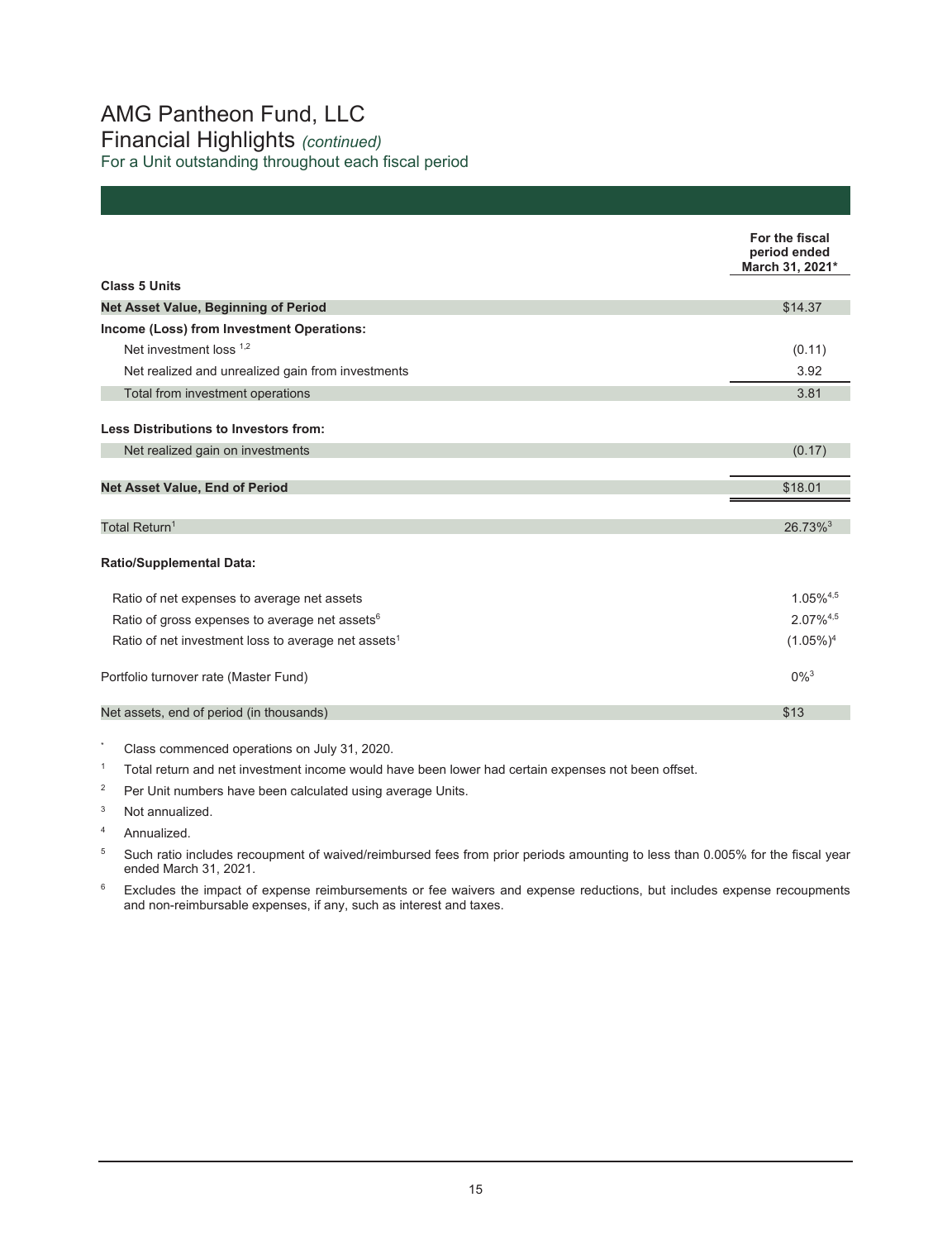# AMG Pantheon Fund, LLC Financial Highlights *(continued)*

For a Unit outstanding throughout each fiscal period

|                                                                 | For the fiscal<br>period ended<br>March 31, 2021* |
|-----------------------------------------------------------------|---------------------------------------------------|
| <b>Class 5 Units</b>                                            |                                                   |
| <b>Net Asset Value, Beginning of Period</b>                     | \$14.37                                           |
| Income (Loss) from Investment Operations:                       |                                                   |
| Net investment loss 1,2                                         | (0.11)                                            |
| Net realized and unrealized gain from investments               | 3.92                                              |
| Total from investment operations                                | 3.81                                              |
|                                                                 |                                                   |
| Less Distributions to Investors from:                           |                                                   |
| Net realized gain on investments                                | (0.17)                                            |
| <b>Net Asset Value, End of Period</b>                           | \$18.01                                           |
|                                                                 |                                                   |
| Total Return <sup>1</sup>                                       | $26.73\%$ <sup>3</sup>                            |
| <b>Ratio/Supplemental Data:</b>                                 |                                                   |
| Ratio of net expenses to average net assets                     | $1.05\%^{4,5}$                                    |
| Ratio of gross expenses to average net assets <sup>6</sup>      | $2.07\%^{4,5}$                                    |
| Ratio of net investment loss to average net assets <sup>1</sup> | $(1.05\%)^4$                                      |
| Portfolio turnover rate (Master Fund)                           | $0\%$ <sup>3</sup>                                |
| Net assets, end of period (in thousands)                        | \$13                                              |
|                                                                 |                                                   |

- \* Class commenced operations on July 31, 2020.
- $1 -$  Total return and net investment income would have been lower had certain expenses not been offset.
- <sup>2</sup> Per Unit numbers have been calculated using average Units.
- <sup>3</sup> Not annualized.
- 4 Annualized.
- 5 Such ratio includes recoupment of waived/reimbursed fees from prior periods amounting to less than 0.005% for the fiscal year ended March 31, 2021.
- <sup>6</sup> Excludes the impact of expense reimbursements or fee waivers and expense reductions, but includes expense recoupments and non-reimbursable expenses, if any, such as interest and taxes.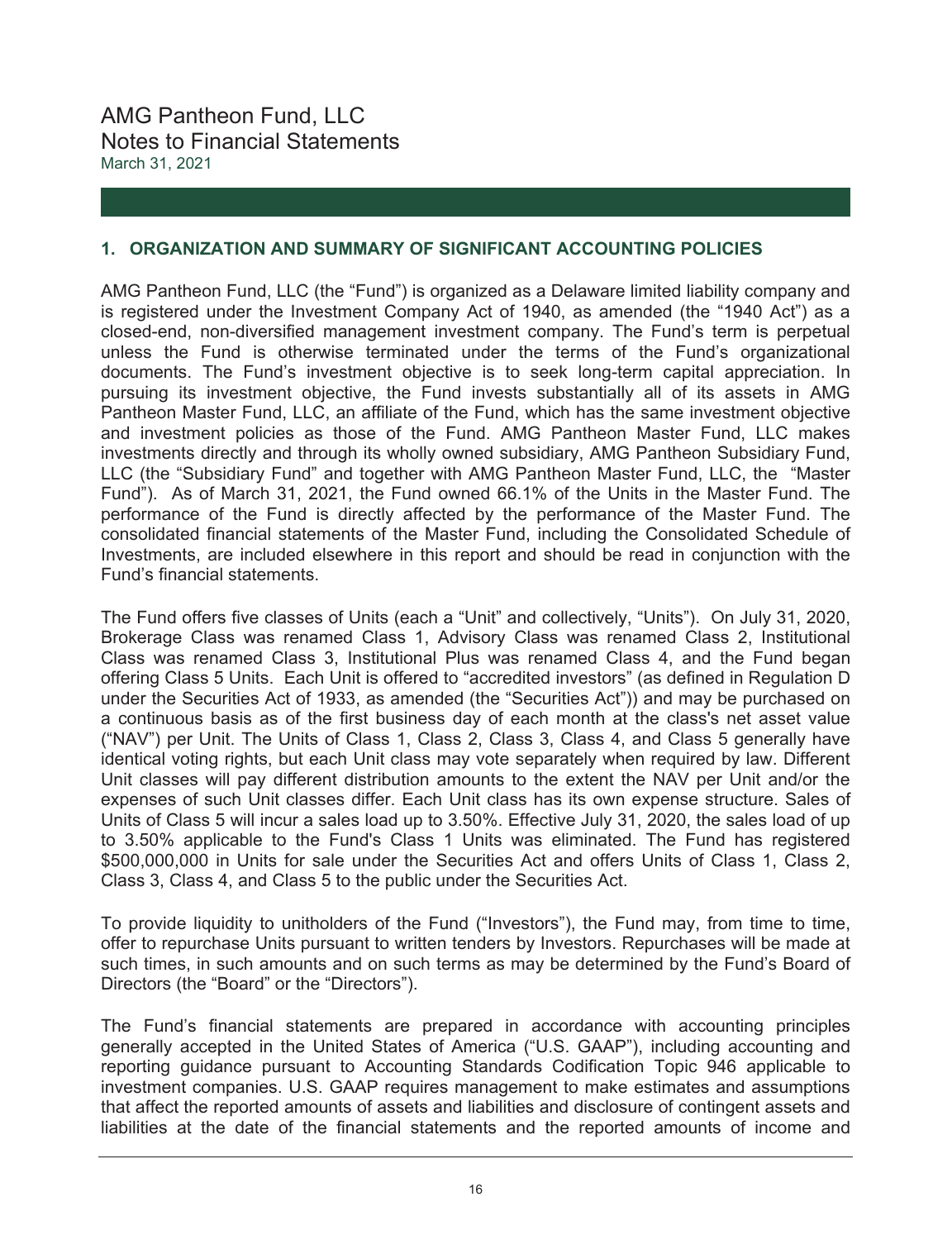## **1. ORGANIZATION AND SUMMARY OF SIGNIFICANT ACCOUNTING POLICIES**

AMG Pantheon Fund, LLC (the "Fund") is organized as a Delaware limited liability company and is registered under the Investment Company Act of 1940, as amended (the "1940 Act") as a closed-end, non-diversified management investment company. The Fund's term is perpetual unless the Fund is otherwise terminated under the terms of the Fund's organizational documents. The Fund's investment objective is to seek long-term capital appreciation. In pursuing its investment objective, the Fund invests substantially all of its assets in AMG Pantheon Master Fund, LLC, an affiliate of the Fund, which has the same investment objective and investment policies as those of the Fund. AMG Pantheon Master Fund, LLC makes investments directly and through its wholly owned subsidiary, AMG Pantheon Subsidiary Fund, LLC (the "Subsidiary Fund" and together with AMG Pantheon Master Fund, LLC, the "Master Fund"). As of March 31, 2021, the Fund owned 66.1% of the Units in the Master Fund. The performance of the Fund is directly affected by the performance of the Master Fund. The consolidated financial statements of the Master Fund, including the Consolidated Schedule of Investments, are included elsewhere in this report and should be read in conjunction with the Fund's financial statements.

The Fund offers five classes of Units (each a "Unit" and collectively, "Units"). On July 31, 2020, Brokerage Class was renamed Class 1, Advisory Class was renamed Class 2, Institutional Class was renamed Class 3, Institutional Plus was renamed Class 4, and the Fund began offering Class 5 Units. Each Unit is offered to "accredited investors" (as defined in Regulation D under the Securities Act of 1933, as amended (the "Securities Act")) and may be purchased on a continuous basis as of the first business day of each month at the class's net asset value ("NAV") per Unit. The Units of Class 1, Class 2, Class 3, Class 4, and Class 5 generally have identical voting rights, but each Unit class may vote separately when required by law. Different Unit classes will pay different distribution amounts to the extent the NAV per Unit and/or the expenses of such Unit classes differ. Each Unit class has its own expense structure. Sales of Units of Class 5 will incur a sales load up to 3.50%. Effective July 31, 2020, the sales load of up to 3.50% applicable to the Fund's Class 1 Units was eliminated. The Fund has registered \$500,000,000 in Units for sale under the Securities Act and offers Units of Class 1, Class 2, Class 3, Class 4, and Class 5 to the public under the Securities Act.

To provide liquidity to unitholders of the Fund ("Investors"), the Fund may, from time to time, offer to repurchase Units pursuant to written tenders by Investors. Repurchases will be made at such times, in such amounts and on such terms as may be determined by the Fund's Board of Directors (the "Board" or the "Directors").

The Fund's financial statements are prepared in accordance with accounting principles generally accepted in the United States of America ("U.S. GAAP"), including accounting and reporting guidance pursuant to Accounting Standards Codification Topic 946 applicable to investment companies. U.S. GAAP requires management to make estimates and assumptions that affect the reported amounts of assets and liabilities and disclosure of contingent assets and liabilities at the date of the financial statements and the reported amounts of income and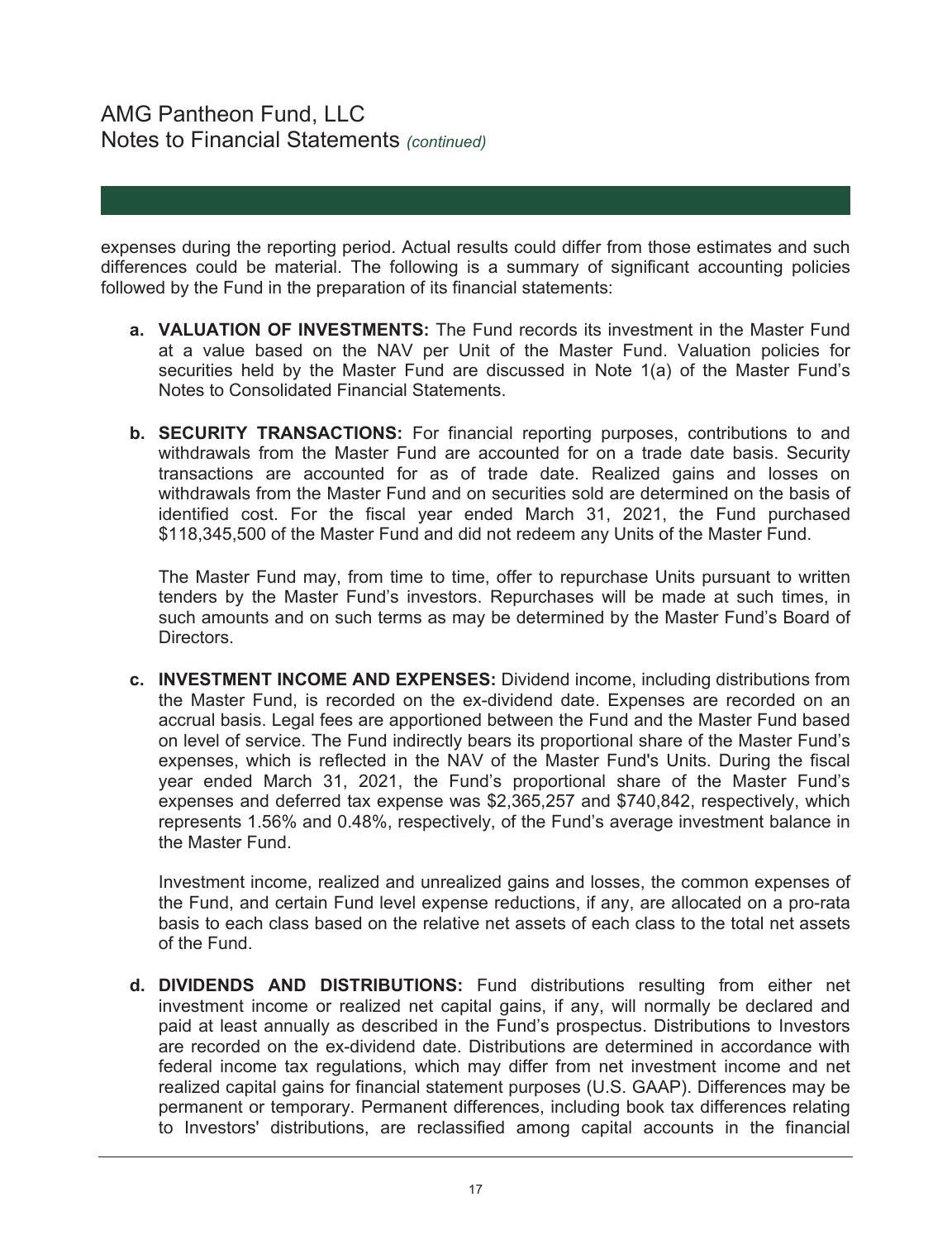# AMG Pantheon Fund, LLC Notes to Financial Statements *(continued)*

expenses during the reporting period. Actual results could differ from those estimates and such differences could be material. The following is a summary of significant accounting policies followed by the Fund in the preparation of its financial statements:

- **a. VALUATION OF INVESTMENTS:** The Fund records its investment in the Master Fund at a value based on the NAV per Unit of the Master Fund. Valuation policies for securities held by the Master Fund are discussed in Note 1(a) of the Master Fund's Notes to Consolidated Financial Statements.
- **b. SECURITY TRANSACTIONS:** For financial reporting purposes, contributions to and withdrawals from the Master Fund are accounted for on a trade date basis. Security transactions are accounted for as of trade date. Realized gains and losses on withdrawals from the Master Fund and on securities sold are determined on the basis of identified cost. For the fiscal year ended March 31, 2021, the Fund purchased \$118,345,500 of the Master Fund and did not redeem any Units of the Master Fund.

The Master Fund may, from time to time, offer to repurchase Units pursuant to written tenders by the Master Fund's investors. Repurchases will be made at such times, in such amounts and on such terms as may be determined by the Master Fund's Board of Directors.

**c. INVESTMENT INCOME AND EXPENSES:** Dividend income, including distributions from the Master Fund, is recorded on the ex-dividend date. Expenses are recorded on an accrual basis. Legal fees are apportioned between the Fund and the Master Fund based on level of service. The Fund indirectly bears its proportional share of the Master Fund's expenses, which is reflected in the NAV of the Master Fund's Units. During the fiscal year ended March 31, 2021, the Fund's proportional share of the Master Fund's expenses and deferred tax expense was \$2,365,257 and \$740,842, respectively, which represents 1.56% and 0.48%, respectively, of the Fund's average investment balance in the Master Fund.

 Investment income, realized and unrealized gains and losses, the common expenses of the Fund, and certain Fund level expense reductions, if any, are allocated on a pro-rata basis to each class based on the relative net assets of each class to the total net assets of the Fund.

**d. DIVIDENDS AND DISTRIBUTIONS:** Fund distributions resulting from either net investment income or realized net capital gains, if any, will normally be declared and paid at least annually as described in the Fund's prospectus. Distributions to Investors are recorded on the ex-dividend date. Distributions are determined in accordance with federal income tax regulations, which may differ from net investment income and net realized capital gains for financial statement purposes (U.S. GAAP). Differences may be permanent or temporary. Permanent differences, including book tax differences relating to Investors' distributions, are reclassified among capital accounts in the financial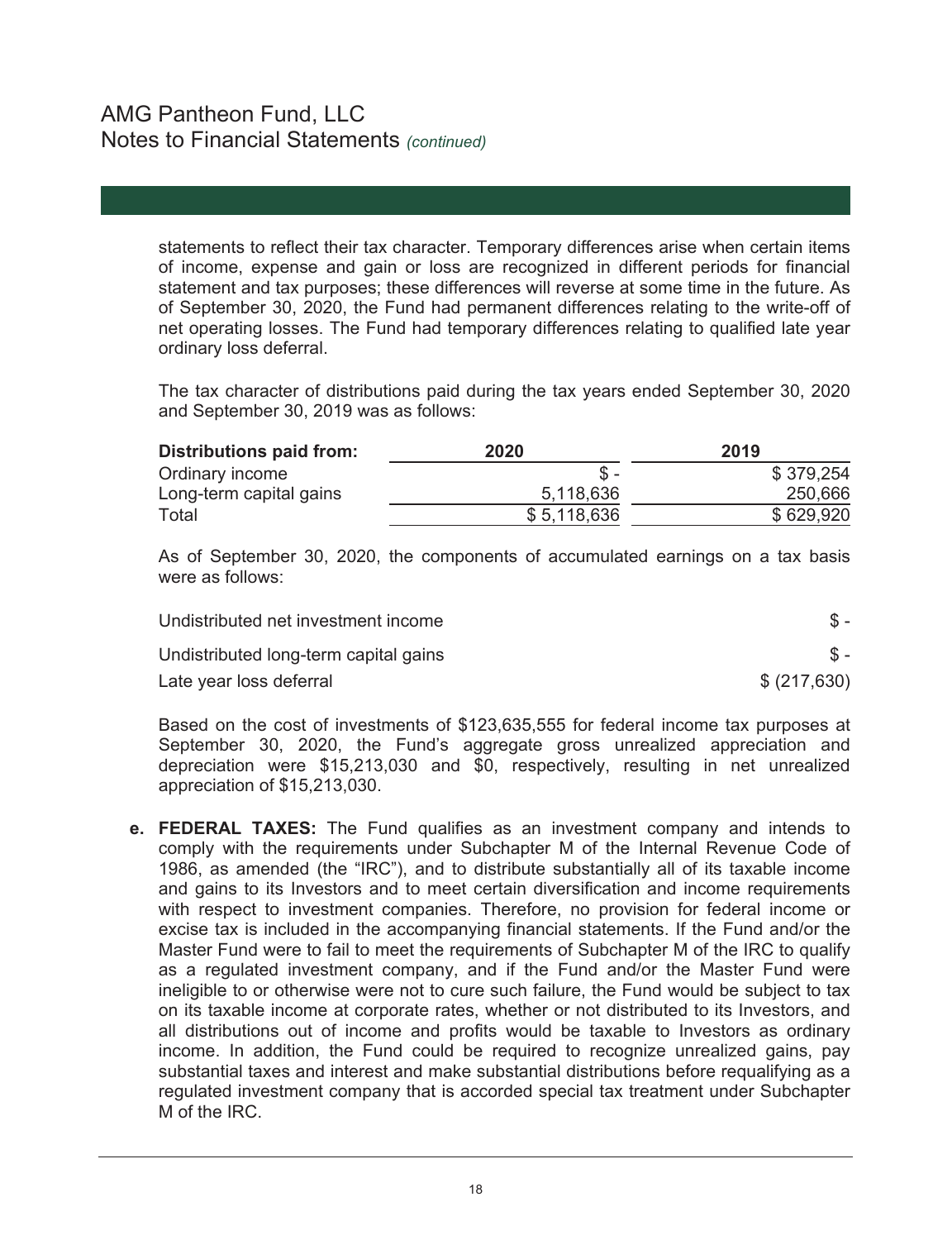statements to reflect their tax character. Temporary differences arise when certain items of income, expense and gain or loss are recognized in different periods for financial statement and tax purposes; these differences will reverse at some time in the future. As of September 30, 2020, the Fund had permanent differences relating to the write-off of net operating losses. The Fund had temporary differences relating to qualified late year ordinary loss deferral.

The tax character of distributions paid during the tax years ended September 30, 2020 and September 30, 2019 was as follows:

| Distributions paid from: | 2020        | 2019      |
|--------------------------|-------------|-----------|
| Ordinary income          | $S -$       | \$379,254 |
| Long-term capital gains  | 5,118,636   | 250,666   |
| Total                    | \$5,118,636 | \$629,920 |

As of September 30, 2020, the components of accumulated earnings on a tax basis were as follows:

| Undistributed net investment income   |              |
|---------------------------------------|--------------|
| Undistributed long-term capital gains |              |
| Late year loss deferral               | \$ (217,630) |

Based on the cost of investments of \$123,635,555 for federal income tax purposes at September 30, 2020, the Fund's aggregate gross unrealized appreciation and depreciation were \$15,213,030 and \$0, respectively, resulting in net unrealized appreciation of \$15,213,030.

**e. FEDERAL TAXES:** The Fund qualifies as an investment company and intends to comply with the requirements under Subchapter M of the Internal Revenue Code of 1986, as amended (the "IRC"), and to distribute substantially all of its taxable income and gains to its Investors and to meet certain diversification and income requirements with respect to investment companies. Therefore, no provision for federal income or excise tax is included in the accompanying financial statements. If the Fund and/or the Master Fund were to fail to meet the requirements of Subchapter M of the IRC to qualify as a regulated investment company, and if the Fund and/or the Master Fund were ineligible to or otherwise were not to cure such failure, the Fund would be subject to tax on its taxable income at corporate rates, whether or not distributed to its Investors, and all distributions out of income and profits would be taxable to Investors as ordinary income. In addition, the Fund could be required to recognize unrealized gains, pay substantial taxes and interest and make substantial distributions before requalifying as a regulated investment company that is accorded special tax treatment under Subchapter M of the IRC.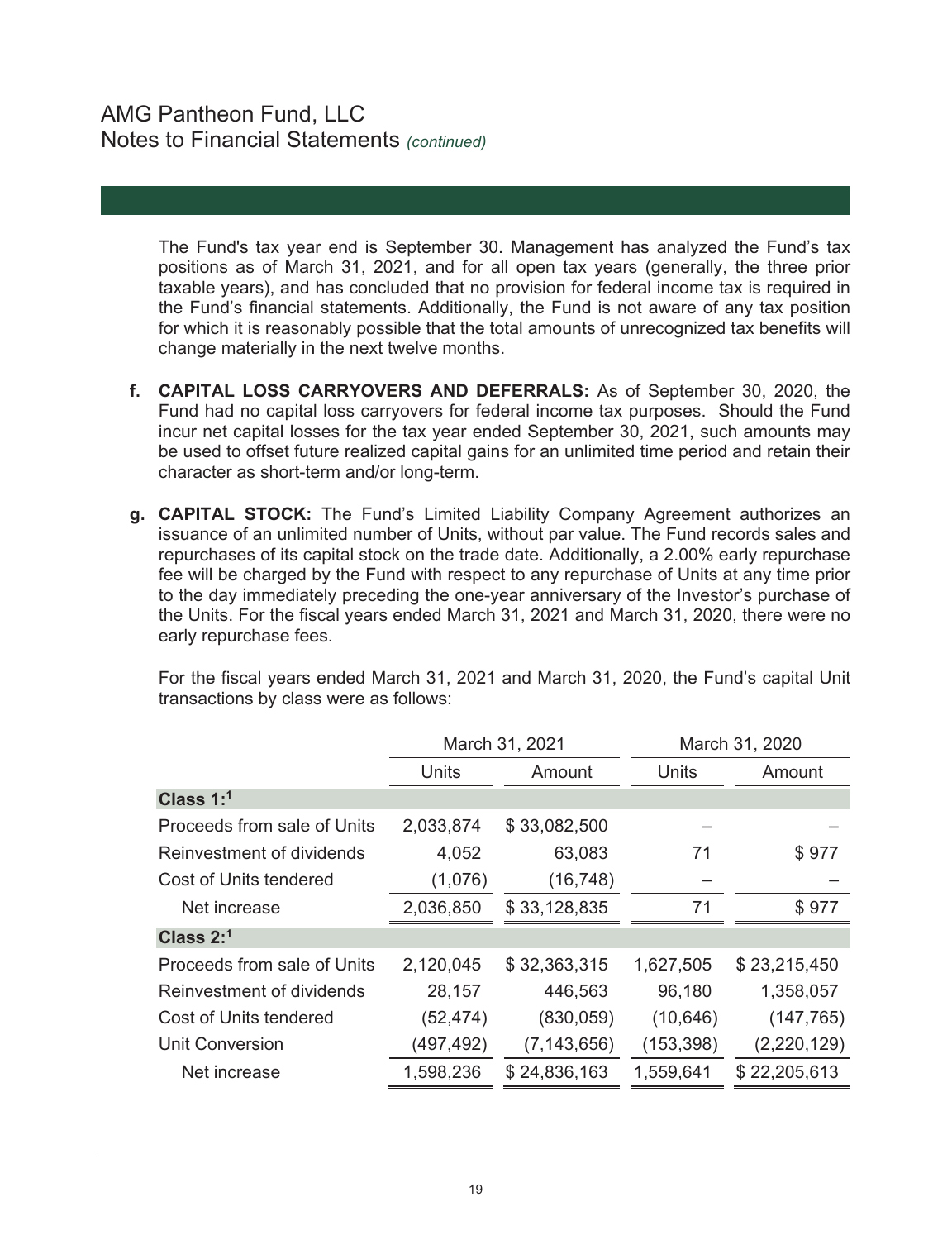The Fund's tax year end is September 30. Management has analyzed the Fund's tax positions as of March 31, 2021, and for all open tax years (generally, the three prior taxable years), and has concluded that no provision for federal income tax is required in the Fund's financial statements. Additionally, the Fund is not aware of any tax position for which it is reasonably possible that the total amounts of unrecognized tax benefits will change materially in the next twelve months.

- **f. CAPITAL LOSS CARRYOVERS AND DEFERRALS:** As of September 30, 2020, the Fund had no capital loss carryovers for federal income tax purposes. Should the Fund incur net capital losses for the tax year ended September 30, 2021, such amounts may be used to offset future realized capital gains for an unlimited time period and retain their character as short-term and/or long-term.
- **g. CAPITAL STOCK:** The Fund's Limited Liability Company Agreement authorizes an issuance of an unlimited number of Units, without par value. The Fund records sales and repurchases of its capital stock on the trade date. Additionally, a 2.00% early repurchase fee will be charged by the Fund with respect to any repurchase of Units at any time prior to the day immediately preceding the one-year anniversary of the Investor's purchase of the Units. For the fiscal years ended March 31, 2021 and March 31, 2020, there were no early repurchase fees.

For the fiscal years ended March 31, 2021 and March 31, 2020, the Fund's capital Unit transactions by class were as follows:

| March 31, 2021  |               | March 31, 2020 |              |  |
|-----------------|---------------|----------------|--------------|--|
| Units<br>Amount |               | Units          | Amount       |  |
|                 |               |                |              |  |
| 2,033,874       | \$33,082,500  |                |              |  |
| 4,052           | 63,083        | 71             | \$977        |  |
| (1,076)         | (16, 748)     |                |              |  |
| 2,036,850       | \$33,128,835  | 71             | \$977        |  |
|                 |               |                |              |  |
| 2,120,045       | \$32,363,315  | 1,627,505      | \$23,215,450 |  |
| 28,157          | 446,563       | 96,180         | 1,358,057    |  |
| (52, 474)       | (830, 059)    | (10, 646)      | (147, 765)   |  |
| (497,492)       | (7, 143, 656) | (153, 398)     | (2,220,129)  |  |
| 1,598,236       | \$24,836,163  | 1,559,641      | \$22,205,613 |  |
|                 |               |                |              |  |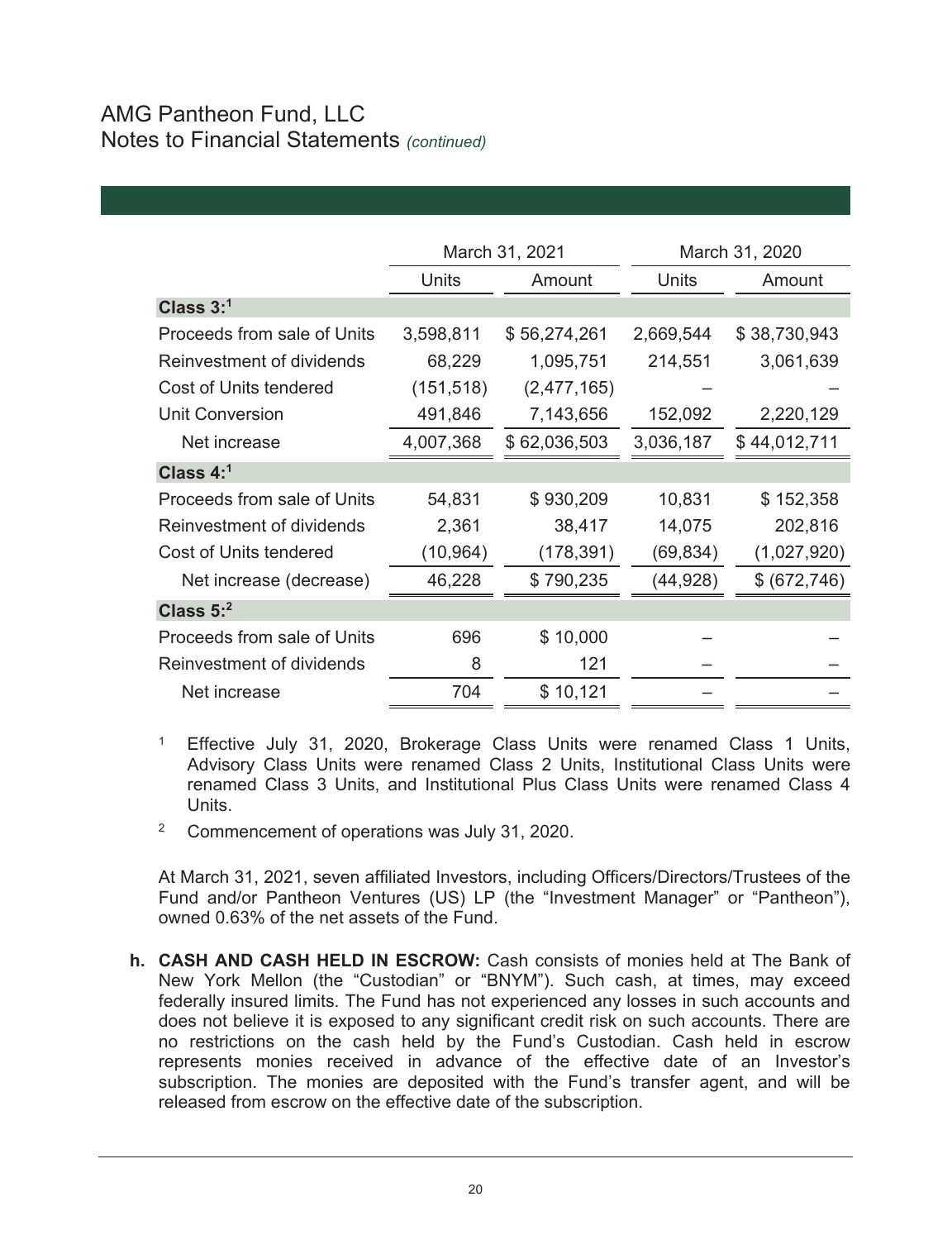# AMG Pantheon Fund, LLC Notes to Financial Statements *(continued)*

|                             | March 31, 2021  |              |           | March 31, 2020 |  |
|-----------------------------|-----------------|--------------|-----------|----------------|--|
|                             | Units<br>Amount |              | Units     | Amount         |  |
| Class $3:1$                 |                 |              |           |                |  |
| Proceeds from sale of Units | 3,598,811       | \$56,274,261 | 2,669,544 | \$38,730,943   |  |
| Reinvestment of dividends   | 68,229          | 1,095,751    | 214,551   | 3,061,639      |  |
| Cost of Units tendered      | (151, 518)      | (2,477,165)  |           |                |  |
| Unit Conversion             | 491,846         | 7,143,656    | 152,092   | 2,220,129      |  |
| Net increase                | 4,007,368       | \$62,036,503 | 3,036,187 | \$44,012,711   |  |
| Class $4:1$                 |                 |              |           |                |  |
| Proceeds from sale of Units | 54,831          | \$930,209    | 10,831    | \$152,358      |  |
| Reinvestment of dividends   | 2,361           | 38,417       | 14,075    | 202,816        |  |
| Cost of Units tendered      | (10, 964)       | (178,391)    | (69, 834) | (1,027,920)    |  |
| Net increase (decrease)     | 46,228          | \$790,235    | (44, 928) | \$ (672, 746)  |  |
| Class $5:2$                 |                 |              |           |                |  |
| Proceeds from sale of Units | 696             | \$10,000     |           |                |  |
| Reinvestment of dividends   | 8               | 121          |           |                |  |
| Net increase                | 704             | \$10,121     |           |                |  |
|                             |                 |              |           |                |  |

<sup>1</sup> Effective July 31, 2020, Brokerage Class Units were renamed Class 1 Units, Advisory Class Units were renamed Class 2 Units, Institutional Class Units were renamed Class 3 Units, and Institutional Plus Class Units were renamed Class 4 Units.

2 Commencement of operations was July 31, 2020.

At March 31, 2021, seven affiliated Investors, including Officers/Directors/Trustees of the Fund and/or Pantheon Ventures (US) LP (the "Investment Manager" or "Pantheon"), owned 0.63% of the net assets of the Fund.

**h. CASH AND CASH HELD IN ESCROW:** Cash consists of monies held at The Bank of New York Mellon (the "Custodian" or "BNYM"). Such cash, at times, may exceed federally insured limits. The Fund has not experienced any losses in such accounts and does not believe it is exposed to any significant credit risk on such accounts. There are no restrictions on the cash held by the Fund's Custodian. Cash held in escrow represents monies received in advance of the effective date of an Investor's subscription. The monies are deposited with the Fund's transfer agent, and will be released from escrow on the effective date of the subscription.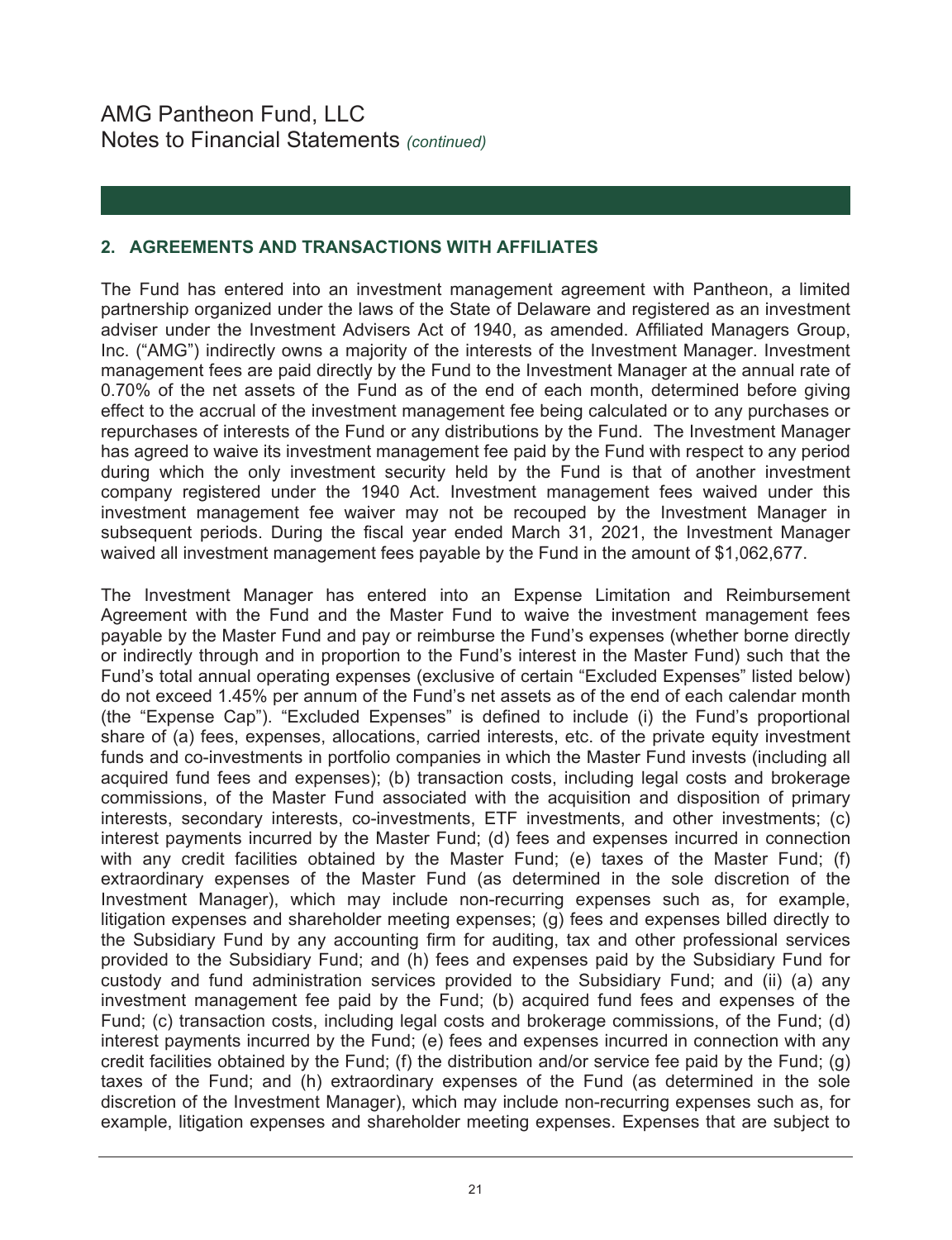## **2. AGREEMENTS AND TRANSACTIONS WITH AFFILIATES**

The Fund has entered into an investment management agreement with Pantheon, a limited partnership organized under the laws of the State of Delaware and registered as an investment adviser under the Investment Advisers Act of 1940, as amended. Affiliated Managers Group, Inc. ("AMG") indirectly owns a majority of the interests of the Investment Manager. Investment management fees are paid directly by the Fund to the Investment Manager at the annual rate of 0.70% of the net assets of the Fund as of the end of each month, determined before giving effect to the accrual of the investment management fee being calculated or to any purchases or repurchases of interests of the Fund or any distributions by the Fund. The Investment Manager has agreed to waive its investment management fee paid by the Fund with respect to any period during which the only investment security held by the Fund is that of another investment company registered under the 1940 Act. Investment management fees waived under this investment management fee waiver may not be recouped by the Investment Manager in subsequent periods. During the fiscal year ended March 31, 2021, the Investment Manager waived all investment management fees payable by the Fund in the amount of \$1,062,677.

The Investment Manager has entered into an Expense Limitation and Reimbursement Agreement with the Fund and the Master Fund to waive the investment management fees payable by the Master Fund and pay or reimburse the Fund's expenses (whether borne directly or indirectly through and in proportion to the Fund's interest in the Master Fund) such that the Fund's total annual operating expenses (exclusive of certain "Excluded Expenses" listed below) do not exceed 1.45% per annum of the Fund's net assets as of the end of each calendar month (the "Expense Cap"). "Excluded Expenses" is defined to include (i) the Fund's proportional share of (a) fees, expenses, allocations, carried interests, etc. of the private equity investment funds and co-investments in portfolio companies in which the Master Fund invests (including all acquired fund fees and expenses); (b) transaction costs, including legal costs and brokerage commissions, of the Master Fund associated with the acquisition and disposition of primary interests, secondary interests, co-investments, ETF investments, and other investments; (c) interest payments incurred by the Master Fund; (d) fees and expenses incurred in connection with any credit facilities obtained by the Master Fund; (e) taxes of the Master Fund; (f) extraordinary expenses of the Master Fund (as determined in the sole discretion of the Investment Manager), which may include non-recurring expenses such as, for example, litigation expenses and shareholder meeting expenses; (g) fees and expenses billed directly to the Subsidiary Fund by any accounting firm for auditing, tax and other professional services provided to the Subsidiary Fund; and (h) fees and expenses paid by the Subsidiary Fund for custody and fund administration services provided to the Subsidiary Fund; and (ii) (a) any investment management fee paid by the Fund; (b) acquired fund fees and expenses of the Fund; (c) transaction costs, including legal costs and brokerage commissions, of the Fund; (d) interest payments incurred by the Fund; (e) fees and expenses incurred in connection with any credit facilities obtained by the Fund; (f) the distribution and/or service fee paid by the Fund; (g) taxes of the Fund; and (h) extraordinary expenses of the Fund (as determined in the sole discretion of the Investment Manager), which may include non-recurring expenses such as, for example, litigation expenses and shareholder meeting expenses. Expenses that are subject to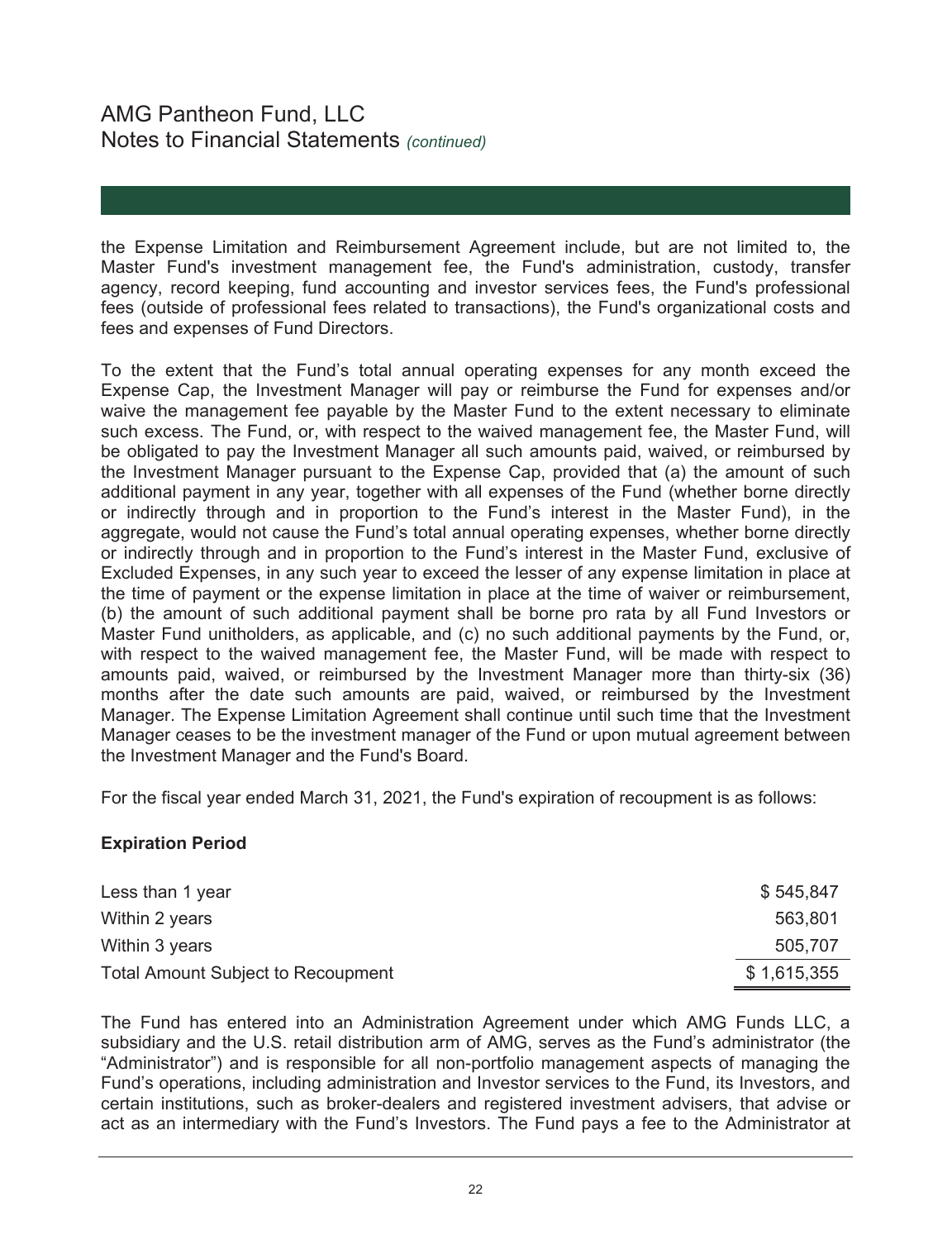# AMG Pantheon Fund, LLC Notes to Financial Statements *(continued)*

the Expense Limitation and Reimbursement Agreement include, but are not limited to, the Master Fund's investment management fee, the Fund's administration, custody, transfer agency, record keeping, fund accounting and investor services fees, the Fund's professional fees (outside of professional fees related to transactions), the Fund's organizational costs and fees and expenses of Fund Directors.

To the extent that the Fund's total annual operating expenses for any month exceed the Expense Cap, the Investment Manager will pay or reimburse the Fund for expenses and/or waive the management fee payable by the Master Fund to the extent necessary to eliminate such excess. The Fund, or, with respect to the waived management fee, the Master Fund, will be obligated to pay the Investment Manager all such amounts paid, waived, or reimbursed by the Investment Manager pursuant to the Expense Cap, provided that (a) the amount of such additional payment in any year, together with all expenses of the Fund (whether borne directly or indirectly through and in proportion to the Fund's interest in the Master Fund), in the aggregate, would not cause the Fund's total annual operating expenses, whether borne directly or indirectly through and in proportion to the Fund's interest in the Master Fund, exclusive of Excluded Expenses, in any such year to exceed the lesser of any expense limitation in place at the time of payment or the expense limitation in place at the time of waiver or reimbursement, (b) the amount of such additional payment shall be borne pro rata by all Fund Investors or Master Fund unitholders, as applicable, and (c) no such additional payments by the Fund, or, with respect to the waived management fee, the Master Fund, will be made with respect to amounts paid, waived, or reimbursed by the Investment Manager more than thirty-six (36) months after the date such amounts are paid, waived, or reimbursed by the Investment Manager. The Expense Limitation Agreement shall continue until such time that the Investment Manager ceases to be the investment manager of the Fund or upon mutual agreement between the Investment Manager and the Fund's Board.

For the fiscal year ended March 31, 2021, the Fund's expiration of recoupment is as follows:

## **Expiration Period**

| Less than 1 year                          | \$545,847   |
|-------------------------------------------|-------------|
| Within 2 years                            | 563,801     |
| Within 3 years                            | 505.707     |
| <b>Total Amount Subject to Recoupment</b> | \$1,615,355 |

The Fund has entered into an Administration Agreement under which AMG Funds LLC, a subsidiary and the U.S. retail distribution arm of AMG, serves as the Fund's administrator (the "Administrator") and is responsible for all non-portfolio management aspects of managing the Fund's operations, including administration and Investor services to the Fund, its Investors, and certain institutions, such as broker-dealers and registered investment advisers, that advise or act as an intermediary with the Fund's Investors. The Fund pays a fee to the Administrator at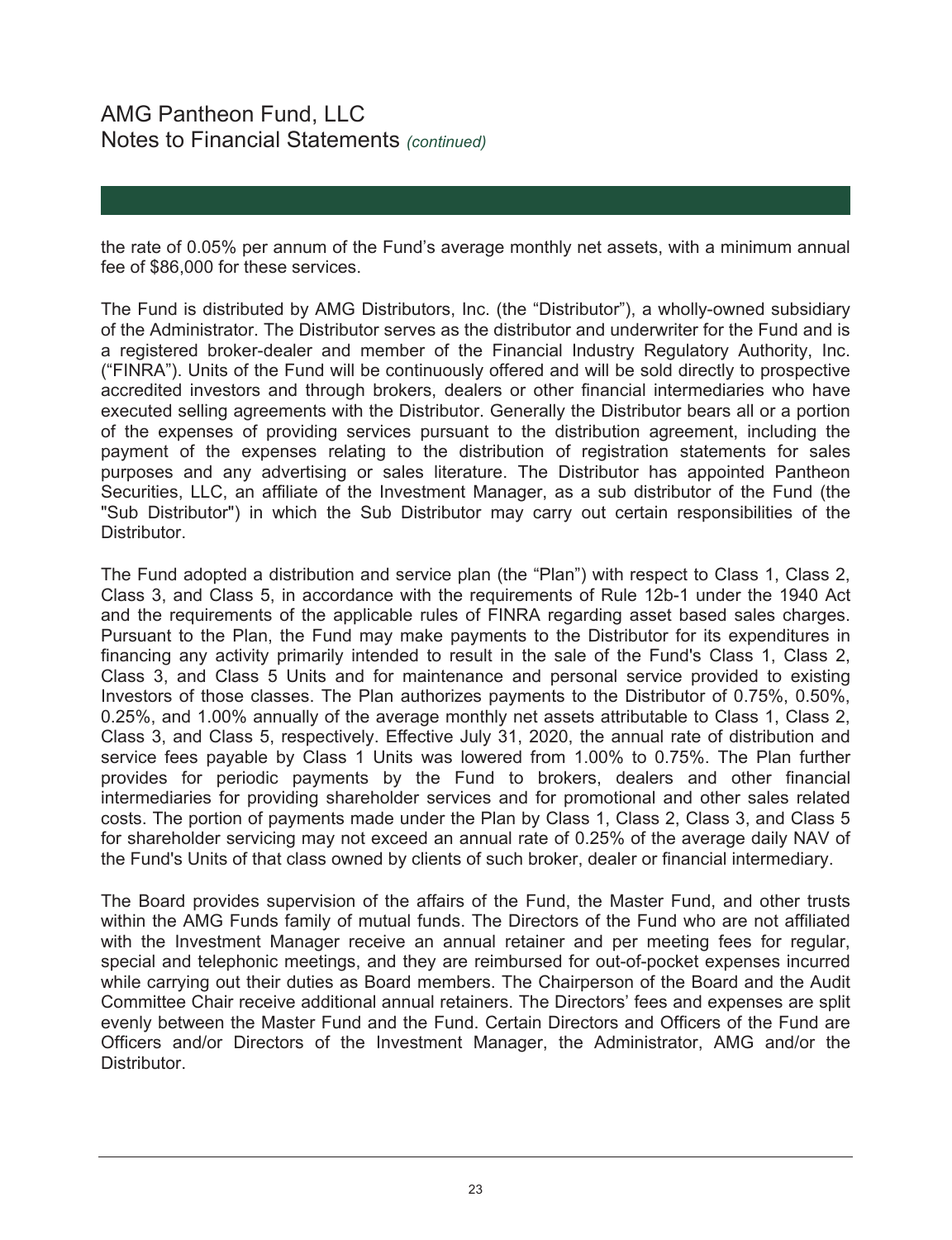the rate of 0.05% per annum of the Fund's average monthly net assets, with a minimum annual fee of \$86,000 for these services.

The Fund is distributed by AMG Distributors, Inc. (the "Distributor"), a wholly-owned subsidiary of the Administrator. The Distributor serves as the distributor and underwriter for the Fund and is a registered broker-dealer and member of the Financial Industry Regulatory Authority, Inc. ("FINRA"). Units of the Fund will be continuously offered and will be sold directly to prospective accredited investors and through brokers, dealers or other financial intermediaries who have executed selling agreements with the Distributor. Generally the Distributor bears all or a portion of the expenses of providing services pursuant to the distribution agreement, including the payment of the expenses relating to the distribution of registration statements for sales purposes and any advertising or sales literature. The Distributor has appointed Pantheon Securities, LLC, an affiliate of the Investment Manager, as a sub distributor of the Fund (the "Sub Distributor") in which the Sub Distributor may carry out certain responsibilities of the Distributor.

The Fund adopted a distribution and service plan (the "Plan") with respect to Class 1, Class 2, Class 3, and Class 5, in accordance with the requirements of Rule 12b-1 under the 1940 Act and the requirements of the applicable rules of FINRA regarding asset based sales charges. Pursuant to the Plan, the Fund may make payments to the Distributor for its expenditures in financing any activity primarily intended to result in the sale of the Fund's Class 1, Class 2, Class 3, and Class 5 Units and for maintenance and personal service provided to existing Investors of those classes. The Plan authorizes payments to the Distributor of 0.75%, 0.50%, 0.25%, and 1.00% annually of the average monthly net assets attributable to Class 1, Class 2, Class 3, and Class 5, respectively. Effective July 31, 2020, the annual rate of distribution and service fees payable by Class 1 Units was lowered from 1.00% to 0.75%. The Plan further provides for periodic payments by the Fund to brokers, dealers and other financial intermediaries for providing shareholder services and for promotional and other sales related costs. The portion of payments made under the Plan by Class 1, Class 2, Class 3, and Class 5 for shareholder servicing may not exceed an annual rate of 0.25% of the average daily NAV of the Fund's Units of that class owned by clients of such broker, dealer or financial intermediary.

The Board provides supervision of the affairs of the Fund, the Master Fund, and other trusts within the AMG Funds family of mutual funds. The Directors of the Fund who are not affiliated with the Investment Manager receive an annual retainer and per meeting fees for regular, special and telephonic meetings, and they are reimbursed for out-of-pocket expenses incurred while carrying out their duties as Board members. The Chairperson of the Board and the Audit Committee Chair receive additional annual retainers. The Directors' fees and expenses are split evenly between the Master Fund and the Fund. Certain Directors and Officers of the Fund are Officers and/or Directors of the Investment Manager, the Administrator, AMG and/or the Distributor.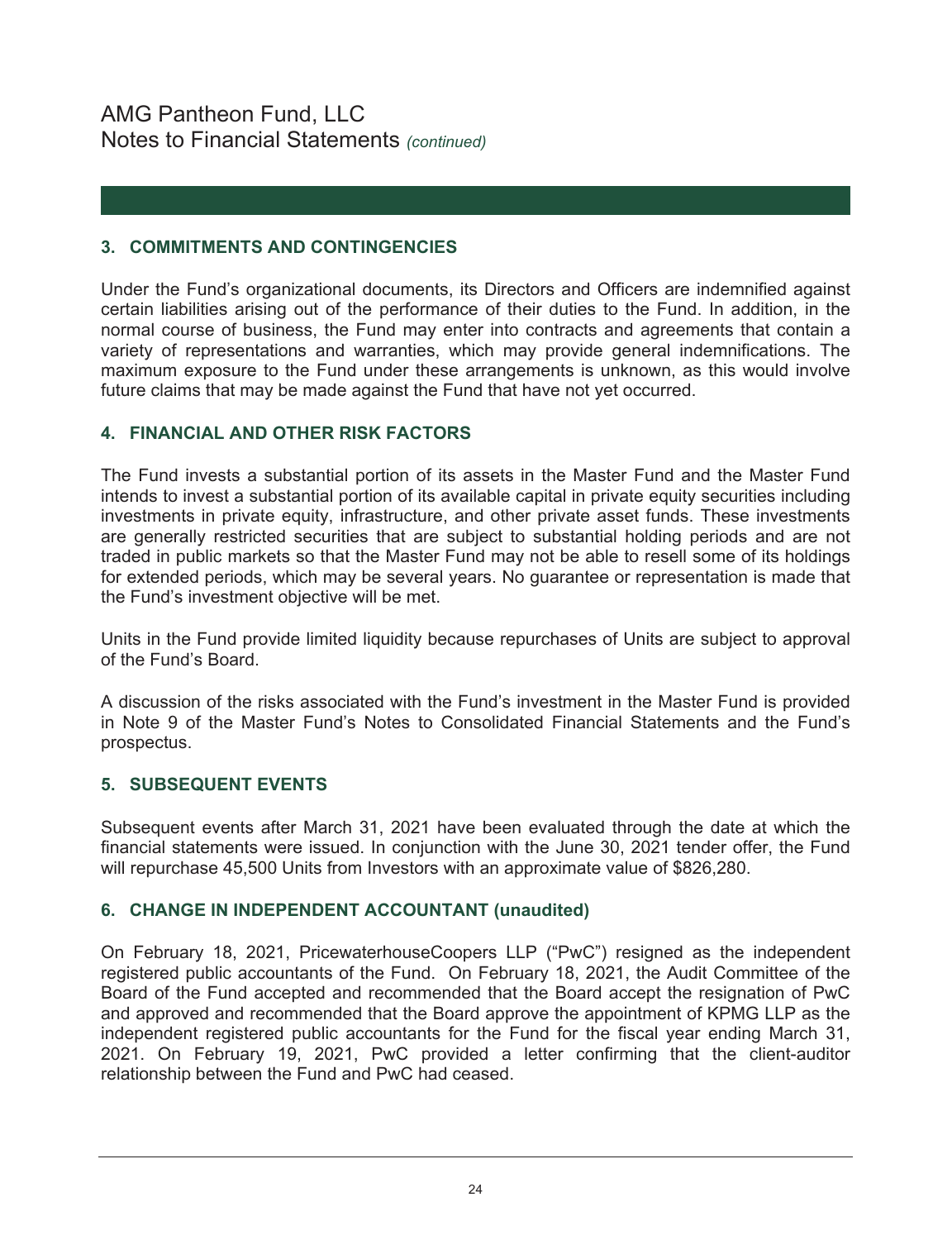## **3. COMMITMENTS AND CONTINGENCIES**

Under the Fund's organizational documents, its Directors and Officers are indemnified against certain liabilities arising out of the performance of their duties to the Fund. In addition, in the normal course of business, the Fund may enter into contracts and agreements that contain a variety of representations and warranties, which may provide general indemnifications. The maximum exposure to the Fund under these arrangements is unknown, as this would involve future claims that may be made against the Fund that have not yet occurred.

## **4. FINANCIAL AND OTHER RISK FACTORS**

The Fund invests a substantial portion of its assets in the Master Fund and the Master Fund intends to invest a substantial portion of its available capital in private equity securities including investments in private equity, infrastructure, and other private asset funds. These investments are generally restricted securities that are subject to substantial holding periods and are not traded in public markets so that the Master Fund may not be able to resell some of its holdings for extended periods, which may be several years. No guarantee or representation is made that the Fund's investment objective will be met.

Units in the Fund provide limited liquidity because repurchases of Units are subject to approval of the Fund's Board.

A discussion of the risks associated with the Fund's investment in the Master Fund is provided in Note 9 of the Master Fund's Notes to Consolidated Financial Statements and the Fund's prospectus.

## **5. SUBSEQUENT EVENTS**

Subsequent events after March 31, 2021 have been evaluated through the date at which the financial statements were issued. In conjunction with the June 30, 2021 tender offer, the Fund will repurchase 45,500 Units from Investors with an approximate value of \$826,280.

## **6. CHANGE IN INDEPENDENT ACCOUNTANT (unaudited)**

On February 18, 2021, PricewaterhouseCoopers LLP ("PwC") resigned as the independent registered public accountants of the Fund. On February 18, 2021, the Audit Committee of the Board of the Fund accepted and recommended that the Board accept the resignation of PwC and approved and recommended that the Board approve the appointment of KPMG LLP as the independent registered public accountants for the Fund for the fiscal year ending March 31, 2021. On February 19, 2021, PwC provided a letter confirming that the client-auditor relationship between the Fund and PwC had ceased.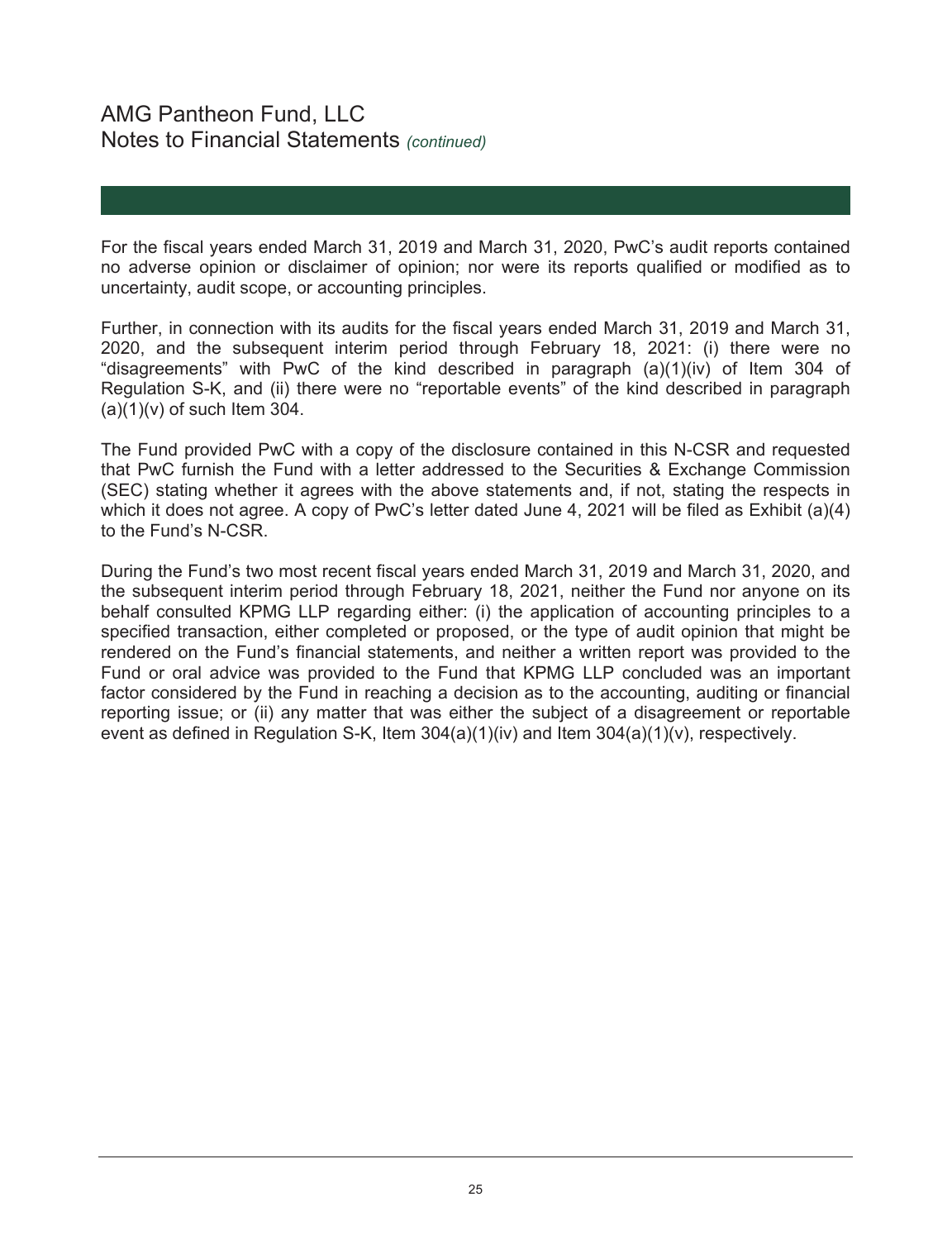# AMG Pantheon Fund, LLC Notes to Financial Statements *(continued)*

For the fiscal years ended March 31, 2019 and March 31, 2020, PwC's audit reports contained no adverse opinion or disclaimer of opinion; nor were its reports qualified or modified as to uncertainty, audit scope, or accounting principles.

Further, in connection with its audits for the fiscal years ended March 31, 2019 and March 31, 2020, and the subsequent interim period through February 18, 2021: (i) there were no "disagreements" with PwC of the kind described in paragraph  $(a)(1)(iv)$  of Item 304 of Regulation S-K, and (ii) there were no "reportable events" of the kind described in paragraph  $(a)(1)(v)$  of such Item 304.

The Fund provided PwC with a copy of the disclosure contained in this N-CSR and requested that PwC furnish the Fund with a letter addressed to the Securities & Exchange Commission (SEC) stating whether it agrees with the above statements and, if not, stating the respects in which it does not agree. A copy of PwC's letter dated June 4, 2021 will be filed as Exhibit (a)(4) to the Fund's N-CSR.

During the Fund's two most recent fiscal years ended March 31, 2019 and March 31, 2020, and the subsequent interim period through February 18, 2021, neither the Fund nor anyone on its behalf consulted KPMG LLP regarding either: (i) the application of accounting principles to a specified transaction, either completed or proposed, or the type of audit opinion that might be rendered on the Fund's financial statements, and neither a written report was provided to the Fund or oral advice was provided to the Fund that KPMG LLP concluded was an important factor considered by the Fund in reaching a decision as to the accounting, auditing or financial reporting issue; or (ii) any matter that was either the subject of a disagreement or reportable event as defined in Regulation S-K, Item 304(a)(1)(iv) and Item 304(a)(1)(v), respectively.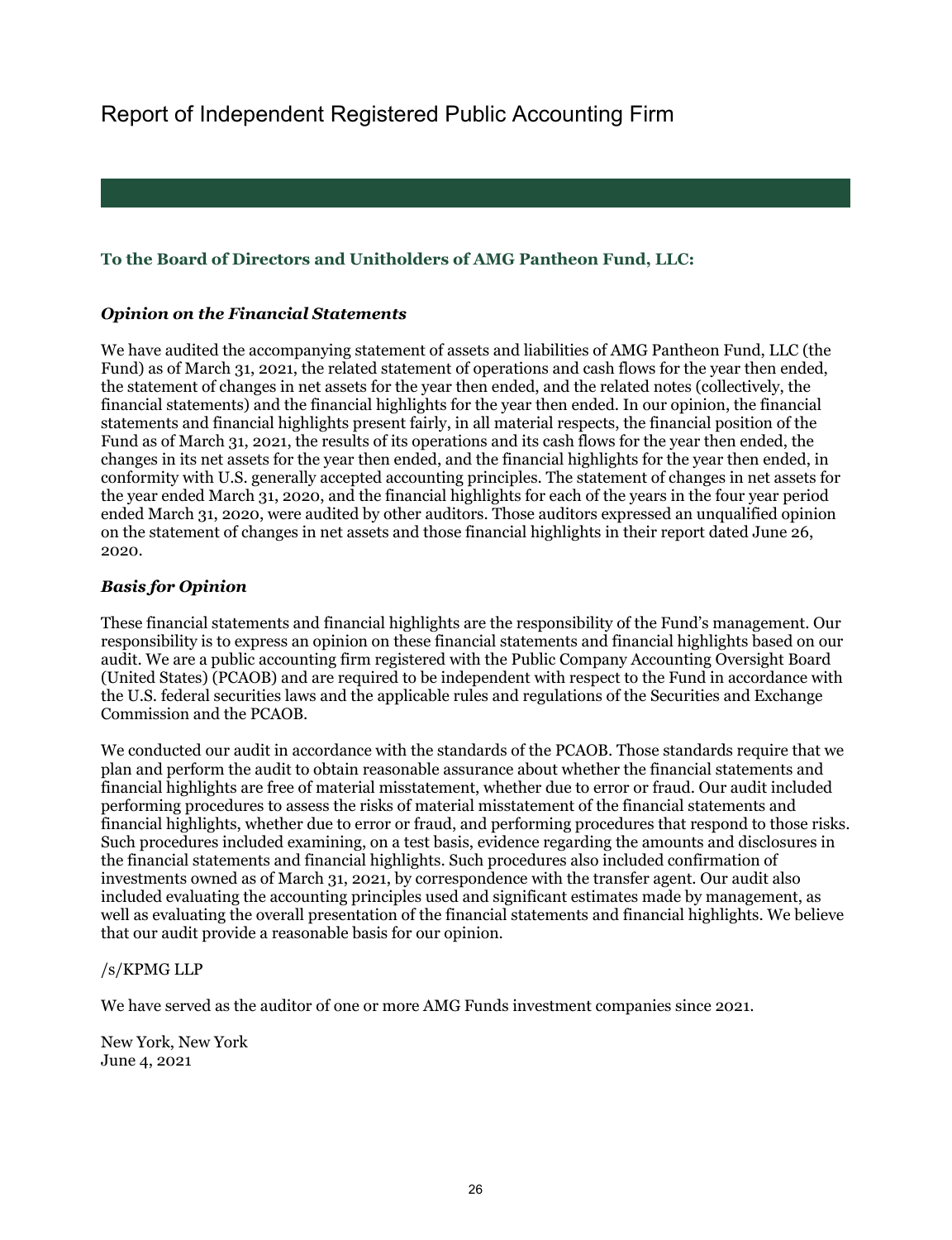# Report of Independent Registered Public Accounting Firm

## **To the Board of Directors and Unitholders of AMG Pantheon Fund, LLC:**

### *Opinion on the Financial Statements*

We have audited the accompanying statement of assets and liabilities of AMG Pantheon Fund, LLC (the Fund) as of March 31, 2021, the related statement of operations and cash flows for the year then ended, the statement of changes in net assets for the year then ended, and the related notes (collectively, the financial statements) and the financial highlights for the year then ended. In our opinion, the financial statements and financial highlights present fairly, in all material respects, the financial position of the Fund as of March 31, 2021, the results of its operations and its cash flows for the year then ended, the changes in its net assets for the year then ended, and the financial highlights for the year then ended, in conformity with U.S. generally accepted accounting principles. The statement of changes in net assets for the year ended March 31, 2020, and the financial highlights for each of the years in the four year period ended March 31, 2020, were audited by other auditors. Those auditors expressed an unqualified opinion on the statement of changes in net assets and those financial highlights in their report dated June 26, 2020.

#### *Basis for Opinion*

These financial statements and financial highlights are the responsibility of the Fund's management. Our responsibility is to express an opinion on these financial statements and financial highlights based on our audit. We are a public accounting firm registered with the Public Company Accounting Oversight Board (United States) (PCAOB) and are required to be independent with respect to the Fund in accordance with the U.S. federal securities laws and the applicable rules and regulations of the Securities and Exchange Commission and the PCAOB.

We conducted our audit in accordance with the standards of the PCAOB. Those standards require that we plan and perform the audit to obtain reasonable assurance about whether the financial statements and financial highlights are free of material misstatement, whether due to error or fraud. Our audit included performing procedures to assess the risks of material misstatement of the financial statements and financial highlights, whether due to error or fraud, and performing procedures that respond to those risks. Such procedures included examining, on a test basis, evidence regarding the amounts and disclosures in the financial statements and financial highlights. Such procedures also included confirmation of investments owned as of March 31, 2021, by correspondence with the transfer agent. Our audit also included evaluating the accounting principles used and significant estimates made by management, as well as evaluating the overall presentation of the financial statements and financial highlights. We believe that our audit provide a reasonable basis for our opinion.

#### /s/KPMG LLP

We have served as the auditor of one or more AMG Funds investment companies since 2021.

New York, New York June 4, 2021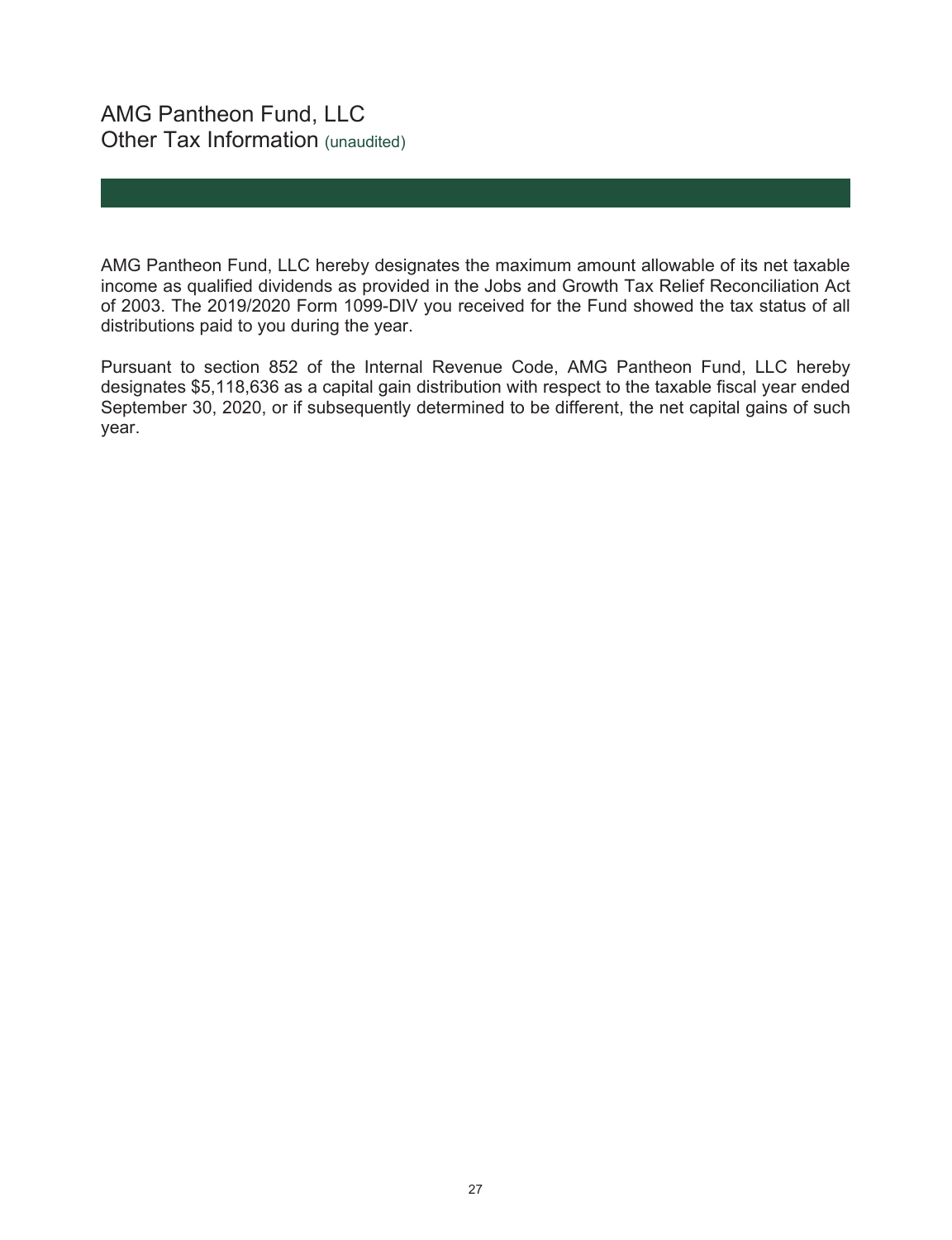AMG Pantheon Fund, LLC hereby designates the maximum amount allowable of its net taxable income as qualified dividends as provided in the Jobs and Growth Tax Relief Reconciliation Act of 2003. The 2019/2020 Form 1099-DIV you received for the Fund showed the tax status of all distributions paid to you during the year.

Pursuant to section 852 of the Internal Revenue Code, AMG Pantheon Fund, LLC hereby designates \$5,118,636 as a capital gain distribution with respect to the taxable fiscal year ended September 30, 2020, or if subsequently determined to be different, the net capital gains of such year.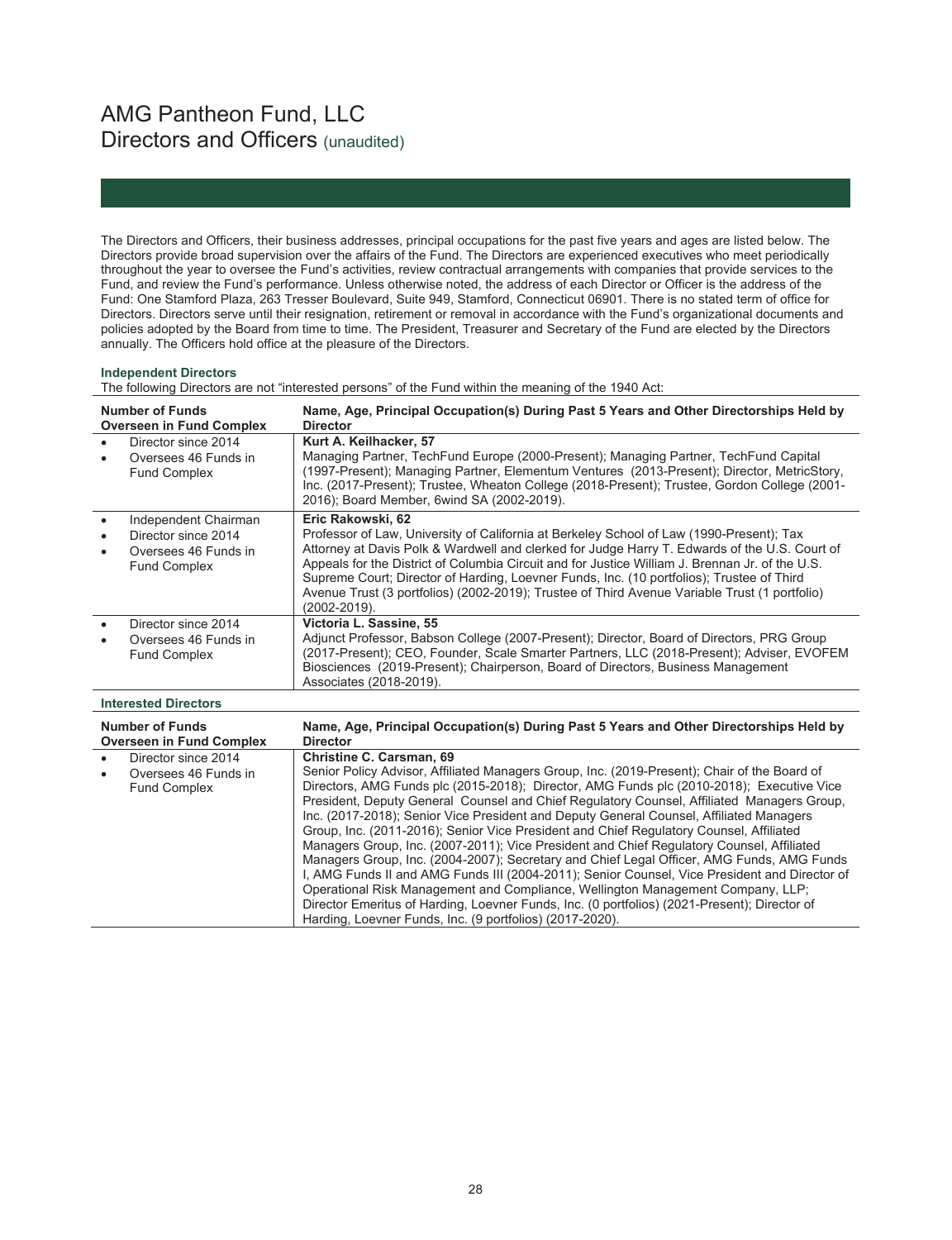# AMG Pantheon Fund, LLC Directors and Officers (unaudited)

The Directors and Officers, their business addresses, principal occupations for the past five years and ages are listed below. The Directors provide broad supervision over the affairs of the Fund. The Directors are experienced executives who meet periodically throughout the year to oversee the Fund's activities, review contractual arrangements with companies that provide services to the Fund, and review the Fund's performance. Unless otherwise noted, the address of each Director or Officer is the address of the Fund: One Stamford Plaza, 263 Tresser Boulevard, Suite 949, Stamford, Connecticut 06901. There is no stated term of office for Directors. Directors serve until their resignation, retirement or removal in accordance with the Fund's organizational documents and policies adopted by the Board from time to time. The President, Treasurer and Secretary of the Fund are elected by the Directors annually. The Officers hold office at the pleasure of the Directors.

#### **Independent Directors**

The following Directors are not "interested persons" of the Fund within the meaning of the 1940 Act:

| <b>Number of Funds</b><br><b>Overseen in Fund Complex</b>                                               | Name, Age, Principal Occupation(s) During Past 5 Years and Other Directorships Held by<br><b>Director</b>                                                                                                                                                                                                                                                                                                                                                                                                                                                                                                                                                                                                                                                                                                                                                                                                                                                                                                                                                  |
|---------------------------------------------------------------------------------------------------------|------------------------------------------------------------------------------------------------------------------------------------------------------------------------------------------------------------------------------------------------------------------------------------------------------------------------------------------------------------------------------------------------------------------------------------------------------------------------------------------------------------------------------------------------------------------------------------------------------------------------------------------------------------------------------------------------------------------------------------------------------------------------------------------------------------------------------------------------------------------------------------------------------------------------------------------------------------------------------------------------------------------------------------------------------------|
| Director since 2014<br>$\bullet$<br>Oversees 46 Funds in<br><b>Fund Complex</b>                         | Kurt A. Keilhacker, 57<br>Managing Partner, TechFund Europe (2000-Present); Managing Partner, TechFund Capital<br>(1997-Present); Managing Partner, Elementum Ventures (2013-Present); Director, MetricStory,<br>Inc. (2017-Present); Trustee, Wheaton College (2018-Present); Trustee, Gordon College (2001-<br>2016); Board Member, 6wind SA (2002-2019).                                                                                                                                                                                                                                                                                                                                                                                                                                                                                                                                                                                                                                                                                                |
| Independent Chairman<br>$\bullet$<br>Director since 2014<br>Oversees 46 Funds in<br><b>Fund Complex</b> | Eric Rakowski, 62<br>Professor of Law, University of California at Berkeley School of Law (1990-Present); Tax<br>Attorney at Davis Polk & Wardwell and clerked for Judge Harry T. Edwards of the U.S. Court of<br>Appeals for the District of Columbia Circuit and for Justice William J. Brennan Jr. of the U.S.<br>Supreme Court; Director of Harding, Loevner Funds, Inc. (10 portfolios); Trustee of Third<br>Avenue Trust (3 portfolios) (2002-2019); Trustee of Third Avenue Variable Trust (1 portfolio)<br>(2002-2019).                                                                                                                                                                                                                                                                                                                                                                                                                                                                                                                            |
| Director since 2014<br>$\bullet$<br>Oversees 46 Funds in<br><b>Fund Complex</b>                         | Victoria L. Sassine, 55<br>Adjunct Professor, Babson College (2007-Present); Director, Board of Directors, PRG Group<br>(2017-Present); CEO, Founder, Scale Smarter Partners, LLC (2018-Present); Adviser, EVOFEM<br>Biosciences (2019-Present); Chairperson, Board of Directors, Business Management<br>Associates (2018-2019).                                                                                                                                                                                                                                                                                                                                                                                                                                                                                                                                                                                                                                                                                                                           |
| <b>Interested Directors</b>                                                                             |                                                                                                                                                                                                                                                                                                                                                                                                                                                                                                                                                                                                                                                                                                                                                                                                                                                                                                                                                                                                                                                            |
| <b>Number of Funds</b><br><b>Overseen in Fund Complex</b>                                               | Name, Age, Principal Occupation(s) During Past 5 Years and Other Directorships Held by<br><b>Director</b>                                                                                                                                                                                                                                                                                                                                                                                                                                                                                                                                                                                                                                                                                                                                                                                                                                                                                                                                                  |
| Director since 2014<br>Oversees 46 Funds in<br><b>Fund Complex</b>                                      | <b>Christine C. Carsman, 69</b><br>Senior Policy Advisor, Affiliated Managers Group, Inc. (2019-Present); Chair of the Board of<br>Directors, AMG Funds plc (2015-2018); Director, AMG Funds plc (2010-2018); Executive Vice<br>President, Deputy General Counsel and Chief Regulatory Counsel, Affiliated Managers Group,<br>Inc. (2017-2018); Senior Vice President and Deputy General Counsel, Affiliated Managers<br>Group, Inc. (2011-2016); Senior Vice President and Chief Regulatory Counsel, Affiliated<br>Managers Group, Inc. (2007-2011); Vice President and Chief Regulatory Counsel, Affiliated<br>Managers Group, Inc. (2004-2007); Secretary and Chief Legal Officer, AMG Funds, AMG Funds<br>I, AMG Funds II and AMG Funds III (2004-2011); Senior Counsel, Vice President and Director of<br>Operational Risk Management and Compliance, Wellington Management Company, LLP;<br>Director Emeritus of Harding, Loevner Funds, Inc. (0 portfolios) (2021-Present); Director of<br>Harding, Loevner Funds, Inc. (9 portfolios) (2017-2020). |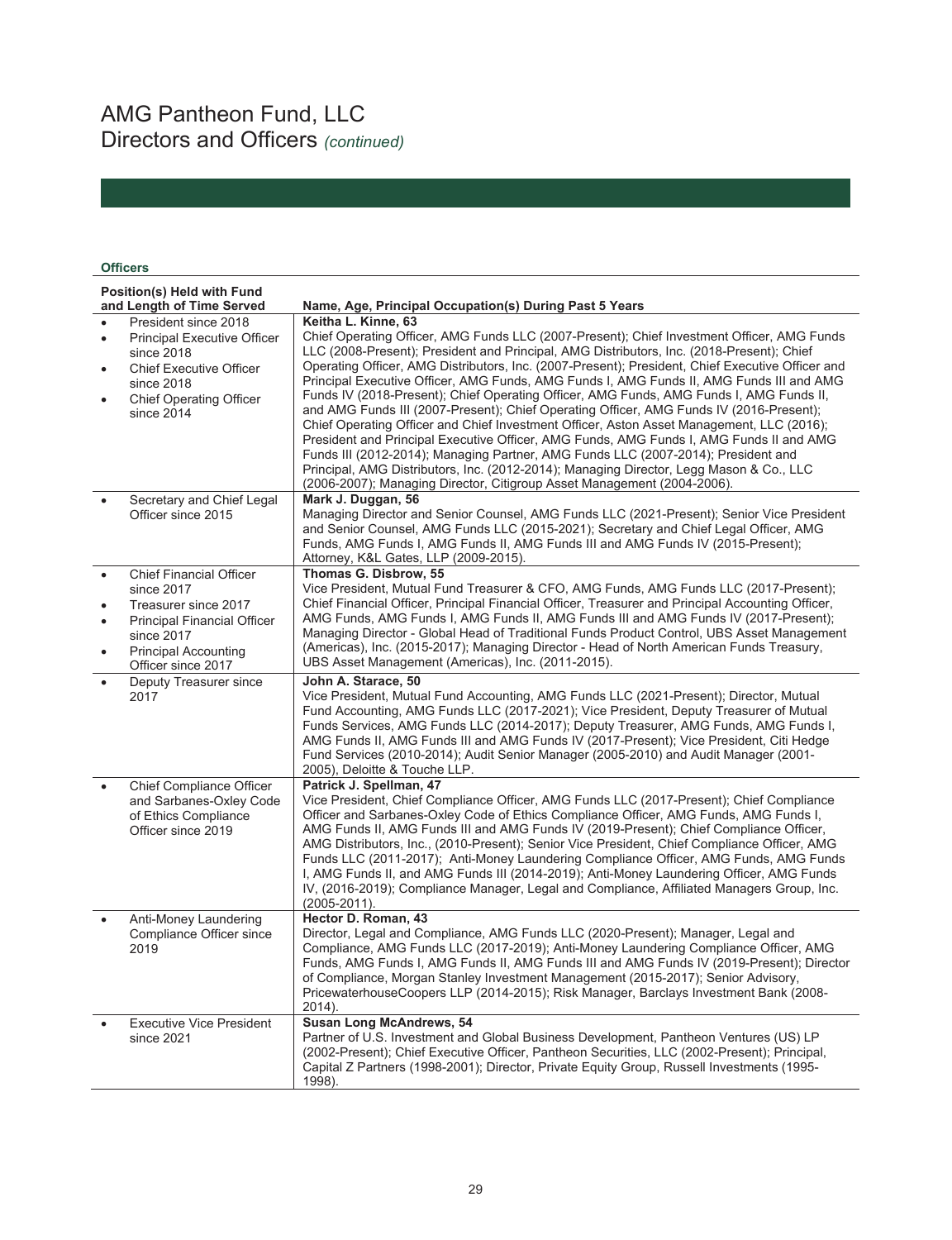# AMG Pantheon Fund, LLC Directors and Officers *(continued)*

## **Officers**

|           | Position(s) Held with Fund<br>and Length of Time Served                                           | Name, Age, Principal Occupation(s) During Past 5 Years                                                                                                                                                                                                                                                                                                                                                                                                                                                                                                                                                                                                                                                         |
|-----------|---------------------------------------------------------------------------------------------------|----------------------------------------------------------------------------------------------------------------------------------------------------------------------------------------------------------------------------------------------------------------------------------------------------------------------------------------------------------------------------------------------------------------------------------------------------------------------------------------------------------------------------------------------------------------------------------------------------------------------------------------------------------------------------------------------------------------|
|           | President since 2018                                                                              | Keitha L. Kinne, 63                                                                                                                                                                                                                                                                                                                                                                                                                                                                                                                                                                                                                                                                                            |
| $\bullet$ | <b>Principal Executive Officer</b><br>since 2018                                                  | Chief Operating Officer, AMG Funds LLC (2007-Present); Chief Investment Officer, AMG Funds<br>LLC (2008-Present); President and Principal, AMG Distributors, Inc. (2018-Present); Chief                                                                                                                                                                                                                                                                                                                                                                                                                                                                                                                        |
|           | <b>Chief Executive Officer</b><br>since 2018                                                      | Operating Officer, AMG Distributors, Inc. (2007-Present); President, Chief Executive Officer and<br>Principal Executive Officer, AMG Funds, AMG Funds I, AMG Funds II, AMG Funds III and AMG                                                                                                                                                                                                                                                                                                                                                                                                                                                                                                                   |
|           | <b>Chief Operating Officer</b><br>since 2014                                                      | Funds IV (2018-Present); Chief Operating Officer, AMG Funds, AMG Funds I, AMG Funds II,<br>and AMG Funds III (2007-Present); Chief Operating Officer, AMG Funds IV (2016-Present);<br>Chief Operating Officer and Chief Investment Officer, Aston Asset Management, LLC (2016);<br>President and Principal Executive Officer, AMG Funds, AMG Funds I, AMG Funds II and AMG<br>Funds III (2012-2014); Managing Partner, AMG Funds LLC (2007-2014); President and<br>Principal, AMG Distributors, Inc. (2012-2014); Managing Director, Legg Mason & Co., LLC<br>(2006-2007); Managing Director, Citigroup Asset Management (2004-2006).                                                                          |
|           | Secretary and Chief Legal<br>Officer since 2015                                                   | Mark J. Duggan, 56<br>Managing Director and Senior Counsel, AMG Funds LLC (2021-Present); Senior Vice President<br>and Senior Counsel, AMG Funds LLC (2015-2021); Secretary and Chief Legal Officer, AMG<br>Funds, AMG Funds I, AMG Funds II, AMG Funds III and AMG Funds IV (2015-Present);<br>Attorney, K&L Gates, LLP (2009-2015).                                                                                                                                                                                                                                                                                                                                                                          |
|           | <b>Chief Financial Officer</b><br>since 2017<br>Treasurer since 2017                              | Thomas G. Disbrow. 55<br>Vice President, Mutual Fund Treasurer & CFO, AMG Funds, AMG Funds LLC (2017-Present);<br>Chief Financial Officer, Principal Financial Officer, Treasurer and Principal Accounting Officer,                                                                                                                                                                                                                                                                                                                                                                                                                                                                                            |
|           | <b>Principal Financial Officer</b><br>since 2017                                                  | AMG Funds, AMG Funds I, AMG Funds II, AMG Funds III and AMG Funds IV (2017-Present);<br>Managing Director - Global Head of Traditional Funds Product Control, UBS Asset Management                                                                                                                                                                                                                                                                                                                                                                                                                                                                                                                             |
|           | <b>Principal Accounting</b><br>Officer since 2017                                                 | (Americas), Inc. (2015-2017); Managing Director - Head of North American Funds Treasury,<br>UBS Asset Management (Americas), Inc. (2011-2015).                                                                                                                                                                                                                                                                                                                                                                                                                                                                                                                                                                 |
|           | Deputy Treasurer since<br>2017                                                                    | John A. Starace, 50<br>Vice President, Mutual Fund Accounting, AMG Funds LLC (2021-Present); Director, Mutual<br>Fund Accounting, AMG Funds LLC (2017-2021); Vice President, Deputy Treasurer of Mutual<br>Funds Services, AMG Funds LLC (2014-2017); Deputy Treasurer, AMG Funds, AMG Funds I,<br>AMG Funds II, AMG Funds III and AMG Funds IV (2017-Present); Vice President, Citi Hedge<br>Fund Services (2010-2014); Audit Senior Manager (2005-2010) and Audit Manager (2001-<br>2005), Deloitte & Touche LLP.                                                                                                                                                                                            |
|           | Chief Compliance Officer<br>and Sarbanes-Oxley Code<br>of Ethics Compliance<br>Officer since 2019 | Patrick J. Spellman, 47<br>Vice President, Chief Compliance Officer, AMG Funds LLC (2017-Present); Chief Compliance<br>Officer and Sarbanes-Oxley Code of Ethics Compliance Officer, AMG Funds, AMG Funds I,<br>AMG Funds II, AMG Funds III and AMG Funds IV (2019-Present); Chief Compliance Officer,<br>AMG Distributors, Inc., (2010-Present); Senior Vice President, Chief Compliance Officer, AMG<br>Funds LLC (2011-2017); Anti-Money Laundering Compliance Officer, AMG Funds, AMG Funds<br>I, AMG Funds II, and AMG Funds III (2014-2019); Anti-Money Laundering Officer, AMG Funds<br>IV, (2016-2019); Compliance Manager, Legal and Compliance, Affiliated Managers Group, Inc.<br>$(2005 - 2011)$ . |
|           | Anti-Money Laundering<br>Compliance Officer since<br>2019                                         | Hector D. Roman, 43<br>Director, Legal and Compliance, AMG Funds LLC (2020-Present); Manager, Legal and<br>Compliance, AMG Funds LLC (2017-2019); Anti-Money Laundering Compliance Officer, AMG<br>Funds, AMG Funds I, AMG Funds II, AMG Funds III and AMG Funds IV (2019-Present); Director<br>of Compliance, Morgan Stanley Investment Management (2015-2017); Senior Advisory,<br>PricewaterhouseCoopers LLP (2014-2015); Risk Manager, Barclays Investment Bank (2008-<br>2014).                                                                                                                                                                                                                           |
|           | <b>Executive Vice President</b><br>since 2021                                                     | <b>Susan Long McAndrews, 54</b><br>Partner of U.S. Investment and Global Business Development, Pantheon Ventures (US) LP<br>(2002-Present); Chief Executive Officer, Pantheon Securities, LLC (2002-Present); Principal,<br>Capital Z Partners (1998-2001); Director, Private Equity Group, Russell Investments (1995-<br>1998).                                                                                                                                                                                                                                                                                                                                                                               |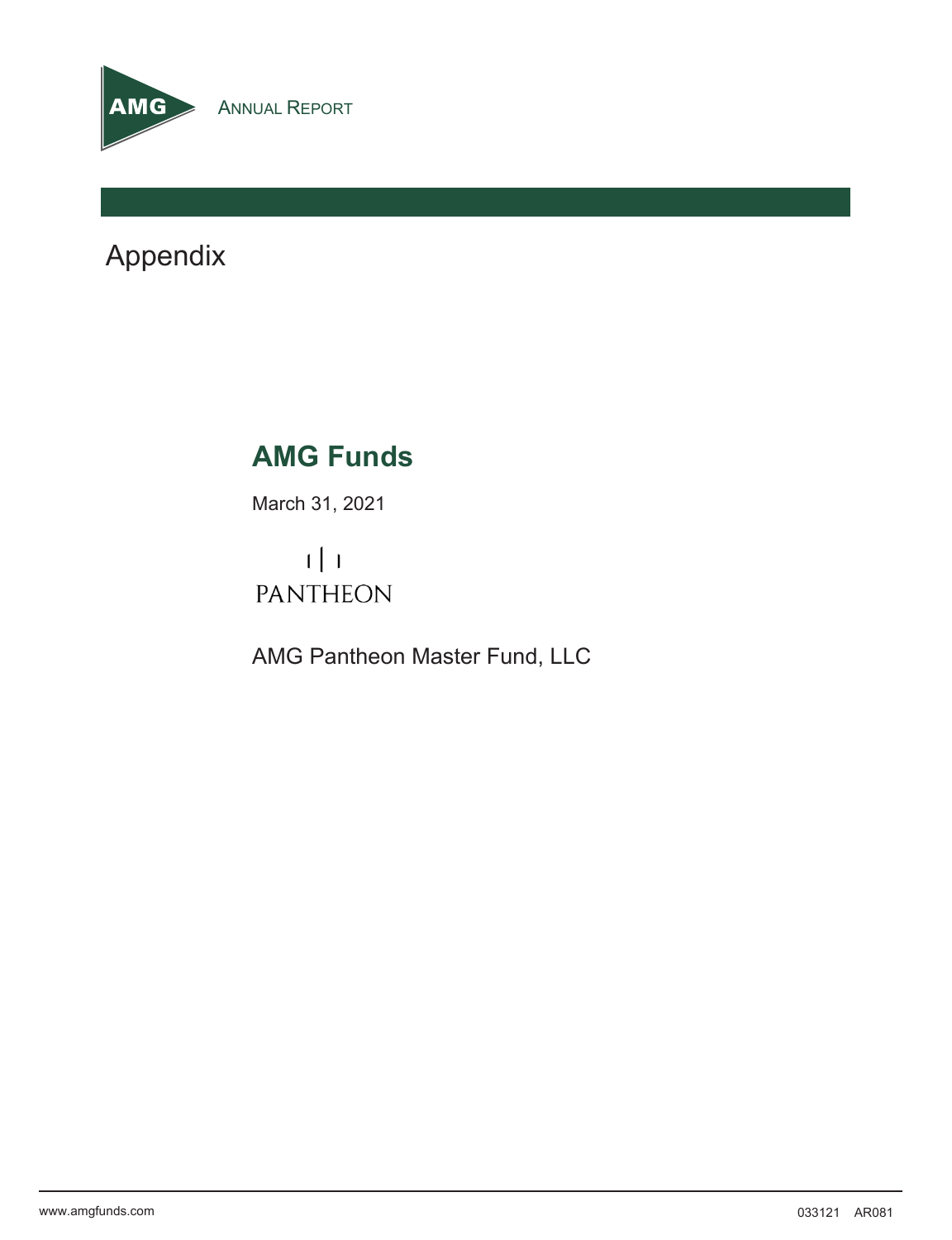

Appendix

# **AMG Funds**

March 31, 2021

 $1 \mid 1$ **PANTHEON** 

AMG Pantheon Master Fund, LLC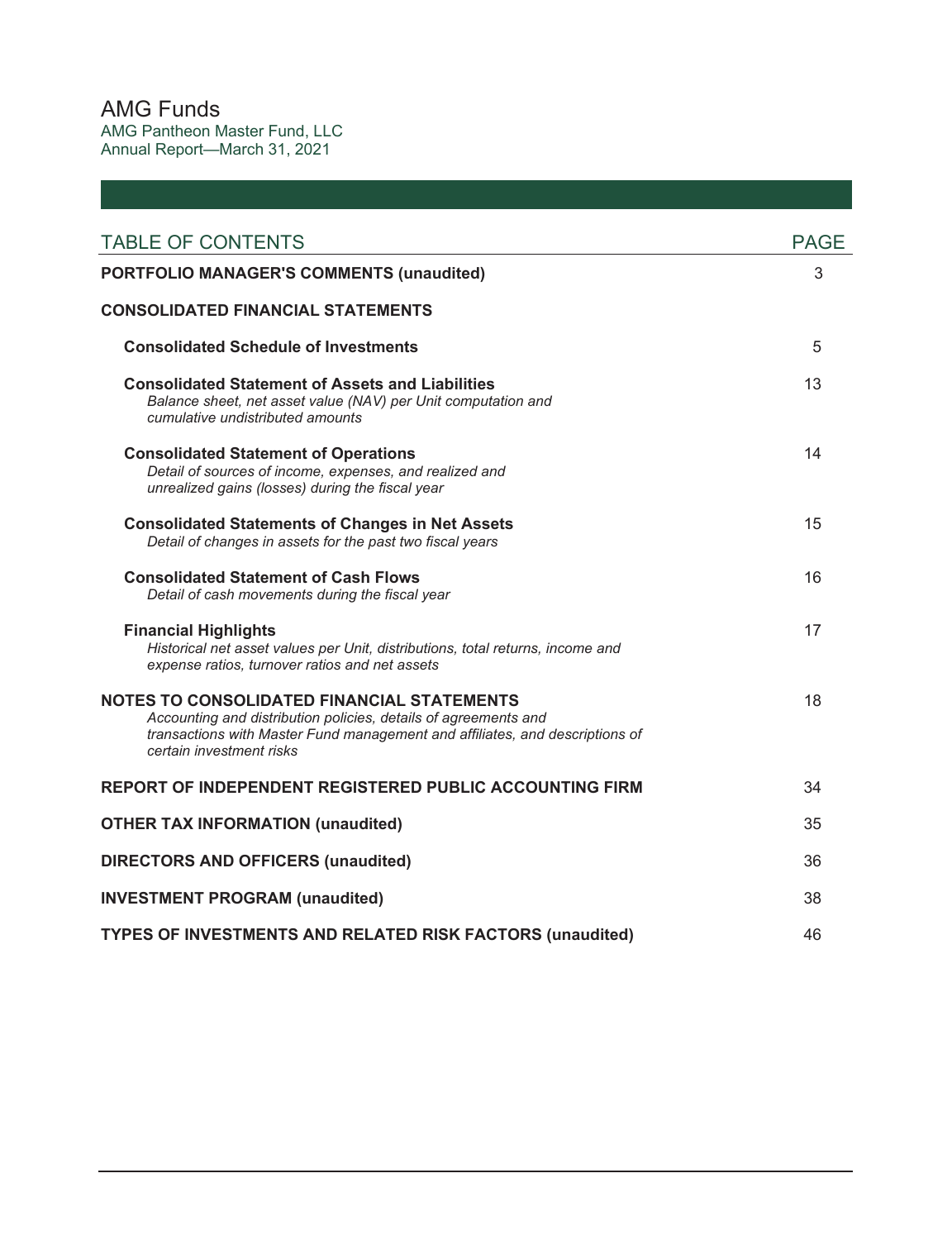AMG Funds AMG Pantheon Master Fund, LLC Annual Report—March 31, 2021

| <b>TABLE OF CONTENTS</b>                                                                                                                                                                                                         | <b>PAGE</b> |
|----------------------------------------------------------------------------------------------------------------------------------------------------------------------------------------------------------------------------------|-------------|
| <b>PORTFOLIO MANAGER'S COMMENTS (unaudited)</b>                                                                                                                                                                                  | 3           |
| <b>CONSOLIDATED FINANCIAL STATEMENTS</b>                                                                                                                                                                                         |             |
| <b>Consolidated Schedule of Investments</b>                                                                                                                                                                                      | 5           |
| <b>Consolidated Statement of Assets and Liabilities</b><br>Balance sheet, net asset value (NAV) per Unit computation and<br>cumulative undistributed amounts                                                                     | 13          |
| <b>Consolidated Statement of Operations</b><br>Detail of sources of income, expenses, and realized and<br>unrealized gains (losses) during the fiscal year                                                                       | 14          |
| <b>Consolidated Statements of Changes in Net Assets</b><br>Detail of changes in assets for the past two fiscal years                                                                                                             | 15          |
| <b>Consolidated Statement of Cash Flows</b><br>Detail of cash movements during the fiscal year                                                                                                                                   | 16          |
| <b>Financial Highlights</b><br>Historical net asset values per Unit, distributions, total returns, income and<br>expense ratios, turnover ratios and net assets                                                                  | 17          |
| <b>NOTES TO CONSOLIDATED FINANCIAL STATEMENTS</b><br>Accounting and distribution policies, details of agreements and<br>transactions with Master Fund management and affiliates, and descriptions of<br>certain investment risks | 18          |
| REPORT OF INDEPENDENT REGISTERED PUBLIC ACCOUNTING FIRM                                                                                                                                                                          | 34          |
| <b>OTHER TAX INFORMATION (unaudited)</b>                                                                                                                                                                                         | 35          |
| <b>DIRECTORS AND OFFICERS (unaudited)</b>                                                                                                                                                                                        | 36          |
| <b>INVESTMENT PROGRAM (unaudited)</b>                                                                                                                                                                                            | 38          |
| <b>TYPES OF INVESTMENTS AND RELATED RISK FACTORS (unaudited)</b>                                                                                                                                                                 | 46          |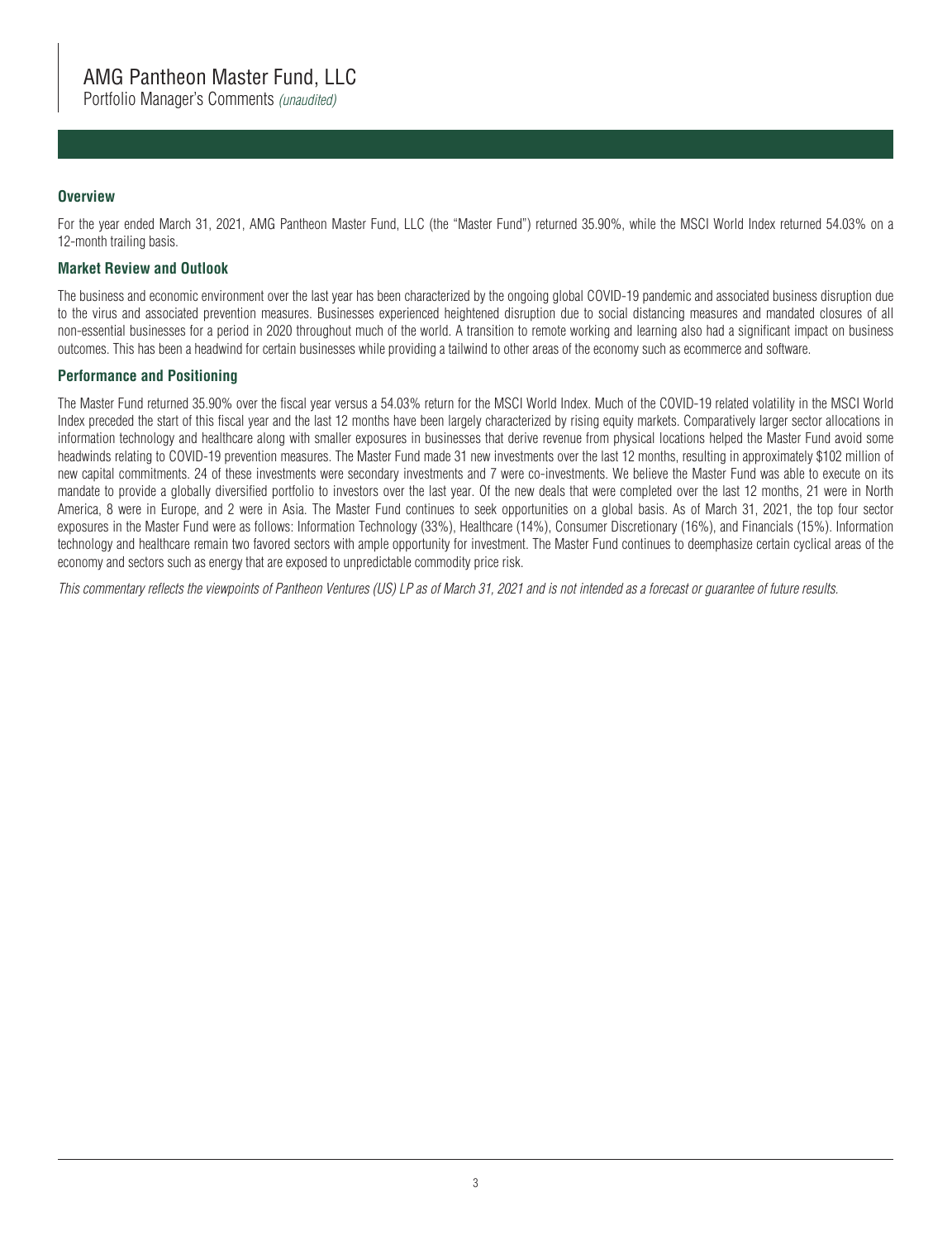### **Overview**

For the year ended March 31, 2021, AMG Pantheon Master Fund, LLC (the "Master Fund") returned 35.90%, while the MSCI World Index returned 54.03% on a 12-month trailing basis.

#### **Market Review and Outlook**

The business and economic environment over the last year has been characterized by the ongoing global COVID-19 pandemic and associated business disruption due to the virus and associated prevention measures. Businesses experienced heightened disruption due to social distancing measures and mandated closures of all non-essential businesses for a period in 2020 throughout much of the world. A transition to remote working and learning also had a significant impact on business outcomes. This has been a headwind for certain businesses while providing a tailwind to other areas of the economy such as ecommerce and software.

#### **Performance and Positioning**

The Master Fund returned 35.90% over the fiscal year versus a 54.03% return for the MSCI World Index. Much of the COVID-19 related volatility in the MSCI World Index preceded the start of this fiscal year and the last 12 months have been largely characterized by rising equity markets. Comparatively larger sector allocations in information technology and healthcare along with smaller exposures in businesses that derive revenue from physical locations helped the Master Fund avoid some headwinds relating to COVID-19 prevention measures. The Master Fund made 31 new investments over the last 12 months, resulting in approximately \$102 million of new capital commitments. 24 of these investments were secondary investments and 7 were co-investments. We believe the Master Fund was able to execute on its mandate to provide a globally diversified portfolio to investors over the last year. Of the new deals that were completed over the last 12 months, 21 were in North America, 8 were in Europe, and 2 were in Asia. The Master Fund continues to seek opportunities on a global basis. As of March 31, 2021, the top four sector exposures in the Master Fund were as follows: Information Technology (33%), Healthcare (14%), Consumer Discretionary (16%), and Financials (15%). Information technology and healthcare remain two favored sectors with ample opportunity for investment. The Master Fund continues to deemphasize certain cyclical areas of the economy and sectors such as energy that are exposed to unpredictable commodity price risk.

*This commentary reflects the viewpoints of Pantheon Ventures (US) LP as of March 31, 2021 and is not intended as a forecast or guarantee of future results.*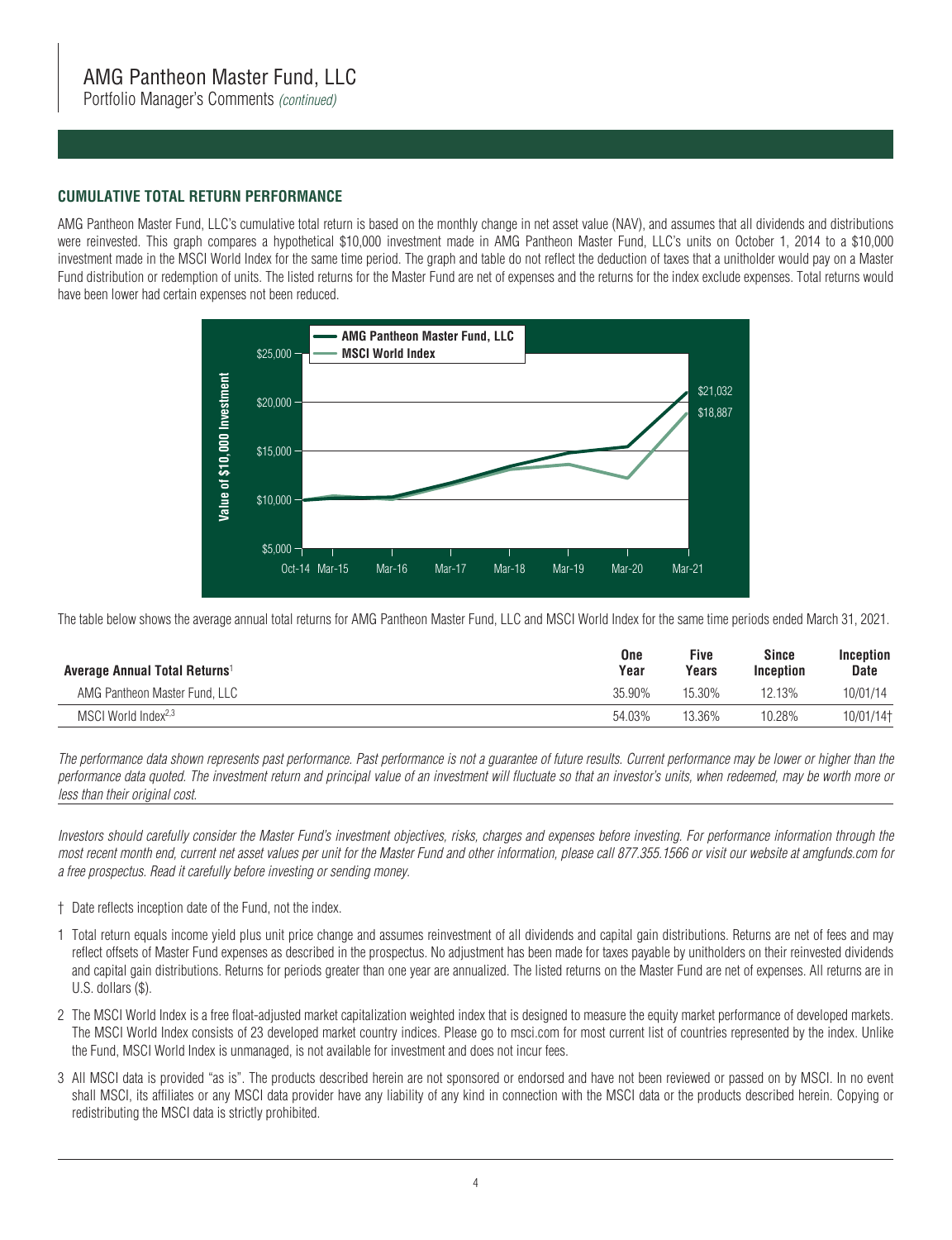Portfolio Manager's Comments *(continued)*

#### **CUMULATIVE TOTAL RETURN PERFORMANCE**

AMG Pantheon Master Fund, LLC's cumulative total return is based on the monthly change in net asset value (NAV), and assumes that all dividends and distributions were reinvested. This graph compares a hypothetical \$10,000 investment made in AMG Pantheon Master Fund, LLC's units on October 1, 2014 to a \$10,000 investment made in the MSCI World Index for the same time period. The graph and table do not reflect the deduction of taxes that a unitholder would pay on a Master Fund distribution or redemption of units. The listed returns for the Master Fund are net of expenses and the returns for the index exclude expenses. Total returns would have been lower had certain expenses not been reduced.



The table below shows the average annual total returns for AMG Pantheon Master Fund, LLC and MSCI World Index for the same time periods ended March 31, 2021.

| Five<br>One<br>Year<br>Average Annual Total Returns <sup>1</sup><br>Years | <b>Inception</b> | <b>Date</b> |
|---------------------------------------------------------------------------|------------------|-------------|
| AMG Pantheon Master Fund, LLC<br>35.90%<br>15.30%                         | 12.13%           | 10/01/14    |
| MSCI World Index <sup>2,3</sup><br>54.03%<br>13.36%                       | 10.28%           | 10/01/14†   |

*The performance data shown represents past performance. Past performance is not a guarantee of future results. Current performance may be lower or higher than the performance data quoted. The investment return and principal value of an investment will fluctuate so that an investor's units, when redeemed, may be worth more or less than their original cost.*

*Investors should carefully consider the Master Fund's investment objectives, risks, charges and expenses before investing. For performance information through the most recent month end, current net asset values per unit for the Master Fund and other information, please call 877.355.1566 or visit our website at amgfunds.com for a free prospectus. Read it carefully before investing or sending money.*

- † Date reflects inception date of the Fund, not the index.
- 1 Total return equals income yield plus unit price change and assumes reinvestment of all dividends and capital gain distributions. Returns are net of fees and may reflect offsets of Master Fund expenses as described in the prospectus. No adjustment has been made for taxes payable by unitholders on their reinvested dividends and capital gain distributions. Returns for periods greater than one year are annualized. The listed returns on the Master Fund are net of expenses. All returns are in U.S. dollars (\$).
- 2 The MSCI World Index is a free float-adjusted market capitalization weighted index that is designed to measure the equity market performance of developed markets. The MSCI World Index consists of 23 developed market country indices. Please go to msci.com for most current list of countries represented by the index. Unlike the Fund, MSCI World Index is unmanaged, is not available for investment and does not incur fees.
- 3 All MSCI data is provided "as is". The products described herein are not sponsored or endorsed and have not been reviewed or passed on by MSCI. In no event shall MSCI, its affiliates or any MSCI data provider have any liability of any kind in connection with the MSCI data or the products described herein. Copying or redistributing the MSCI data is strictly prohibited.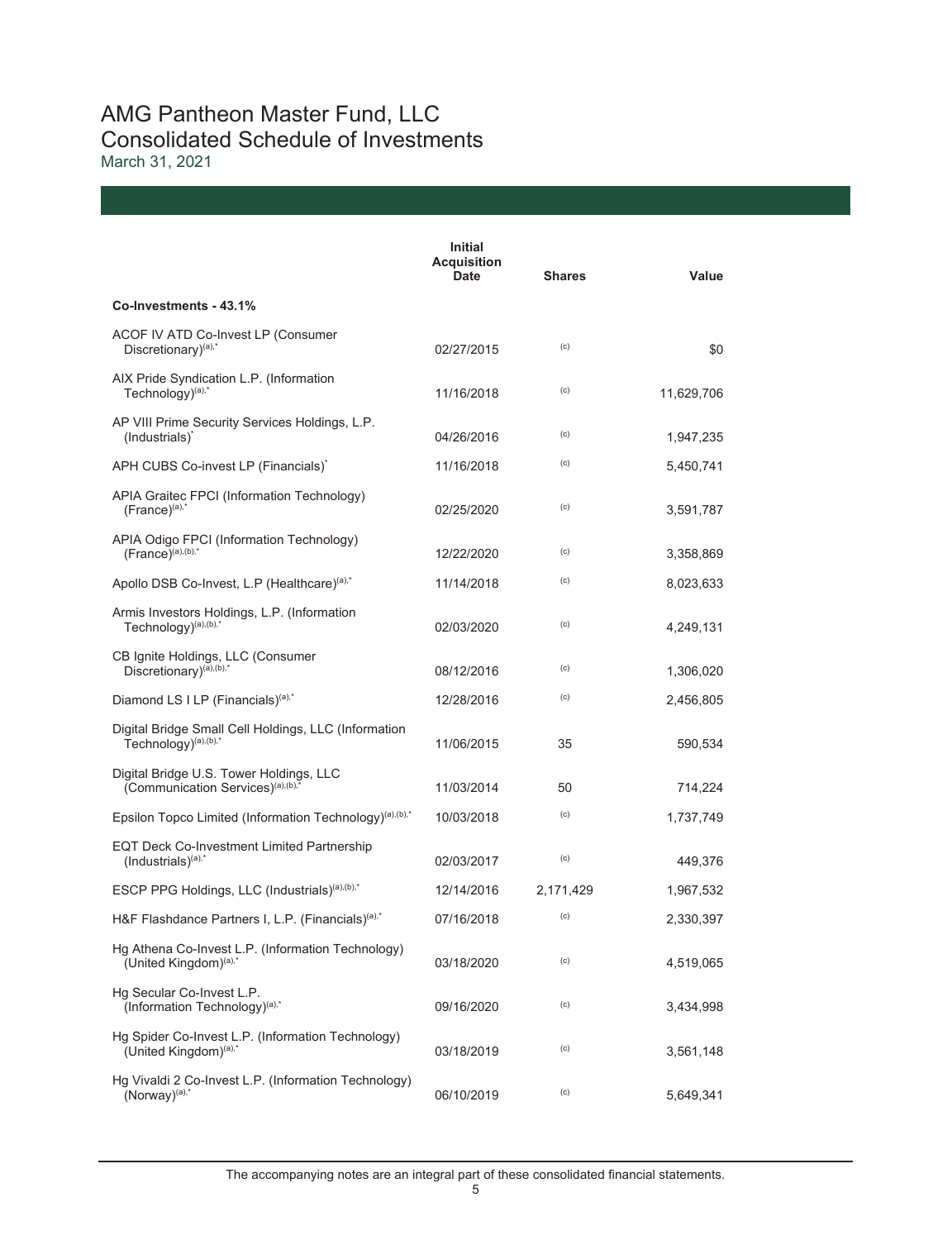## AMG Pantheon Master Fund, LLC Consolidated Schedule of Investments March 31, 2021

|                                                                                          | <b>Initial</b><br><b>Acquisition</b><br>Date | <b>Shares</b> | Value      |
|------------------------------------------------------------------------------------------|----------------------------------------------|---------------|------------|
| Co-Investments - 43.1%                                                                   |                                              |               |            |
| ACOF IV ATD Co-Invest LP (Consumer<br>Discretionary) <sup>(a),*</sup>                    | 02/27/2015                                   | (c)           | \$0        |
| AIX Pride Syndication L.P. (Information<br>Technology) <sup>(a),*</sup>                  | 11/16/2018                                   | (c)           | 11,629,706 |
| AP VIII Prime Security Services Holdings, L.P.<br>(Industrials) <sup>*</sup>             | 04/26/2016                                   | (c)           | 1,947,235  |
| APH CUBS Co-invest LP (Financials)*                                                      | 11/16/2018                                   | (c)           | 5,450,741  |
| APIA Graitec FPCI (Information Technology)<br>$(France)^{(a),*}$                         | 02/25/2020                                   | (c)           | 3,591,787  |
| APIA Odigo FPCI (Information Technology)<br>$(France)^{(a),(b),*}$                       | 12/22/2020                                   | (c)           | 3,358,869  |
| Apollo DSB Co-Invest, L.P (Healthcare) <sup>(a),*</sup>                                  | 11/14/2018                                   | (c)           | 8,023,633  |
| Armis Investors Holdings, L.P. (Information<br>Technology) <sup>(a),(b),*</sup>          | 02/03/2020                                   | (c)           | 4,249,131  |
| CB Ignite Holdings, LLC (Consumer<br>Discretionary) <sup>(a),(b),*</sup>                 | 08/12/2016                                   | (c)           | 1,306,020  |
| Diamond LS I LP (Financials) <sup>(a),*</sup>                                            | 12/28/2016                                   | (c)           | 2,456,805  |
| Digital Bridge Small Cell Holdings, LLC (Information<br>Technology) <sup>(a),(b),*</sup> | 11/06/2015                                   | 35            | 590,534    |
| Digital Bridge U.S. Tower Holdings, LLC<br>(Communication Services) <sup>(a),(b),'</sup> | 11/03/2014                                   | 50            | 714,224    |
| Epsilon Topco Limited (Information Technology) <sup>(a),(b),*</sup>                      | 10/03/2018                                   | (c)           | 1,737,749  |
| EQT Deck Co-Investment Limited Partnership<br>$($ Industrials $)^{(a),*}$                | 02/03/2017                                   | (c)           | 449,376    |
| ESCP PPG Holdings, LLC (Industrials) <sup>(a),(b),*</sup>                                | 12/14/2016                                   | 2,171,429     | 1,967,532  |
| H&F Flashdance Partners I, L.P. (Financials) <sup>(a),*</sup>                            | 07/16/2018                                   | (c)           | 2,330,397  |
| Hg Athena Co-Invest L.P. (Information Technology)<br>(United Kingdom) <sup>(a),*</sup>   | 03/18/2020                                   | (c)           | 4,519,065  |
| Hg Secular Co-Invest L.P.<br>(Information Technology) <sup>(a),*</sup>                   | 09/16/2020                                   | (c)           | 3,434,998  |
| Hg Spider Co-Invest L.P. (Information Technology)<br>(United Kingdom) <sup>(a),*</sup>   | 03/18/2019                                   | (c)           | 3,561,148  |
| Hg Vivaldi 2 Co-Invest L.P. (Information Technology)<br>$(Norway)^{(a),*}$               | 06/10/2019                                   | (c)           | 5,649,341  |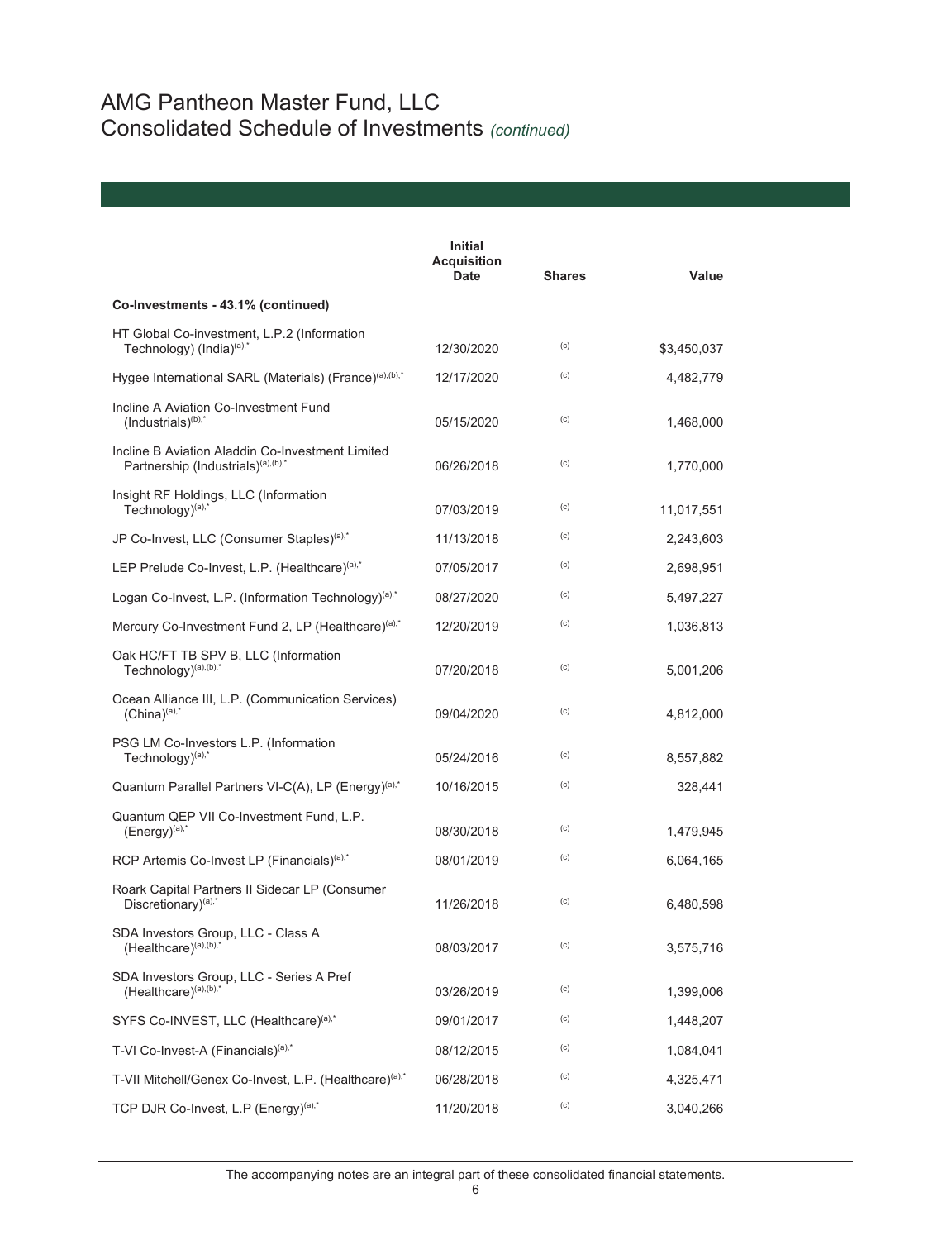# AMG Pantheon Master Fund, LLC Consolidated Schedule of Investments *(continued)*

|                                                                                                    | Initial<br><b>Acquisition</b><br><b>Date</b> | <b>Shares</b> | Value       |
|----------------------------------------------------------------------------------------------------|----------------------------------------------|---------------|-------------|
| Co-Investments - 43.1% (continued)                                                                 |                                              |               |             |
| HT Global Co-investment, L.P.2 (Information<br>Technology) (India) <sup>(a),*</sup>                | 12/30/2020                                   | (c)           | \$3,450,037 |
| Hygee International SARL (Materials) (France) <sup>(a),(b),*</sup>                                 | 12/17/2020                                   | (c)           | 4,482,779   |
| Incline A Aviation Co-Investment Fund<br>$($ lndustrials $)$ <sup>(b),*</sup>                      | 05/15/2020                                   | (c)           | 1,468,000   |
| Incline B Aviation Aladdin Co-Investment Limited<br>Partnership (Industrials) <sup>(a),(b),*</sup> | 06/26/2018                                   | (c)           | 1,770,000   |
| Insight RF Holdings, LLC (Information<br>Technology) <sup>(a),*</sup>                              | 07/03/2019                                   | (c)           | 11,017,551  |
| JP Co-Invest, LLC (Consumer Staples) <sup>(a),*</sup>                                              | 11/13/2018                                   | (c)           | 2,243,603   |
| LEP Prelude Co-Invest, L.P. (Healthcare) <sup>(a),*</sup>                                          | 07/05/2017                                   | (c)           | 2,698,951   |
| Logan Co-Invest, L.P. (Information Technology) <sup>(a),*</sup>                                    | 08/27/2020                                   | (c)           | 5,497,227   |
| Mercury Co-Investment Fund 2, LP (Healthcare) <sup>(a),*</sup>                                     | 12/20/2019                                   | (c)           | 1,036,813   |
| Oak HC/FT TB SPV B, LLC (Information<br>Technology $)^{(a),(b),*}$                                 | 07/20/2018                                   | (c)           | 5,001,206   |
| Ocean Alliance III, L.P. (Communication Services)<br>$(China)^{(a),*}$                             | 09/04/2020                                   | (c)           | 4,812,000   |
| PSG LM Co-Investors L.P. (Information<br>Technology) <sup>(a),*</sup>                              | 05/24/2016                                   | (c)           | 8,557,882   |
| Quantum Parallel Partners VI-C(A), LP (Energy) <sup>(a),*</sup>                                    | 10/16/2015                                   | (c)           | 328,441     |
| Quantum QEP VII Co-Investment Fund, L.P.<br>$(Energy)^{(a),*}$                                     | 08/30/2018                                   | (c)           | 1,479,945   |
| RCP Artemis Co-Invest LP (Financials) <sup>(a),*</sup>                                             | 08/01/2019                                   | (c)           | 6,064,165   |
| Roark Capital Partners II Sidecar LP (Consumer<br>Discretionary) <sup>(a),*</sup>                  | 11/26/2018                                   | (c)           | 6,480,598   |
| SDA Investors Group, LLC - Class A<br>(Healthcare) <sup>(a),(b),*</sup>                            | 08/03/2017                                   | (c)           | 3,575,716   |
| SDA Investors Group, LLC - Series A Pref<br>$(Healtbcare)^{(a),(b),*}$                             | 03/26/2019                                   | (c)           | 1,399,006   |
| SYFS Co-INVEST, LLC (Healthcare) <sup>(a),*</sup>                                                  | 09/01/2017                                   | (c)           | 1,448,207   |
| T-VI Co-Invest-A (Financials) <sup>(a),*</sup>                                                     | 08/12/2015                                   | (c)           | 1,084,041   |
| T-VII Mitchell/Genex Co-Invest, L.P. (Healthcare) <sup>(a),*</sup>                                 | 06/28/2018                                   | (c)           | 4,325,471   |
| TCP DJR Co-Invest, L.P (Energy)(a),*                                                               | 11/20/2018                                   | (c)           | 3,040,266   |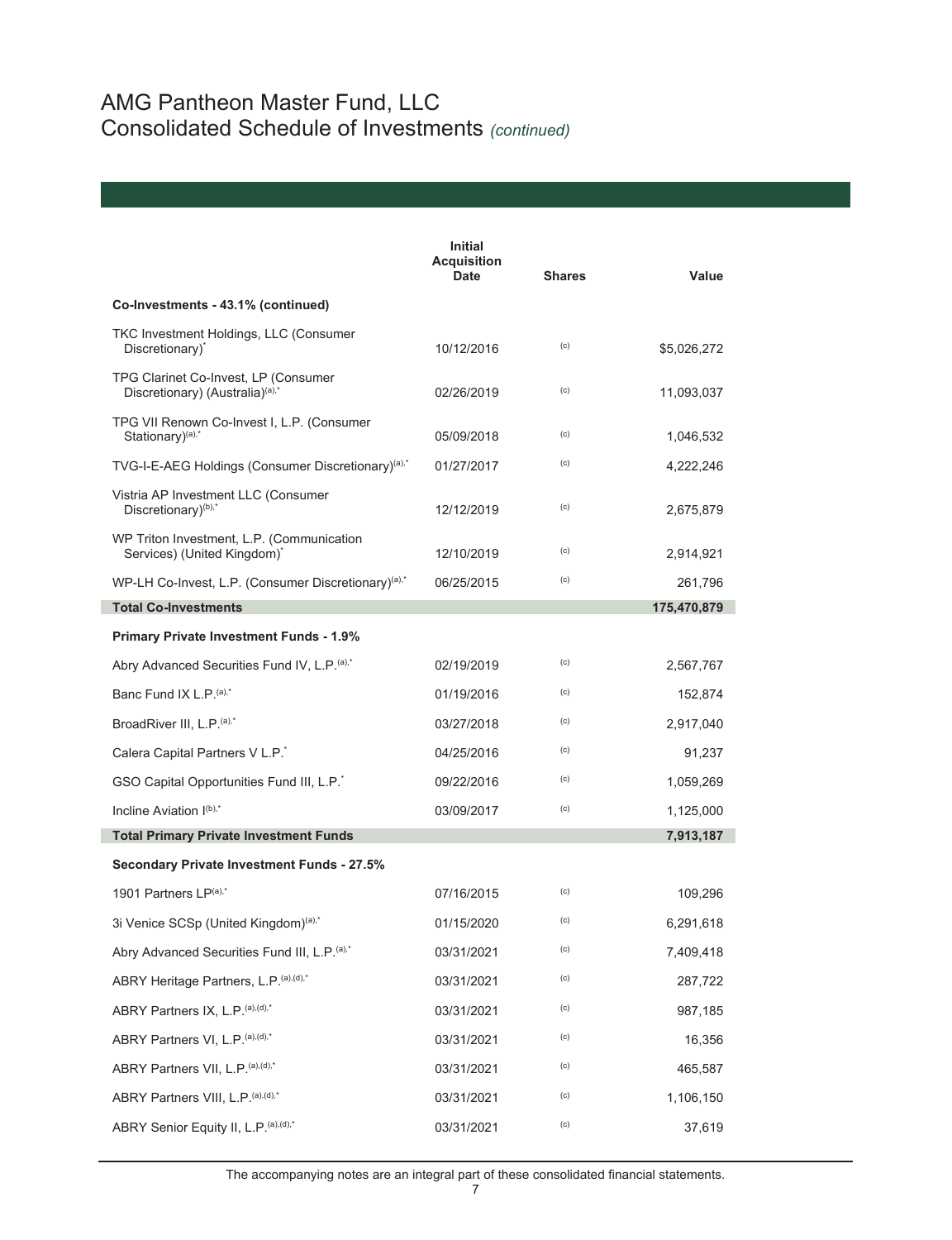|                                                                                     | Initial<br><b>Acquisition</b><br><b>Date</b> | <b>Shares</b> | Value       |
|-------------------------------------------------------------------------------------|----------------------------------------------|---------------|-------------|
| Co-Investments - 43.1% (continued)                                                  |                                              |               |             |
| TKC Investment Holdings, LLC (Consumer<br>Discretionary)*                           | 10/12/2016                                   | (c)           | \$5,026,272 |
| TPG Clarinet Co-Invest, LP (Consumer<br>Discretionary) (Australia) <sup>(a),*</sup> | 02/26/2019                                   | (c)           | 11,093,037  |
| TPG VII Renown Co-Invest I, L.P. (Consumer<br>Stationary) <sup>(a),*</sup>          | 05/09/2018                                   | (c)           | 1,046,532   |
| TVG-I-E-AEG Holdings (Consumer Discretionary) <sup>(a),*</sup>                      | 01/27/2017                                   | (c)           | 4,222,246   |
| Vistria AP Investment LLC (Consumer<br>Discretionary) <sup>(b),*</sup>              | 12/12/2019                                   | (c)           | 2,675,879   |
| WP Triton Investment, L.P. (Communication<br>Services) (United Kingdom)*            | 12/10/2019                                   | (c)           | 2,914,921   |
| WP-LH Co-Invest, L.P. (Consumer Discretionary) <sup>(a),*</sup>                     | 06/25/2015                                   | (c)           | 261,796     |
| <b>Total Co-Investments</b>                                                         |                                              |               | 175,470,879 |
| <b>Primary Private Investment Funds - 1.9%</b>                                      |                                              |               |             |
| Abry Advanced Securities Fund IV, L.P. (a),*                                        | 02/19/2019                                   | (c)           | 2,567,767   |
| Banc Fund IX L.P. $(a)$ ,*                                                          | 01/19/2016                                   | (c)           | 152,874     |
| BroadRiver III, L.P. <sup>(a),*</sup>                                               | 03/27/2018                                   | (c)           | 2,917,040   |
| Calera Capital Partners V L.P.                                                      | 04/25/2016                                   | (c)           | 91,237      |
| GSO Capital Opportunities Fund III, L.P.                                            | 09/22/2016                                   | (c)           | 1,059,269   |
| Incline Aviation I(b),*                                                             | 03/09/2017                                   | (c)           | 1,125,000   |
| <b>Total Primary Private Investment Funds</b>                                       |                                              |               | 7,913,187   |
| <b>Secondary Private Investment Funds - 27.5%</b>                                   |                                              |               |             |
| 1901 Partners LP(a),*                                                               | 07/16/2015                                   | (c)           | 109,296     |
| 3i Venice SCSp (United Kingdom) <sup>(a),*</sup>                                    | 01/15/2020                                   | (c)           | 6,291,618   |
| Abry Advanced Securities Fund III, L.P. (a),*                                       | 03/31/2021                                   | (c)           | 7,409,418   |
| ABRY Heritage Partners, L.P. (a), (d),*                                             | 03/31/2021                                   | (c)           | 287,722     |
| ABRY Partners IX, L.P. (a), (d),*                                                   | 03/31/2021                                   | (c)           | 987,185     |
| ABRY Partners VI, L.P. (a), (d),*                                                   | 03/31/2021                                   | (c)           | 16,356      |
| ABRY Partners VII, L.P. (a), (d),*                                                  | 03/31/2021                                   | (c)           | 465,587     |
| ABRY Partners VIII, L.P. (a), (d),*                                                 | 03/31/2021                                   | (c)           | 1,106,150   |
| ABRY Senior Equity II, L.P. (a), (d),*                                              | 03/31/2021                                   | (c)           | 37,619      |

The accompanying notes are an integral part of these consolidated financial statements.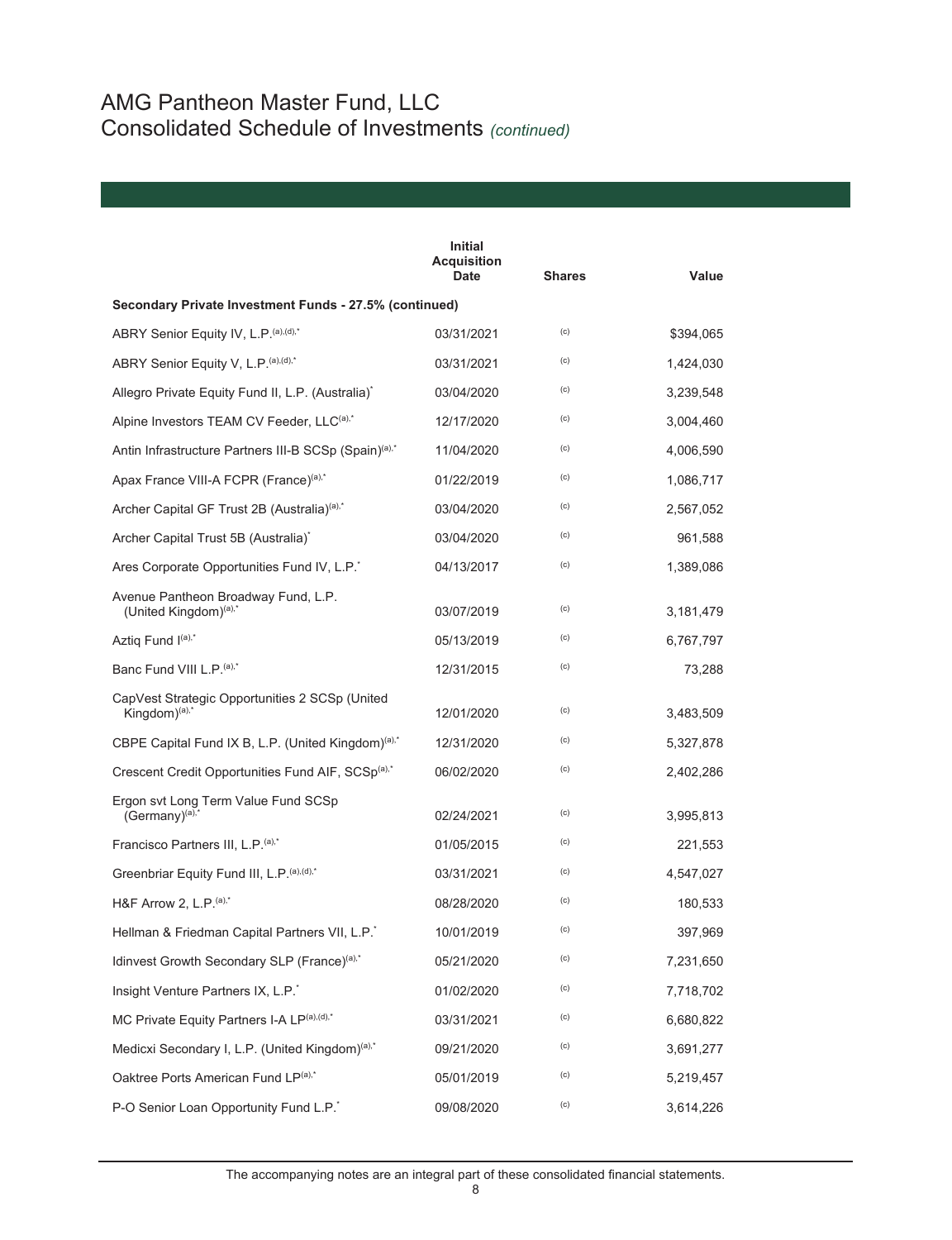|                                                                       | <b>Initial</b><br><b>Acquisition</b><br>Date | <b>Shares</b> | Value     |
|-----------------------------------------------------------------------|----------------------------------------------|---------------|-----------|
| Secondary Private Investment Funds - 27.5% (continued)                |                                              |               |           |
| ABRY Senior Equity IV, L.P. (a), (d),*                                | 03/31/2021                                   | (c)           | \$394,065 |
| ABRY Senior Equity V, L.P. (a), (d),*                                 | 03/31/2021                                   | (c)           | 1,424,030 |
| Allegro Private Equity Fund II, L.P. (Australia) <sup>*</sup>         | 03/04/2020                                   | (c)           | 3,239,548 |
| Alpine Investors TEAM CV Feeder, LLC(a),*                             | 12/17/2020                                   | (c)           | 3,004,460 |
| Antin Infrastructure Partners III-B SCSp (Spain) <sup>(a),*</sup>     | 11/04/2020                                   | (c)           | 4,006,590 |
| Apax France VIII-A FCPR (France)(a),*                                 | 01/22/2019                                   | (c)           | 1,086,717 |
| Archer Capital GF Trust 2B (Australia) <sup>(a),*</sup>               | 03/04/2020                                   | (c)           | 2,567,052 |
| Archer Capital Trust 5B (Australia) <sup>*</sup>                      | 03/04/2020                                   | (c)           | 961,588   |
| Ares Corporate Opportunities Fund IV, L.P.                            | 04/13/2017                                   | (c)           | 1,389,086 |
| Avenue Pantheon Broadway Fund, L.P.<br>(United Kingdom) $(a)$ ,*      | 03/07/2019                                   | (c)           | 3,181,479 |
| Aztig Fund I(a),*                                                     | 05/13/2019                                   | (c)           | 6,767,797 |
| Banc Fund VIII L.P. <sup>(a),*</sup>                                  | 12/31/2015                                   | (c)           | 73,288    |
| CapVest Strategic Opportunities 2 SCSp (United<br>Kingdom $)^{(a),*}$ | 12/01/2020                                   | (c)           | 3,483,509 |
| CBPE Capital Fund IX B, L.P. (United Kingdom) <sup>(a),*</sup>        | 12/31/2020                                   | (c)           | 5,327,878 |
| Crescent Credit Opportunities Fund AIF, SCSp <sup>(a),*</sup>         | 06/02/2020                                   | (c)           | 2,402,286 |
| Ergon svt Long Term Value Fund SCSp<br>$(Germany)^{(a),*}$            | 02/24/2021                                   | (c)           | 3,995,813 |
| Francisco Partners III, L.P. (a),*                                    | 01/05/2015                                   | (c)           | 221,553   |
| Greenbriar Equity Fund III, L.P. (a), (d),*                           | 03/31/2021                                   | (c)           | 4,547,027 |
| H&F Arrow 2, L.P. (a),*                                               | 08/28/2020                                   | (c)           | 180,533   |
| Hellman & Friedman Capital Partners VII, L.P.                         | 10/01/2019                                   | (c)           | 397,969   |
| Idinvest Growth Secondary SLP (France) <sup>(a),*</sup>               | 05/21/2020                                   | (c)           | 7,231,650 |
| Insight Venture Partners IX, L.P.                                     | 01/02/2020                                   | (c)           | 7,718,702 |
| MC Private Equity Partners I-A LP(a),(d),*                            | 03/31/2021                                   | (c)           | 6,680,822 |
| Medicxi Secondary I, L.P. (United Kingdom) <sup>(a),*</sup>           | 09/21/2020                                   | (c)           | 3,691,277 |
| Oaktree Ports American Fund LP(a),*                                   | 05/01/2019                                   | (c)           | 5,219,457 |
| P-O Senior Loan Opportunity Fund L.P.*                                | 09/08/2020                                   | (c)           | 3,614,226 |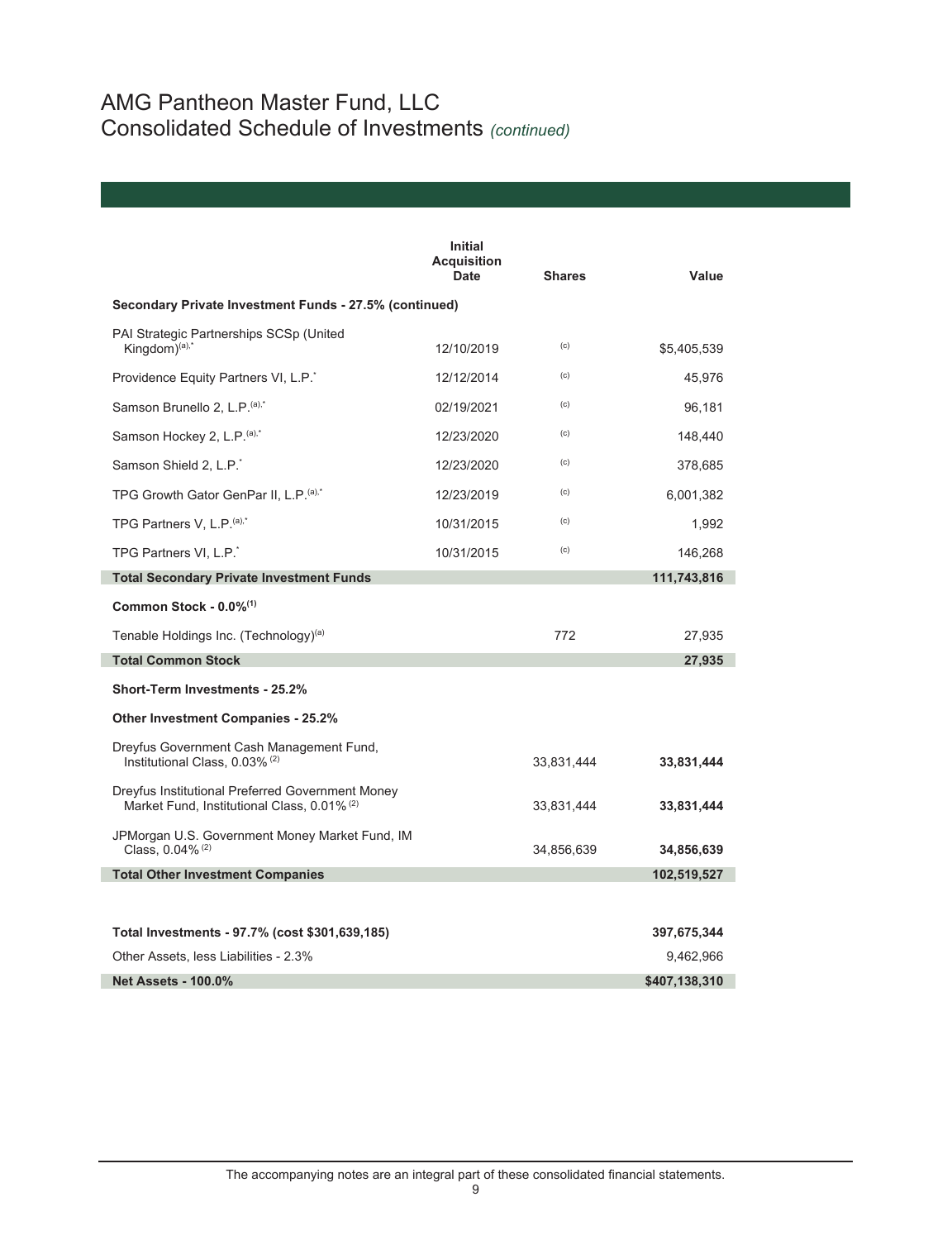|                                                                                                 | <b>Initial</b><br><b>Acquisition</b><br><b>Date</b> | <b>Shares</b> | Value         |
|-------------------------------------------------------------------------------------------------|-----------------------------------------------------|---------------|---------------|
| Secondary Private Investment Funds - 27.5% (continued)                                          |                                                     |               |               |
| PAI Strategic Partnerships SCSp (United<br>Kingdom $)^{(a),*}$                                  | 12/10/2019                                          | (c)           | \$5,405,539   |
| Providence Equity Partners VI, L.P.                                                             | 12/12/2014                                          | (c)           | 45,976        |
| Samson Brunello 2, L.P. (a),*                                                                   | 02/19/2021                                          | (c)           | 96,181        |
| Samson Hockey 2, L.P. <sup>(a),*</sup>                                                          | 12/23/2020                                          | (c)           | 148,440       |
| Samson Shield 2, L.P. <sup>*</sup>                                                              | 12/23/2020                                          | (c)           | 378,685       |
| TPG Growth Gator GenPar II, L.P. (a),*                                                          | 12/23/2019                                          | (c)           | 6,001,382     |
| TPG Partners V, L.P. <sup>(a),*</sup>                                                           | 10/31/2015                                          | (c)           | 1,992         |
| TPG Partners VI, L.P.                                                                           | 10/31/2015                                          | (c)           | 146,268       |
| <b>Total Secondary Private Investment Funds</b>                                                 |                                                     |               | 111,743,816   |
| Common Stock - $0.0\%$ <sup>(1)</sup>                                                           |                                                     |               |               |
| Tenable Holdings Inc. (Technology) <sup>(a)</sup>                                               |                                                     | 772           | 27,935        |
| <b>Total Common Stock</b>                                                                       |                                                     |               | 27,935        |
| Short-Term Investments - 25.2%                                                                  |                                                     |               |               |
| <b>Other Investment Companies - 25.2%</b>                                                       |                                                     |               |               |
| Dreyfus Government Cash Management Fund,<br>Institutional Class, 0.03% <sup>(2)</sup>           |                                                     | 33,831,444    | 33,831,444    |
| Dreyfus Institutional Preferred Government Money<br>Market Fund, Institutional Class, 0.01% (2) |                                                     | 33,831,444    | 33,831,444    |
| JPMorgan U.S. Government Money Market Fund, IM<br>Class, $0.04\%$ <sup>(2)</sup>                |                                                     | 34,856,639    | 34,856,639    |
| <b>Total Other Investment Companies</b>                                                         |                                                     |               | 102,519,527   |
|                                                                                                 |                                                     |               |               |
| Total Investments - 97.7% (cost \$301,639,185)                                                  |                                                     |               | 397,675,344   |
| Other Assets, less Liabilities - 2.3%                                                           |                                                     |               | 9,462,966     |
| <b>Net Assets - 100.0%</b>                                                                      |                                                     |               | \$407,138,310 |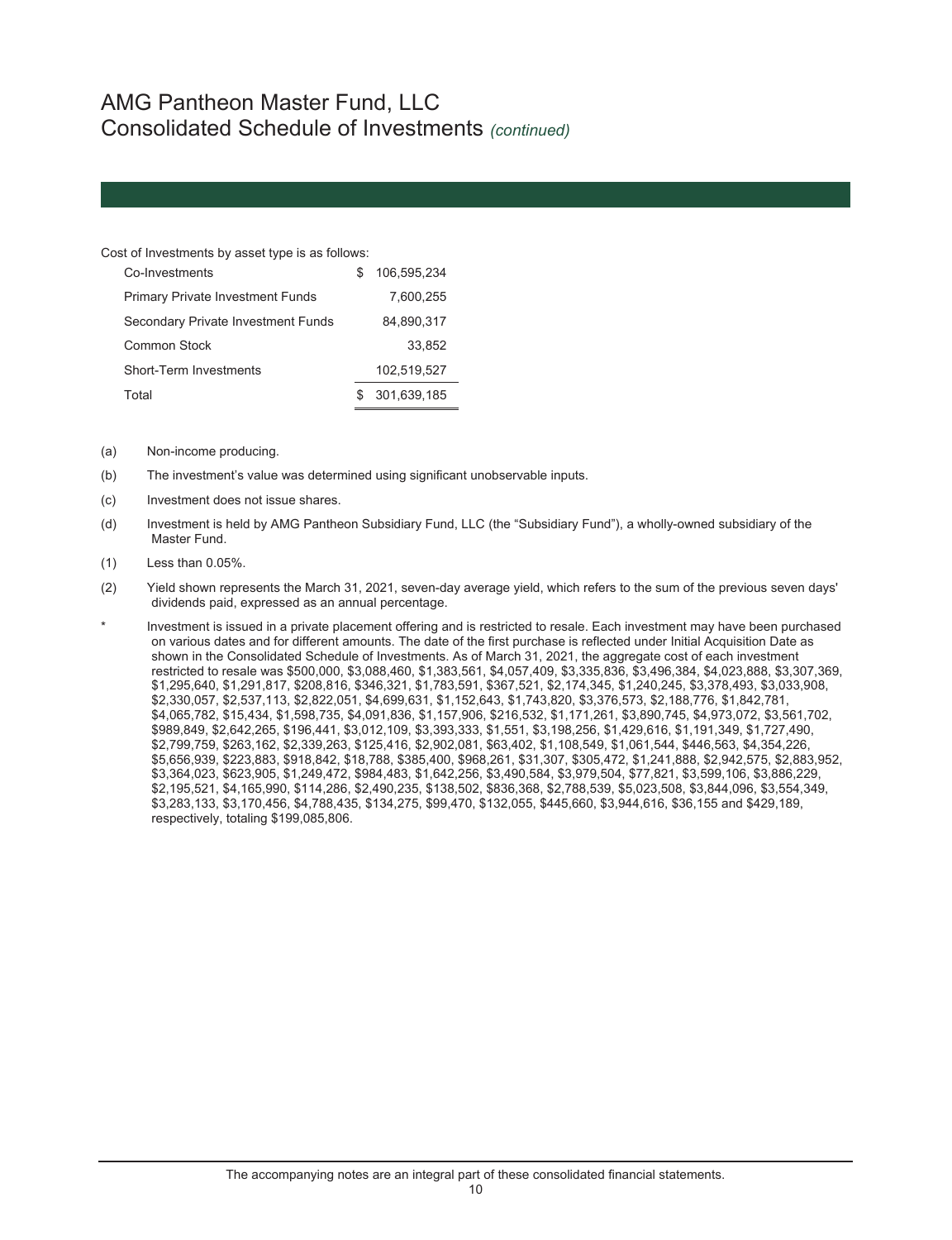#### Cost of Investments by asset type is as follows:

| Co-Investments                          | 106.595.234 |
|-----------------------------------------|-------------|
| <b>Primary Private Investment Funds</b> | 7.600.255   |
| Secondary Private Investment Funds      | 84,890,317  |
| Common Stock                            | 33.852      |
| Short-Term Investments                  | 102,519,527 |
| Total                                   | 301,639,185 |

- (a) Non-income producing.
- (b) The investment's value was determined using significant unobservable inputs.
- (c) Investment does not issue shares.
- (d) Investment is held by AMG Pantheon Subsidiary Fund, LLC (the "Subsidiary Fund"), a wholly-owned subsidiary of the Master Fund.
- (1) Less than 0.05%.
- (2) Yield shown represents the March 31, 2021, seven-day average yield, which refers to the sum of the previous seven days' dividends paid, expressed as an annual percentage.

Investment is issued in a private placement offering and is restricted to resale. Each investment may have been purchased on various dates and for different amounts. The date of the first purchase is reflected under Initial Acquisition Date as shown in the Consolidated Schedule of Investments. As of March 31, 2021, the aggregate cost of each investment restricted to resale was \$500,000, \$3,088,460, \$1,383,561, \$4,057,409, \$3,335,836, \$3,496,384, \$4,023,888, \$3,307,369, \$1,295,640, \$1,291,817, \$208,816, \$346,321, \$1,783,591, \$367,521, \$2,174,345, \$1,240,245, \$3,378,493, \$3,033,908, \$2,330,057, \$2,537,113, \$2,822,051, \$4,699,631, \$1,152,643, \$1,743,820, \$3,376,573, \$2,188,776, \$1,842,781, \$4,065,782, \$15,434, \$1,598,735, \$4,091,836, \$1,157,906, \$216,532, \$1,171,261, \$3,890,745, \$4,973,072, \$3,561,702, \$989,849, \$2,642,265, \$196,441, \$3,012,109, \$3,393,333, \$1,551, \$3,198,256, \$1,429,616, \$1,191,349, \$1,727,490, \$2,799,759, \$263,162, \$2,339,263, \$125,416, \$2,902,081, \$63,402, \$1,108,549, \$1,061,544, \$446,563, \$4,354,226, \$5,656,939, \$223,883, \$918,842, \$18,788, \$385,400, \$968,261, \$31,307, \$305,472, \$1,241,888, \$2,942,575, \$2,883,952, \$3,364,023, \$623,905, \$1,249,472, \$984,483, \$1,642,256, \$3,490,584, \$3,979,504, \$77,821, \$3,599,106, \$3,886,229, \$2,195,521, \$4,165,990, \$114,286, \$2,490,235, \$138,502, \$836,368, \$2,788,539, \$5,023,508, \$3,844,096, \$3,554,349, \$3,283,133, \$3,170,456, \$4,788,435, \$134,275, \$99,470, \$132,055, \$445,660, \$3,944,616, \$36,155 and \$429,189, respectively, totaling \$199,085,806.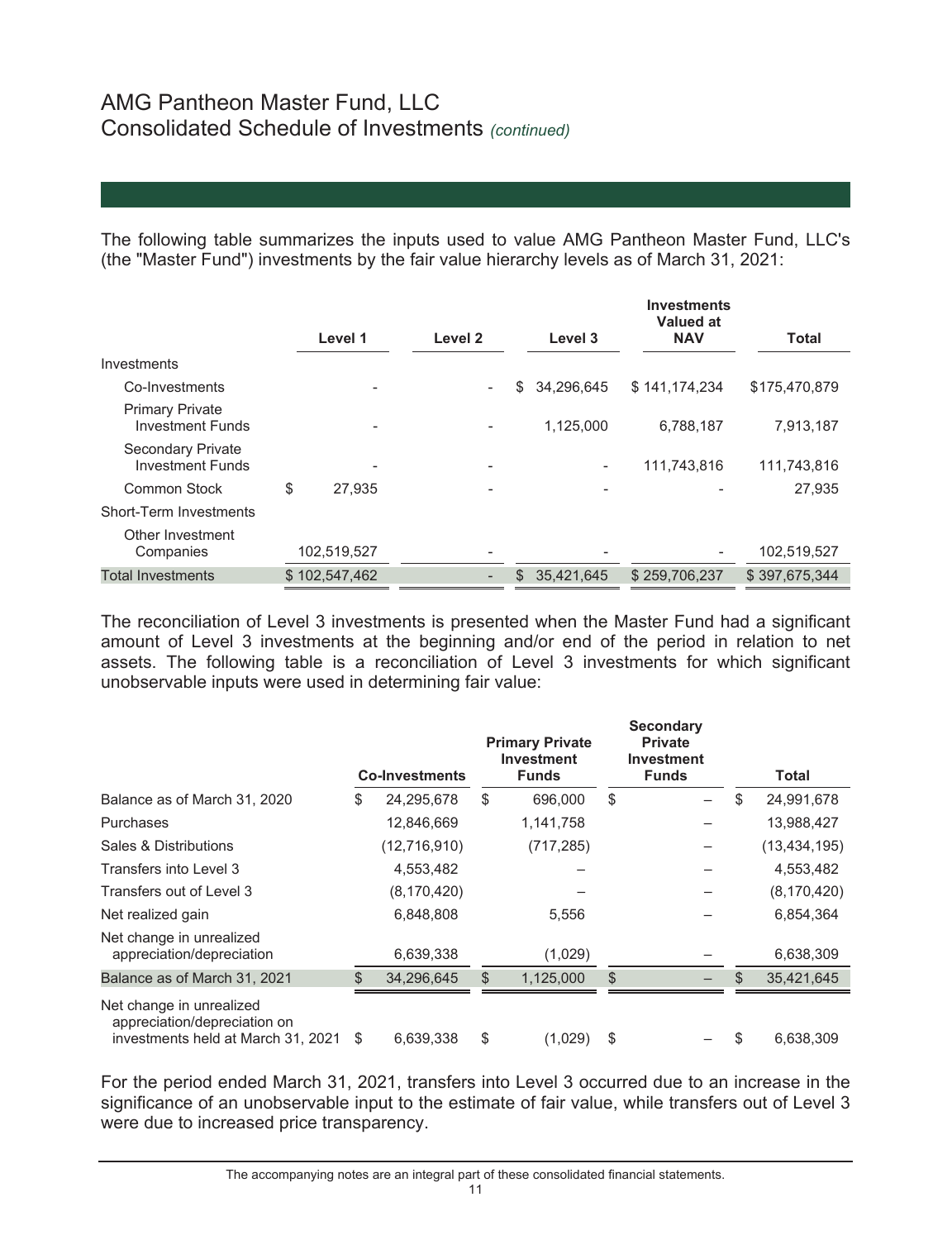The following table summarizes the inputs used to value AMG Pantheon Master Fund, LLC's (the "Master Fund") investments by the fair value hierarchy levels as of March 31, 2021:

|                                                   |               |         |     |            | <b>Investments</b><br><b>Valued at</b> |               |
|---------------------------------------------------|---------------|---------|-----|------------|----------------------------------------|---------------|
|                                                   | Level 1       | Level 2 |     | Level 3    | <b>NAV</b>                             | <b>Total</b>  |
| Investments                                       |               |         |     |            |                                        |               |
| Co-Investments                                    |               |         | \$  | 34.296.645 | \$141,174,234                          | \$175,470,879 |
| <b>Primary Private</b><br><b>Investment Funds</b> |               |         |     | 1,125,000  | 6,788,187                              | 7,913,187     |
| Secondary Private<br><b>Investment Funds</b>      |               |         |     | -          | 111,743,816                            | 111,743,816   |
| <b>Common Stock</b>                               | \$<br>27.935  |         |     |            |                                        | 27,935        |
| Short-Term Investments                            |               |         |     |            |                                        |               |
| Other Investment<br>Companies                     | 102,519,527   |         |     | -          |                                        | 102,519,527   |
| <b>Total Investments</b>                          | \$102.547.462 |         | \$. | 35.421.645 | \$259,706,237                          | \$397.675.344 |

The reconciliation of Level 3 investments is presented when the Master Fund had a significant amount of Level 3 investments at the beginning and/or end of the period in relation to net assets. The following table is a reconciliation of Level 3 investments for which significant unobservable inputs were used in determining fair value:

|                                                                                                | <b>Co-Investments</b> | <b>Primary Private</b><br><b>Investment</b><br><b>Funds</b> | <b>Secondary</b><br><b>Private</b><br><b>Investment</b><br><b>Funds</b> |     | <b>Total</b>   |
|------------------------------------------------------------------------------------------------|-----------------------|-------------------------------------------------------------|-------------------------------------------------------------------------|-----|----------------|
| Balance as of March 31, 2020                                                                   | \$<br>24,295,678      | \$<br>696,000                                               | \$                                                                      | \$  | 24,991,678     |
| Purchases                                                                                      | 12,846,669            | 1,141,758                                                   |                                                                         |     | 13,988,427     |
| Sales & Distributions                                                                          | (12,716,910)          | (717, 285)                                                  |                                                                         |     | (13, 434, 195) |
| Transfers into Level 3                                                                         | 4,553,482             |                                                             |                                                                         |     | 4,553,482      |
| Transfers out of Level 3                                                                       | (8, 170, 420)         |                                                             |                                                                         |     | (8, 170, 420)  |
| Net realized gain                                                                              | 6,848,808             | 5,556                                                       |                                                                         |     | 6,854,364      |
| Net change in unrealized<br>appreciation/depreciation                                          | 6,639,338             | (1,029)                                                     |                                                                         |     | 6,638,309      |
| Balance as of March 31, 2021                                                                   | 34,296,645            | \$<br>1,125,000                                             | \$                                                                      | \$. | 35,421,645     |
| Net change in unrealized<br>appreciation/depreciation on<br>investments held at March 31, 2021 | \$<br>6.639.338       | \$<br>(1,029)                                               | \$                                                                      | S   | 6.638.309      |

For the period ended March 31, 2021, transfers into Level 3 occurred due to an increase in the significance of an unobservable input to the estimate of fair value, while transfers out of Level 3 were due to increased price transparency.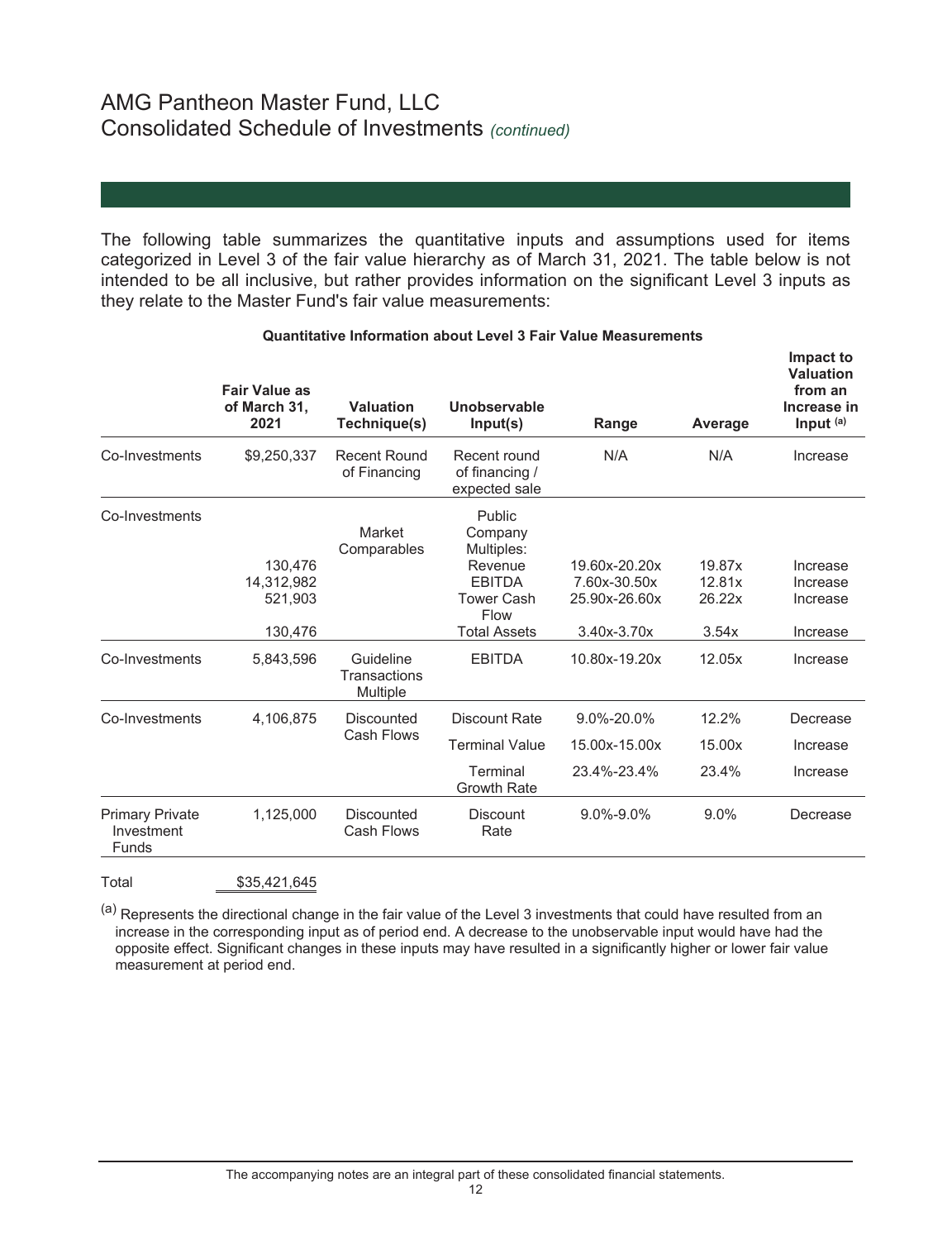The following table summarizes the quantitative inputs and assumptions used for items categorized in Level 3 of the fair value hierarchy as of March 31, 2021. The table below is not intended to be all inclusive, but rather provides information on the significant Level 3 inputs as they relate to the Master Fund's fair value measurements:

|                                               | <b>Fair Value as</b><br>of March 31,<br>2021 | Valuation<br>Technique(s)             | Unobservable<br>Input(s)                                    | Range                         | Average          | Impact to<br><b>Valuation</b><br>from an<br>Increase in<br>Input <sup>(a)</sup> |
|-----------------------------------------------|----------------------------------------------|---------------------------------------|-------------------------------------------------------------|-------------------------------|------------------|---------------------------------------------------------------------------------|
| Co-Investments                                | \$9,250,337                                  | <b>Recent Round</b><br>of Financing   | Recent round<br>of financing /<br>expected sale             | N/A                           | N/A              | Increase                                                                        |
| Co-Investments                                | 130,476<br>14,312,982                        | Market<br>Comparables                 | Public<br>Company<br>Multiples:<br>Revenue<br><b>EBITDA</b> | 19.60x-20.20x<br>7.60x-30.50x | 19.87x<br>12.81x | Increase<br>Increase                                                            |
|                                               | 521.903<br>130,476                           |                                       | <b>Tower Cash</b><br>Flow<br><b>Total Assets</b>            | 25.90x-26.60x<br>3.40x-3.70x  | 26.22x<br>3.54x  | Increase<br>Increase                                                            |
| Co-Investments                                | 5,843,596                                    | Guideline<br>Transactions<br>Multiple | <b>EBITDA</b>                                               | 10.80x-19.20x                 | 12.05x           | Increase                                                                        |
| Co-Investments                                | 4,106,875                                    | Discounted                            | Discount Rate                                               | 9.0%-20.0%                    | 12.2%            | Decrease                                                                        |
| Cash Flows                                    | <b>Terminal Value</b>                        | 15.00x-15.00x                         | 15.00x                                                      | Increase                      |                  |                                                                                 |
|                                               |                                              |                                       | Terminal<br><b>Growth Rate</b>                              | 23.4%-23.4%                   | 23.4%            | Increase                                                                        |
| <b>Primary Private</b><br>Investment<br>Funds | 1,125,000                                    | <b>Discounted</b><br>Cash Flows       | Discount<br>Rate                                            | $9.0\% - 9.0\%$               | 9.0%             | Decrease                                                                        |
|                                               |                                              |                                       |                                                             |                               |                  |                                                                                 |

### **Quantitative Information about Level 3 Fair Value Measurements**

Total \$35,421,645

(a) Represents the directional change in the fair value of the Level 3 investments that could have resulted from an increase in the corresponding input as of period end. A decrease to the unobservable input would have had the opposite effect. Significant changes in these inputs may have resulted in a significantly higher or lower fair value measurement at period end.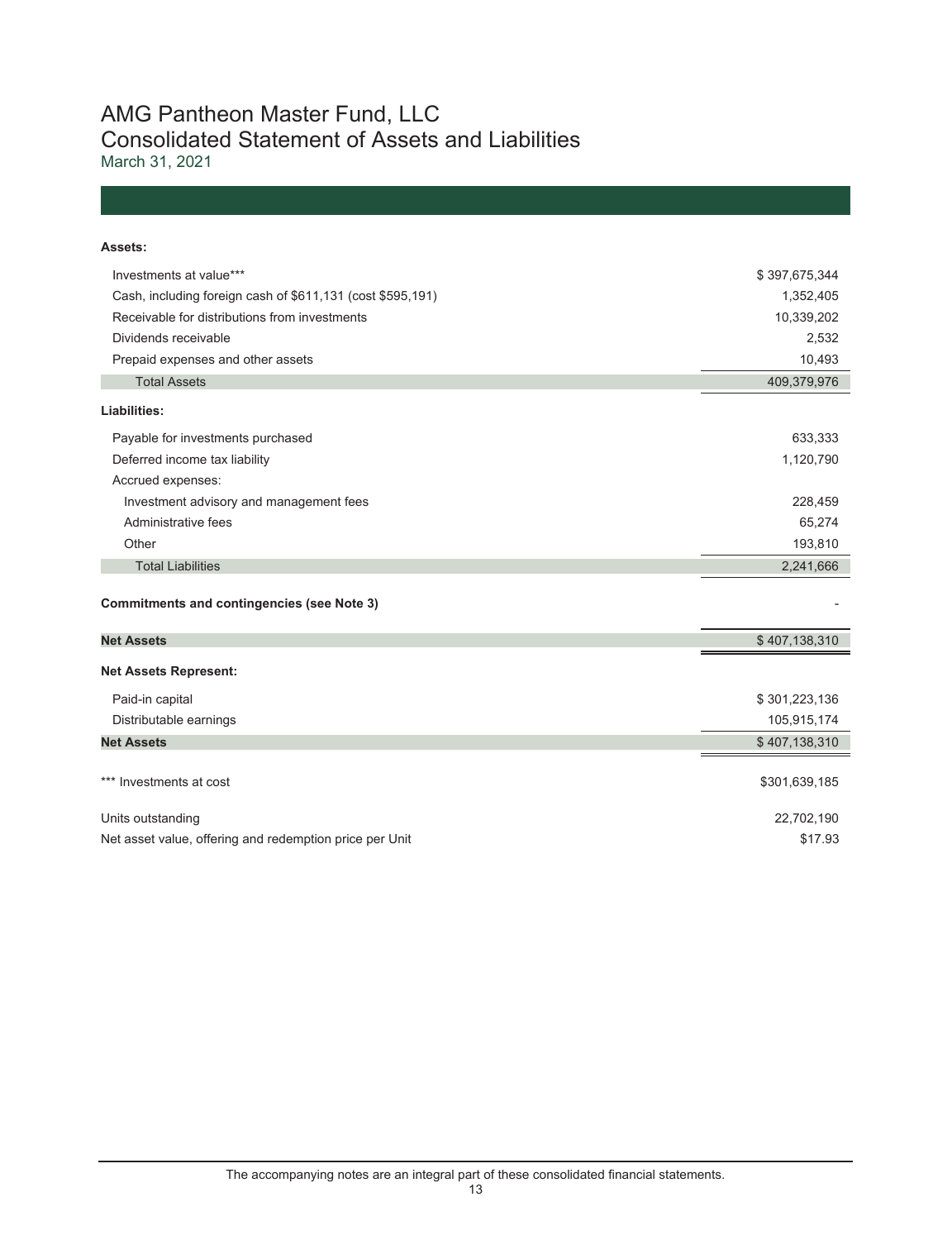## AMG Pantheon Master Fund, LLC Consolidated Statement of Assets and Liabilities

March 31, 2021

| Assets:                                                    |               |
|------------------------------------------------------------|---------------|
| Investments at value***                                    | \$397,675,344 |
| Cash, including foreign cash of \$611,131 (cost \$595,191) | 1,352,405     |
| Receivable for distributions from investments              | 10,339,202    |
| Dividends receivable                                       | 2,532         |
| Prepaid expenses and other assets                          | 10,493        |
| <b>Total Assets</b>                                        | 409,379,976   |
| Liabilities:                                               |               |
| Payable for investments purchased                          | 633,333       |
| Deferred income tax liability                              | 1,120,790     |
| Accrued expenses:                                          |               |
| Investment advisory and management fees                    | 228,459       |
| Administrative fees                                        | 65,274        |
| Other                                                      | 193,810       |
| <b>Total Liabilities</b>                                   | 2,241,666     |
| <b>Commitments and contingencies (see Note 3)</b>          |               |
| <b>Net Assets</b>                                          | \$407,138,310 |
| <b>Net Assets Represent:</b>                               |               |
| Paid-in capital                                            | \$301,223,136 |
| Distributable earnings                                     | 105,915,174   |
| <b>Net Assets</b>                                          | \$407,138,310 |
|                                                            |               |
| *** Investments at cost                                    | \$301,639,185 |
| Units outstanding                                          | 22,702,190    |
| Net asset value, offering and redemption price per Unit    | \$17.93       |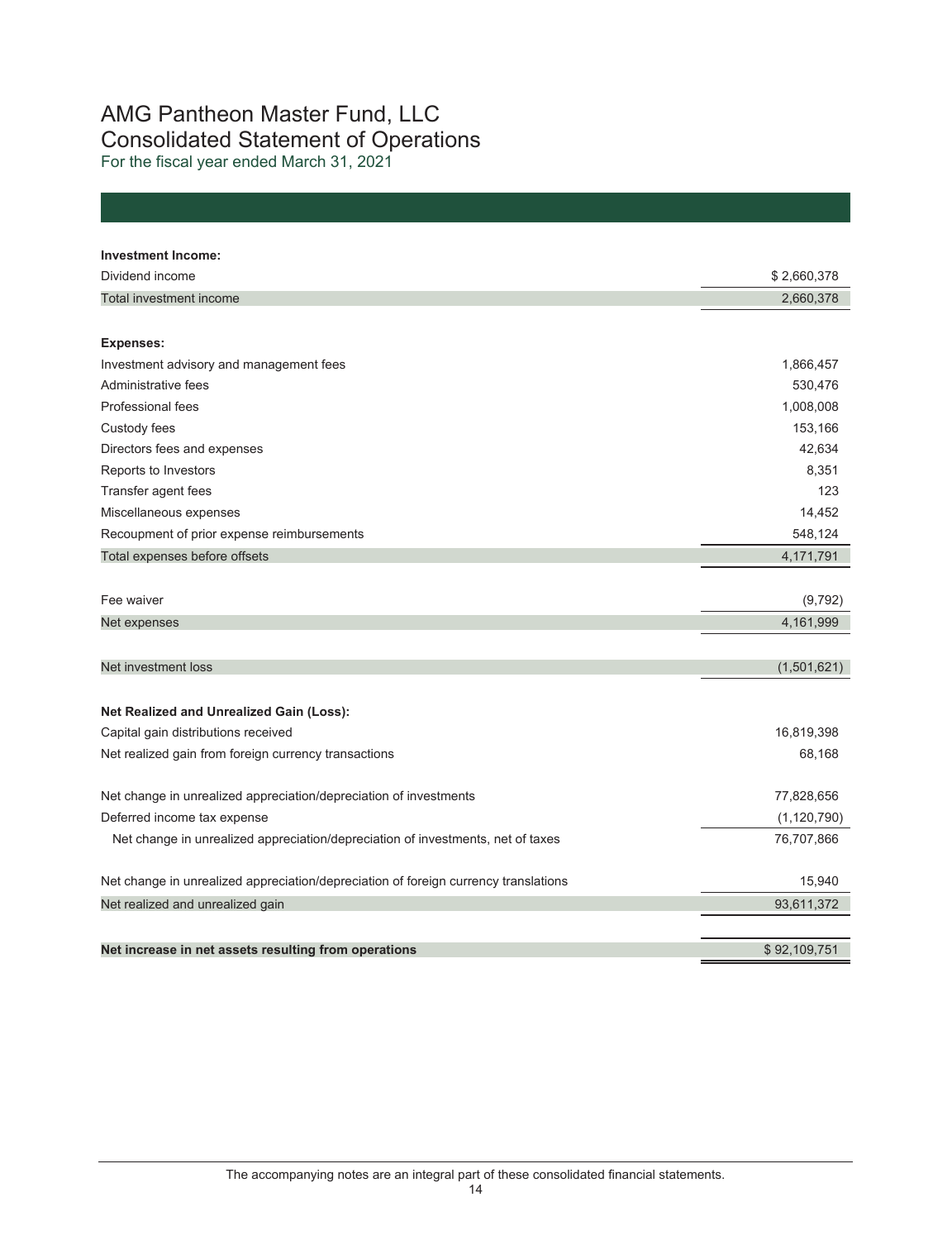# AMG Pantheon Master Fund, LLC Consolidated Statement of Operations

For the fiscal year ended March 31, 2021

| <b>Investment Income:</b>                                                           |               |
|-------------------------------------------------------------------------------------|---------------|
| Dividend income                                                                     | \$2,660,378   |
| Total investment income                                                             | 2,660,378     |
|                                                                                     |               |
| <b>Expenses:</b>                                                                    |               |
| Investment advisory and management fees                                             | 1,866,457     |
| Administrative fees                                                                 | 530,476       |
| Professional fees                                                                   | 1,008,008     |
| Custody fees                                                                        | 153,166       |
| Directors fees and expenses                                                         | 42,634        |
| Reports to Investors                                                                | 8,351         |
| Transfer agent fees                                                                 | 123           |
| Miscellaneous expenses                                                              | 14,452        |
| Recoupment of prior expense reimbursements                                          | 548,124       |
| Total expenses before offsets                                                       | 4,171,791     |
|                                                                                     |               |
| Fee waiver                                                                          | (9, 792)      |
| Net expenses                                                                        | 4,161,999     |
|                                                                                     |               |
| Net investment loss                                                                 | (1,501,621)   |
|                                                                                     |               |
| Net Realized and Unrealized Gain (Loss):                                            |               |
| Capital gain distributions received                                                 | 16,819,398    |
| Net realized gain from foreign currency transactions                                | 68,168        |
|                                                                                     |               |
| Net change in unrealized appreciation/depreciation of investments                   | 77,828,656    |
| Deferred income tax expense                                                         | (1, 120, 790) |
| Net change in unrealized appreciation/depreciation of investments, net of taxes     | 76,707,866    |
|                                                                                     |               |
| Net change in unrealized appreciation/depreciation of foreign currency translations | 15,940        |
| Net realized and unrealized gain                                                    | 93,611,372    |
|                                                                                     |               |
| Net increase in net assets resulting from operations                                | \$92.109.751  |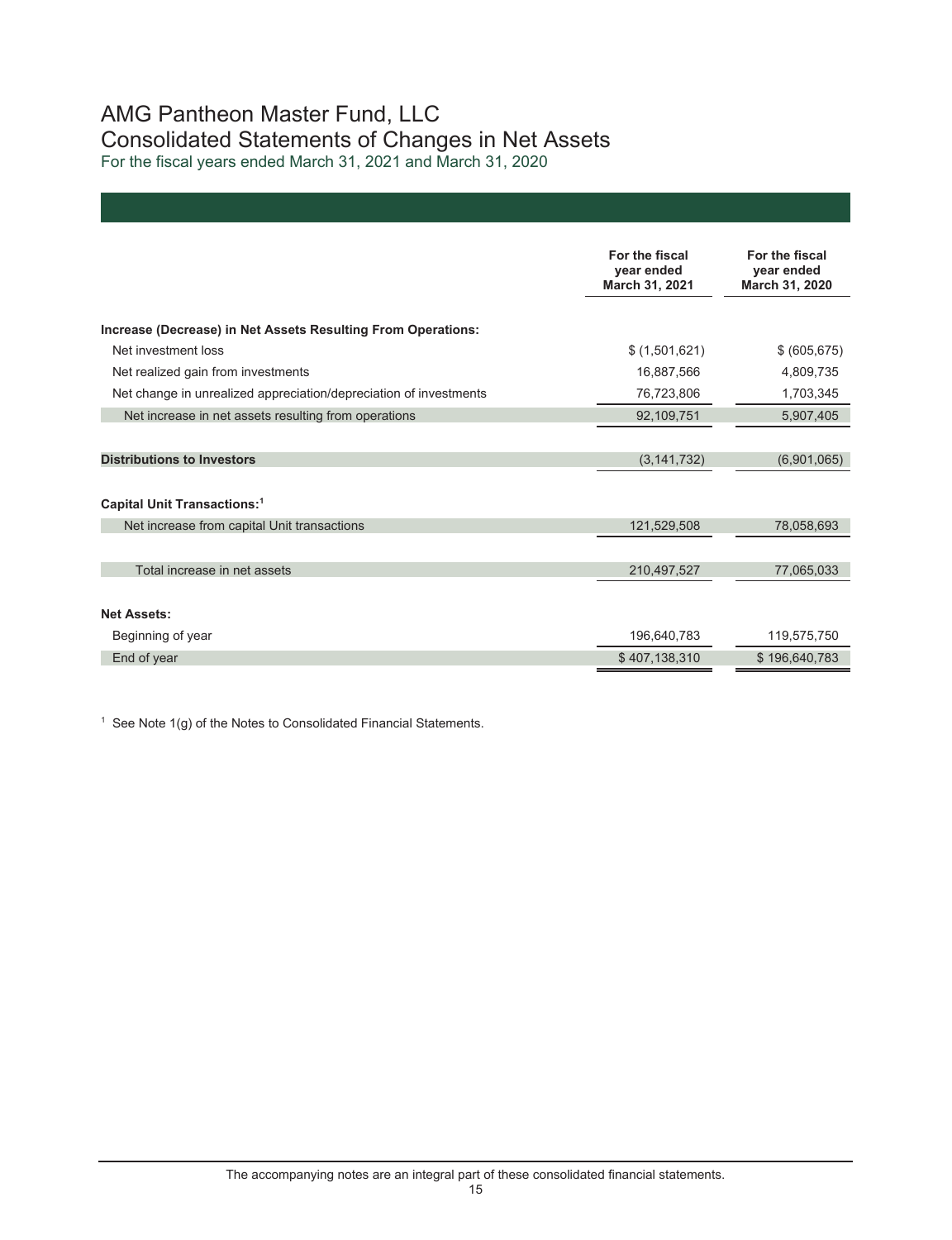# AMG Pantheon Master Fund, LLC Consolidated Statements of Changes in Net Assets

For the fiscal years ended March 31, 2021 and March 31, 2020

| Increase (Decrease) in Net Assets Resulting From Operations:<br>Net investment loss<br>\$(1,501,621)<br>\$ (605, 675)<br>Net realized gain from investments<br>16,887,566<br>4,809,735<br>76,723,806<br>Net change in unrealized appreciation/depreciation of investments<br>1,703,345<br>Net increase in net assets resulting from operations<br>92,109,751<br>5,907,405<br><b>Distributions to Investors</b><br>(3, 141, 732)<br>(6,901,065)<br>Capital Unit Transactions: <sup>1</sup><br>Net increase from capital Unit transactions<br>121,529,508<br>78,058,693<br>Total increase in net assets<br>210,497,527<br>77,065,033 | For the fiscal<br>year ended<br>March 31, 2021 | For the fiscal<br>year ended<br>March 31, 2020 |
|------------------------------------------------------------------------------------------------------------------------------------------------------------------------------------------------------------------------------------------------------------------------------------------------------------------------------------------------------------------------------------------------------------------------------------------------------------------------------------------------------------------------------------------------------------------------------------------------------------------------------------|------------------------------------------------|------------------------------------------------|
|                                                                                                                                                                                                                                                                                                                                                                                                                                                                                                                                                                                                                                    |                                                |                                                |
|                                                                                                                                                                                                                                                                                                                                                                                                                                                                                                                                                                                                                                    |                                                |                                                |
|                                                                                                                                                                                                                                                                                                                                                                                                                                                                                                                                                                                                                                    |                                                |                                                |
|                                                                                                                                                                                                                                                                                                                                                                                                                                                                                                                                                                                                                                    |                                                |                                                |
|                                                                                                                                                                                                                                                                                                                                                                                                                                                                                                                                                                                                                                    |                                                |                                                |
|                                                                                                                                                                                                                                                                                                                                                                                                                                                                                                                                                                                                                                    |                                                |                                                |
|                                                                                                                                                                                                                                                                                                                                                                                                                                                                                                                                                                                                                                    |                                                |                                                |
|                                                                                                                                                                                                                                                                                                                                                                                                                                                                                                                                                                                                                                    |                                                |                                                |
|                                                                                                                                                                                                                                                                                                                                                                                                                                                                                                                                                                                                                                    |                                                |                                                |
|                                                                                                                                                                                                                                                                                                                                                                                                                                                                                                                                                                                                                                    |                                                |                                                |
| <b>Net Assets:</b>                                                                                                                                                                                                                                                                                                                                                                                                                                                                                                                                                                                                                 |                                                |                                                |
| 196,640,783<br>119,575,750<br>Beginning of year                                                                                                                                                                                                                                                                                                                                                                                                                                                                                                                                                                                    |                                                |                                                |
| End of year<br>\$407,138,310<br>\$196,640,783                                                                                                                                                                                                                                                                                                                                                                                                                                                                                                                                                                                      |                                                |                                                |

 $1$  See Note 1(g) of the Notes to Consolidated Financial Statements.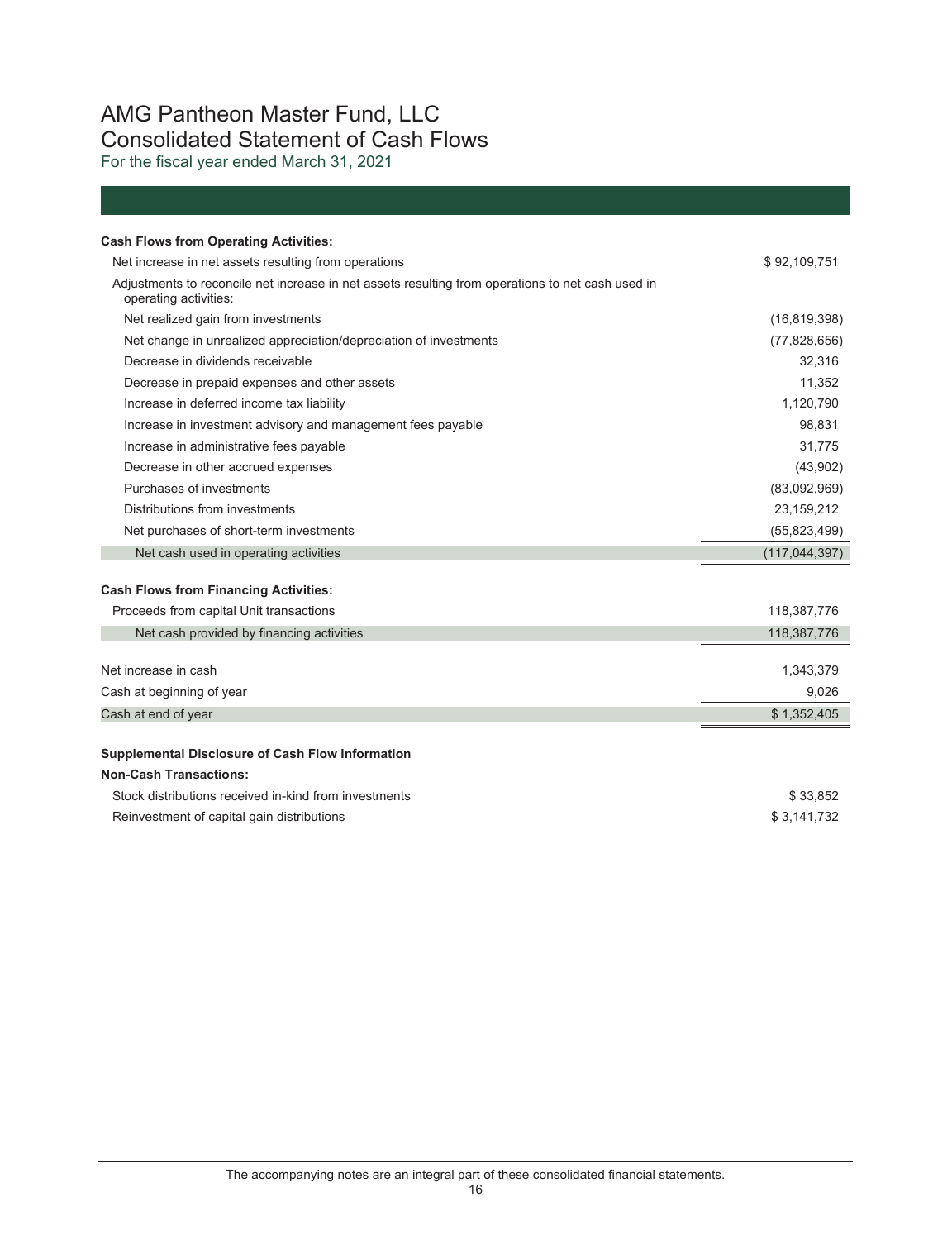# AMG Pantheon Master Fund, LLC Consolidated Statement of Cash Flows

For the fiscal year ended March 31, 2021

| <b>Cash Flows from Operating Activities:</b>                                                                               |                 |
|----------------------------------------------------------------------------------------------------------------------------|-----------------|
| Net increase in net assets resulting from operations                                                                       | \$92,109,751    |
| Adjustments to reconcile net increase in net assets resulting from operations to net cash used in<br>operating activities: |                 |
| Net realized gain from investments                                                                                         | (16, 819, 398)  |
| Net change in unrealized appreciation/depreciation of investments                                                          | (77,828,656)    |
| Decrease in dividends receivable                                                                                           | 32,316          |
| Decrease in prepaid expenses and other assets                                                                              | 11,352          |
| Increase in deferred income tax liability                                                                                  | 1,120,790       |
| Increase in investment advisory and management fees payable                                                                | 98,831          |
| Increase in administrative fees payable                                                                                    | 31,775          |
| Decrease in other accrued expenses                                                                                         | (43,902)        |
| Purchases of investments                                                                                                   | (83,092,969)    |
| Distributions from investments                                                                                             | 23, 159, 212    |
| Net purchases of short-term investments                                                                                    | (55,823,499)    |
| Net cash used in operating activities                                                                                      | (117, 044, 397) |
| <b>Cash Flows from Financing Activities:</b>                                                                               |                 |
| Proceeds from capital Unit transactions                                                                                    | 118,387,776     |
| Net cash provided by financing activities                                                                                  | 118,387,776     |
|                                                                                                                            |                 |
| Net increase in cash                                                                                                       | 1,343,379       |
| Cash at beginning of year                                                                                                  | 9,026           |
| Cash at end of year                                                                                                        | \$1,352,405     |
| <b>Supplemental Disclosure of Cash Flow Information</b>                                                                    |                 |
| <b>Non-Cash Transactions:</b>                                                                                              |                 |
| Stock distributions received in-kind from investments                                                                      | \$33.852        |
|                                                                                                                            |                 |

Reinvestment of capital gain distributions **\$ 3,141,732**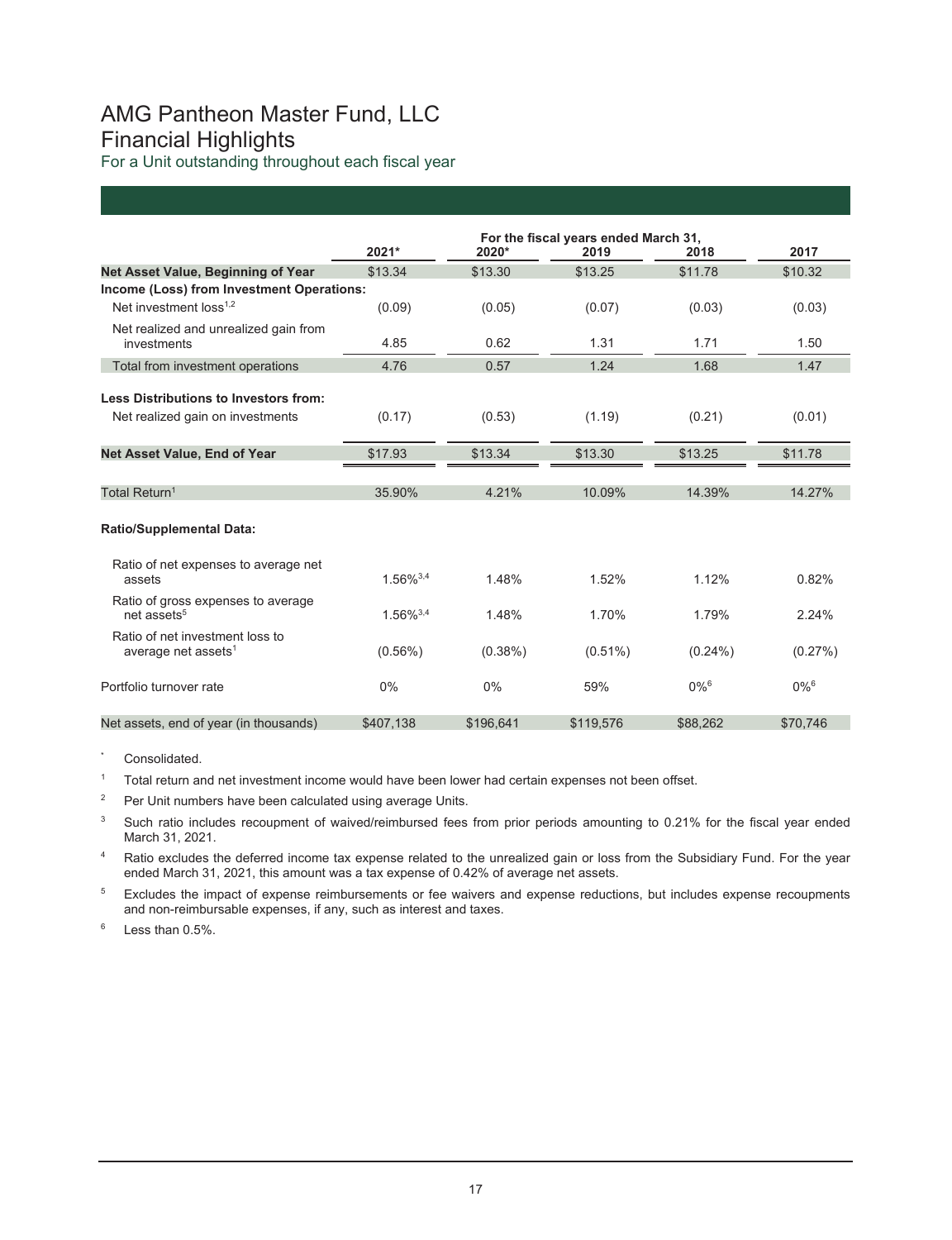# AMG Pantheon Master Fund, LLC Financial Highlights

For a Unit outstanding throughout each fiscal year

|                                                                           | 2021*          | 2020*      | For the fiscal years ended March 31,<br>2019 | 2018               | 2017               |
|---------------------------------------------------------------------------|----------------|------------|----------------------------------------------|--------------------|--------------------|
| Net Asset Value, Beginning of Year                                        | \$13.34        | \$13.30    | \$13.25                                      | \$11.78            | \$10.32            |
| Income (Loss) from Investment Operations:                                 |                |            |                                              |                    |                    |
| Net investment loss <sup>1,2</sup>                                        | (0.09)         | (0.05)     | (0.07)                                       | (0.03)             | (0.03)             |
| Net realized and unrealized gain from<br>investments                      | 4.85           | 0.62       | 1.31                                         | 1.71               | 1.50               |
| Total from investment operations                                          | 4.76           | 0.57       | 1.24                                         | 1.68               | 1.47               |
| Less Distributions to Investors from:<br>Net realized gain on investments | (0.17)         | (0.53)     | (1.19)                                       | (0.21)             | (0.01)             |
| Net Asset Value, End of Year                                              | \$17.93        | \$13.34    | \$13.30                                      | \$13.25            | \$11.78            |
|                                                                           |                |            |                                              |                    |                    |
| Total Return <sup>1</sup>                                                 | 35.90%         | 4.21%      | 10.09%                                       | 14.39%             | 14.27%             |
| <b>Ratio/Supplemental Data:</b>                                           |                |            |                                              |                    |                    |
| Ratio of net expenses to average net<br>assets                            | $1.56\%^{3,4}$ | 1.48%      | 1.52%                                        | 1.12%              | 0.82%              |
| Ratio of gross expenses to average<br>net assets <sup>5</sup>             | $1.56\%^{3,4}$ | 1.48%      | 1.70%                                        | 1.79%              | 2.24%              |
| Ratio of net investment loss to<br>average net assets <sup>1</sup>        | $(0.56\%)$     | $(0.38\%)$ | $(0.51\%)$                                   | $(0.24\%)$         | (0.27%)            |
| Portfolio turnover rate                                                   | 0%             | 0%         | 59%                                          | $0\%$ <sup>6</sup> | $0\%$ <sup>6</sup> |
| Net assets, end of year (in thousands)                                    | \$407,138      | \$196,641  | \$119,576                                    | \$88,262           | \$70,746           |

Consolidated.

<sup>1</sup> Total return and net investment income would have been lower had certain expenses not been offset.

<sup>2</sup> Per Unit numbers have been calculated using average Units.

<sup>3</sup> Such ratio includes recoupment of waived/reimbursed fees from prior periods amounting to 0.21% for the fiscal year ended March 31, 2021.

<sup>4</sup> Ratio excludes the deferred income tax expense related to the unrealized gain or loss from the Subsidiary Fund. For the year ended March 31, 2021, this amount was a tax expense of 0.42% of average net assets.

<sup>5</sup> Excludes the impact of expense reimbursements or fee waivers and expense reductions, but includes expense recoupments and non-reimbursable expenses, if any, such as interest and taxes.

 $6$  Less than 0.5%.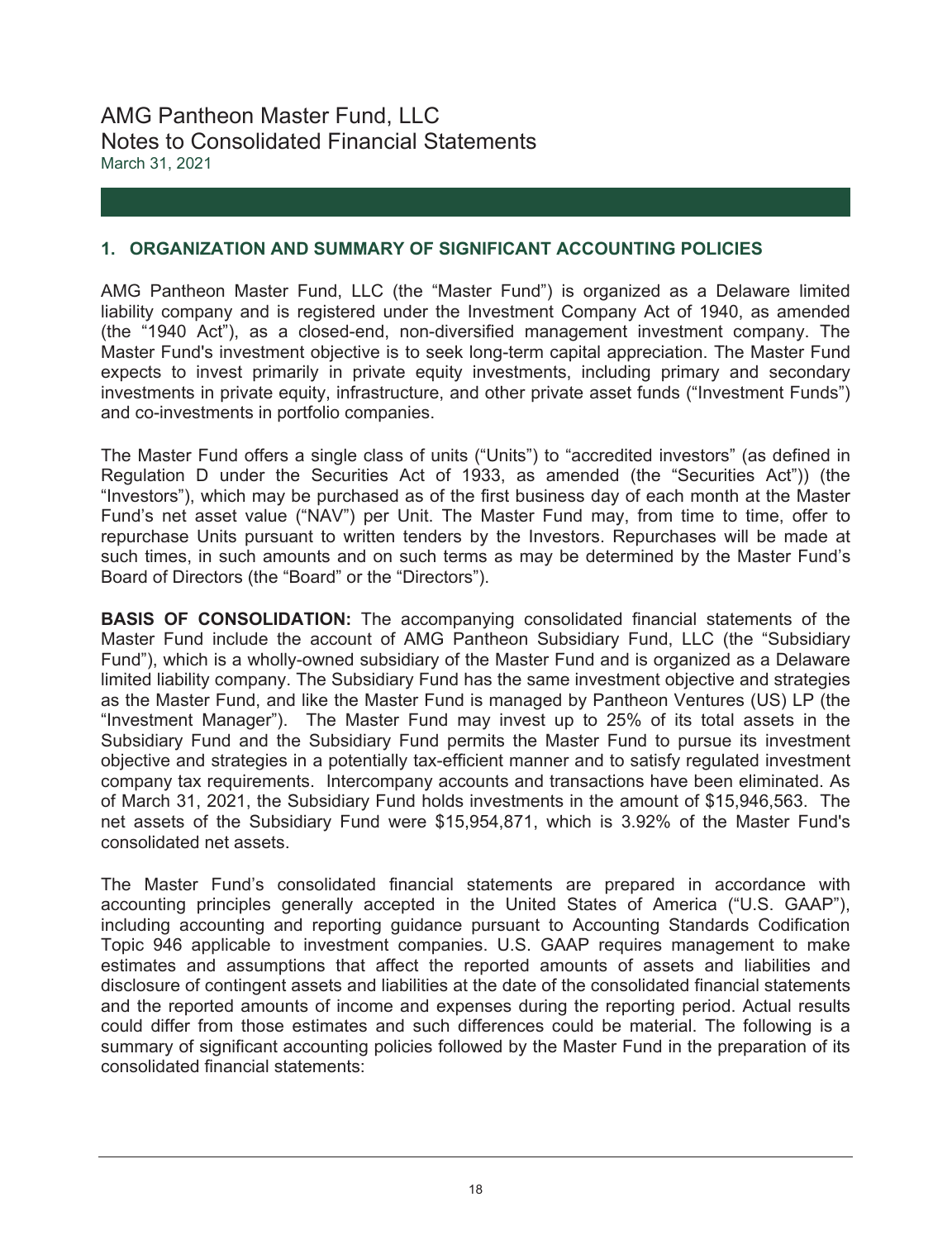## AMG Pantheon Master Fund, LLC Notes to Consolidated Financial Statements March 31, 2021

### **1. ORGANIZATION AND SUMMARY OF SIGNIFICANT ACCOUNTING POLICIES**

AMG Pantheon Master Fund, LLC (the "Master Fund") is organized as a Delaware limited liability company and is registered under the Investment Company Act of 1940, as amended (the "1940 Act"), as a closed-end, non-diversified management investment company. The Master Fund's investment objective is to seek long-term capital appreciation. The Master Fund expects to invest primarily in private equity investments, including primary and secondary investments in private equity, infrastructure, and other private asset funds ("Investment Funds") and co-investments in portfolio companies.

The Master Fund offers a single class of units ("Units") to "accredited investors" (as defined in Regulation D under the Securities Act of 1933, as amended (the "Securities Act")) (the "Investors"), which may be purchased as of the first business day of each month at the Master Fund's net asset value ("NAV") per Unit. The Master Fund may, from time to time, offer to repurchase Units pursuant to written tenders by the Investors. Repurchases will be made at such times, in such amounts and on such terms as may be determined by the Master Fund's Board of Directors (the "Board" or the "Directors").

**BASIS OF CONSOLIDATION:** The accompanying consolidated financial statements of the Master Fund include the account of AMG Pantheon Subsidiary Fund, LLC (the "Subsidiary Fund"), which is a wholly-owned subsidiary of the Master Fund and is organized as a Delaware limited liability company. The Subsidiary Fund has the same investment objective and strategies as the Master Fund, and like the Master Fund is managed by Pantheon Ventures (US) LP (the "Investment Manager"). The Master Fund may invest up to 25% of its total assets in the Subsidiary Fund and the Subsidiary Fund permits the Master Fund to pursue its investment objective and strategies in a potentially tax-efficient manner and to satisfy regulated investment company tax requirements. Intercompany accounts and transactions have been eliminated. As of March 31, 2021, the Subsidiary Fund holds investments in the amount of \$15,946,563. The net assets of the Subsidiary Fund were \$15,954,871, which is 3.92% of the Master Fund's consolidated net assets.

The Master Fund's consolidated financial statements are prepared in accordance with accounting principles generally accepted in the United States of America ("U.S. GAAP"), including accounting and reporting guidance pursuant to Accounting Standards Codification Topic 946 applicable to investment companies. U.S. GAAP requires management to make estimates and assumptions that affect the reported amounts of assets and liabilities and disclosure of contingent assets and liabilities at the date of the consolidated financial statements and the reported amounts of income and expenses during the reporting period. Actual results could differ from those estimates and such differences could be material. The following is a summary of significant accounting policies followed by the Master Fund in the preparation of its consolidated financial statements: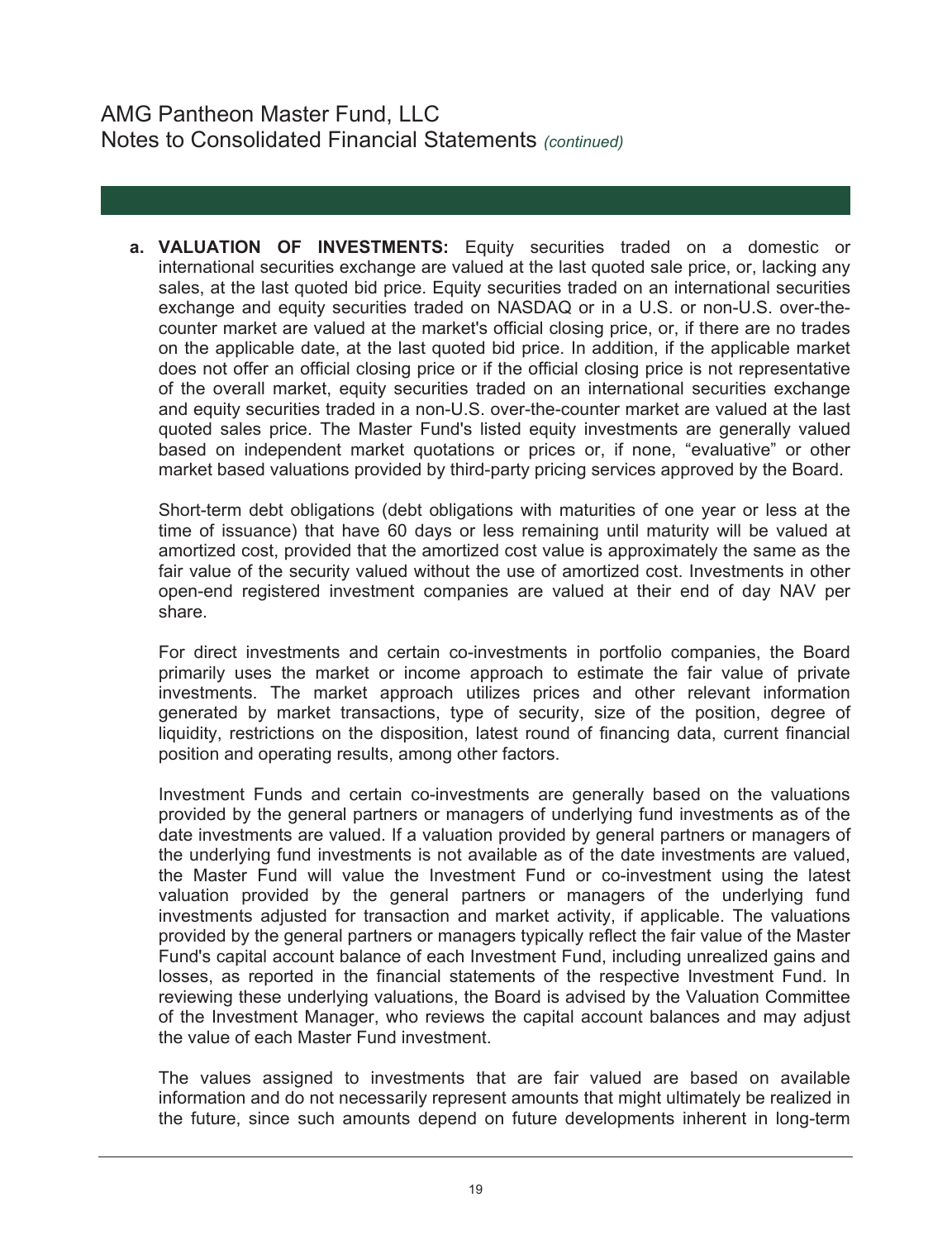**a. VALUATION OF INVESTMENTS:** Equity securities traded on a domestic or international securities exchange are valued at the last quoted sale price, or, lacking any sales, at the last quoted bid price. Equity securities traded on an international securities exchange and equity securities traded on NASDAQ or in a U.S. or non-U.S. over-thecounter market are valued at the market's official closing price, or, if there are no trades on the applicable date, at the last quoted bid price. In addition, if the applicable market does not offer an official closing price or if the official closing price is not representative of the overall market, equity securities traded on an international securities exchange and equity securities traded in a non-U.S. over-the-counter market are valued at the last quoted sales price. The Master Fund's listed equity investments are generally valued based on independent market quotations or prices or, if none, "evaluative" or other market based valuations provided by third-party pricing services approved by the Board.

Short-term debt obligations (debt obligations with maturities of one year or less at the time of issuance) that have 60 days or less remaining until maturity will be valued at amortized cost, provided that the amortized cost value is approximately the same as the fair value of the security valued without the use of amortized cost. Investments in other open-end registered investment companies are valued at their end of day NAV per share.

For direct investments and certain co-investments in portfolio companies, the Board primarily uses the market or income approach to estimate the fair value of private investments. The market approach utilizes prices and other relevant information generated by market transactions, type of security, size of the position, degree of liquidity, restrictions on the disposition, latest round of financing data, current financial position and operating results, among other factors.

Investment Funds and certain co-investments are generally based on the valuations provided by the general partners or managers of underlying fund investments as of the date investments are valued. If a valuation provided by general partners or managers of the underlying fund investments is not available as of the date investments are valued, the Master Fund will value the Investment Fund or co-investment using the latest valuation provided by the general partners or managers of the underlying fund investments adjusted for transaction and market activity, if applicable. The valuations provided by the general partners or managers typically reflect the fair value of the Master Fund's capital account balance of each Investment Fund, including unrealized gains and losses, as reported in the financial statements of the respective Investment Fund. In reviewing these underlying valuations, the Board is advised by the Valuation Committee of the Investment Manager, who reviews the capital account balances and may adjust the value of each Master Fund investment.

The values assigned to investments that are fair valued are based on available information and do not necessarily represent amounts that might ultimately be realized in the future, since such amounts depend on future developments inherent in long-term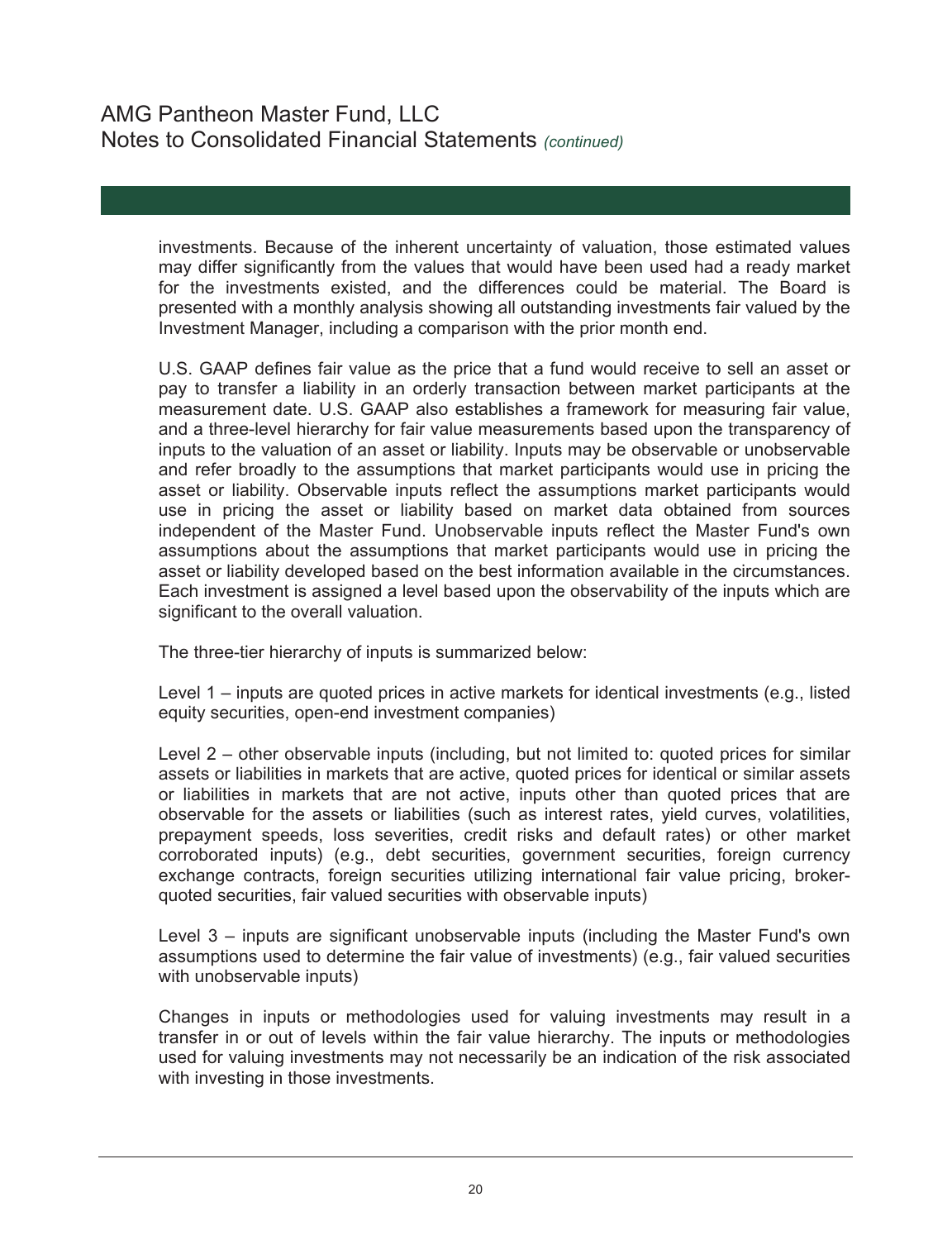investments. Because of the inherent uncertainty of valuation, those estimated values may differ significantly from the values that would have been used had a ready market for the investments existed, and the differences could be material. The Board is presented with a monthly analysis showing all outstanding investments fair valued by the Investment Manager, including a comparison with the prior month end.

U.S. GAAP defines fair value as the price that a fund would receive to sell an asset or pay to transfer a liability in an orderly transaction between market participants at the measurement date. U.S. GAAP also establishes a framework for measuring fair value, and a three-level hierarchy for fair value measurements based upon the transparency of inputs to the valuation of an asset or liability. Inputs may be observable or unobservable and refer broadly to the assumptions that market participants would use in pricing the asset or liability. Observable inputs reflect the assumptions market participants would use in pricing the asset or liability based on market data obtained from sources independent of the Master Fund. Unobservable inputs reflect the Master Fund's own assumptions about the assumptions that market participants would use in pricing the asset or liability developed based on the best information available in the circumstances. Each investment is assigned a level based upon the observability of the inputs which are significant to the overall valuation.

The three-tier hierarchy of inputs is summarized below:

Level 1 – inputs are quoted prices in active markets for identical investments (e.g., listed equity securities, open-end investment companies)

Level 2 – other observable inputs (including, but not limited to: quoted prices for similar assets or liabilities in markets that are active, quoted prices for identical or similar assets or liabilities in markets that are not active, inputs other than quoted prices that are observable for the assets or liabilities (such as interest rates, yield curves, volatilities, prepayment speeds, loss severities, credit risks and default rates) or other market corroborated inputs) (e.g., debt securities, government securities, foreign currency exchange contracts, foreign securities utilizing international fair value pricing, brokerquoted securities, fair valued securities with observable inputs)

Level 3 – inputs are significant unobservable inputs (including the Master Fund's own assumptions used to determine the fair value of investments) (e.g., fair valued securities with unobservable inputs)

Changes in inputs or methodologies used for valuing investments may result in a transfer in or out of levels within the fair value hierarchy. The inputs or methodologies used for valuing investments may not necessarily be an indication of the risk associated with investing in those investments.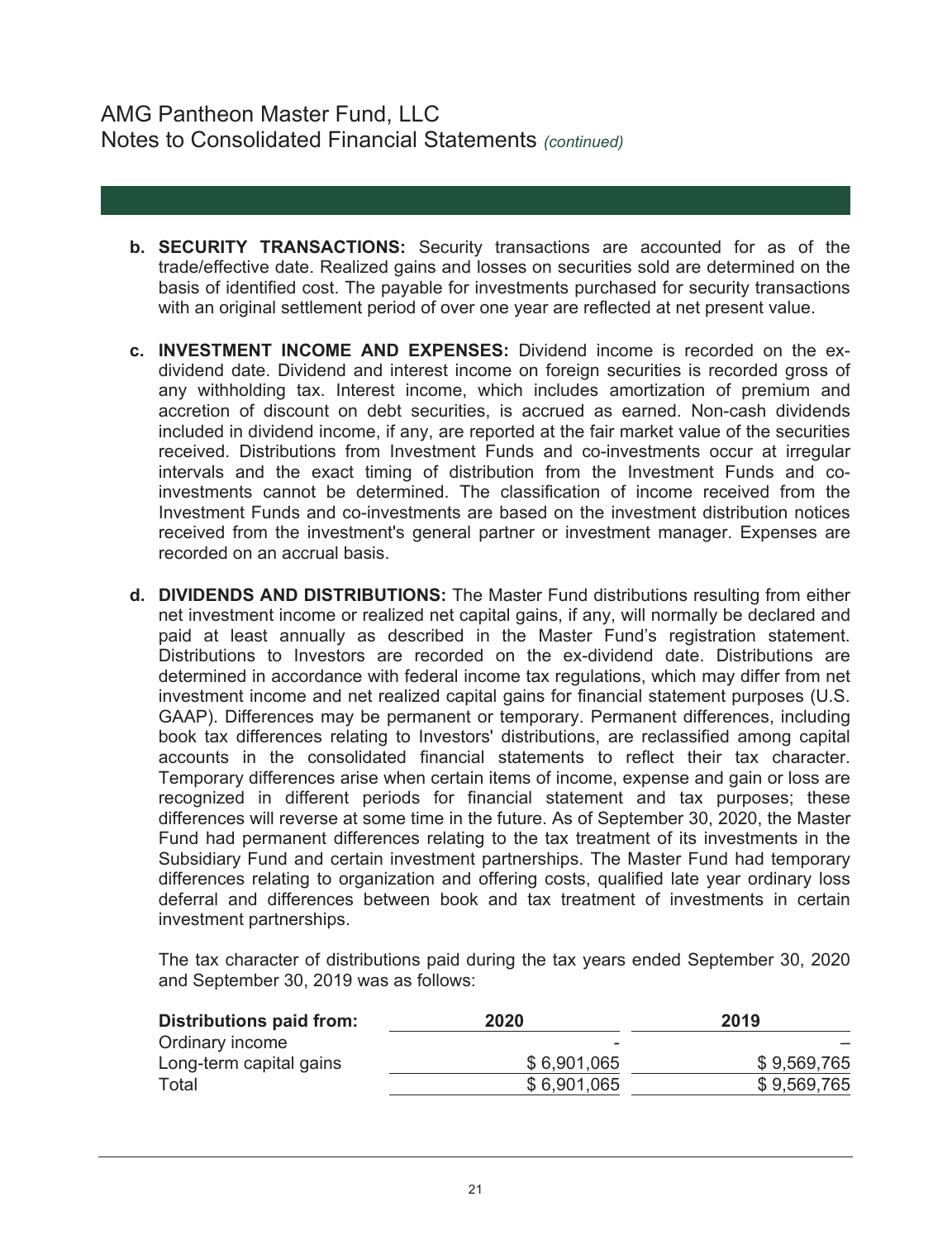- **b. SECURITY TRANSACTIONS:** Security transactions are accounted for as of the trade/effective date. Realized gains and losses on securities sold are determined on the basis of identified cost. The payable for investments purchased for security transactions with an original settlement period of over one year are reflected at net present value.
- **c. INVESTMENT INCOME AND EXPENSES:** Dividend income is recorded on the exdividend date. Dividend and interest income on foreign securities is recorded gross of any withholding tax. Interest income, which includes amortization of premium and accretion of discount on debt securities, is accrued as earned. Non-cash dividends included in dividend income, if any, are reported at the fair market value of the securities received. Distributions from Investment Funds and co-investments occur at irregular intervals and the exact timing of distribution from the Investment Funds and coinvestments cannot be determined. The classification of income received from the Investment Funds and co-investments are based on the investment distribution notices received from the investment's general partner or investment manager. Expenses are recorded on an accrual basis.
- **d. DIVIDENDS AND DISTRIBUTIONS:** The Master Fund distributions resulting from either net investment income or realized net capital gains, if any, will normally be declared and paid at least annually as described in the Master Fund's registration statement. Distributions to Investors are recorded on the ex-dividend date. Distributions are determined in accordance with federal income tax regulations, which may differ from net investment income and net realized capital gains for financial statement purposes (U.S. GAAP). Differences may be permanent or temporary. Permanent differences, including book tax differences relating to Investors' distributions, are reclassified among capital accounts in the consolidated financial statements to reflect their tax character. Temporary differences arise when certain items of income, expense and gain or loss are recognized in different periods for financial statement and tax purposes; these differences will reverse at some time in the future. As of September 30, 2020, the Master Fund had permanent differences relating to the tax treatment of its investments in the Subsidiary Fund and certain investment partnerships. The Master Fund had temporary differences relating to organization and offering costs, qualified late year ordinary loss deferral and differences between book and tax treatment of investments in certain investment partnerships.

 The tax character of distributions paid during the tax years ended September 30, 2020 and September 30, 2019 was as follows:

| Distributions paid from: | 2020        | 2019        |
|--------------------------|-------------|-------------|
| Ordinary income          | $\sim$      |             |
| Long-term capital gains  | \$6,901,065 | \$9,569,765 |
| Total                    | \$6,901,065 | \$9,569,765 |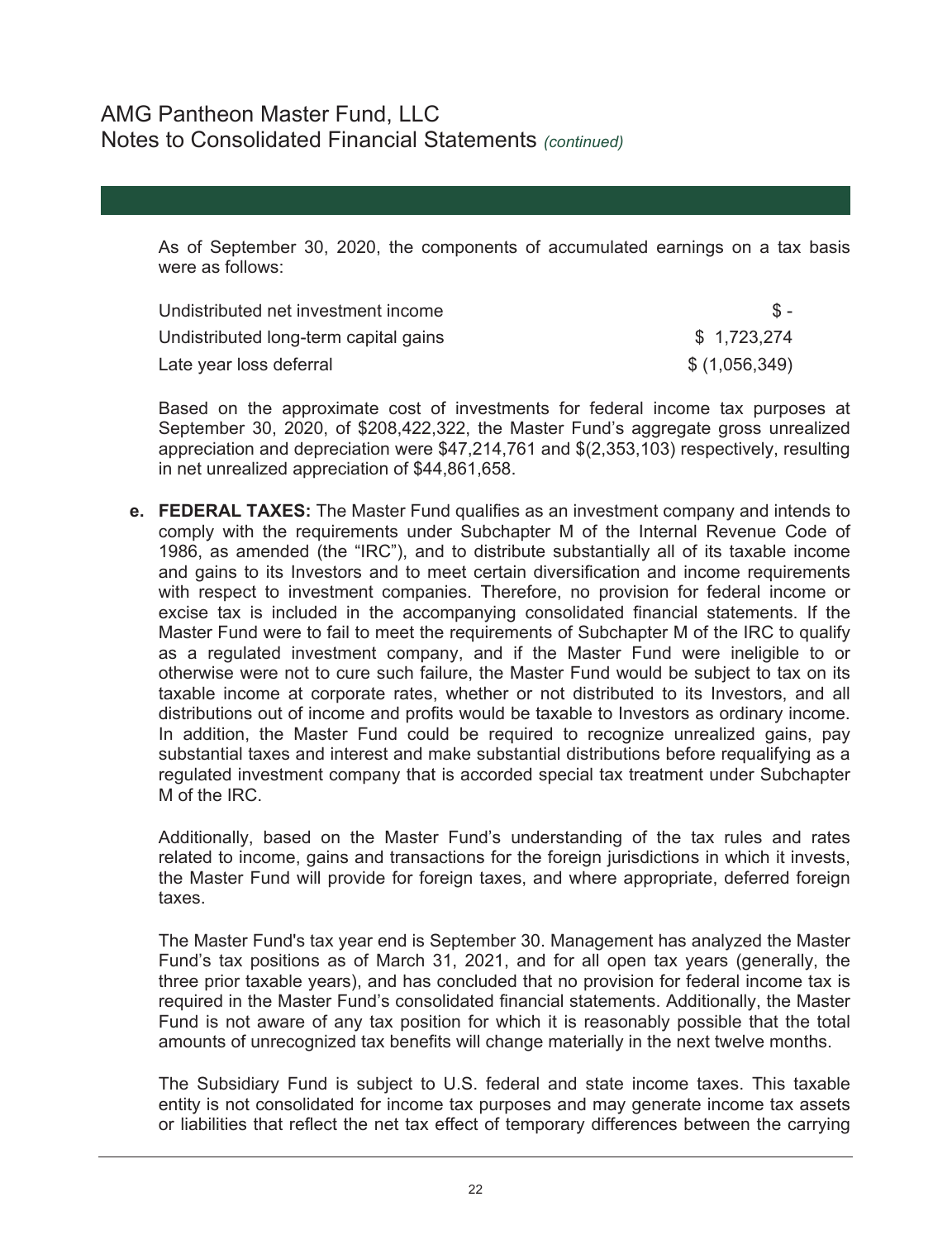As of September 30, 2020, the components of accumulated earnings on a tax basis were as follows:

| Undistributed net investment income   |               |
|---------------------------------------|---------------|
| Undistributed long-term capital gains | \$1,723,274   |
| Late year loss deferral               | \$(1,056,349) |

Based on the approximate cost of investments for federal income tax purposes at September 30, 2020, of \$208,422,322, the Master Fund's aggregate gross unrealized appreciation and depreciation were \$47,214,761 and \$(2,353,103) respectively, resulting in net unrealized appreciation of \$44,861,658.

**e. FEDERAL TAXES:** The Master Fund qualifies as an investment company and intends to comply with the requirements under Subchapter M of the Internal Revenue Code of 1986, as amended (the "IRC"), and to distribute substantially all of its taxable income and gains to its Investors and to meet certain diversification and income requirements with respect to investment companies. Therefore, no provision for federal income or excise tax is included in the accompanying consolidated financial statements. If the Master Fund were to fail to meet the requirements of Subchapter M of the IRC to qualify as a regulated investment company, and if the Master Fund were ineligible to or otherwise were not to cure such failure, the Master Fund would be subject to tax on its taxable income at corporate rates, whether or not distributed to its Investors, and all distributions out of income and profits would be taxable to Investors as ordinary income. In addition, the Master Fund could be required to recognize unrealized gains, pay substantial taxes and interest and make substantial distributions before requalifying as a regulated investment company that is accorded special tax treatment under Subchapter M of the IRC.

Additionally, based on the Master Fund's understanding of the tax rules and rates related to income, gains and transactions for the foreign jurisdictions in which it invests, the Master Fund will provide for foreign taxes, and where appropriate, deferred foreign taxes.

The Master Fund's tax year end is September 30. Management has analyzed the Master Fund's tax positions as of March 31, 2021, and for all open tax years (generally, the three prior taxable years), and has concluded that no provision for federal income tax is required in the Master Fund's consolidated financial statements. Additionally, the Master Fund is not aware of any tax position for which it is reasonably possible that the total amounts of unrecognized tax benefits will change materially in the next twelve months.

The Subsidiary Fund is subject to U.S. federal and state income taxes. This taxable entity is not consolidated for income tax purposes and may generate income tax assets or liabilities that reflect the net tax effect of temporary differences between the carrying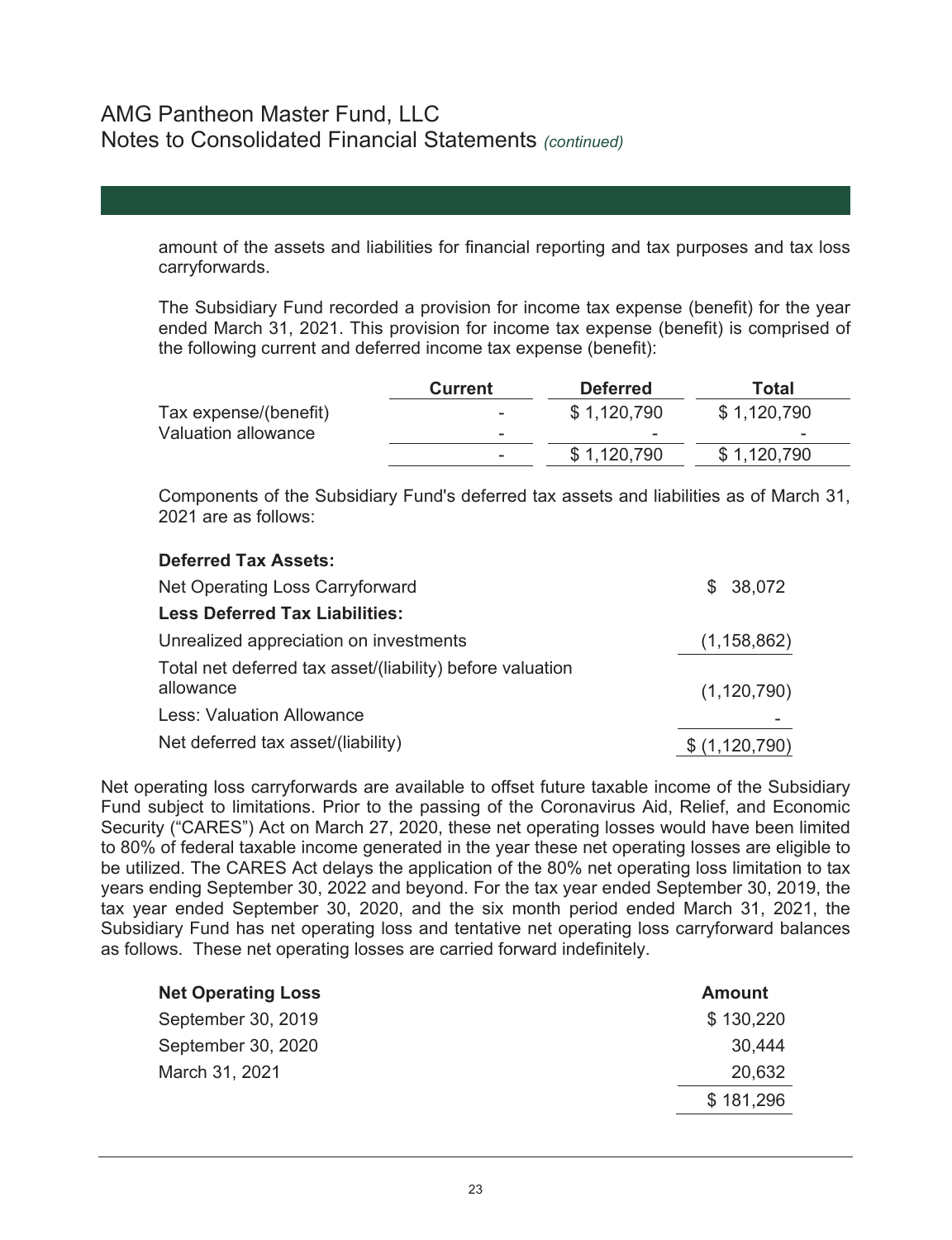**Deferred Tax Assets:** 

amount of the assets and liabilities for financial reporting and tax purposes and tax loss carryforwards.

The Subsidiary Fund recorded a provision for income tax expense (benefit) for the year ended March 31, 2021. This provision for income tax expense (benefit) is comprised of the following current and deferred income tax expense (benefit):

|                       | <b>Current</b>           | <b>Deferred</b> | Total       |
|-----------------------|--------------------------|-----------------|-------------|
| Tax expense/(benefit) | $\overline{\phantom{a}}$ | \$1,120,790     | \$1,120,790 |
| Valuation allowance   |                          | -               |             |
|                       |                          | \$1,120,790     | \$1,120,790 |

Components of the Subsidiary Fund's deferred tax assets and liabilities as of March 31, 2021 are as follows:

| PUIVIIVU IUA AJJULU.                                                   |               |
|------------------------------------------------------------------------|---------------|
| Net Operating Loss Carryforward                                        | \$38,072      |
| <b>Less Deferred Tax Liabilities:</b>                                  |               |
| Unrealized appreciation on investments                                 | (1, 158, 862) |
| Total net deferred tax asset/(liability) before valuation<br>allowance | (1, 120, 790) |
| <b>Less: Valuation Allowance</b>                                       |               |
| Net deferred tax asset/(liability)                                     | \$(1,120,790) |
|                                                                        |               |

Net operating loss carryforwards are available to offset future taxable income of the Subsidiary Fund subject to limitations. Prior to the passing of the Coronavirus Aid, Relief, and Economic Security ("CARES") Act on March 27, 2020, these net operating losses would have been limited to 80% of federal taxable income generated in the year these net operating losses are eligible to be utilized. The CARES Act delays the application of the 80% net operating loss limitation to tax years ending September 30, 2022 and beyond. For the tax year ended September 30, 2019, the tax year ended September 30, 2020, and the six month period ended March 31, 2021, the Subsidiary Fund has net operating loss and tentative net operating loss carryforward balances as follows. These net operating losses are carried forward indefinitely.

| <b>Net Operating Loss</b> | <b>Amount</b> |
|---------------------------|---------------|
| September 30, 2019        | \$130,220     |
| September 30, 2020        | 30,444        |
| March 31, 2021            | 20,632        |
|                           | \$181,296     |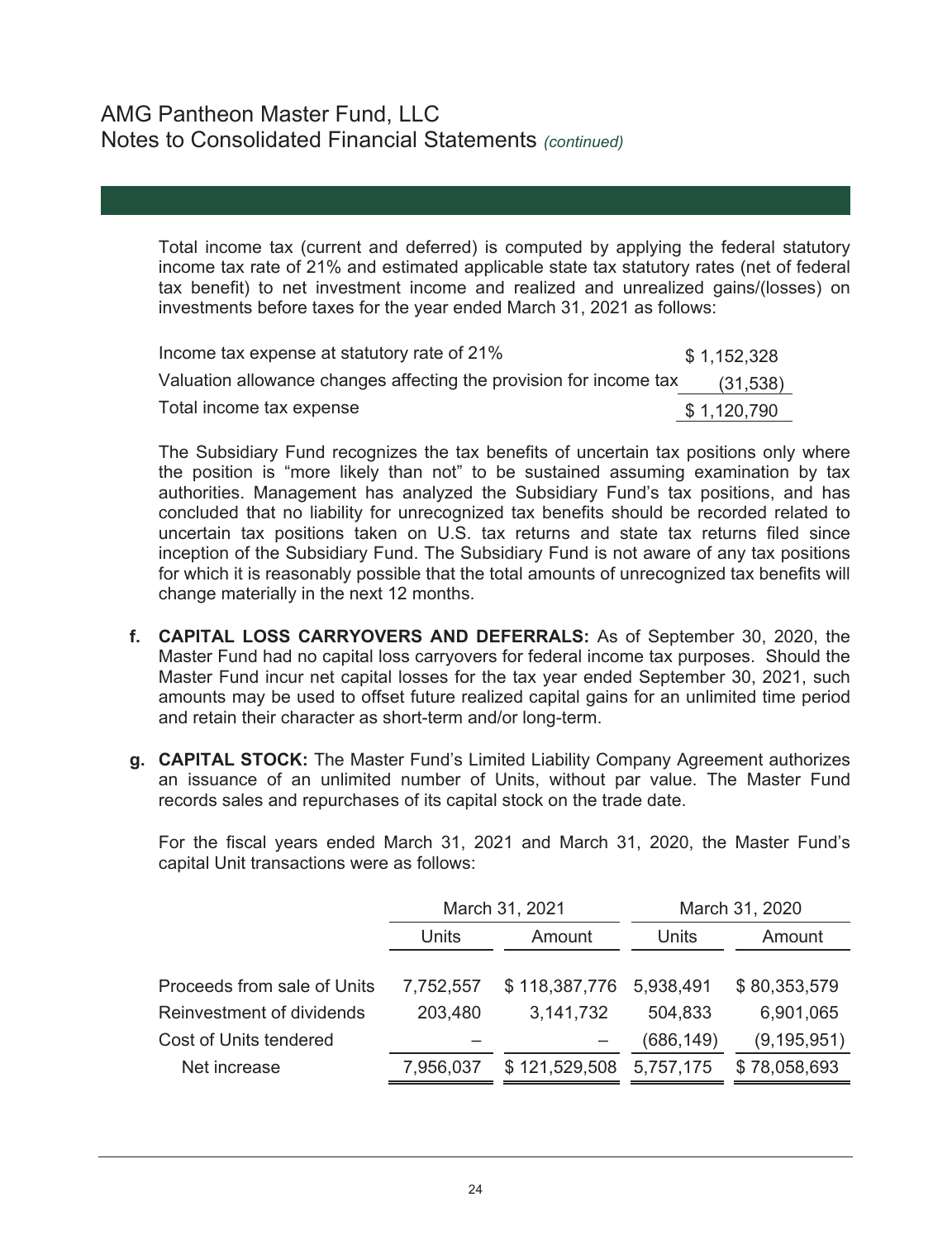Total income tax (current and deferred) is computed by applying the federal statutory income tax rate of 21% and estimated applicable state tax statutory rates (net of federal tax benefit) to net investment income and realized and unrealized gains/(losses) on investments before taxes for the year ended March 31, 2021 as follows:

| Income tax expense at statutory rate of 21%                        | \$1,152,328 |
|--------------------------------------------------------------------|-------------|
| Valuation allowance changes affecting the provision for income tax | (31,538)    |
| Total income tax expense                                           | \$1,120,790 |

The Subsidiary Fund recognizes the tax benefits of uncertain tax positions only where the position is "more likely than not" to be sustained assuming examination by tax authorities. Management has analyzed the Subsidiary Fund's tax positions, and has concluded that no liability for unrecognized tax benefits should be recorded related to uncertain tax positions taken on U.S. tax returns and state tax returns filed since inception of the Subsidiary Fund. The Subsidiary Fund is not aware of any tax positions for which it is reasonably possible that the total amounts of unrecognized tax benefits will change materially in the next 12 months.

- **f. CAPITAL LOSS CARRYOVERS AND DEFERRALS:** As of September 30, 2020, the Master Fund had no capital loss carryovers for federal income tax purposes. Should the Master Fund incur net capital losses for the tax year ended September 30, 2021, such amounts may be used to offset future realized capital gains for an unlimited time period and retain their character as short-term and/or long-term.
- **g. CAPITAL STOCK:** The Master Fund's Limited Liability Company Agreement authorizes an issuance of an unlimited number of Units, without par value. The Master Fund records sales and repurchases of its capital stock on the trade date.

For the fiscal years ended March 31, 2021 and March 31, 2020, the Master Fund's capital Unit transactions were as follows:

|                             | March 31, 2021  |               | March 31, 2020 |               |
|-----------------------------|-----------------|---------------|----------------|---------------|
|                             | Units<br>Amount |               | Units          | Amount        |
|                             |                 |               |                |               |
| Proceeds from sale of Units | 7,752,557       | \$118,387,776 | 5,938,491      | \$80,353,579  |
| Reinvestment of dividends   | 203,480         | 3,141,732     | 504,833        | 6,901,065     |
| Cost of Units tendered      |                 |               | (686,149)      | (9, 195, 951) |
| Net increase                | 7,956,037       | \$121,529,508 | 5,757,175      | \$78,058,693  |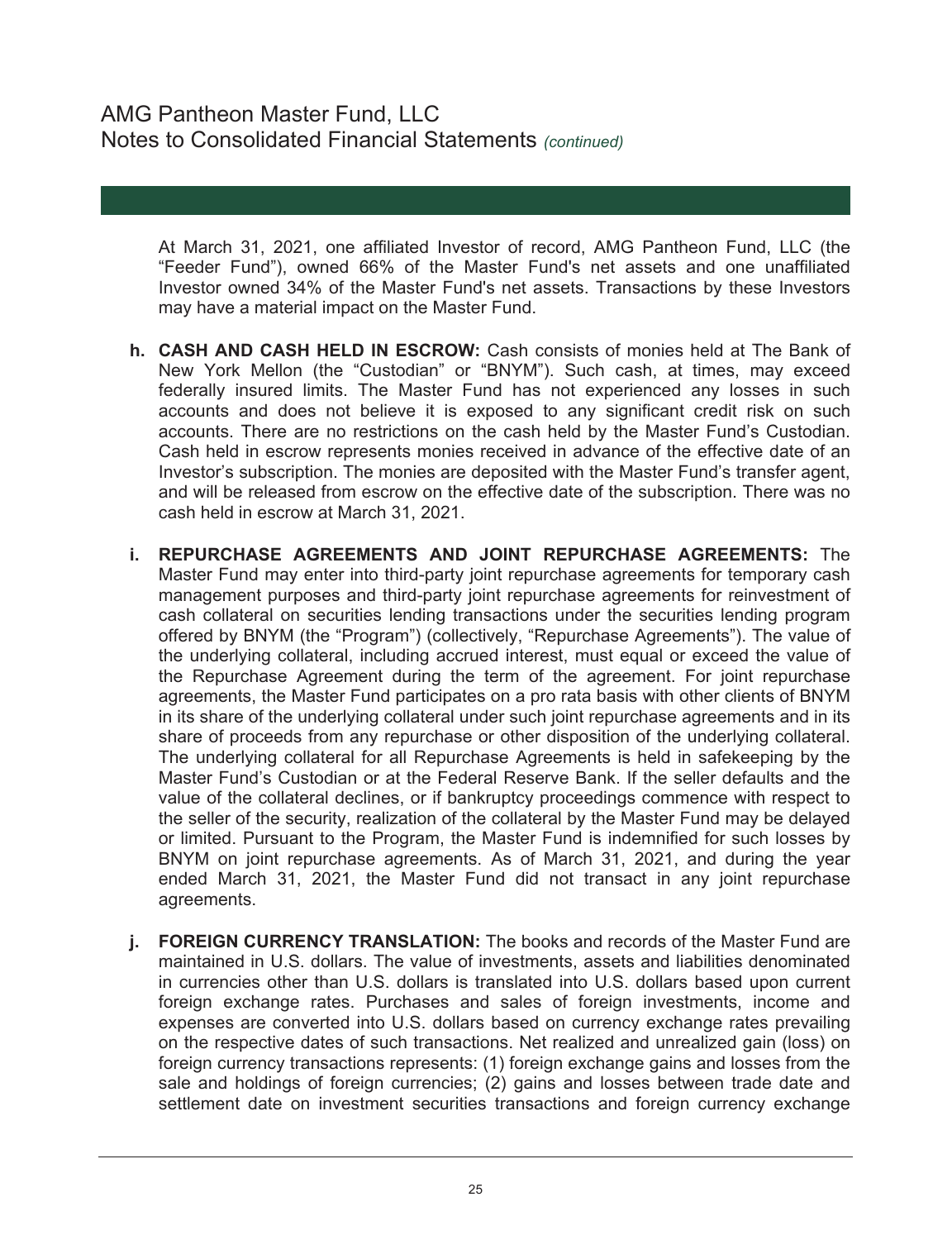At March 31, 2021, one affiliated Investor of record, AMG Pantheon Fund, LLC (the "Feeder Fund"), owned 66% of the Master Fund's net assets and one unaffiliated Investor owned 34% of the Master Fund's net assets. Transactions by these Investors may have a material impact on the Master Fund.

- **h. CASH AND CASH HELD IN ESCROW:** Cash consists of monies held at The Bank of New York Mellon (the "Custodian" or "BNYM"). Such cash, at times, may exceed federally insured limits. The Master Fund has not experienced any losses in such accounts and does not believe it is exposed to any significant credit risk on such accounts. There are no restrictions on the cash held by the Master Fund's Custodian. Cash held in escrow represents monies received in advance of the effective date of an Investor's subscription. The monies are deposited with the Master Fund's transfer agent, and will be released from escrow on the effective date of the subscription. There was no cash held in escrow at March 31, 2021.
- **i. REPURCHASE AGREEMENTS AND JOINT REPURCHASE AGREEMENTS:** The Master Fund may enter into third-party joint repurchase agreements for temporary cash management purposes and third-party joint repurchase agreements for reinvestment of cash collateral on securities lending transactions under the securities lending program offered by BNYM (the "Program") (collectively, "Repurchase Agreements"). The value of the underlying collateral, including accrued interest, must equal or exceed the value of the Repurchase Agreement during the term of the agreement. For joint repurchase agreements, the Master Fund participates on a pro rata basis with other clients of BNYM in its share of the underlying collateral under such joint repurchase agreements and in its share of proceeds from any repurchase or other disposition of the underlying collateral. The underlying collateral for all Repurchase Agreements is held in safekeeping by the Master Fund's Custodian or at the Federal Reserve Bank. If the seller defaults and the value of the collateral declines, or if bankruptcy proceedings commence with respect to the seller of the security, realization of the collateral by the Master Fund may be delayed or limited. Pursuant to the Program, the Master Fund is indemnified for such losses by BNYM on joint repurchase agreements. As of March 31, 2021, and during the year ended March 31, 2021, the Master Fund did not transact in any joint repurchase agreements.
- **j. FOREIGN CURRENCY TRANSLATION:** The books and records of the Master Fund are maintained in U.S. dollars. The value of investments, assets and liabilities denominated in currencies other than U.S. dollars is translated into U.S. dollars based upon current foreign exchange rates. Purchases and sales of foreign investments, income and expenses are converted into U.S. dollars based on currency exchange rates prevailing on the respective dates of such transactions. Net realized and unrealized gain (loss) on foreign currency transactions represents: (1) foreign exchange gains and losses from the sale and holdings of foreign currencies; (2) gains and losses between trade date and settlement date on investment securities transactions and foreign currency exchange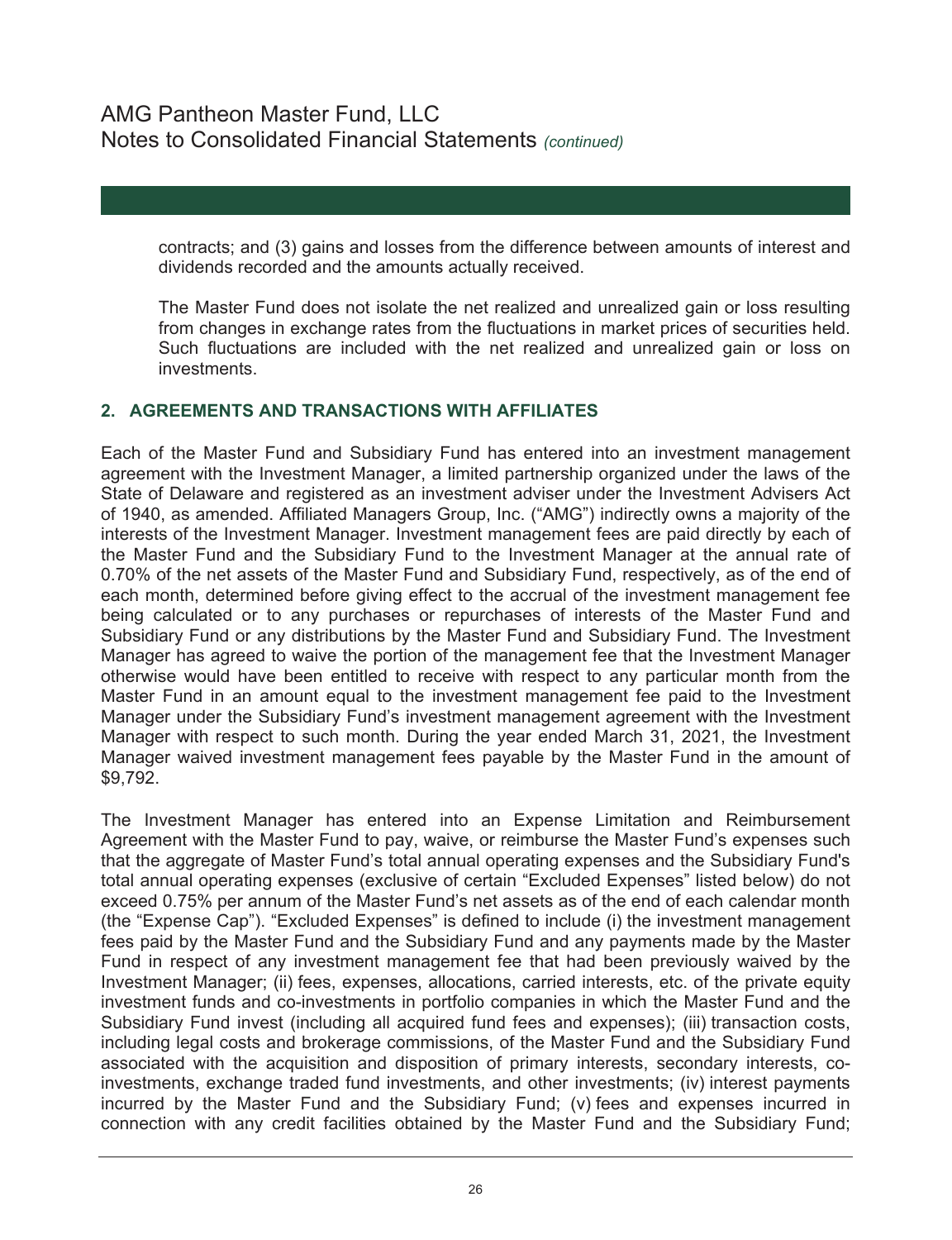contracts; and (3) gains and losses from the difference between amounts of interest and dividends recorded and the amounts actually received.

The Master Fund does not isolate the net realized and unrealized gain or loss resulting from changes in exchange rates from the fluctuations in market prices of securities held. Such fluctuations are included with the net realized and unrealized gain or loss on investments.

### **2. AGREEMENTS AND TRANSACTIONS WITH AFFILIATES**

Each of the Master Fund and Subsidiary Fund has entered into an investment management agreement with the Investment Manager, a limited partnership organized under the laws of the State of Delaware and registered as an investment adviser under the Investment Advisers Act of 1940, as amended. Affiliated Managers Group, Inc. ("AMG") indirectly owns a majority of the interests of the Investment Manager. Investment management fees are paid directly by each of the Master Fund and the Subsidiary Fund to the Investment Manager at the annual rate of 0.70% of the net assets of the Master Fund and Subsidiary Fund, respectively, as of the end of each month, determined before giving effect to the accrual of the investment management fee being calculated or to any purchases or repurchases of interests of the Master Fund and Subsidiary Fund or any distributions by the Master Fund and Subsidiary Fund. The Investment Manager has agreed to waive the portion of the management fee that the Investment Manager otherwise would have been entitled to receive with respect to any particular month from the Master Fund in an amount equal to the investment management fee paid to the Investment Manager under the Subsidiary Fund's investment management agreement with the Investment Manager with respect to such month. During the year ended March 31, 2021, the Investment Manager waived investment management fees payable by the Master Fund in the amount of \$9,792.

The Investment Manager has entered into an Expense Limitation and Reimbursement Agreement with the Master Fund to pay, waive, or reimburse the Master Fund's expenses such that the aggregate of Master Fund's total annual operating expenses and the Subsidiary Fund's total annual operating expenses (exclusive of certain "Excluded Expenses" listed below) do not exceed 0.75% per annum of the Master Fund's net assets as of the end of each calendar month (the "Expense Cap"). "Excluded Expenses" is defined to include (i) the investment management fees paid by the Master Fund and the Subsidiary Fund and any payments made by the Master Fund in respect of any investment management fee that had been previously waived by the Investment Manager; (ii) fees, expenses, allocations, carried interests, etc. of the private equity investment funds and co-investments in portfolio companies in which the Master Fund and the Subsidiary Fund invest (including all acquired fund fees and expenses); (iii) transaction costs, including legal costs and brokerage commissions, of the Master Fund and the Subsidiary Fund associated with the acquisition and disposition of primary interests, secondary interests, coinvestments, exchange traded fund investments, and other investments; (iv) interest payments incurred by the Master Fund and the Subsidiary Fund; (v) fees and expenses incurred in connection with any credit facilities obtained by the Master Fund and the Subsidiary Fund;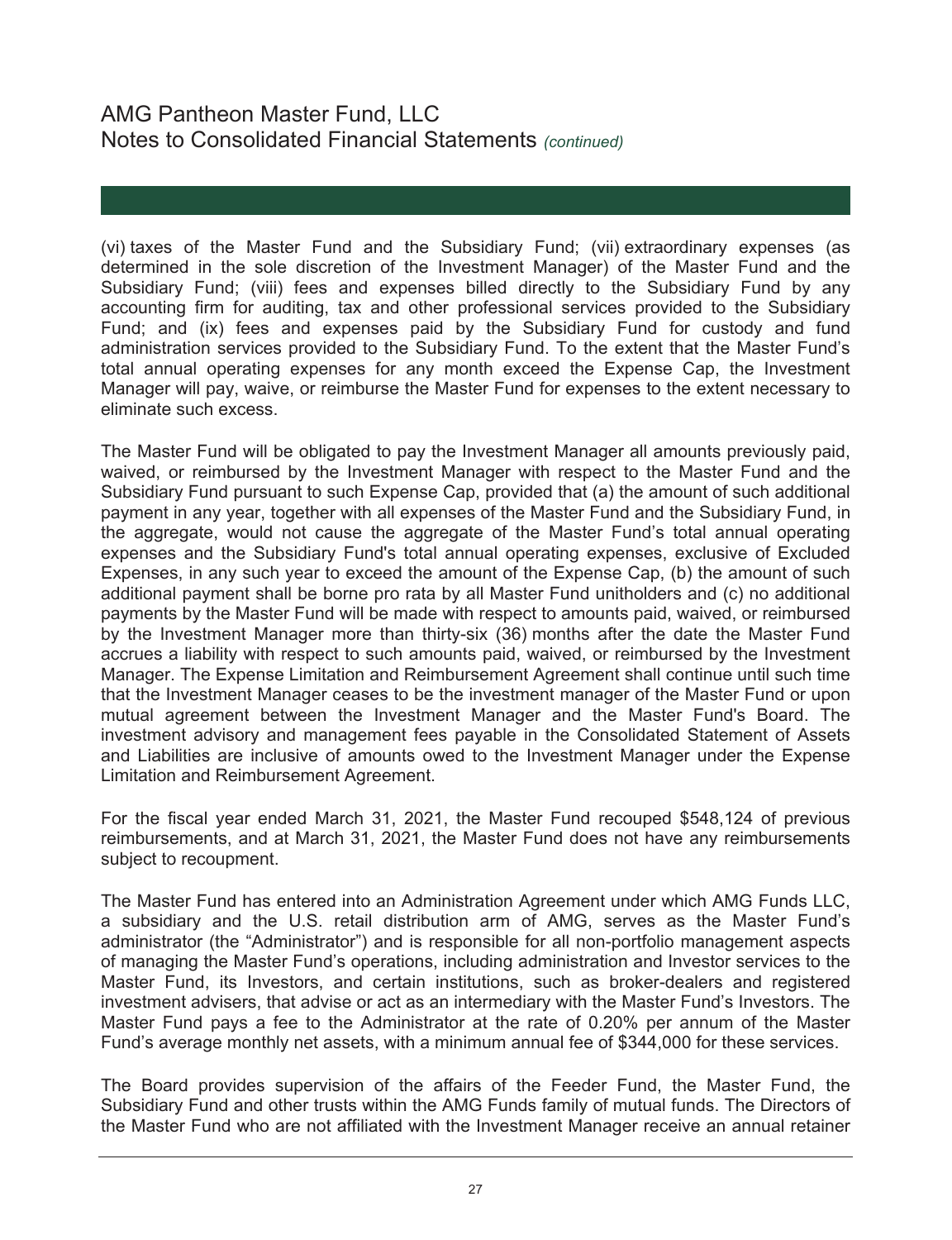(vi) taxes of the Master Fund and the Subsidiary Fund; (vii) extraordinary expenses (as determined in the sole discretion of the Investment Manager) of the Master Fund and the Subsidiary Fund; (viii) fees and expenses billed directly to the Subsidiary Fund by any accounting firm for auditing, tax and other professional services provided to the Subsidiary Fund; and (ix) fees and expenses paid by the Subsidiary Fund for custody and fund administration services provided to the Subsidiary Fund. To the extent that the Master Fund's total annual operating expenses for any month exceed the Expense Cap, the Investment Manager will pay, waive, or reimburse the Master Fund for expenses to the extent necessary to eliminate such excess.

The Master Fund will be obligated to pay the Investment Manager all amounts previously paid, waived, or reimbursed by the Investment Manager with respect to the Master Fund and the Subsidiary Fund pursuant to such Expense Cap, provided that (a) the amount of such additional payment in any year, together with all expenses of the Master Fund and the Subsidiary Fund, in the aggregate, would not cause the aggregate of the Master Fund's total annual operating expenses and the Subsidiary Fund's total annual operating expenses, exclusive of Excluded Expenses, in any such year to exceed the amount of the Expense Cap, (b) the amount of such additional payment shall be borne pro rata by all Master Fund unitholders and (c) no additional payments by the Master Fund will be made with respect to amounts paid, waived, or reimbursed by the Investment Manager more than thirty-six (36) months after the date the Master Fund accrues a liability with respect to such amounts paid, waived, or reimbursed by the Investment Manager. The Expense Limitation and Reimbursement Agreement shall continue until such time that the Investment Manager ceases to be the investment manager of the Master Fund or upon mutual agreement between the Investment Manager and the Master Fund's Board. The investment advisory and management fees payable in the Consolidated Statement of Assets and Liabilities are inclusive of amounts owed to the Investment Manager under the Expense Limitation and Reimbursement Agreement.

For the fiscal year ended March 31, 2021, the Master Fund recouped \$548,124 of previous reimbursements, and at March 31, 2021, the Master Fund does not have any reimbursements subject to recoupment.

The Master Fund has entered into an Administration Agreement under which AMG Funds LLC, a subsidiary and the U.S. retail distribution arm of AMG, serves as the Master Fund's administrator (the "Administrator") and is responsible for all non-portfolio management aspects of managing the Master Fund's operations, including administration and Investor services to the Master Fund, its Investors, and certain institutions, such as broker-dealers and registered investment advisers, that advise or act as an intermediary with the Master Fund's Investors. The Master Fund pays a fee to the Administrator at the rate of 0.20% per annum of the Master Fund's average monthly net assets, with a minimum annual fee of \$344,000 for these services.

The Board provides supervision of the affairs of the Feeder Fund, the Master Fund, the Subsidiary Fund and other trusts within the AMG Funds family of mutual funds. The Directors of the Master Fund who are not affiliated with the Investment Manager receive an annual retainer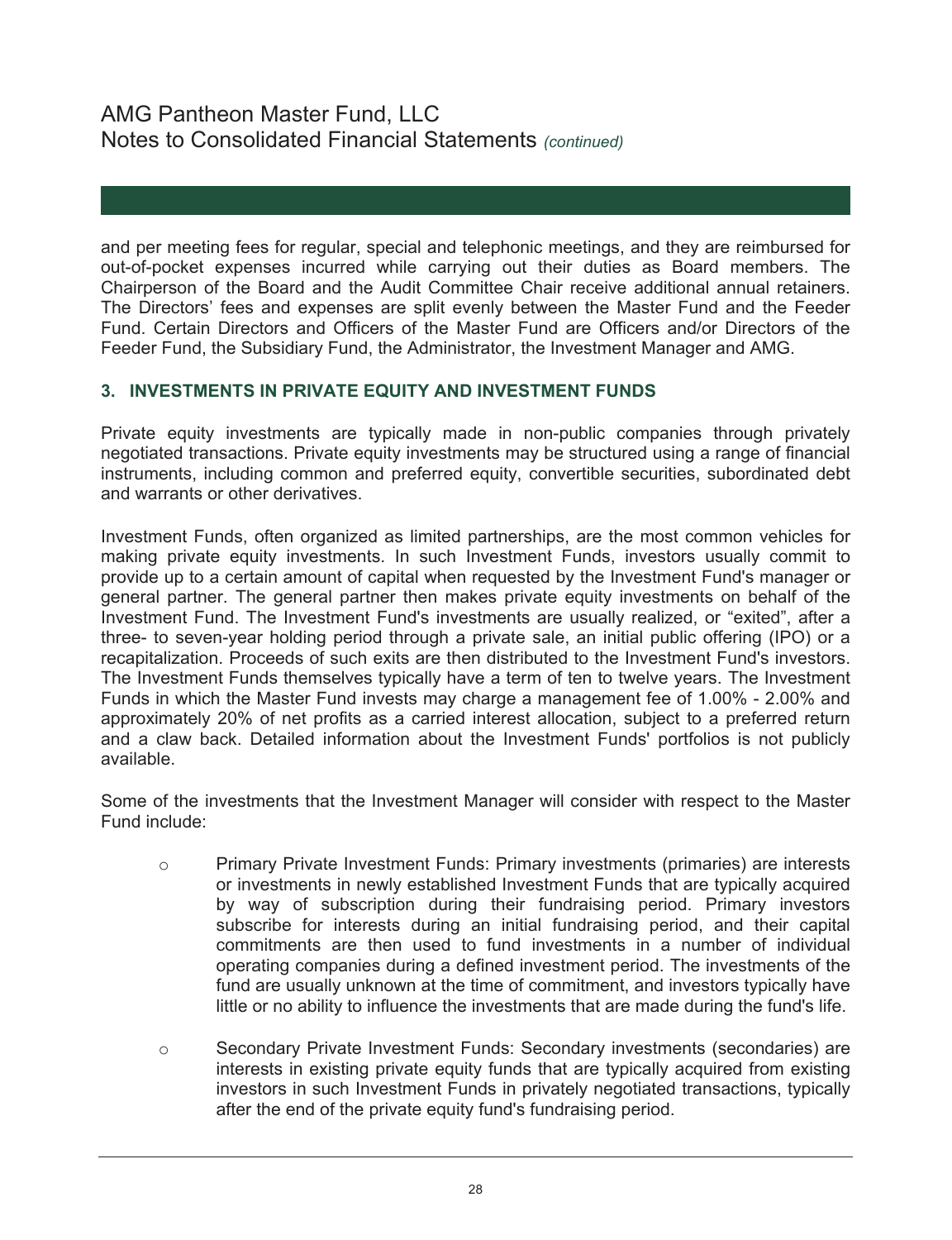and per meeting fees for regular, special and telephonic meetings, and they are reimbursed for out-of-pocket expenses incurred while carrying out their duties as Board members. The Chairperson of the Board and the Audit Committee Chair receive additional annual retainers. The Directors' fees and expenses are split evenly between the Master Fund and the Feeder Fund. Certain Directors and Officers of the Master Fund are Officers and/or Directors of the Feeder Fund, the Subsidiary Fund, the Administrator, the Investment Manager and AMG.

## **3. INVESTMENTS IN PRIVATE EQUITY AND INVESTMENT FUNDS**

Private equity investments are typically made in non-public companies through privately negotiated transactions. Private equity investments may be structured using a range of financial instruments, including common and preferred equity, convertible securities, subordinated debt and warrants or other derivatives.

Investment Funds, often organized as limited partnerships, are the most common vehicles for making private equity investments. In such Investment Funds, investors usually commit to provide up to a certain amount of capital when requested by the Investment Fund's manager or general partner. The general partner then makes private equity investments on behalf of the Investment Fund. The Investment Fund's investments are usually realized, or "exited", after a three- to seven-year holding period through a private sale, an initial public offering (IPO) or a recapitalization. Proceeds of such exits are then distributed to the Investment Fund's investors. The Investment Funds themselves typically have a term of ten to twelve years. The Investment Funds in which the Master Fund invests may charge a management fee of 1.00% - 2.00% and approximately 20% of net profits as a carried interest allocation, subject to a preferred return and a claw back. Detailed information about the Investment Funds' portfolios is not publicly available.

Some of the investments that the Investment Manager will consider with respect to the Master Fund include:

- o Primary Private Investment Funds: Primary investments (primaries) are interests or investments in newly established Investment Funds that are typically acquired by way of subscription during their fundraising period. Primary investors subscribe for interests during an initial fundraising period, and their capital commitments are then used to fund investments in a number of individual operating companies during a defined investment period. The investments of the fund are usually unknown at the time of commitment, and investors typically have little or no ability to influence the investments that are made during the fund's life.
- o Secondary Private Investment Funds: Secondary investments (secondaries) are interests in existing private equity funds that are typically acquired from existing investors in such Investment Funds in privately negotiated transactions, typically after the end of the private equity fund's fundraising period.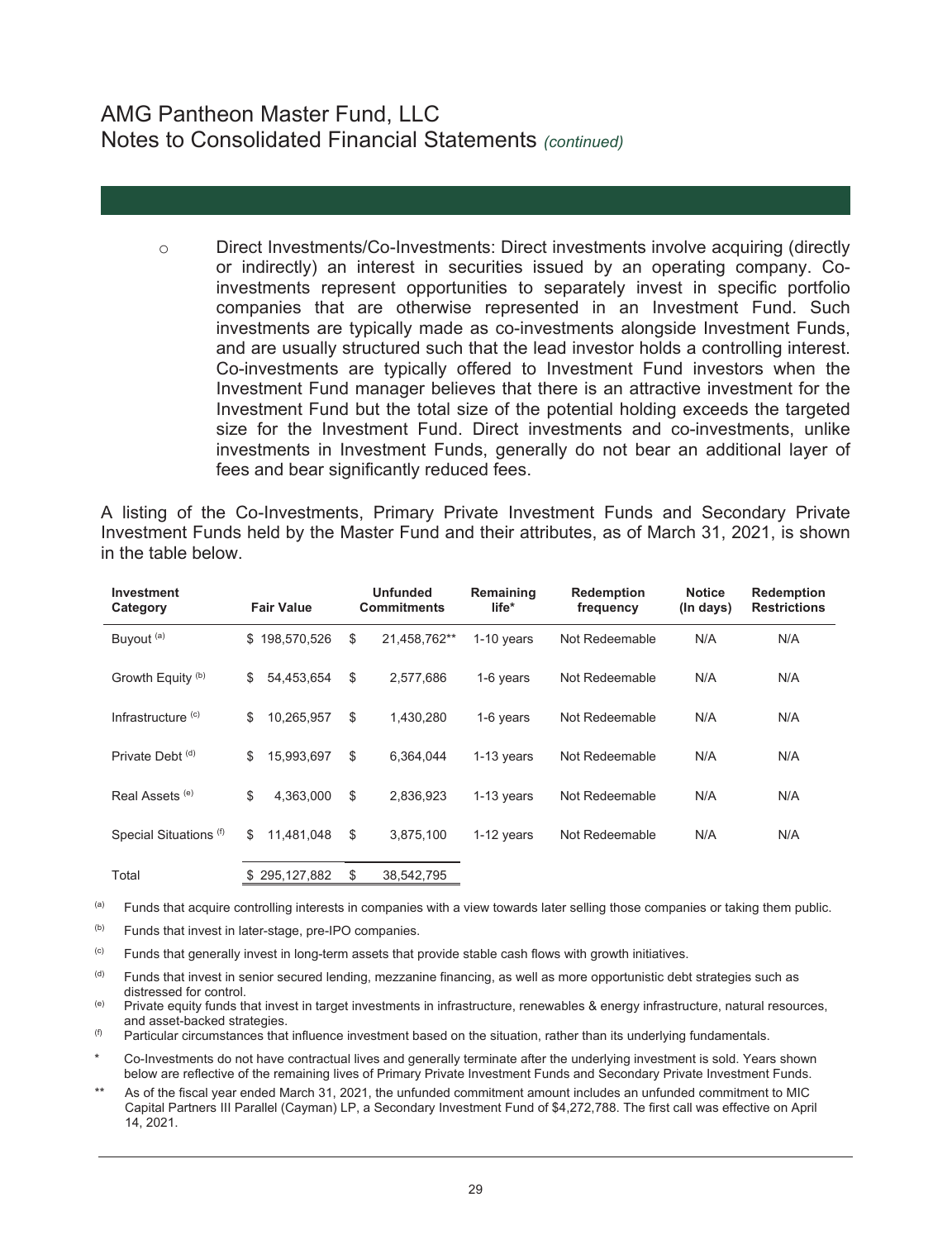o Direct Investments/Co-Investments: Direct investments involve acquiring (directly or indirectly) an interest in securities issued by an operating company. Coinvestments represent opportunities to separately invest in specific portfolio companies that are otherwise represented in an Investment Fund. Such investments are typically made as co-investments alongside Investment Funds, and are usually structured such that the lead investor holds a controlling interest. Co-investments are typically offered to Investment Fund investors when the Investment Fund manager believes that there is an attractive investment for the Investment Fund but the total size of the potential holding exceeds the targeted size for the Investment Fund. Direct investments and co-investments, unlike investments in Investment Funds, generally do not bear an additional layer of fees and bear significantly reduced fees.

A listing of the Co-Investments, Primary Private Investment Funds and Secondary Private Investment Funds held by the Master Fund and their attributes, as of March 31, 2021, is shown in the table below.

| Investment<br>Category        | <b>Fair Value</b> | <b>Unfunded</b><br><b>Commitments</b> | Remaining<br>life* | <b>Redemption</b><br>frequency | <b>Notice</b><br>(In days) | <b>Redemption</b><br><b>Restrictions</b> |
|-------------------------------|-------------------|---------------------------------------|--------------------|--------------------------------|----------------------------|------------------------------------------|
| Buyout <sup>(a)</sup>         | \$198,570,526     | \$<br>21.458.762**                    | $1-10$ years       | Not Redeemable                 | N/A                        | N/A                                      |
| Growth Equity <sup>(b)</sup>  | 54,453,654<br>\$  | \$<br>2.577.686                       | 1-6 years          | Not Redeemable                 | N/A                        | N/A                                      |
| Infrastructure <sup>(c)</sup> | 10.265.957<br>\$  | \$<br>1.430.280                       | 1-6 years          | Not Redeemable                 | N/A                        | N/A                                      |
| Private Debt <sup>(d)</sup>   | 15,993,697<br>\$  | \$<br>6.364.044                       | $1-13$ years       | Not Redeemable                 | N/A                        | N/A                                      |
| Real Assets <sup>(e)</sup>    | \$<br>4.363.000   | \$<br>2.836.923                       | $1-13$ years       | Not Redeemable                 | N/A                        | N/A                                      |
| Special Situations (f)        | 11,481,048<br>\$  | \$<br>3,875,100                       | $1-12$ years       | Not Redeemable                 | N/A                        | N/A                                      |
| Total                         | \$295,127,882     | \$<br>38,542,795                      |                    |                                |                            |                                          |

<sup>(a)</sup> Funds that acquire controlling interests in companies with a view towards later selling those companies or taking them public.

(b) Funds that invest in later-stage, pre-IPO companies.

<sup>(c)</sup> Funds that generally invest in long-term assets that provide stable cash flows with growth initiatives.

(d) Funds that invest in senior secured lending, mezzanine financing, as well as more opportunistic debt strategies such as distressed for control.

(e) Private equity funds that invest in target investments in infrastructure, renewables & energy infrastructure, natural resources, and asset-backed strategies.

 $(6)$  Particular circumstances that influence investment based on the situation, rather than its underlying fundamentals.

Co-Investments do not have contractual lives and generally terminate after the underlying investment is sold. Years shown below are reflective of the remaining lives of Primary Private Investment Funds and Secondary Private Investment Funds.

\*\* As of the fiscal year ended March 31, 2021, the unfunded commitment amount includes an unfunded commitment to MIC Capital Partners III Parallel (Cayman) LP, a Secondary Investment Fund of \$4,272,788. The first call was effective on April 14, 2021.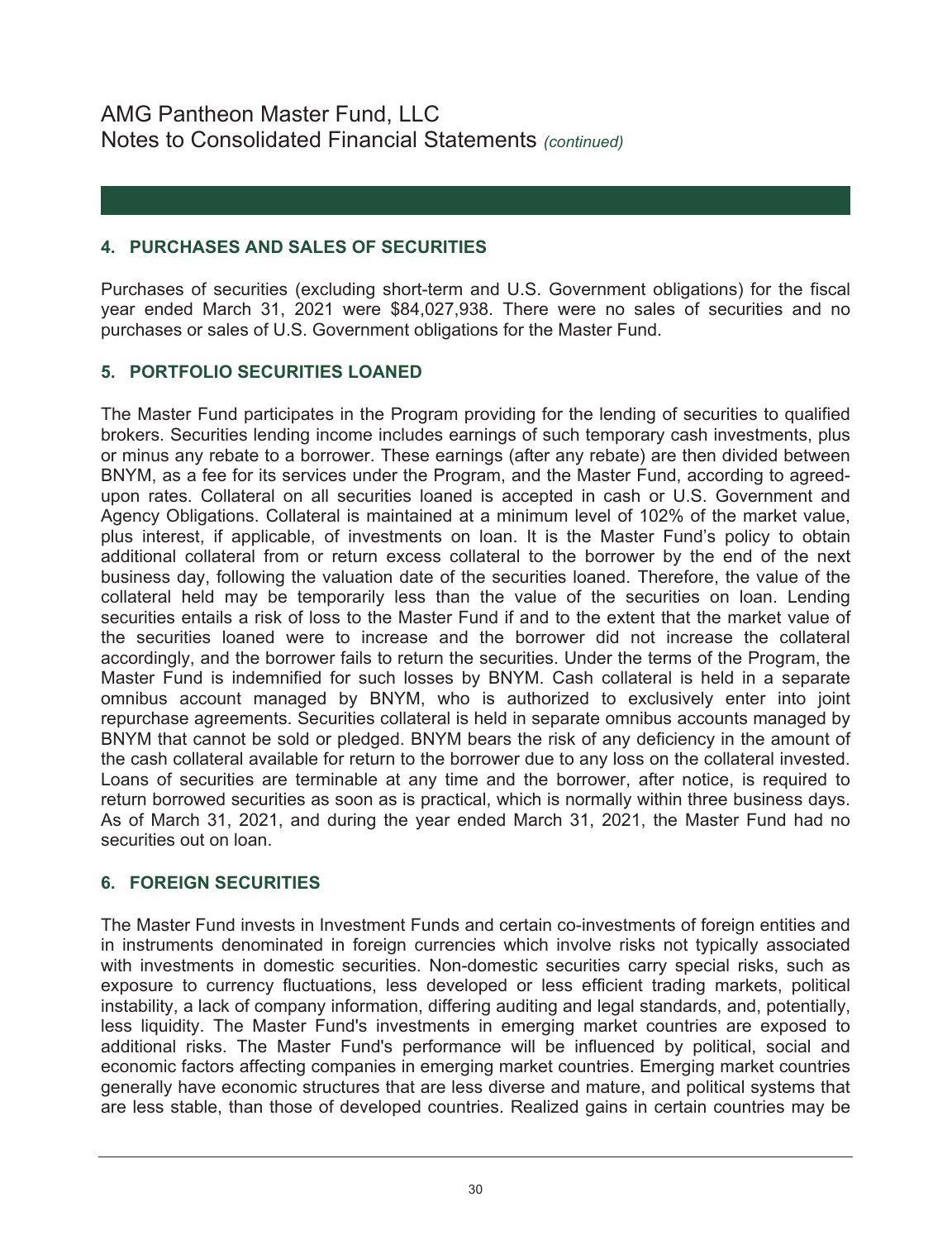## **4. PURCHASES AND SALES OF SECURITIES**

Purchases of securities (excluding short-term and U.S. Government obligations) for the fiscal year ended March 31, 2021 were \$84,027,938. There were no sales of securities and no purchases or sales of U.S. Government obligations for the Master Fund.

## **5. PORTFOLIO SECURITIES LOANED**

The Master Fund participates in the Program providing for the lending of securities to qualified brokers. Securities lending income includes earnings of such temporary cash investments, plus or minus any rebate to a borrower. These earnings (after any rebate) are then divided between BNYM, as a fee for its services under the Program, and the Master Fund, according to agreedupon rates. Collateral on all securities loaned is accepted in cash or U.S. Government and Agency Obligations. Collateral is maintained at a minimum level of 102% of the market value, plus interest, if applicable, of investments on loan. It is the Master Fund's policy to obtain additional collateral from or return excess collateral to the borrower by the end of the next business day, following the valuation date of the securities loaned. Therefore, the value of the collateral held may be temporarily less than the value of the securities on loan. Lending securities entails a risk of loss to the Master Fund if and to the extent that the market value of the securities loaned were to increase and the borrower did not increase the collateral accordingly, and the borrower fails to return the securities. Under the terms of the Program, the Master Fund is indemnified for such losses by BNYM. Cash collateral is held in a separate omnibus account managed by BNYM, who is authorized to exclusively enter into joint repurchase agreements. Securities collateral is held in separate omnibus accounts managed by BNYM that cannot be sold or pledged. BNYM bears the risk of any deficiency in the amount of the cash collateral available for return to the borrower due to any loss on the collateral invested. Loans of securities are terminable at any time and the borrower, after notice, is required to return borrowed securities as soon as is practical, which is normally within three business days. As of March 31, 2021, and during the year ended March 31, 2021, the Master Fund had no securities out on loan.

## **6. FOREIGN SECURITIES**

The Master Fund invests in Investment Funds and certain co-investments of foreign entities and in instruments denominated in foreign currencies which involve risks not typically associated with investments in domestic securities. Non-domestic securities carry special risks, such as exposure to currency fluctuations, less developed or less efficient trading markets, political instability, a lack of company information, differing auditing and legal standards, and, potentially, less liquidity. The Master Fund's investments in emerging market countries are exposed to additional risks. The Master Fund's performance will be influenced by political, social and economic factors affecting companies in emerging market countries. Emerging market countries generally have economic structures that are less diverse and mature, and political systems that are less stable, than those of developed countries. Realized gains in certain countries may be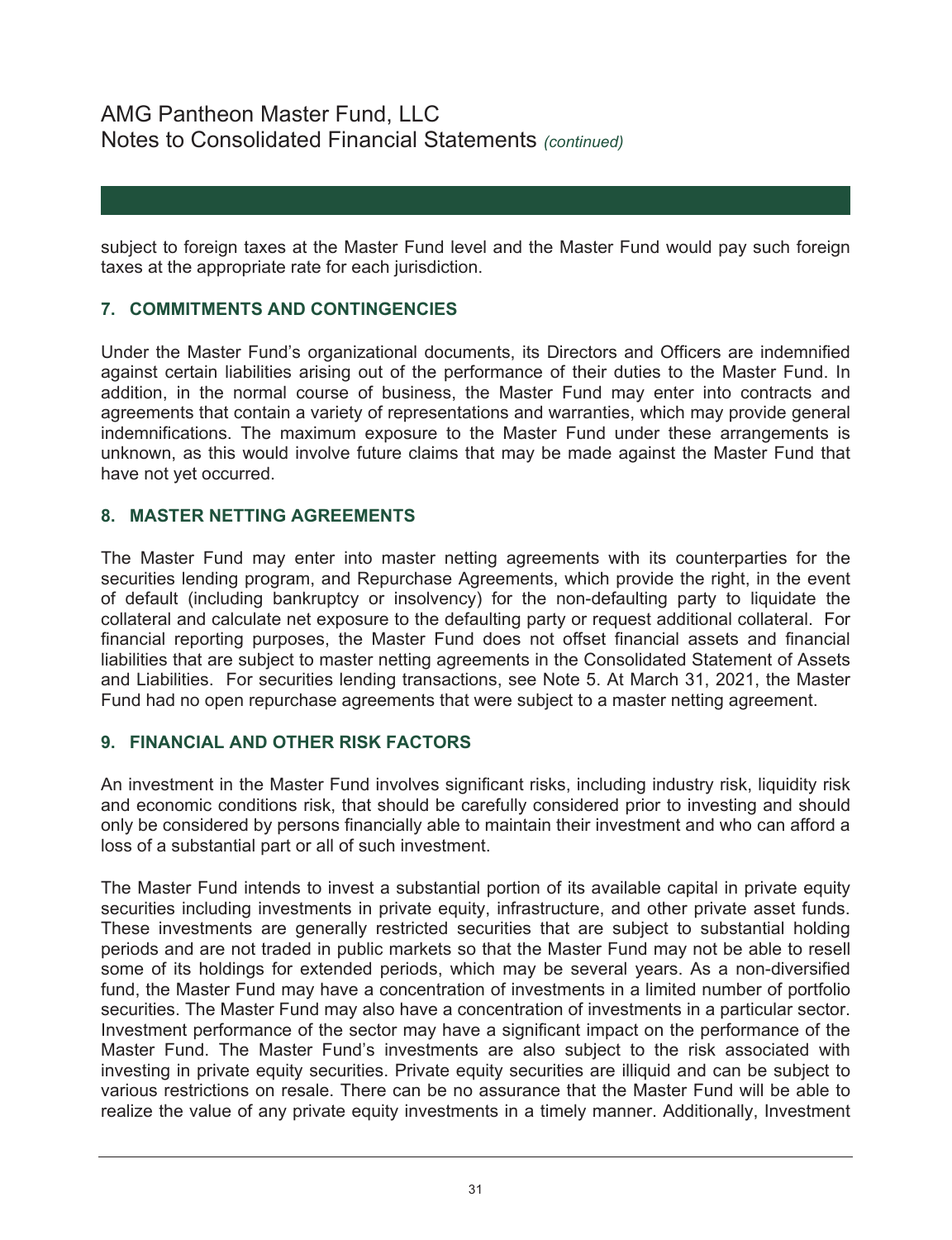subject to foreign taxes at the Master Fund level and the Master Fund would pay such foreign taxes at the appropriate rate for each jurisdiction.

### **7. COMMITMENTS AND CONTINGENCIES**

Under the Master Fund's organizational documents, its Directors and Officers are indemnified against certain liabilities arising out of the performance of their duties to the Master Fund. In addition, in the normal course of business, the Master Fund may enter into contracts and agreements that contain a variety of representations and warranties, which may provide general indemnifications. The maximum exposure to the Master Fund under these arrangements is unknown, as this would involve future claims that may be made against the Master Fund that have not yet occurred.

### **8. MASTER NETTING AGREEMENTS**

The Master Fund may enter into master netting agreements with its counterparties for the securities lending program, and Repurchase Agreements, which provide the right, in the event of default (including bankruptcy or insolvency) for the non-defaulting party to liquidate the collateral and calculate net exposure to the defaulting party or request additional collateral. For financial reporting purposes, the Master Fund does not offset financial assets and financial liabilities that are subject to master netting agreements in the Consolidated Statement of Assets and Liabilities. For securities lending transactions, see Note 5. At March 31, 2021, the Master Fund had no open repurchase agreements that were subject to a master netting agreement.

### **9. FINANCIAL AND OTHER RISK FACTORS**

An investment in the Master Fund involves significant risks, including industry risk, liquidity risk and economic conditions risk, that should be carefully considered prior to investing and should only be considered by persons financially able to maintain their investment and who can afford a loss of a substantial part or all of such investment.

The Master Fund intends to invest a substantial portion of its available capital in private equity securities including investments in private equity, infrastructure, and other private asset funds. These investments are generally restricted securities that are subject to substantial holding periods and are not traded in public markets so that the Master Fund may not be able to resell some of its holdings for extended periods, which may be several years. As a non-diversified fund, the Master Fund may have a concentration of investments in a limited number of portfolio securities. The Master Fund may also have a concentration of investments in a particular sector. Investment performance of the sector may have a significant impact on the performance of the Master Fund. The Master Fund's investments are also subject to the risk associated with investing in private equity securities. Private equity securities are illiquid and can be subject to various restrictions on resale. There can be no assurance that the Master Fund will be able to realize the value of any private equity investments in a timely manner. Additionally, Investment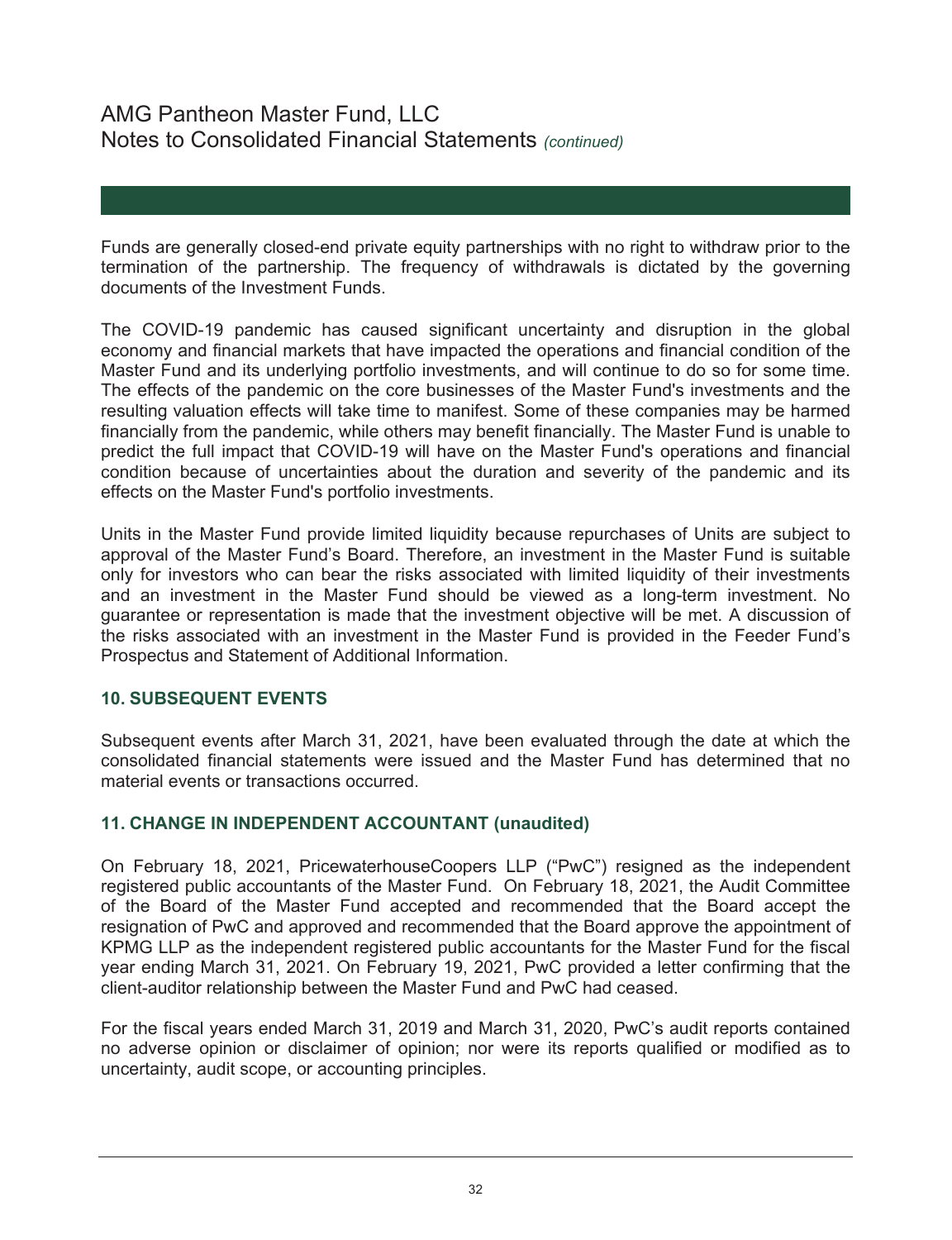Funds are generally closed-end private equity partnerships with no right to withdraw prior to the termination of the partnership. The frequency of withdrawals is dictated by the governing documents of the Investment Funds.

The COVID-19 pandemic has caused significant uncertainty and disruption in the global economy and financial markets that have impacted the operations and financial condition of the Master Fund and its underlying portfolio investments, and will continue to do so for some time. The effects of the pandemic on the core businesses of the Master Fund's investments and the resulting valuation effects will take time to manifest. Some of these companies may be harmed financially from the pandemic, while others may benefit financially. The Master Fund is unable to predict the full impact that COVID-19 will have on the Master Fund's operations and financial condition because of uncertainties about the duration and severity of the pandemic and its effects on the Master Fund's portfolio investments.

Units in the Master Fund provide limited liquidity because repurchases of Units are subject to approval of the Master Fund's Board. Therefore, an investment in the Master Fund is suitable only for investors who can bear the risks associated with limited liquidity of their investments and an investment in the Master Fund should be viewed as a long-term investment. No guarantee or representation is made that the investment objective will be met. A discussion of the risks associated with an investment in the Master Fund is provided in the Feeder Fund's Prospectus and Statement of Additional Information.

### **10. SUBSEQUENT EVENTS**

Subsequent events after March 31, 2021, have been evaluated through the date at which the consolidated financial statements were issued and the Master Fund has determined that no material events or transactions occurred.

### **11. CHANGE IN INDEPENDENT ACCOUNTANT (unaudited)**

On February 18, 2021, PricewaterhouseCoopers LLP ("PwC") resigned as the independent registered public accountants of the Master Fund. On February 18, 2021, the Audit Committee of the Board of the Master Fund accepted and recommended that the Board accept the resignation of PwC and approved and recommended that the Board approve the appointment of KPMG LLP as the independent registered public accountants for the Master Fund for the fiscal year ending March 31, 2021. On February 19, 2021, PwC provided a letter confirming that the client-auditor relationship between the Master Fund and PwC had ceased.

For the fiscal years ended March 31, 2019 and March 31, 2020, PwC's audit reports contained no adverse opinion or disclaimer of opinion; nor were its reports qualified or modified as to uncertainty, audit scope, or accounting principles.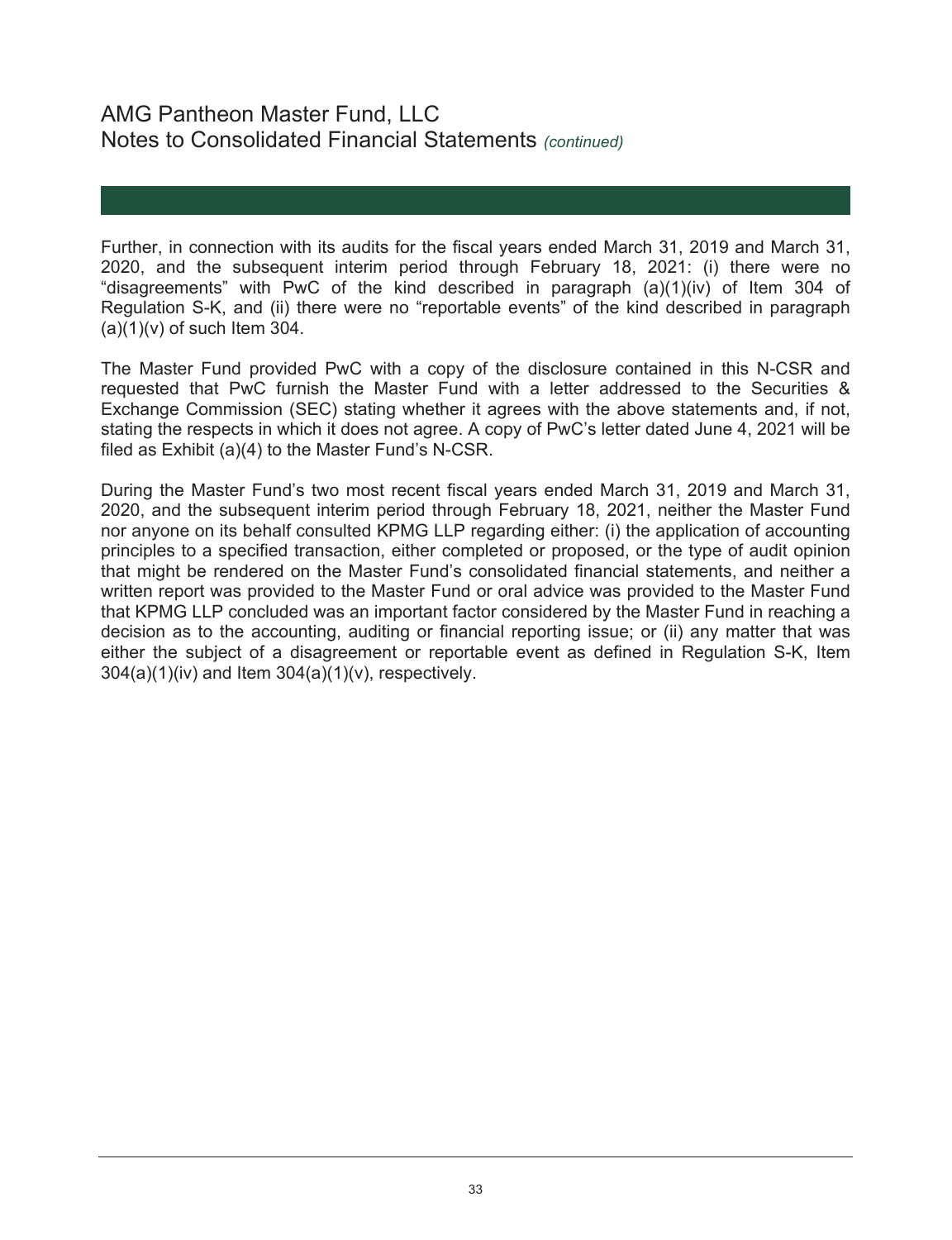Further, in connection with its audits for the fiscal years ended March 31, 2019 and March 31, 2020, and the subsequent interim period through February 18, 2021: (i) there were no "disagreements" with PwC of the kind described in paragraph  $(a)(1)(iv)$  of Item 304 of Regulation S-K, and (ii) there were no "reportable events" of the kind described in paragraph  $(a)(1)(v)$  of such Item 304.

The Master Fund provided PwC with a copy of the disclosure contained in this N-CSR and requested that PwC furnish the Master Fund with a letter addressed to the Securities & Exchange Commission (SEC) stating whether it agrees with the above statements and, if not, stating the respects in which it does not agree. A copy of PwC's letter dated June 4, 2021 will be filed as Exhibit (a)(4) to the Master Fund's N-CSR.

During the Master Fund's two most recent fiscal years ended March 31, 2019 and March 31, 2020, and the subsequent interim period through February 18, 2021, neither the Master Fund nor anyone on its behalf consulted KPMG LLP regarding either: (i) the application of accounting principles to a specified transaction, either completed or proposed, or the type of audit opinion that might be rendered on the Master Fund's consolidated financial statements, and neither a written report was provided to the Master Fund or oral advice was provided to the Master Fund that KPMG LLP concluded was an important factor considered by the Master Fund in reaching a decision as to the accounting, auditing or financial reporting issue; or (ii) any matter that was either the subject of a disagreement or reportable event as defined in Regulation S-K, Item 304(a)(1)(iv) and Item 304(a)(1)(v), respectively.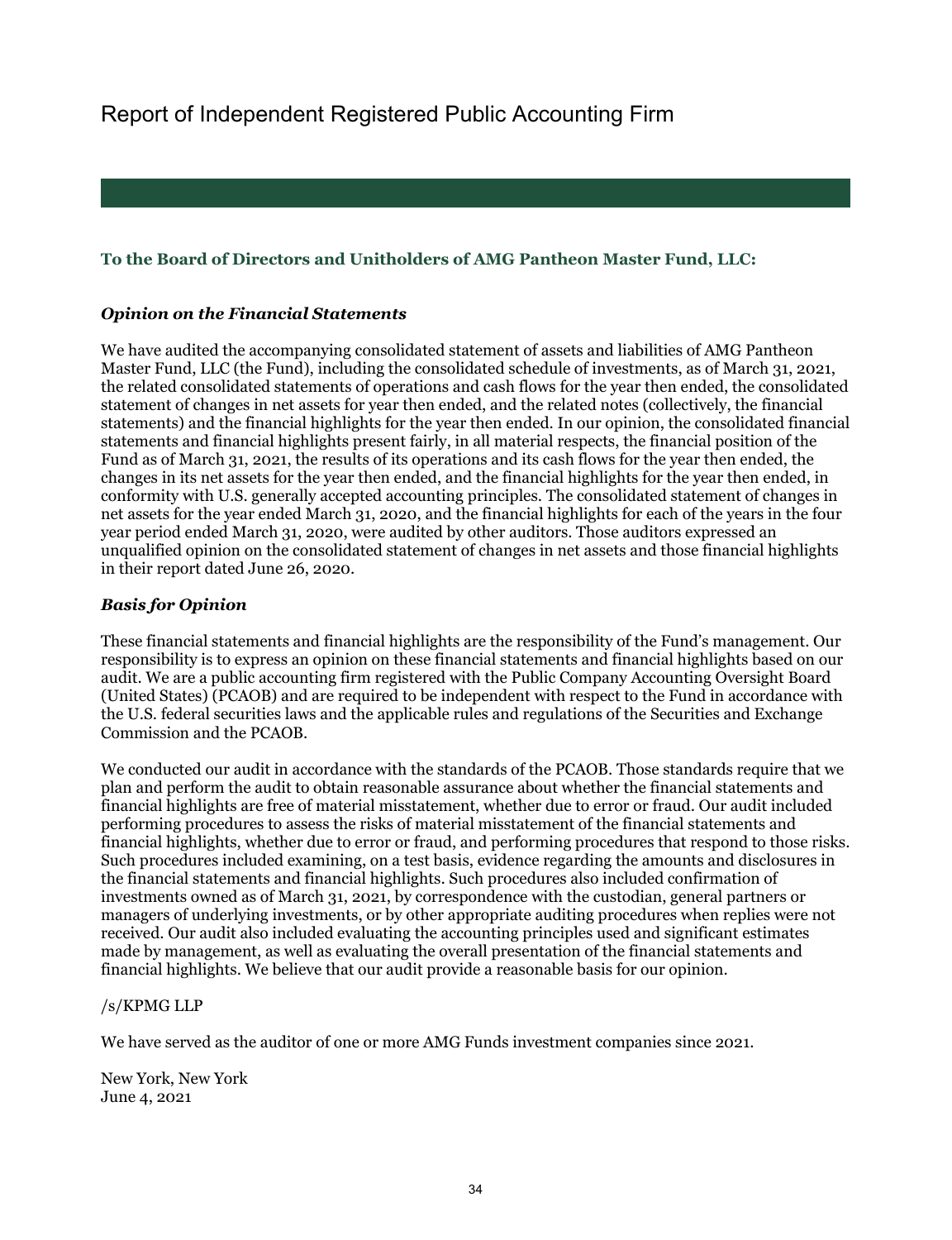## **To the Board of Directors and Unitholders of AMG Pantheon Master Fund, LLC:**

### *Opinion on the Financial Statements*

We have audited the accompanying consolidated statement of assets and liabilities of AMG Pantheon Master Fund, LLC (the Fund), including the consolidated schedule of investments, as of March 31, 2021, the related consolidated statements of operations and cash flows for the year then ended, the consolidated statement of changes in net assets for year then ended, and the related notes (collectively, the financial statements) and the financial highlights for the year then ended. In our opinion, the consolidated financial statements and financial highlights present fairly, in all material respects, the financial position of the Fund as of March 31, 2021, the results of its operations and its cash flows for the year then ended, the changes in its net assets for the year then ended, and the financial highlights for the year then ended, in conformity with U.S. generally accepted accounting principles. The consolidated statement of changes in net assets for the year ended March 31, 2020, and the financial highlights for each of the years in the four year period ended March 31, 2020, were audited by other auditors. Those auditors expressed an unqualified opinion on the consolidated statement of changes in net assets and those financial highlights in their report dated June 26, 2020.

### *Basis for Opinion*

These financial statements and financial highlights are the responsibility of the Fund's management. Our responsibility is to express an opinion on these financial statements and financial highlights based on our audit. We are a public accounting firm registered with the Public Company Accounting Oversight Board (United States) (PCAOB) and are required to be independent with respect to the Fund in accordance with the U.S. federal securities laws and the applicable rules and regulations of the Securities and Exchange Commission and the PCAOB.

We conducted our audit in accordance with the standards of the PCAOB. Those standards require that we plan and perform the audit to obtain reasonable assurance about whether the financial statements and financial highlights are free of material misstatement, whether due to error or fraud. Our audit included performing procedures to assess the risks of material misstatement of the financial statements and financial highlights, whether due to error or fraud, and performing procedures that respond to those risks. Such procedures included examining, on a test basis, evidence regarding the amounts and disclosures in the financial statements and financial highlights. Such procedures also included confirmation of investments owned as of March 31, 2021, by correspondence with the custodian, general partners or managers of underlying investments, or by other appropriate auditing procedures when replies were not received. Our audit also included evaluating the accounting principles used and significant estimates made by management, as well as evaluating the overall presentation of the financial statements and financial highlights. We believe that our audit provide a reasonable basis for our opinion.

### /s/KPMG LLP

We have served as the auditor of one or more AMG Funds investment companies since 2021.

New York, New York June 4, 2021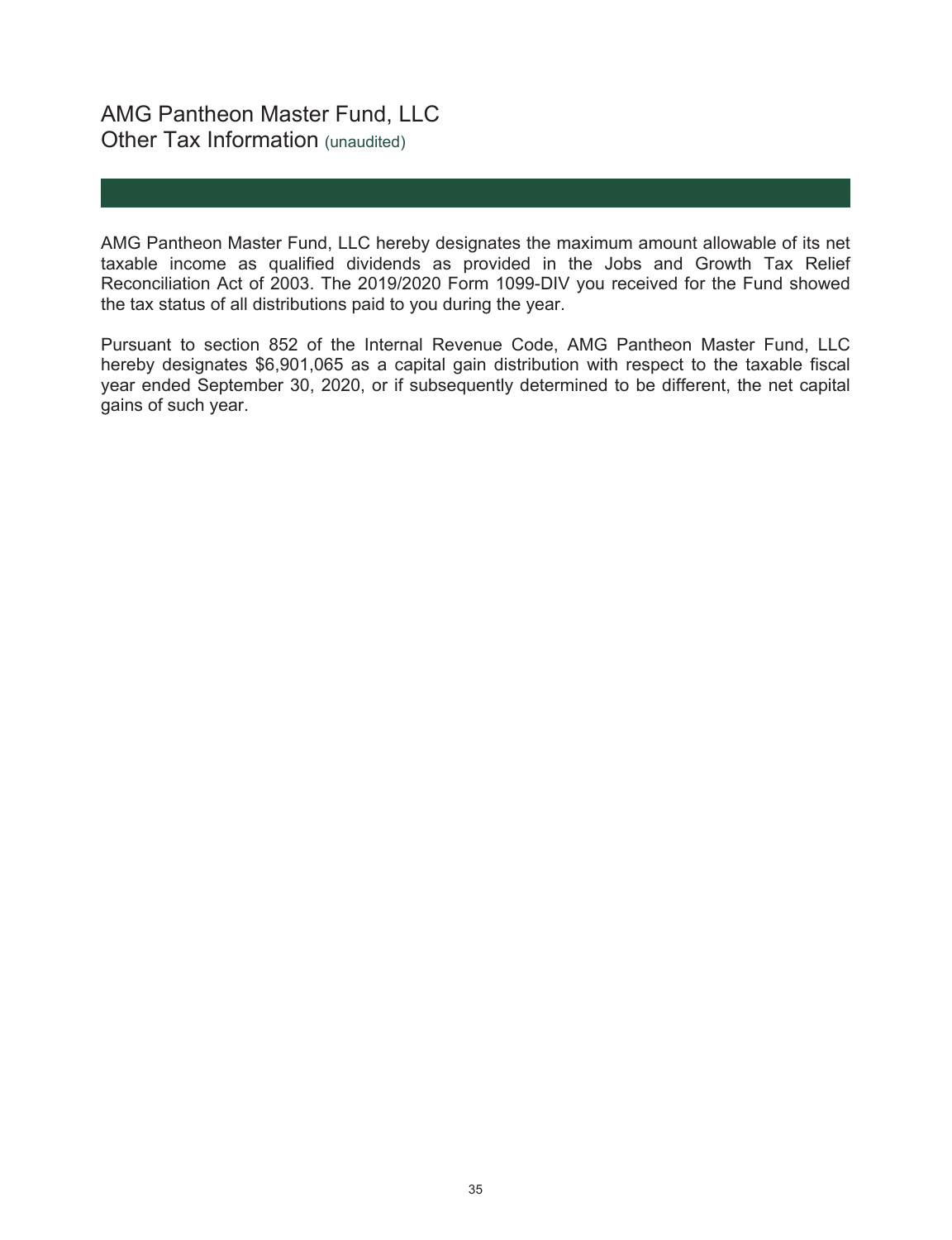## AMG Pantheon Master Fund, LLC Other Tax Information (unaudited)

AMG Pantheon Master Fund, LLC hereby designates the maximum amount allowable of its net taxable income as qualified dividends as provided in the Jobs and Growth Tax Relief Reconciliation Act of 2003. The 2019/2020 Form 1099-DIV you received for the Fund showed the tax status of all distributions paid to you during the year.

Pursuant to section 852 of the Internal Revenue Code, AMG Pantheon Master Fund, LLC hereby designates \$6,901,065 as a capital gain distribution with respect to the taxable fiscal year ended September 30, 2020, or if subsequently determined to be different, the net capital gains of such year.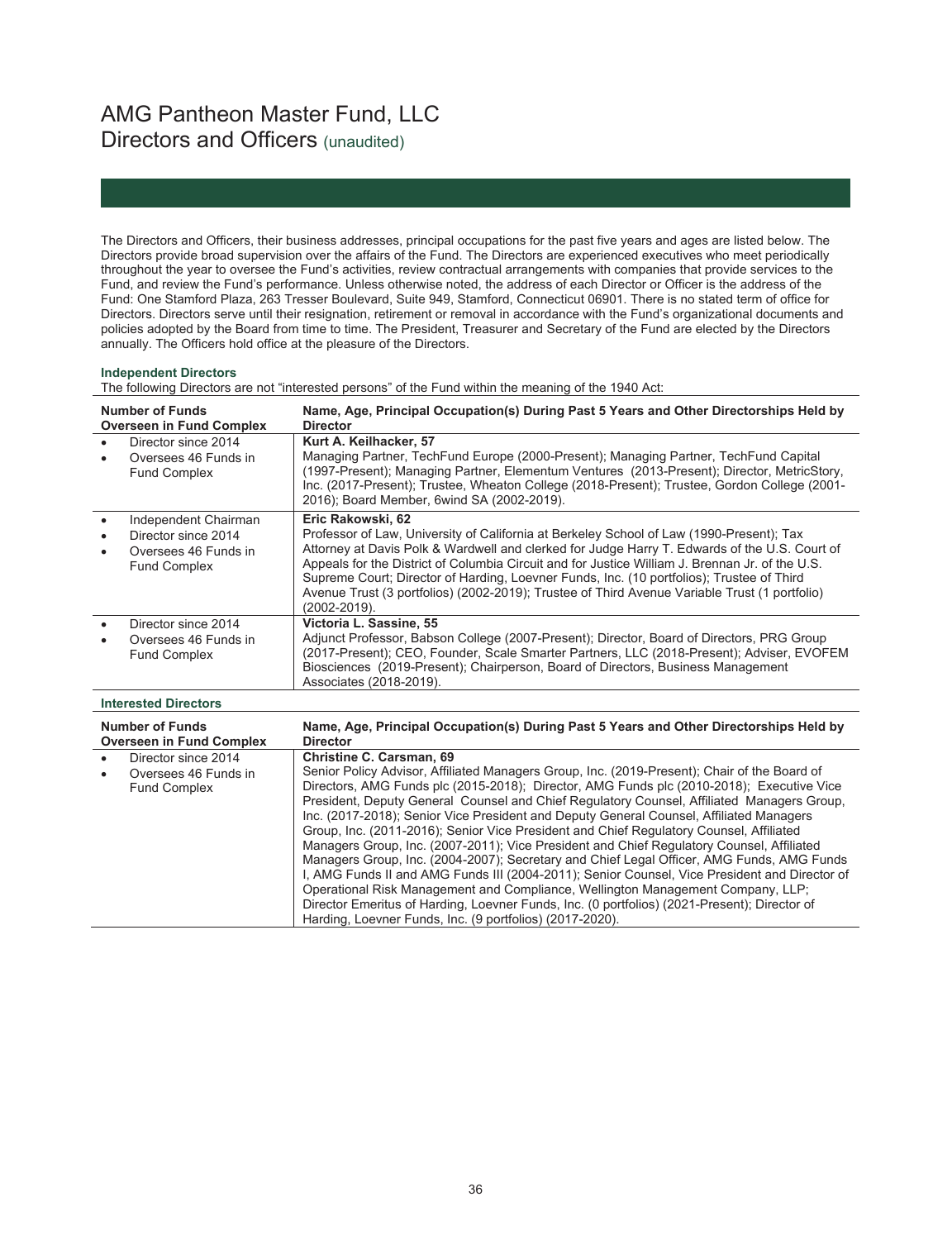# AMG Pantheon Master Fund, LLC Directors and Officers (unaudited)

The Directors and Officers, their business addresses, principal occupations for the past five years and ages are listed below. The Directors provide broad supervision over the affairs of the Fund. The Directors are experienced executives who meet periodically throughout the year to oversee the Fund's activities, review contractual arrangements with companies that provide services to the Fund, and review the Fund's performance. Unless otherwise noted, the address of each Director or Officer is the address of the Fund: One Stamford Plaza, 263 Tresser Boulevard, Suite 949, Stamford, Connecticut 06901. There is no stated term of office for Directors. Directors serve until their resignation, retirement or removal in accordance with the Fund's organizational documents and policies adopted by the Board from time to time. The President, Treasurer and Secretary of the Fund are elected by the Directors annually. The Officers hold office at the pleasure of the Directors.

#### **Independent Directors**

The following Directors are not "interested persons" of the Fund within the meaning of the 1940 Act:

| <b>Number of Funds</b><br><b>Overseen in Fund Complex</b>                                  | Name, Age, Principal Occupation(s) During Past 5 Years and Other Directorships Held by<br><b>Director</b>                                                                                                                                                                                                                                                                                                                                                                                                                                                                                                                                                                                                                                                                                                                                                                                                                                                                                                                                                  |
|--------------------------------------------------------------------------------------------|------------------------------------------------------------------------------------------------------------------------------------------------------------------------------------------------------------------------------------------------------------------------------------------------------------------------------------------------------------------------------------------------------------------------------------------------------------------------------------------------------------------------------------------------------------------------------------------------------------------------------------------------------------------------------------------------------------------------------------------------------------------------------------------------------------------------------------------------------------------------------------------------------------------------------------------------------------------------------------------------------------------------------------------------------------|
| Director since 2014<br>Oversees 46 Funds in<br><b>Fund Complex</b>                         | Kurt A. Keilhacker, 57<br>Managing Partner, TechFund Europe (2000-Present); Managing Partner, TechFund Capital<br>(1997-Present); Managing Partner, Elementum Ventures (2013-Present); Director, MetricStory,<br>Inc. (2017-Present); Trustee, Wheaton College (2018-Present); Trustee, Gordon College (2001-<br>2016); Board Member, 6wind SA (2002-2019).                                                                                                                                                                                                                                                                                                                                                                                                                                                                                                                                                                                                                                                                                                |
| Independent Chairman<br>Director since 2014<br>Oversees 46 Funds in<br><b>Fund Complex</b> | Eric Rakowski, 62<br>Professor of Law, University of California at Berkeley School of Law (1990-Present); Tax<br>Attorney at Davis Polk & Wardwell and clerked for Judge Harry T. Edwards of the U.S. Court of<br>Appeals for the District of Columbia Circuit and for Justice William J. Brennan Jr. of the U.S.<br>Supreme Court; Director of Harding, Loevner Funds, Inc. (10 portfolios); Trustee of Third<br>Avenue Trust (3 portfolios) (2002-2019); Trustee of Third Avenue Variable Trust (1 portfolio)<br>(2002-2019).                                                                                                                                                                                                                                                                                                                                                                                                                                                                                                                            |
| Director since 2014<br>Oversees 46 Funds in<br><b>Fund Complex</b>                         | Victoria L. Sassine, 55<br>Adjunct Professor, Babson College (2007-Present); Director, Board of Directors, PRG Group<br>(2017-Present); CEO, Founder, Scale Smarter Partners, LLC (2018-Present); Adviser, EVOFEM<br>Biosciences (2019-Present); Chairperson, Board of Directors, Business Management<br>Associates (2018-2019).                                                                                                                                                                                                                                                                                                                                                                                                                                                                                                                                                                                                                                                                                                                           |
| <b>Interested Directors</b>                                                                |                                                                                                                                                                                                                                                                                                                                                                                                                                                                                                                                                                                                                                                                                                                                                                                                                                                                                                                                                                                                                                                            |
| <b>Number of Funds</b><br><b>Overseen in Fund Complex</b>                                  | Name, Age, Principal Occupation(s) During Past 5 Years and Other Directorships Held by<br><b>Director</b>                                                                                                                                                                                                                                                                                                                                                                                                                                                                                                                                                                                                                                                                                                                                                                                                                                                                                                                                                  |
| Director since 2014<br>Oversees 46 Funds in<br><b>Fund Complex</b>                         | <b>Christine C. Carsman, 69</b><br>Senior Policy Advisor, Affiliated Managers Group, Inc. (2019-Present); Chair of the Board of<br>Directors, AMG Funds plc (2015-2018); Director, AMG Funds plc (2010-2018); Executive Vice<br>President, Deputy General Counsel and Chief Regulatory Counsel, Affiliated Managers Group,<br>Inc. (2017-2018); Senior Vice President and Deputy General Counsel, Affiliated Managers<br>Group, Inc. (2011-2016); Senior Vice President and Chief Regulatory Counsel, Affiliated<br>Managers Group, Inc. (2007-2011); Vice President and Chief Regulatory Counsel, Affiliated<br>Managers Group, Inc. (2004-2007); Secretary and Chief Legal Officer, AMG Funds, AMG Funds<br>I, AMG Funds II and AMG Funds III (2004-2011); Senior Counsel, Vice President and Director of<br>Operational Risk Management and Compliance, Wellington Management Company, LLP;<br>Director Emeritus of Harding, Loevner Funds, Inc. (0 portfolios) (2021-Present); Director of<br>Harding, Loevner Funds, Inc. (9 portfolios) (2017-2020). |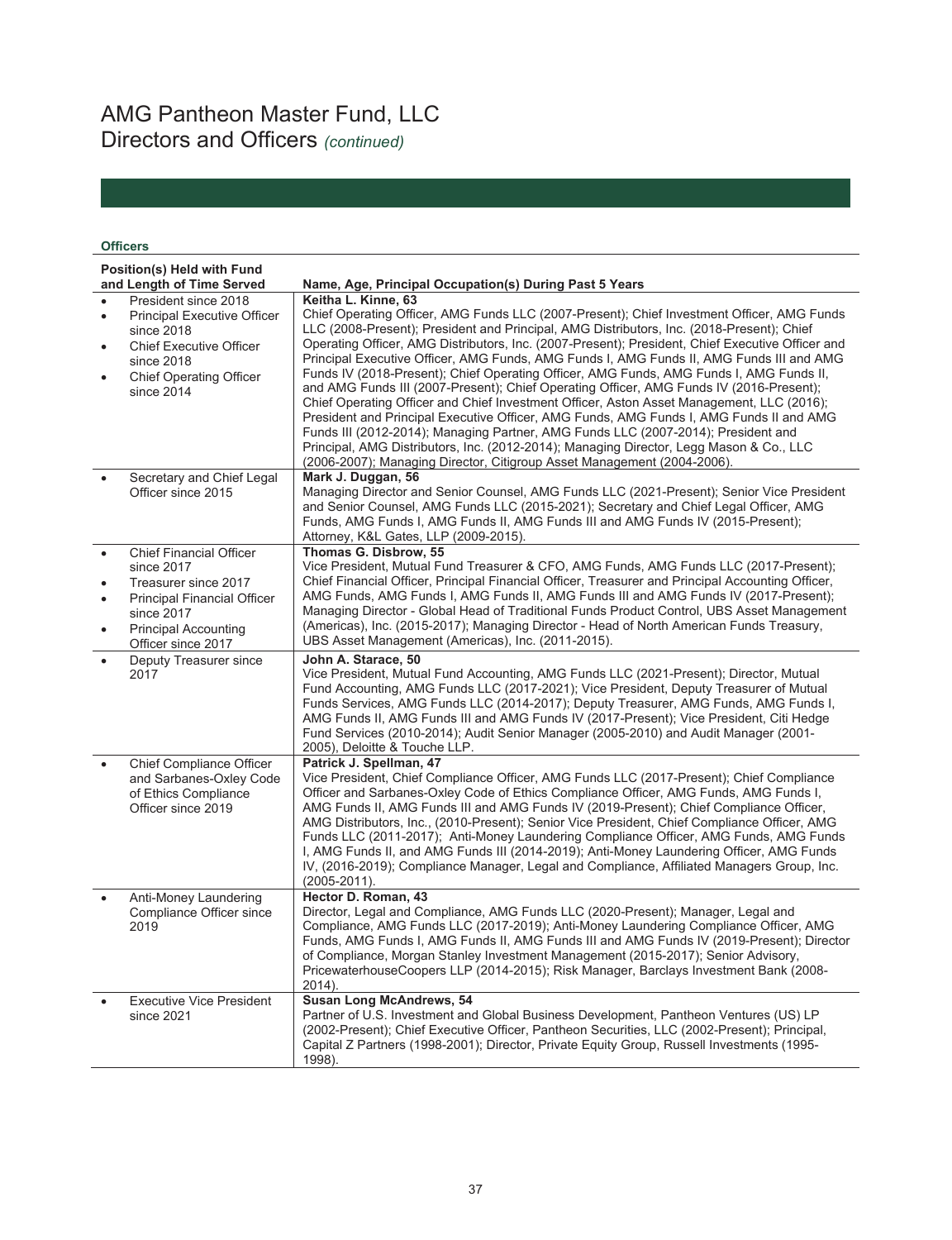# AMG Pantheon Master Fund, LLC Directors and Officers *(continued)*

### **Officers**

|   | Position(s) Held with Fund<br>and Length of Time Served | Name, Age, Principal Occupation(s) During Past 5 Years                                            |
|---|---------------------------------------------------------|---------------------------------------------------------------------------------------------------|
|   | President since 2018                                    | Keitha L. Kinne, 63                                                                               |
| ٠ | <b>Principal Executive Officer</b>                      | Chief Operating Officer, AMG Funds LLC (2007-Present); Chief Investment Officer, AMG Funds        |
|   | since 2018                                              | LLC (2008-Present): President and Principal, AMG Distributors, Inc. (2018-Present): Chief         |
|   | <b>Chief Executive Officer</b>                          | Operating Officer, AMG Distributors, Inc. (2007-Present); President, Chief Executive Officer and  |
|   |                                                         | Principal Executive Officer, AMG Funds, AMG Funds I, AMG Funds II, AMG Funds III and AMG          |
|   | since 2018                                              | Funds IV (2018-Present); Chief Operating Officer, AMG Funds, AMG Funds I, AMG Funds II,           |
|   | <b>Chief Operating Officer</b>                          | and AMG Funds III (2007-Present); Chief Operating Officer, AMG Funds IV (2016-Present);           |
|   | since 2014                                              | Chief Operating Officer and Chief Investment Officer, Aston Asset Management, LLC (2016);         |
|   |                                                         | President and Principal Executive Officer, AMG Funds, AMG Funds I, AMG Funds II and AMG           |
|   |                                                         | Funds III (2012-2014); Managing Partner, AMG Funds LLC (2007-2014); President and                 |
|   |                                                         | Principal, AMG Distributors, Inc. (2012-2014); Managing Director, Legg Mason & Co., LLC           |
|   |                                                         | (2006-2007); Managing Director, Citigroup Asset Management (2004-2006).                           |
|   | Secretary and Chief Legal                               | Mark J. Duggan, 56                                                                                |
|   | Officer since 2015                                      | Managing Director and Senior Counsel, AMG Funds LLC (2021-Present); Senior Vice President         |
|   |                                                         | and Senior Counsel, AMG Funds LLC (2015-2021); Secretary and Chief Legal Officer, AMG             |
|   |                                                         | Funds, AMG Funds I, AMG Funds II, AMG Funds III and AMG Funds IV (2015-Present);                  |
|   |                                                         | Attorney, K&L Gates, LLP (2009-2015).                                                             |
|   | <b>Chief Financial Officer</b>                          | Thomas G. Disbrow, 55                                                                             |
|   | since 2017                                              | Vice President, Mutual Fund Treasurer & CFO, AMG Funds, AMG Funds LLC (2017-Present);             |
|   | Treasurer since 2017                                    | Chief Financial Officer, Principal Financial Officer, Treasurer and Principal Accounting Officer, |
|   | <b>Principal Financial Officer</b>                      | AMG Funds, AMG Funds I, AMG Funds II, AMG Funds III and AMG Funds IV (2017-Present);              |
|   | since 2017                                              | Managing Director - Global Head of Traditional Funds Product Control, UBS Asset Management        |
|   | <b>Principal Accounting</b>                             | (Americas), Inc. (2015-2017); Managing Director - Head of North American Funds Treasury,          |
|   | Officer since 2017                                      | UBS Asset Management (Americas), Inc. (2011-2015).                                                |
|   | Deputy Treasurer since                                  | John A. Starace, 50                                                                               |
|   | 2017                                                    | Vice President, Mutual Fund Accounting, AMG Funds LLC (2021-Present); Director, Mutual            |
|   |                                                         | Fund Accounting, AMG Funds LLC (2017-2021); Vice President, Deputy Treasurer of Mutual            |
|   |                                                         | Funds Services, AMG Funds LLC (2014-2017); Deputy Treasurer, AMG Funds, AMG Funds I,              |
|   |                                                         | AMG Funds II, AMG Funds III and AMG Funds IV (2017-Present); Vice President, Citi Hedge           |
|   |                                                         | Fund Services (2010-2014); Audit Senior Manager (2005-2010) and Audit Manager (2001-              |
|   | <b>Chief Compliance Officer</b>                         | 2005), Deloitte & Touche LLP.<br>Patrick J. Spellman, 47                                          |
|   | and Sarbanes-Oxley Code                                 | Vice President, Chief Compliance Officer, AMG Funds LLC (2017-Present); Chief Compliance          |
|   | of Ethics Compliance                                    | Officer and Sarbanes-Oxley Code of Ethics Compliance Officer, AMG Funds, AMG Funds I,             |
|   | Officer since 2019                                      | AMG Funds II, AMG Funds III and AMG Funds IV (2019-Present); Chief Compliance Officer,            |
|   |                                                         | AMG Distributors, Inc., (2010-Present); Senior Vice President, Chief Compliance Officer, AMG      |
|   |                                                         | Funds LLC (2011-2017); Anti-Money Laundering Compliance Officer, AMG Funds, AMG Funds             |
|   |                                                         | I, AMG Funds II, and AMG Funds III (2014-2019); Anti-Money Laundering Officer, AMG Funds          |
|   |                                                         | IV, (2016-2019); Compliance Manager, Legal and Compliance, Affiliated Managers Group, Inc.        |
|   |                                                         | $(2005 - 2011)$ .                                                                                 |
|   | Anti-Money Laundering                                   | Hector D. Roman, 43                                                                               |
|   | Compliance Officer since                                | Director, Legal and Compliance, AMG Funds LLC (2020-Present); Manager, Legal and                  |
|   | 2019                                                    | Compliance, AMG Funds LLC (2017-2019); Anti-Money Laundering Compliance Officer, AMG              |
|   |                                                         | Funds, AMG Funds I, AMG Funds II, AMG Funds III and AMG Funds IV (2019-Present); Director         |
|   |                                                         | of Compliance, Morgan Stanley Investment Management (2015-2017); Senior Advisory,                 |
|   |                                                         | PricewaterhouseCoopers LLP (2014-2015); Risk Manager, Barclays Investment Bank (2008-             |
|   |                                                         | 2014).                                                                                            |
|   | <b>Executive Vice President</b>                         | Susan Long McAndrews, 54                                                                          |
|   | since 2021                                              | Partner of U.S. Investment and Global Business Development, Pantheon Ventures (US) LP             |
|   |                                                         | (2002-Present); Chief Executive Officer, Pantheon Securities, LLC (2002-Present); Principal,      |
|   |                                                         | Capital Z Partners (1998-2001); Director, Private Equity Group, Russell Investments (1995-        |
|   |                                                         | 1998).                                                                                            |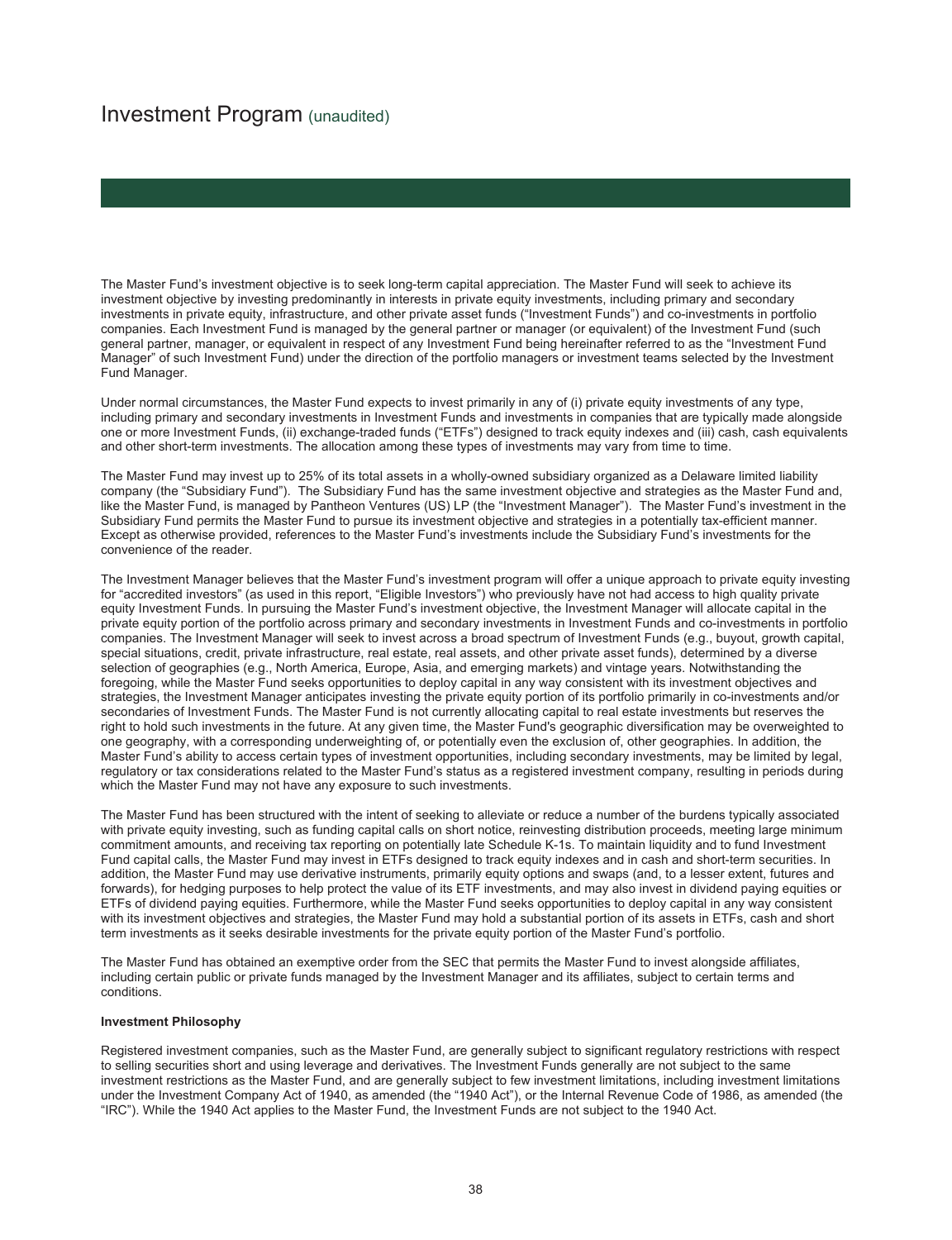# Investment Program (unaudited)

The Master Fund's investment objective is to seek long-term capital appreciation. The Master Fund will seek to achieve its investment objective by investing predominantly in interests in private equity investments, including primary and secondary investments in private equity, infrastructure, and other private asset funds ("Investment Funds") and co-investments in portfolio companies. Each Investment Fund is managed by the general partner or manager (or equivalent) of the Investment Fund (such general partner, manager, or equivalent in respect of any Investment Fund being hereinafter referred to as the "Investment Fund Manager" of such Investment Fund) under the direction of the portfolio managers or investment teams selected by the Investment Fund Manager.

Under normal circumstances, the Master Fund expects to invest primarily in any of (i) private equity investments of any type, including primary and secondary investments in Investment Funds and investments in companies that are typically made alongside one or more Investment Funds, (ii) exchange-traded funds ("ETFs") designed to track equity indexes and (iii) cash, cash equivalents and other short-term investments. The allocation among these types of investments may vary from time to time.

The Master Fund may invest up to 25% of its total assets in a wholly-owned subsidiary organized as a Delaware limited liability company (the "Subsidiary Fund"). The Subsidiary Fund has the same investment objective and strategies as the Master Fund and, like the Master Fund, is managed by Pantheon Ventures (US) LP (the "Investment Manager"). The Master Fund's investment in the Subsidiary Fund permits the Master Fund to pursue its investment objective and strategies in a potentially tax-efficient manner. Except as otherwise provided, references to the Master Fund's investments include the Subsidiary Fund's investments for the convenience of the reader.

The Investment Manager believes that the Master Fund's investment program will offer a unique approach to private equity investing for "accredited investors" (as used in this report, "Eligible Investors") who previously have not had access to high quality private equity Investment Funds. In pursuing the Master Fund's investment objective, the Investment Manager will allocate capital in the private equity portion of the portfolio across primary and secondary investments in Investment Funds and co-investments in portfolio companies. The Investment Manager will seek to invest across a broad spectrum of Investment Funds (e.g., buyout, growth capital, special situations, credit, private infrastructure, real estate, real assets, and other private asset funds), determined by a diverse selection of geographies (e.g., North America, Europe, Asia, and emerging markets) and vintage years. Notwithstanding the foregoing, while the Master Fund seeks opportunities to deploy capital in any way consistent with its investment objectives and strategies, the Investment Manager anticipates investing the private equity portion of its portfolio primarily in co-investments and/or secondaries of Investment Funds. The Master Fund is not currently allocating capital to real estate investments but reserves the right to hold such investments in the future. At any given time, the Master Fund's geographic diversification may be overweighted to one geography, with a corresponding underweighting of, or potentially even the exclusion of, other geographies. In addition, the Master Fund's ability to access certain types of investment opportunities, including secondary investments, may be limited by legal, regulatory or tax considerations related to the Master Fund's status as a registered investment company, resulting in periods during which the Master Fund may not have any exposure to such investments.

The Master Fund has been structured with the intent of seeking to alleviate or reduce a number of the burdens typically associated with private equity investing, such as funding capital calls on short notice, reinvesting distribution proceeds, meeting large minimum commitment amounts, and receiving tax reporting on potentially late Schedule K-1s. To maintain liquidity and to fund Investment Fund capital calls, the Master Fund may invest in ETFs designed to track equity indexes and in cash and short-term securities. In addition, the Master Fund may use derivative instruments, primarily equity options and swaps (and, to a lesser extent, futures and forwards), for hedging purposes to help protect the value of its ETF investments, and may also invest in dividend paying equities or ETFs of dividend paying equities. Furthermore, while the Master Fund seeks opportunities to deploy capital in any way consistent with its investment objectives and strategies, the Master Fund may hold a substantial portion of its assets in ETFs, cash and short term investments as it seeks desirable investments for the private equity portion of the Master Fund's portfolio.

The Master Fund has obtained an exemptive order from the SEC that permits the Master Fund to invest alongside affiliates, including certain public or private funds managed by the Investment Manager and its affiliates, subject to certain terms and conditions.

#### **Investment Philosophy**

Registered investment companies, such as the Master Fund, are generally subject to significant regulatory restrictions with respect to selling securities short and using leverage and derivatives. The Investment Funds generally are not subject to the same investment restrictions as the Master Fund, and are generally subject to few investment limitations, including investment limitations under the Investment Company Act of 1940, as amended (the "1940 Act"), or the Internal Revenue Code of 1986, as amended (the "IRC"). While the 1940 Act applies to the Master Fund, the Investment Funds are not subject to the 1940 Act.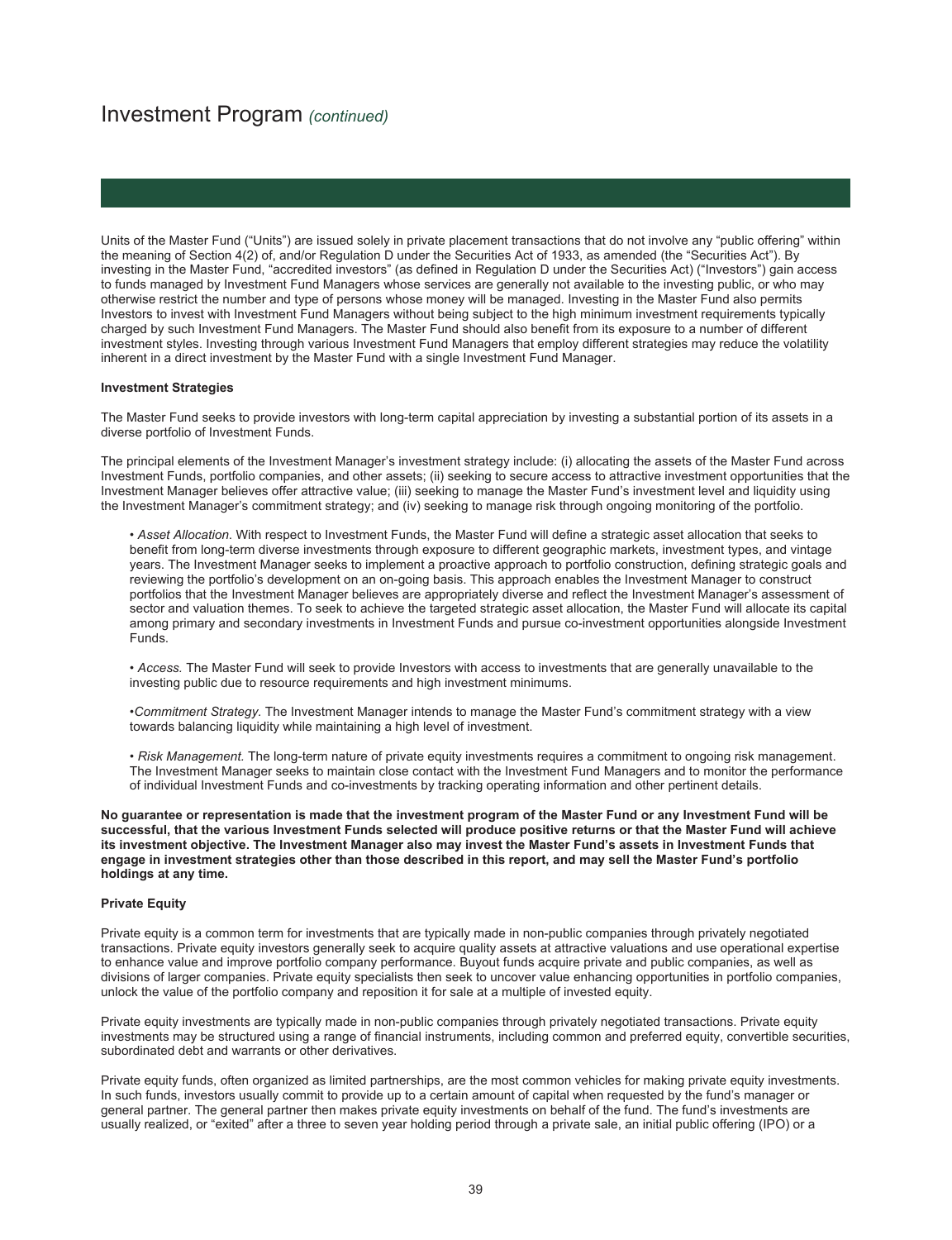Units of the Master Fund ("Units") are issued solely in private placement transactions that do not involve any "public offering" within the meaning of Section 4(2) of, and/or Regulation D under the Securities Act of 1933, as amended (the "Securities Act"). By investing in the Master Fund, "accredited investors" (as defined in Regulation D under the Securities Act) ("Investors") gain access to funds managed by Investment Fund Managers whose services are generally not available to the investing public, or who may otherwise restrict the number and type of persons whose money will be managed. Investing in the Master Fund also permits Investors to invest with Investment Fund Managers without being subject to the high minimum investment requirements typically charged by such Investment Fund Managers. The Master Fund should also benefit from its exposure to a number of different investment styles. Investing through various Investment Fund Managers that employ different strategies may reduce the volatility inherent in a direct investment by the Master Fund with a single Investment Fund Manager.

#### **Investment Strategies**

The Master Fund seeks to provide investors with long-term capital appreciation by investing a substantial portion of its assets in a diverse portfolio of Investment Funds.

The principal elements of the Investment Manager's investment strategy include: (i) allocating the assets of the Master Fund across Investment Funds, portfolio companies, and other assets; (ii) seeking to secure access to attractive investment opportunities that the Investment Manager believes offer attractive value; (iii) seeking to manage the Master Fund's investment level and liquidity using the Investment Manager's commitment strategy; and (iv) seeking to manage risk through ongoing monitoring of the portfolio.

• *Asset Allocation*. With respect to Investment Funds, the Master Fund will define a strategic asset allocation that seeks to benefit from long-term diverse investments through exposure to different geographic markets, investment types, and vintage years. The Investment Manager seeks to implement a proactive approach to portfolio construction, defining strategic goals and reviewing the portfolio's development on an on-going basis. This approach enables the Investment Manager to construct portfolios that the Investment Manager believes are appropriately diverse and reflect the Investment Manager's assessment of sector and valuation themes. To seek to achieve the targeted strategic asset allocation, the Master Fund will allocate its capital among primary and secondary investments in Investment Funds and pursue co-investment opportunities alongside Investment Funds.

• *Access.* The Master Fund will seek to provide Investors with access to investments that are generally unavailable to the investing public due to resource requirements and high investment minimums.

•*Commitment Strategy.* The Investment Manager intends to manage the Master Fund's commitment strategy with a view towards balancing liquidity while maintaining a high level of investment.

• *Risk Management.* The long-term nature of private equity investments requires a commitment to ongoing risk management. The Investment Manager seeks to maintain close contact with the Investment Fund Managers and to monitor the performance of individual Investment Funds and co-investments by tracking operating information and other pertinent details.

**No guarantee or representation is made that the investment program of the Master Fund or any Investment Fund will be successful, that the various Investment Funds selected will produce positive returns or that the Master Fund will achieve its investment objective. The Investment Manager also may invest the Master Fund's assets in Investment Funds that engage in investment strategies other than those described in this report, and may sell the Master Fund's portfolio holdings at any time.** 

#### **Private Equity**

Private equity is a common term for investments that are typically made in non-public companies through privately negotiated transactions. Private equity investors generally seek to acquire quality assets at attractive valuations and use operational expertise to enhance value and improve portfolio company performance. Buyout funds acquire private and public companies, as well as divisions of larger companies. Private equity specialists then seek to uncover value enhancing opportunities in portfolio companies, unlock the value of the portfolio company and reposition it for sale at a multiple of invested equity.

Private equity investments are typically made in non-public companies through privately negotiated transactions. Private equity investments may be structured using a range of financial instruments, including common and preferred equity, convertible securities, subordinated debt and warrants or other derivatives.

Private equity funds, often organized as limited partnerships, are the most common vehicles for making private equity investments. In such funds, investors usually commit to provide up to a certain amount of capital when requested by the fund's manager or general partner. The general partner then makes private equity investments on behalf of the fund. The fund's investments are usually realized, or "exited" after a three to seven year holding period through a private sale, an initial public offering (IPO) or a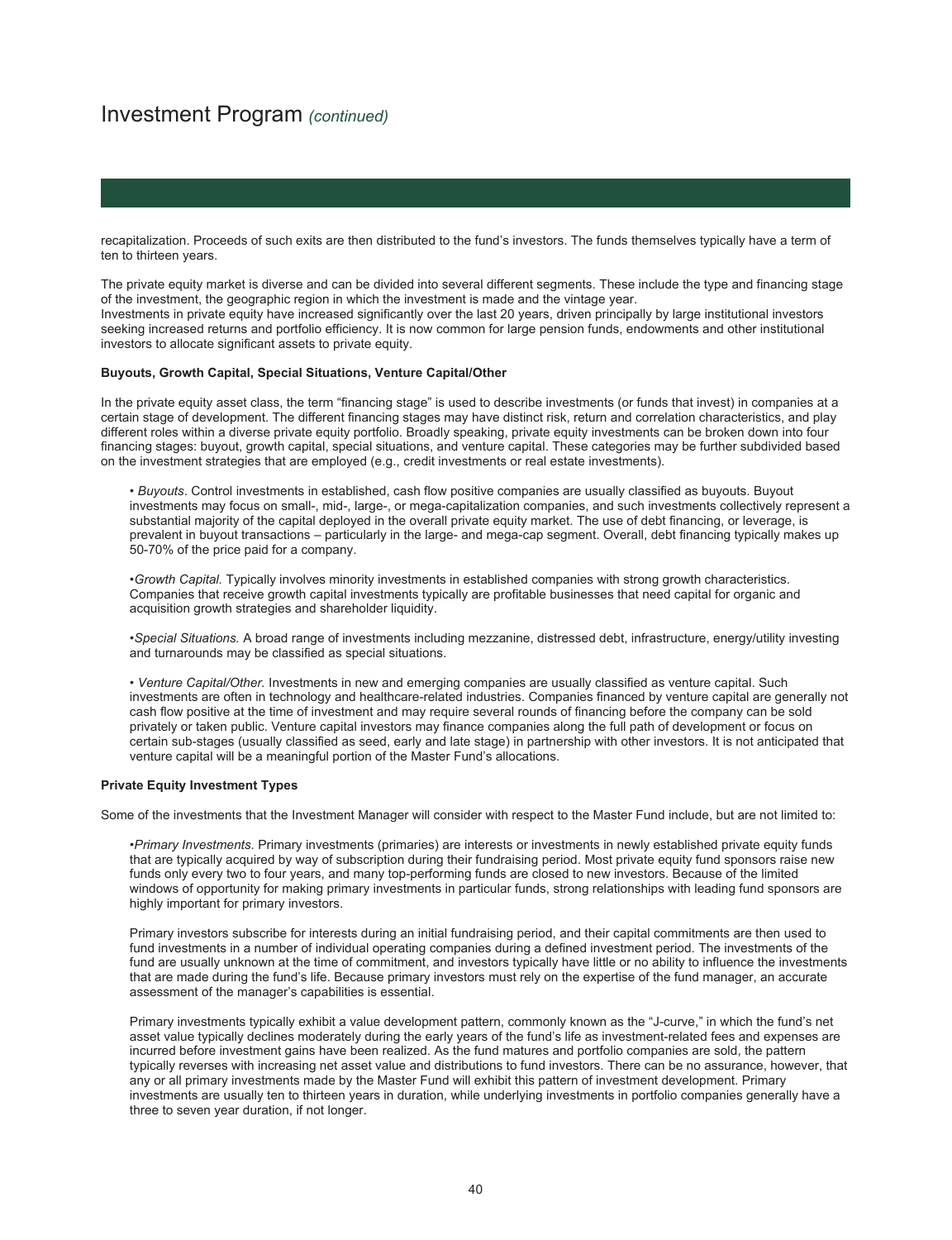recapitalization. Proceeds of such exits are then distributed to the fund's investors. The funds themselves typically have a term of ten to thirteen years.

The private equity market is diverse and can be divided into several different segments. These include the type and financing stage of the investment, the geographic region in which the investment is made and the vintage year. Investments in private equity have increased significantly over the last 20 years, driven principally by large institutional investors seeking increased returns and portfolio efficiency. It is now common for large pension funds, endowments and other institutional investors to allocate significant assets to private equity.

#### **Buyouts, Growth Capital, Special Situations, Venture Capital/Other**

In the private equity asset class, the term "financing stage" is used to describe investments (or funds that invest) in companies at a certain stage of development. The different financing stages may have distinct risk, return and correlation characteristics, and play different roles within a diverse private equity portfolio. Broadly speaking, private equity investments can be broken down into four financing stages: buyout, growth capital, special situations, and venture capital. These categories may be further subdivided based on the investment strategies that are employed (e.g., credit investments or real estate investments).

• *Buyouts*. Control investments in established, cash flow positive companies are usually classified as buyouts. Buyout investments may focus on small-, mid-, large-, or mega-capitalization companies, and such investments collectively represent a substantial majority of the capital deployed in the overall private equity market. The use of debt financing, or leverage, is prevalent in buyout transactions – particularly in the large- and mega-cap segment. Overall, debt financing typically makes up 50-70% of the price paid for a company.

•*Growth Capital.* Typically involves minority investments in established companies with strong growth characteristics. Companies that receive growth capital investments typically are profitable businesses that need capital for organic and acquisition growth strategies and shareholder liquidity.

•*Special Situations.* A broad range of investments including mezzanine, distressed debt, infrastructure, energy/utility investing and turnarounds may be classified as special situations.

• *Venture Capital/Other.* Investments in new and emerging companies are usually classified as venture capital. Such investments are often in technology and healthcare-related industries. Companies financed by venture capital are generally not cash flow positive at the time of investment and may require several rounds of financing before the company can be sold privately or taken public. Venture capital investors may finance companies along the full path of development or focus on certain sub-stages (usually classified as seed, early and late stage) in partnership with other investors. It is not anticipated that venture capital will be a meaningful portion of the Master Fund's allocations.

#### **Private Equity Investment Types**

Some of the investments that the Investment Manager will consider with respect to the Master Fund include, but are not limited to:

•*Primary Investments.* Primary investments (primaries) are interests or investments in newly established private equity funds that are typically acquired by way of subscription during their fundraising period. Most private equity fund sponsors raise new funds only every two to four years, and many top-performing funds are closed to new investors. Because of the limited windows of opportunity for making primary investments in particular funds, strong relationships with leading fund sponsors are highly important for primary investors.

Primary investors subscribe for interests during an initial fundraising period, and their capital commitments are then used to fund investments in a number of individual operating companies during a defined investment period. The investments of the fund are usually unknown at the time of commitment, and investors typically have little or no ability to influence the investments that are made during the fund's life. Because primary investors must rely on the expertise of the fund manager, an accurate assessment of the manager's capabilities is essential.

Primary investments typically exhibit a value development pattern, commonly known as the "J-curve," in which the fund's net asset value typically declines moderately during the early years of the fund's life as investment-related fees and expenses are incurred before investment gains have been realized. As the fund matures and portfolio companies are sold, the pattern typically reverses with increasing net asset value and distributions to fund investors. There can be no assurance, however, that any or all primary investments made by the Master Fund will exhibit this pattern of investment development. Primary investments are usually ten to thirteen years in duration, while underlying investments in portfolio companies generally have a three to seven year duration, if not longer.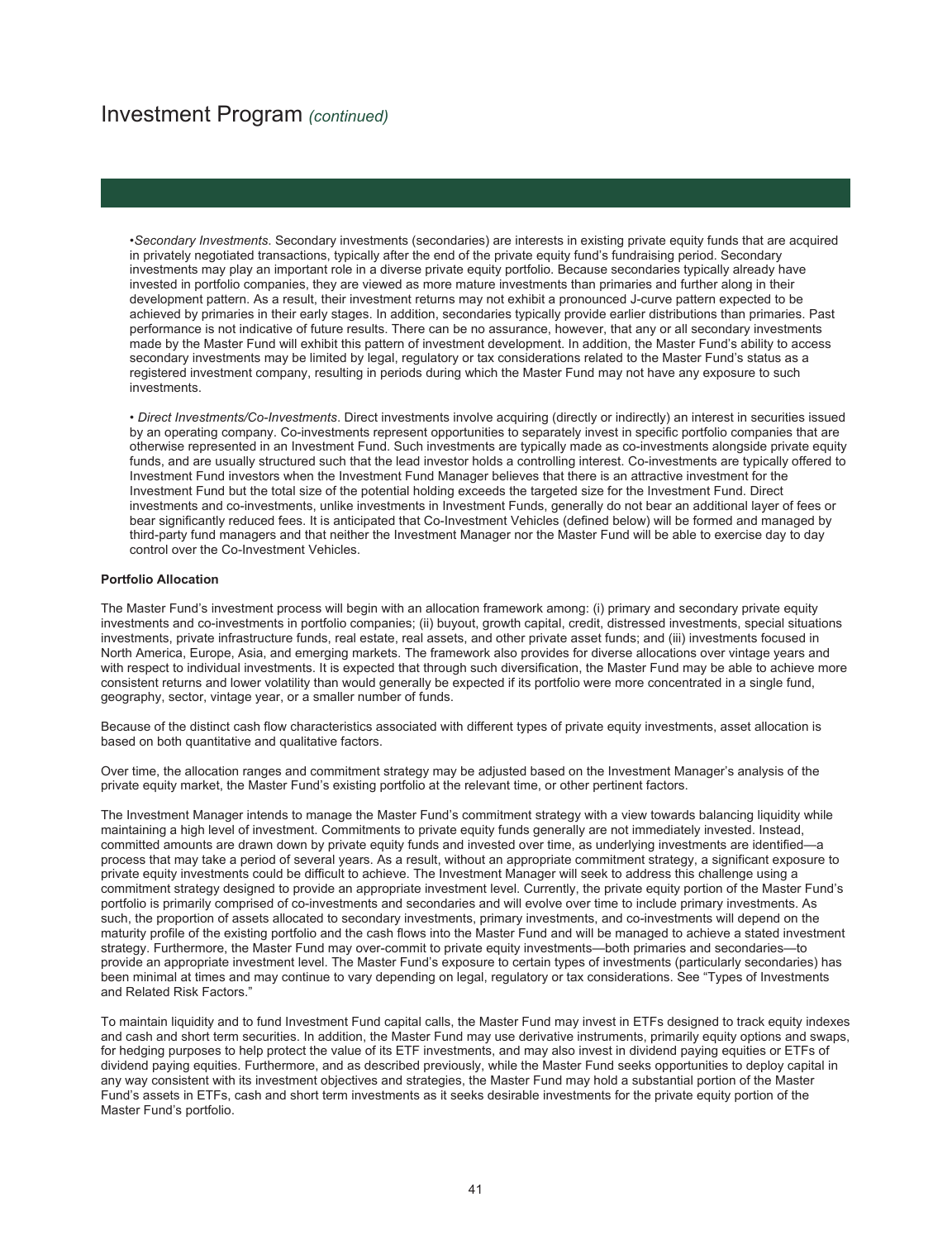•*Secondary Investments*. Secondary investments (secondaries) are interests in existing private equity funds that are acquired in privately negotiated transactions, typically after the end of the private equity fund's fundraising period. Secondary investments may play an important role in a diverse private equity portfolio. Because secondaries typically already have invested in portfolio companies, they are viewed as more mature investments than primaries and further along in their development pattern. As a result, their investment returns may not exhibit a pronounced J-curve pattern expected to be achieved by primaries in their early stages. In addition, secondaries typically provide earlier distributions than primaries. Past performance is not indicative of future results. There can be no assurance, however, that any or all secondary investments made by the Master Fund will exhibit this pattern of investment development. In addition, the Master Fund's ability to access secondary investments may be limited by legal, regulatory or tax considerations related to the Master Fund's status as a registered investment company, resulting in periods during which the Master Fund may not have any exposure to such investments.

• *Direct Investments/Co-Investments*. Direct investments involve acquiring (directly or indirectly) an interest in securities issued by an operating company. Co-investments represent opportunities to separately invest in specific portfolio companies that are otherwise represented in an Investment Fund. Such investments are typically made as co-investments alongside private equity funds, and are usually structured such that the lead investor holds a controlling interest. Co-investments are typically offered to Investment Fund investors when the Investment Fund Manager believes that there is an attractive investment for the Investment Fund but the total size of the potential holding exceeds the targeted size for the Investment Fund. Direct investments and co-investments, unlike investments in Investment Funds, generally do not bear an additional layer of fees or bear significantly reduced fees. It is anticipated that Co-Investment Vehicles (defined below) will be formed and managed by third-party fund managers and that neither the Investment Manager nor the Master Fund will be able to exercise day to day control over the Co-Investment Vehicles.

#### **Portfolio Allocation**

The Master Fund's investment process will begin with an allocation framework among: (i) primary and secondary private equity investments and co-investments in portfolio companies; (ii) buyout, growth capital, credit, distressed investments, special situations investments, private infrastructure funds, real estate, real assets, and other private asset funds; and (iii) investments focused in North America, Europe, Asia, and emerging markets. The framework also provides for diverse allocations over vintage years and with respect to individual investments. It is expected that through such diversification, the Master Fund may be able to achieve more consistent returns and lower volatility than would generally be expected if its portfolio were more concentrated in a single fund, geography, sector, vintage year, or a smaller number of funds.

Because of the distinct cash flow characteristics associated with different types of private equity investments, asset allocation is based on both quantitative and qualitative factors.

Over time, the allocation ranges and commitment strategy may be adjusted based on the Investment Manager's analysis of the private equity market, the Master Fund's existing portfolio at the relevant time, or other pertinent factors.

The Investment Manager intends to manage the Master Fund's commitment strategy with a view towards balancing liquidity while maintaining a high level of investment. Commitments to private equity funds generally are not immediately invested. Instead, committed amounts are drawn down by private equity funds and invested over time, as underlying investments are identified—a process that may take a period of several years. As a result, without an appropriate commitment strategy, a significant exposure to private equity investments could be difficult to achieve. The Investment Manager will seek to address this challenge using a commitment strategy designed to provide an appropriate investment level. Currently, the private equity portion of the Master Fund's portfolio is primarily comprised of co-investments and secondaries and will evolve over time to include primary investments. As such, the proportion of assets allocated to secondary investments, primary investments, and co-investments will depend on the maturity profile of the existing portfolio and the cash flows into the Master Fund and will be managed to achieve a stated investment strategy. Furthermore, the Master Fund may over-commit to private equity investments—both primaries and secondaries—to provide an appropriate investment level. The Master Fund's exposure to certain types of investments (particularly secondaries) has been minimal at times and may continue to vary depending on legal, regulatory or tax considerations. See "Types of Investments and Related Risk Factors."

To maintain liquidity and to fund Investment Fund capital calls, the Master Fund may invest in ETFs designed to track equity indexes and cash and short term securities. In addition, the Master Fund may use derivative instruments, primarily equity options and swaps, for hedging purposes to help protect the value of its ETF investments, and may also invest in dividend paying equities or ETFs of dividend paying equities. Furthermore, and as described previously, while the Master Fund seeks opportunities to deploy capital in any way consistent with its investment objectives and strategies, the Master Fund may hold a substantial portion of the Master Fund's assets in ETFs, cash and short term investments as it seeks desirable investments for the private equity portion of the Master Fund's portfolio.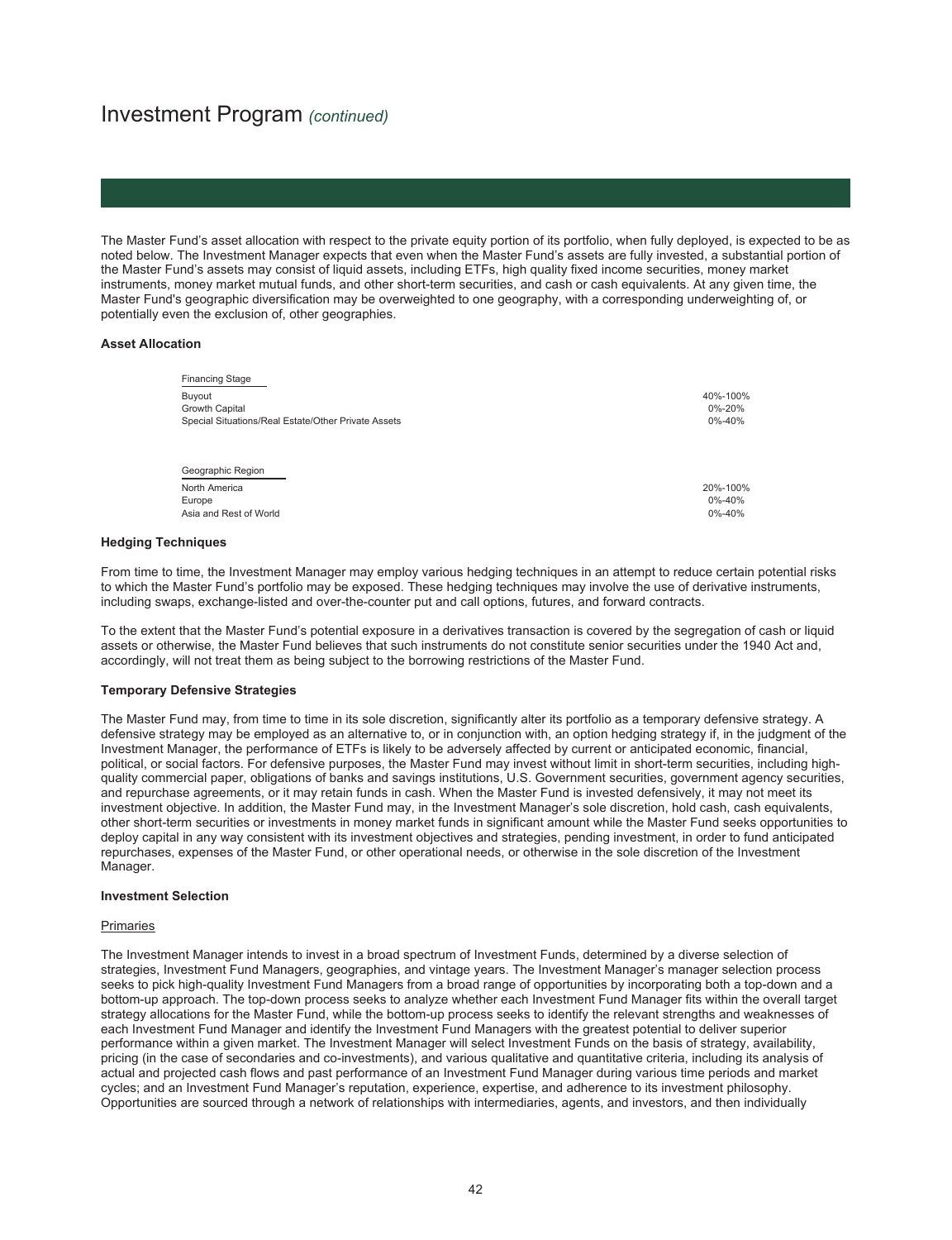The Master Fund's asset allocation with respect to the private equity portion of its portfolio, when fully deployed, is expected to be as noted below. The Investment Manager expects that even when the Master Fund's assets are fully invested, a substantial portion of the Master Fund's assets may consist of liquid assets, including ETFs, high quality fixed income securities, money market instruments, money market mutual funds, and other short-term securities, and cash or cash equivalents. At any given time, the Master Fund's geographic diversification may be overweighted to one geography, with a corresponding underweighting of, or potentially even the exclusion of, other geographies.

#### **Asset Allocation**

| <b>Financing Stage</b>                              |          |
|-----------------------------------------------------|----------|
| Buyout                                              | 40%-100% |
| Growth Capital                                      | 0%-20%   |
| Special Situations/Real Estate/Other Private Assets | 0%-40%   |
| Geographic Region                                   |          |
| North America                                       | 20%-100% |
| Europe                                              | 0%-40%   |
| Asia and Rest of World                              | 0%-40%   |

#### **Hedging Techniques**

From time to time, the Investment Manager may employ various hedging techniques in an attempt to reduce certain potential risks to which the Master Fund's portfolio may be exposed. These hedging techniques may involve the use of derivative instruments, including swaps, exchange-listed and over-the-counter put and call options, futures, and forward contracts.

To the extent that the Master Fund's potential exposure in a derivatives transaction is covered by the segregation of cash or liquid assets or otherwise, the Master Fund believes that such instruments do not constitute senior securities under the 1940 Act and, accordingly, will not treat them as being subject to the borrowing restrictions of the Master Fund.

#### **Temporary Defensive Strategies**

The Master Fund may, from time to time in its sole discretion, significantly alter its portfolio as a temporary defensive strategy. A defensive strategy may be employed as an alternative to, or in conjunction with, an option hedging strategy if, in the judgment of the Investment Manager, the performance of ETFs is likely to be adversely affected by current or anticipated economic, financial, political, or social factors. For defensive purposes, the Master Fund may invest without limit in short-term securities, including highquality commercial paper, obligations of banks and savings institutions, U.S. Government securities, government agency securities, and repurchase agreements, or it may retain funds in cash. When the Master Fund is invested defensively, it may not meet its investment objective. In addition, the Master Fund may, in the Investment Manager's sole discretion, hold cash, cash equivalents, other short-term securities or investments in money market funds in significant amount while the Master Fund seeks opportunities to deploy capital in any way consistent with its investment objectives and strategies, pending investment, in order to fund anticipated repurchases, expenses of the Master Fund, or other operational needs, or otherwise in the sole discretion of the Investment Manager.

#### **Investment Selection**

#### Primaries

The Investment Manager intends to invest in a broad spectrum of Investment Funds, determined by a diverse selection of strategies, Investment Fund Managers, geographies, and vintage years. The Investment Manager's manager selection process seeks to pick high-quality Investment Fund Managers from a broad range of opportunities by incorporating both a top-down and a bottom-up approach. The top-down process seeks to analyze whether each Investment Fund Manager fits within the overall target strategy allocations for the Master Fund, while the bottom-up process seeks to identify the relevant strengths and weaknesses of each Investment Fund Manager and identify the Investment Fund Managers with the greatest potential to deliver superior performance within a given market. The Investment Manager will select Investment Funds on the basis of strategy, availability, pricing (in the case of secondaries and co-investments), and various qualitative and quantitative criteria, including its analysis of actual and projected cash flows and past performance of an Investment Fund Manager during various time periods and market cycles; and an Investment Fund Manager's reputation, experience, expertise, and adherence to its investment philosophy. Opportunities are sourced through a network of relationships with intermediaries, agents, and investors, and then individually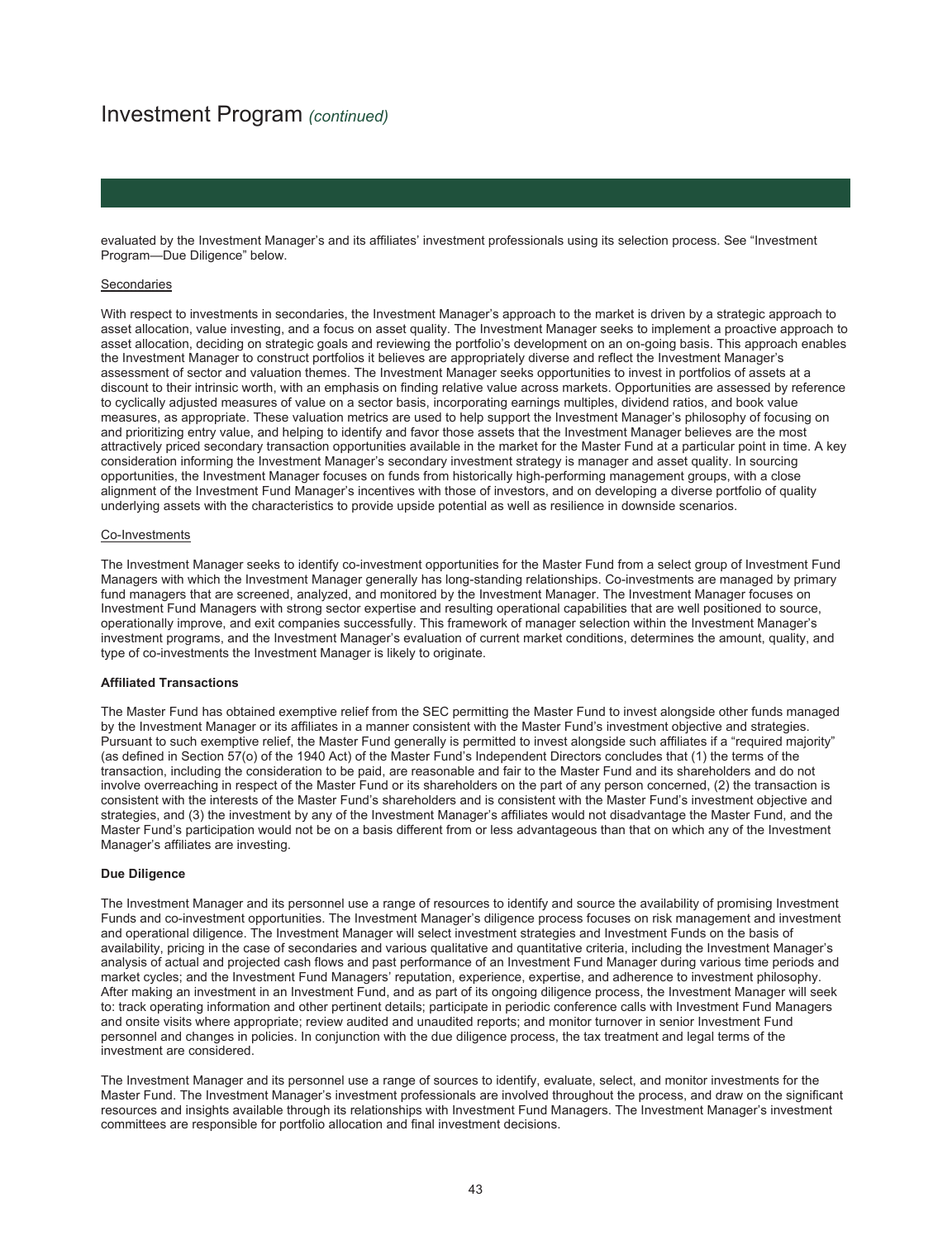#### Investment Program *(continued)*

evaluated by the Investment Manager's and its affiliates' investment professionals using its selection process. See "Investment Program—Due Diligence" below.

#### **Secondaries**

With respect to investments in secondaries, the Investment Manager's approach to the market is driven by a strategic approach to asset allocation, value investing, and a focus on asset quality. The Investment Manager seeks to implement a proactive approach to asset allocation, deciding on strategic goals and reviewing the portfolio's development on an on-going basis. This approach enables the Investment Manager to construct portfolios it believes are appropriately diverse and reflect the Investment Manager's assessment of sector and valuation themes. The Investment Manager seeks opportunities to invest in portfolios of assets at a discount to their intrinsic worth, with an emphasis on finding relative value across markets. Opportunities are assessed by reference to cyclically adjusted measures of value on a sector basis, incorporating earnings multiples, dividend ratios, and book value measures, as appropriate. These valuation metrics are used to help support the Investment Manager's philosophy of focusing on and prioritizing entry value, and helping to identify and favor those assets that the Investment Manager believes are the most attractively priced secondary transaction opportunities available in the market for the Master Fund at a particular point in time. A key consideration informing the Investment Manager's secondary investment strategy is manager and asset quality. In sourcing opportunities, the Investment Manager focuses on funds from historically high-performing management groups, with a close alignment of the Investment Fund Manager's incentives with those of investors, and on developing a diverse portfolio of quality underlying assets with the characteristics to provide upside potential as well as resilience in downside scenarios.

#### Co-Investments

The Investment Manager seeks to identify co-investment opportunities for the Master Fund from a select group of Investment Fund Managers with which the Investment Manager generally has long-standing relationships. Co-investments are managed by primary fund managers that are screened, analyzed, and monitored by the Investment Manager. The Investment Manager focuses on Investment Fund Managers with strong sector expertise and resulting operational capabilities that are well positioned to source, operationally improve, and exit companies successfully. This framework of manager selection within the Investment Manager's investment programs, and the Investment Manager's evaluation of current market conditions, determines the amount, quality, and type of co-investments the Investment Manager is likely to originate.

#### **Affiliated Transactions**

The Master Fund has obtained exemptive relief from the SEC permitting the Master Fund to invest alongside other funds managed by the Investment Manager or its affiliates in a manner consistent with the Master Fund's investment objective and strategies. Pursuant to such exemptive relief, the Master Fund generally is permitted to invest alongside such affiliates if a "required majority" (as defined in Section 57(o) of the 1940 Act) of the Master Fund's Independent Directors concludes that (1) the terms of the transaction, including the consideration to be paid, are reasonable and fair to the Master Fund and its shareholders and do not involve overreaching in respect of the Master Fund or its shareholders on the part of any person concerned, (2) the transaction is consistent with the interests of the Master Fund's shareholders and is consistent with the Master Fund's investment objective and strategies, and (3) the investment by any of the Investment Manager's affiliates would not disadvantage the Master Fund, and the Master Fund's participation would not be on a basis different from or less advantageous than that on which any of the Investment Manager's affiliates are investing.

#### **Due Diligence**

The Investment Manager and its personnel use a range of resources to identify and source the availability of promising Investment Funds and co-investment opportunities. The Investment Manager's diligence process focuses on risk management and investment and operational diligence. The Investment Manager will select investment strategies and Investment Funds on the basis of availability, pricing in the case of secondaries and various qualitative and quantitative criteria, including the Investment Manager's analysis of actual and projected cash flows and past performance of an Investment Fund Manager during various time periods and market cycles; and the Investment Fund Managers' reputation, experience, expertise, and adherence to investment philosophy. After making an investment in an Investment Fund, and as part of its ongoing diligence process, the Investment Manager will seek to: track operating information and other pertinent details; participate in periodic conference calls with Investment Fund Managers and onsite visits where appropriate; review audited and unaudited reports; and monitor turnover in senior Investment Fund personnel and changes in policies. In conjunction with the due diligence process, the tax treatment and legal terms of the investment are considered.

The Investment Manager and its personnel use a range of sources to identify, evaluate, select, and monitor investments for the Master Fund. The Investment Manager's investment professionals are involved throughout the process, and draw on the significant resources and insights available through its relationships with Investment Fund Managers. The Investment Manager's investment committees are responsible for portfolio allocation and final investment decisions.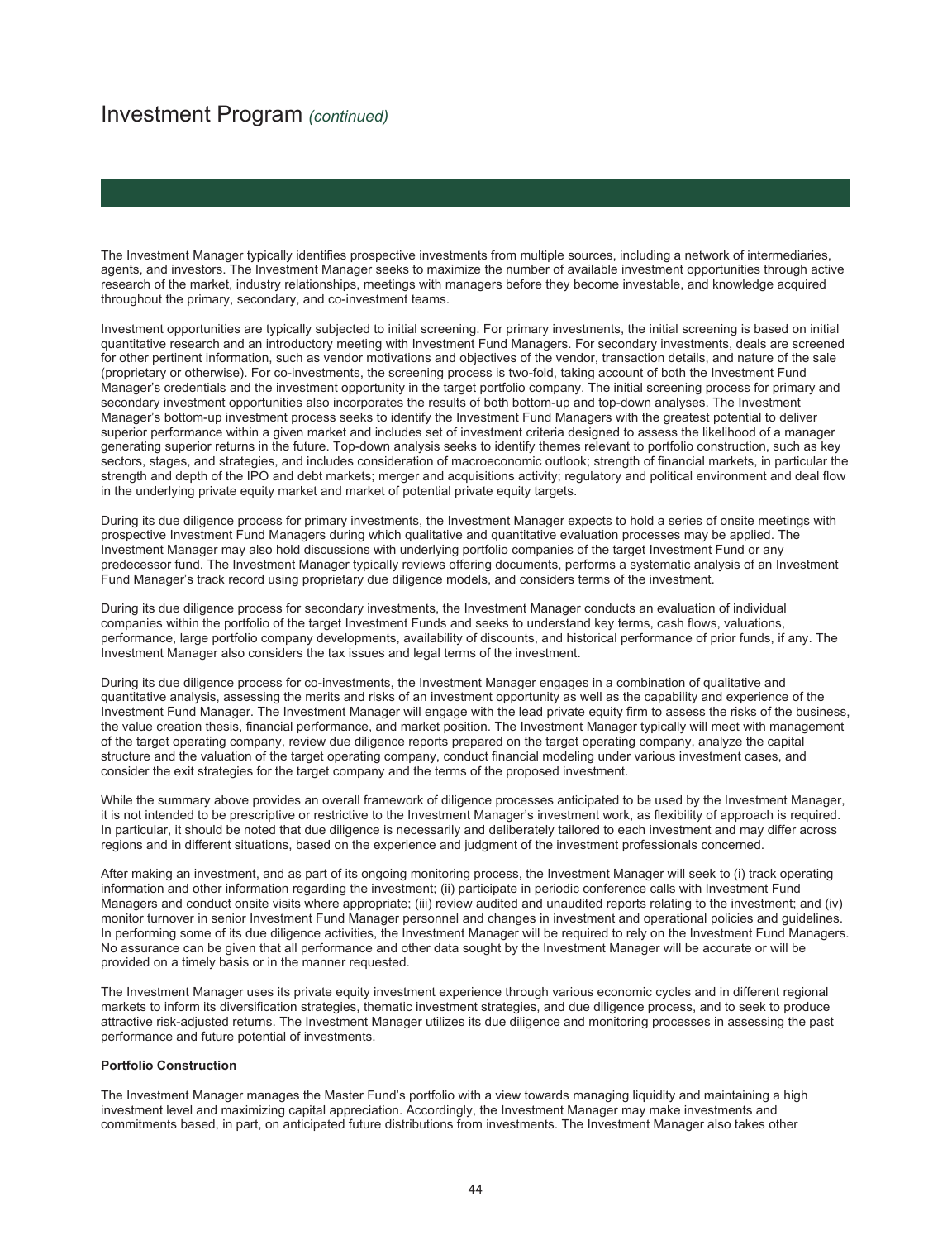#### Investment Program *(continued)*

The Investment Manager typically identifies prospective investments from multiple sources, including a network of intermediaries, agents, and investors. The Investment Manager seeks to maximize the number of available investment opportunities through active research of the market, industry relationships, meetings with managers before they become investable, and knowledge acquired throughout the primary, secondary, and co-investment teams.

Investment opportunities are typically subjected to initial screening. For primary investments, the initial screening is based on initial quantitative research and an introductory meeting with Investment Fund Managers. For secondary investments, deals are screened for other pertinent information, such as vendor motivations and objectives of the vendor, transaction details, and nature of the sale (proprietary or otherwise). For co-investments, the screening process is two-fold, taking account of both the Investment Fund Manager's credentials and the investment opportunity in the target portfolio company. The initial screening process for primary and secondary investment opportunities also incorporates the results of both bottom-up and top-down analyses. The Investment Manager's bottom-up investment process seeks to identify the Investment Fund Managers with the greatest potential to deliver superior performance within a given market and includes set of investment criteria designed to assess the likelihood of a manager generating superior returns in the future. Top-down analysis seeks to identify themes relevant to portfolio construction, such as key sectors, stages, and strategies, and includes consideration of macroeconomic outlook; strength of financial markets, in particular the strength and depth of the IPO and debt markets; merger and acquisitions activity; regulatory and political environment and deal flow in the underlying private equity market and market of potential private equity targets.

During its due diligence process for primary investments, the Investment Manager expects to hold a series of onsite meetings with prospective Investment Fund Managers during which qualitative and quantitative evaluation processes may be applied. The Investment Manager may also hold discussions with underlying portfolio companies of the target Investment Fund or any predecessor fund. The Investment Manager typically reviews offering documents, performs a systematic analysis of an Investment Fund Manager's track record using proprietary due diligence models, and considers terms of the investment.

During its due diligence process for secondary investments, the Investment Manager conducts an evaluation of individual companies within the portfolio of the target Investment Funds and seeks to understand key terms, cash flows, valuations, performance, large portfolio company developments, availability of discounts, and historical performance of prior funds, if any. The Investment Manager also considers the tax issues and legal terms of the investment.

During its due diligence process for co-investments, the Investment Manager engages in a combination of qualitative and quantitative analysis, assessing the merits and risks of an investment opportunity as well as the capability and experience of the Investment Fund Manager. The Investment Manager will engage with the lead private equity firm to assess the risks of the business, the value creation thesis, financial performance, and market position. The Investment Manager typically will meet with management of the target operating company, review due diligence reports prepared on the target operating company, analyze the capital structure and the valuation of the target operating company, conduct financial modeling under various investment cases, and consider the exit strategies for the target company and the terms of the proposed investment.

While the summary above provides an overall framework of diligence processes anticipated to be used by the Investment Manager, it is not intended to be prescriptive or restrictive to the Investment Manager's investment work, as flexibility of approach is required. In particular, it should be noted that due diligence is necessarily and deliberately tailored to each investment and may differ across regions and in different situations, based on the experience and judgment of the investment professionals concerned.

After making an investment, and as part of its ongoing monitoring process, the Investment Manager will seek to (i) track operating information and other information regarding the investment; (ii) participate in periodic conference calls with Investment Fund Managers and conduct onsite visits where appropriate; (iii) review audited and unaudited reports relating to the investment; and (iv) monitor turnover in senior Investment Fund Manager personnel and changes in investment and operational policies and guidelines. In performing some of its due diligence activities, the Investment Manager will be required to rely on the Investment Fund Managers. No assurance can be given that all performance and other data sought by the Investment Manager will be accurate or will be provided on a timely basis or in the manner requested.

The Investment Manager uses its private equity investment experience through various economic cycles and in different regional markets to inform its diversification strategies, thematic investment strategies, and due diligence process, and to seek to produce attractive risk-adjusted returns. The Investment Manager utilizes its due diligence and monitoring processes in assessing the past performance and future potential of investments.

#### **Portfolio Construction**

The Investment Manager manages the Master Fund's portfolio with a view towards managing liquidity and maintaining a high investment level and maximizing capital appreciation. Accordingly, the Investment Manager may make investments and commitments based, in part, on anticipated future distributions from investments. The Investment Manager also takes other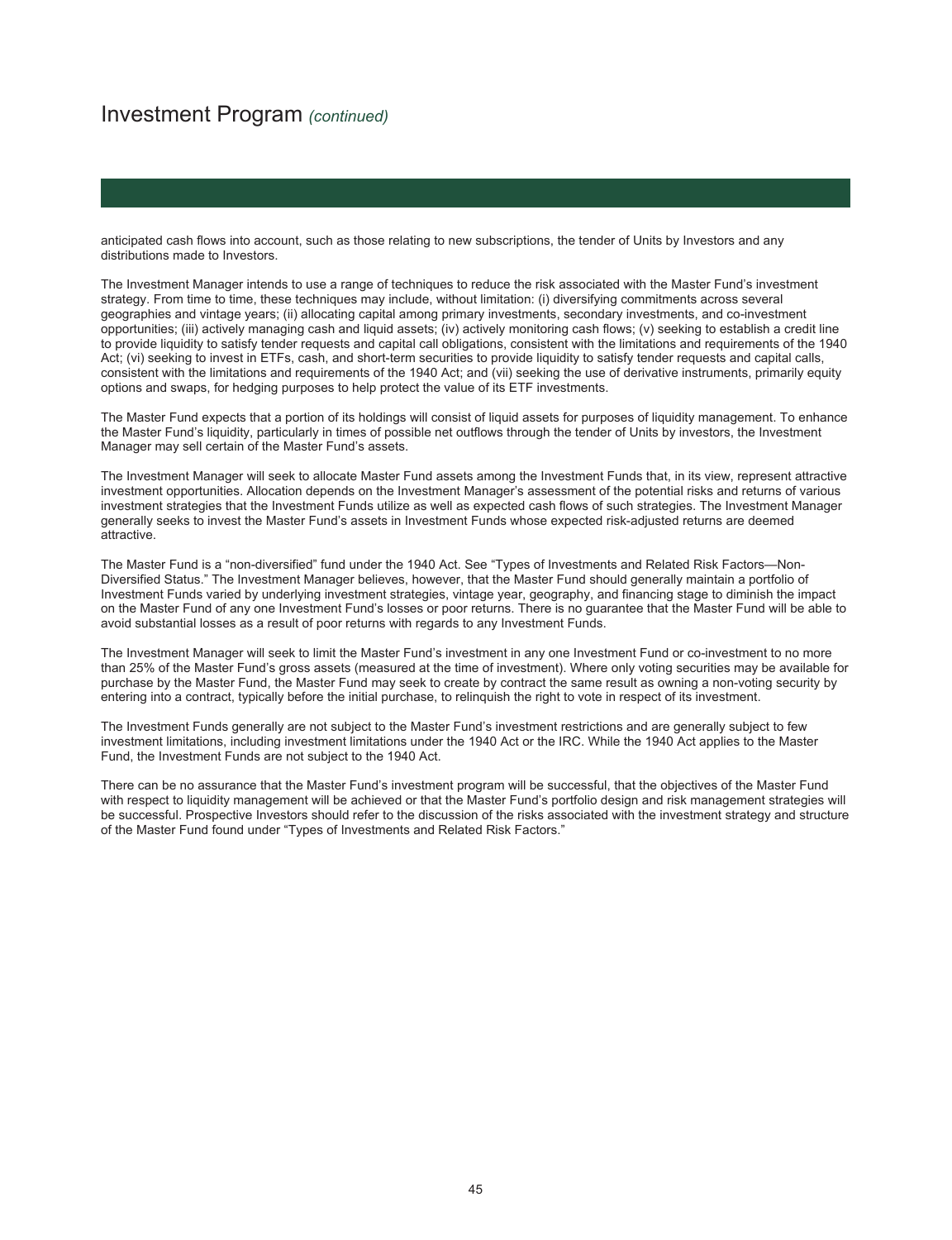#### Investment Program *(continued)*

anticipated cash flows into account, such as those relating to new subscriptions, the tender of Units by Investors and any distributions made to Investors.

The Investment Manager intends to use a range of techniques to reduce the risk associated with the Master Fund's investment strategy. From time to time, these techniques may include, without limitation: (i) diversifying commitments across several geographies and vintage years; (ii) allocating capital among primary investments, secondary investments, and co-investment opportunities; (iii) actively managing cash and liquid assets; (iv) actively monitoring cash flows; (v) seeking to establish a credit line to provide liquidity to satisfy tender requests and capital call obligations, consistent with the limitations and requirements of the 1940 Act; (vi) seeking to invest in ETFs, cash, and short-term securities to provide liquidity to satisfy tender requests and capital calls, consistent with the limitations and requirements of the 1940 Act; and (vii) seeking the use of derivative instruments, primarily equity options and swaps, for hedging purposes to help protect the value of its ETF investments.

The Master Fund expects that a portion of its holdings will consist of liquid assets for purposes of liquidity management. To enhance the Master Fund's liquidity, particularly in times of possible net outflows through the tender of Units by investors, the Investment Manager may sell certain of the Master Fund's assets.

The Investment Manager will seek to allocate Master Fund assets among the Investment Funds that, in its view, represent attractive investment opportunities. Allocation depends on the Investment Manager's assessment of the potential risks and returns of various investment strategies that the Investment Funds utilize as well as expected cash flows of such strategies. The Investment Manager generally seeks to invest the Master Fund's assets in Investment Funds whose expected risk-adjusted returns are deemed attractive.

The Master Fund is a "non-diversified" fund under the 1940 Act. See "Types of Investments and Related Risk Factors—Non-Diversified Status." The Investment Manager believes, however, that the Master Fund should generally maintain a portfolio of Investment Funds varied by underlying investment strategies, vintage year, geography, and financing stage to diminish the impact on the Master Fund of any one Investment Fund's losses or poor returns. There is no guarantee that the Master Fund will be able to avoid substantial losses as a result of poor returns with regards to any Investment Funds.

The Investment Manager will seek to limit the Master Fund's investment in any one Investment Fund or co-investment to no more than 25% of the Master Fund's gross assets (measured at the time of investment). Where only voting securities may be available for purchase by the Master Fund, the Master Fund may seek to create by contract the same result as owning a non-voting security by entering into a contract, typically before the initial purchase, to relinquish the right to vote in respect of its investment.

The Investment Funds generally are not subject to the Master Fund's investment restrictions and are generally subject to few investment limitations, including investment limitations under the 1940 Act or the IRC. While the 1940 Act applies to the Master Fund, the Investment Funds are not subject to the 1940 Act.

There can be no assurance that the Master Fund's investment program will be successful, that the objectives of the Master Fund with respect to liquidity management will be achieved or that the Master Fund's portfolio design and risk management strategies will be successful. Prospective Investors should refer to the discussion of the risks associated with the investment strategy and structure of the Master Fund found under "Types of Investments and Related Risk Factors."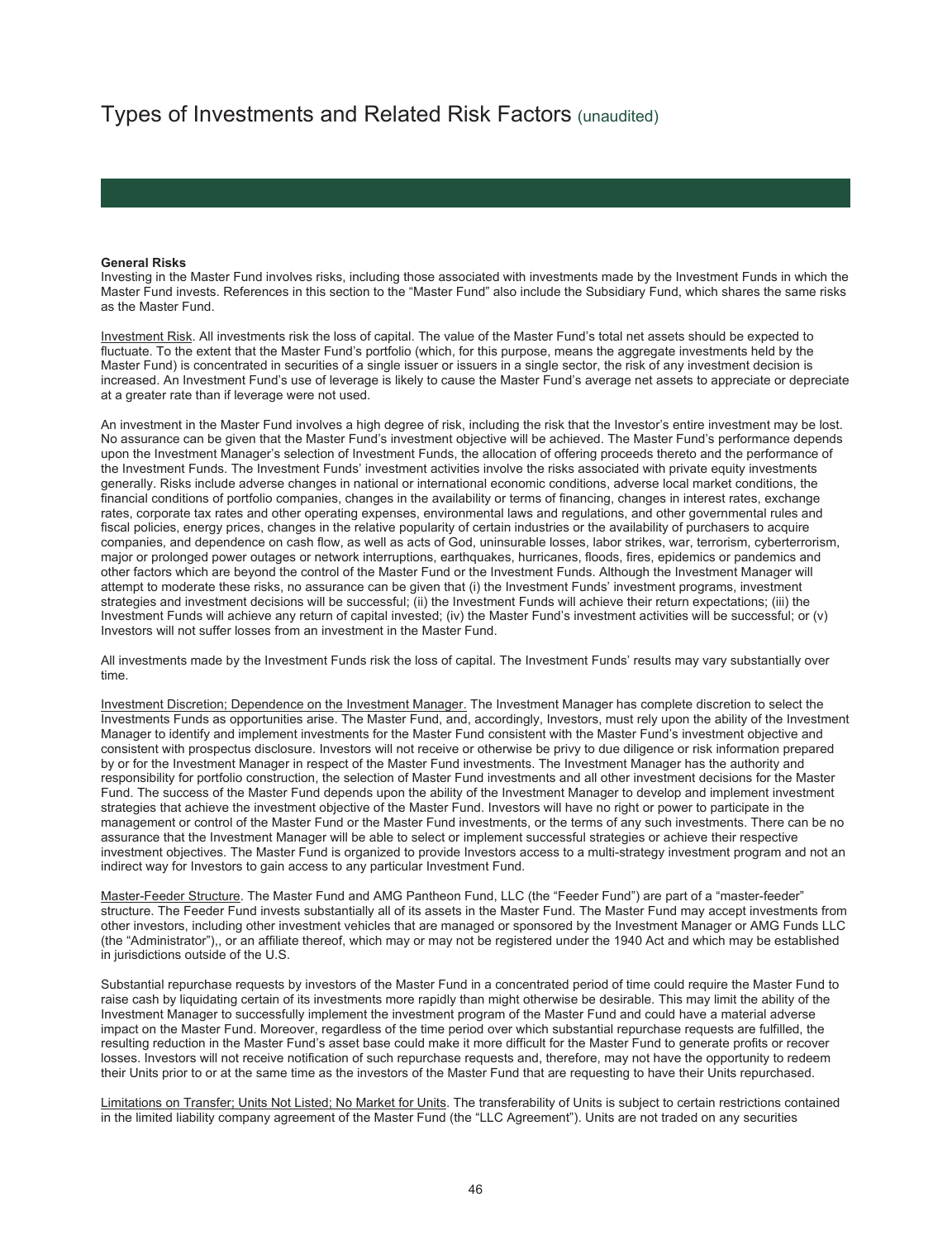#### **General Risks**

Investing in the Master Fund involves risks, including those associated with investments made by the Investment Funds in which the Master Fund invests. References in this section to the "Master Fund" also include the Subsidiary Fund, which shares the same risks as the Master Fund.

Investment Risk. All investments risk the loss of capital. The value of the Master Fund's total net assets should be expected to fluctuate. To the extent that the Master Fund's portfolio (which, for this purpose, means the aggregate investments held by the Master Fund) is concentrated in securities of a single issuer or issuers in a single sector, the risk of any investment decision is increased. An Investment Fund's use of leverage is likely to cause the Master Fund's average net assets to appreciate or depreciate at a greater rate than if leverage were not used.

An investment in the Master Fund involves a high degree of risk, including the risk that the Investor's entire investment may be lost. No assurance can be given that the Master Fund's investment objective will be achieved. The Master Fund's performance depends upon the Investment Manager's selection of Investment Funds, the allocation of offering proceeds thereto and the performance of the Investment Funds. The Investment Funds' investment activities involve the risks associated with private equity investments generally. Risks include adverse changes in national or international economic conditions, adverse local market conditions, the financial conditions of portfolio companies, changes in the availability or terms of financing, changes in interest rates, exchange rates, corporate tax rates and other operating expenses, environmental laws and regulations, and other governmental rules and fiscal policies, energy prices, changes in the relative popularity of certain industries or the availability of purchasers to acquire companies, and dependence on cash flow, as well as acts of God, uninsurable losses, labor strikes, war, terrorism, cyberterrorism, major or prolonged power outages or network interruptions, earthquakes, hurricanes, floods, fires, epidemics or pandemics and other factors which are beyond the control of the Master Fund or the Investment Funds. Although the Investment Manager will attempt to moderate these risks, no assurance can be given that (i) the Investment Funds' investment programs, investment strategies and investment decisions will be successful; (ii) the Investment Funds will achieve their return expectations; (iii) the Investment Funds will achieve any return of capital invested; (iv) the Master Fund's investment activities will be successful; or (v) Investors will not suffer losses from an investment in the Master Fund.

All investments made by the Investment Funds risk the loss of capital. The Investment Funds' results may vary substantially over time.

Investment Discretion; Dependence on the Investment Manager. The Investment Manager has complete discretion to select the Investments Funds as opportunities arise. The Master Fund, and, accordingly, Investors, must rely upon the ability of the Investment Manager to identify and implement investments for the Master Fund consistent with the Master Fund's investment objective and consistent with prospectus disclosure. Investors will not receive or otherwise be privy to due diligence or risk information prepared by or for the Investment Manager in respect of the Master Fund investments. The Investment Manager has the authority and responsibility for portfolio construction, the selection of Master Fund investments and all other investment decisions for the Master Fund. The success of the Master Fund depends upon the ability of the Investment Manager to develop and implement investment strategies that achieve the investment objective of the Master Fund. Investors will have no right or power to participate in the management or control of the Master Fund or the Master Fund investments, or the terms of any such investments. There can be no assurance that the Investment Manager will be able to select or implement successful strategies or achieve their respective investment objectives. The Master Fund is organized to provide Investors access to a multi-strategy investment program and not an indirect way for Investors to gain access to any particular Investment Fund.

Master-Feeder Structure. The Master Fund and AMG Pantheon Fund, LLC (the "Feeder Fund") are part of a "master-feeder" structure. The Feeder Fund invests substantially all of its assets in the Master Fund. The Master Fund may accept investments from other investors, including other investment vehicles that are managed or sponsored by the Investment Manager or AMG Funds LLC (the "Administrator"),, or an affiliate thereof, which may or may not be registered under the 1940 Act and which may be established in jurisdictions outside of the U.S.

Substantial repurchase requests by investors of the Master Fund in a concentrated period of time could require the Master Fund to raise cash by liquidating certain of its investments more rapidly than might otherwise be desirable. This may limit the ability of the Investment Manager to successfully implement the investment program of the Master Fund and could have a material adverse impact on the Master Fund. Moreover, regardless of the time period over which substantial repurchase requests are fulfilled, the resulting reduction in the Master Fund's asset base could make it more difficult for the Master Fund to generate profits or recover losses. Investors will not receive notification of such repurchase requests and, therefore, may not have the opportunity to redeem their Units prior to or at the same time as the investors of the Master Fund that are requesting to have their Units repurchased.

Limitations on Transfer; Units Not Listed; No Market for Units. The transferability of Units is subject to certain restrictions contained in the limited liability company agreement of the Master Fund (the "LLC Agreement"). Units are not traded on any securities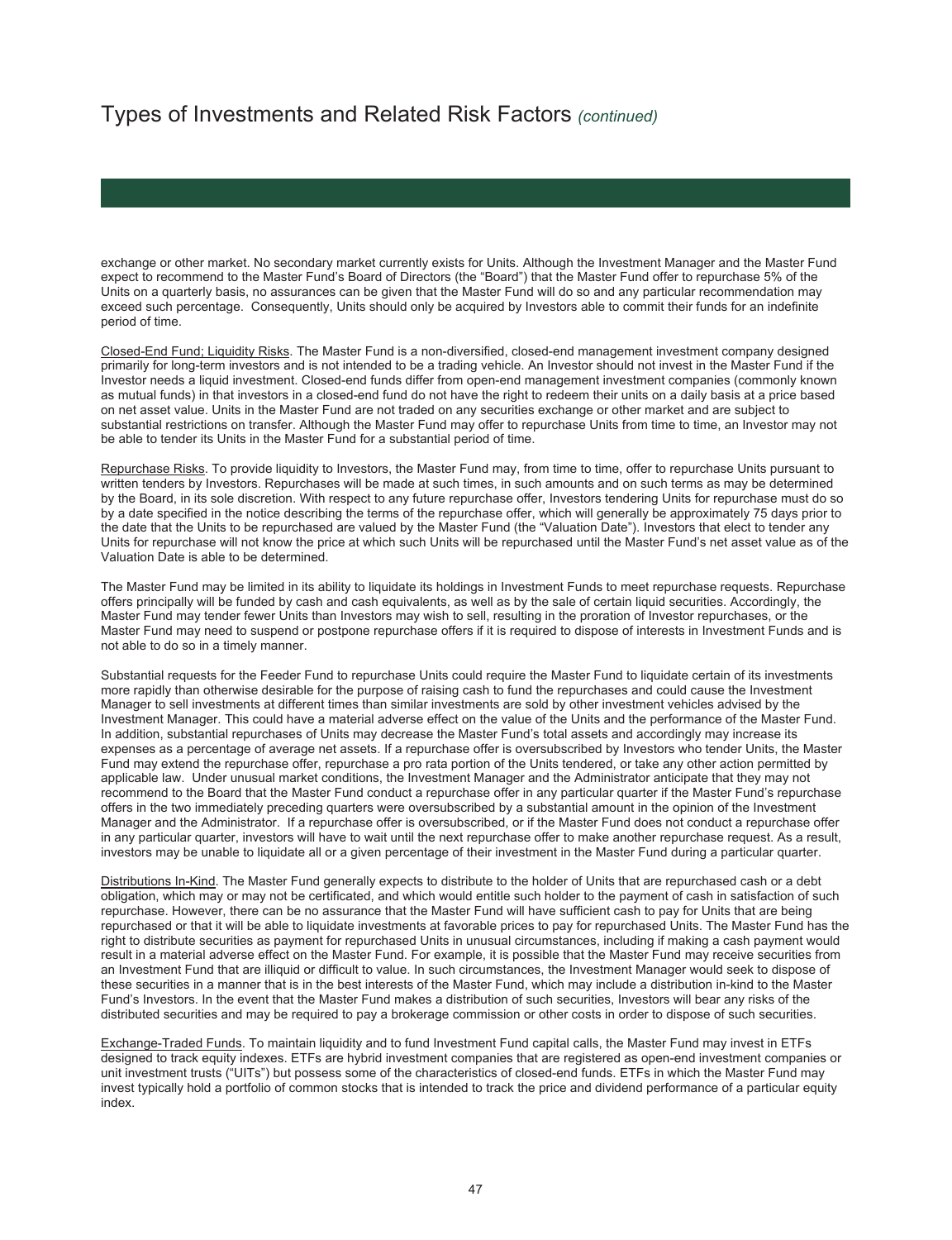exchange or other market. No secondary market currently exists for Units. Although the Investment Manager and the Master Fund expect to recommend to the Master Fund's Board of Directors (the "Board") that the Master Fund offer to repurchase 5% of the Units on a quarterly basis, no assurances can be given that the Master Fund will do so and any particular recommendation may exceed such percentage. Consequently, Units should only be acquired by Investors able to commit their funds for an indefinite period of time.

Closed-End Fund; Liquidity Risks. The Master Fund is a non-diversified, closed-end management investment company designed primarily for long-term investors and is not intended to be a trading vehicle. An Investor should not invest in the Master Fund if the Investor needs a liquid investment. Closed-end funds differ from open-end management investment companies (commonly known as mutual funds) in that investors in a closed-end fund do not have the right to redeem their units on a daily basis at a price based on net asset value. Units in the Master Fund are not traded on any securities exchange or other market and are subject to substantial restrictions on transfer. Although the Master Fund may offer to repurchase Units from time to time, an Investor may not be able to tender its Units in the Master Fund for a substantial period of time.

Repurchase Risks. To provide liquidity to Investors, the Master Fund may, from time to time, offer to repurchase Units pursuant to written tenders by Investors. Repurchases will be made at such times, in such amounts and on such terms as may be determined by the Board, in its sole discretion. With respect to any future repurchase offer, Investors tendering Units for repurchase must do so by a date specified in the notice describing the terms of the repurchase offer, which will generally be approximately 75 days prior to the date that the Units to be repurchased are valued by the Master Fund (the "Valuation Date"). Investors that elect to tender any Units for repurchase will not know the price at which such Units will be repurchased until the Master Fund's net asset value as of the Valuation Date is able to be determined.

The Master Fund may be limited in its ability to liquidate its holdings in Investment Funds to meet repurchase requests. Repurchase offers principally will be funded by cash and cash equivalents, as well as by the sale of certain liquid securities. Accordingly, the Master Fund may tender fewer Units than Investors may wish to sell, resulting in the proration of Investor repurchases, or the Master Fund may need to suspend or postpone repurchase offers if it is required to dispose of interests in Investment Funds and is not able to do so in a timely manner.

Substantial requests for the Feeder Fund to repurchase Units could require the Master Fund to liquidate certain of its investments more rapidly than otherwise desirable for the purpose of raising cash to fund the repurchases and could cause the Investment Manager to sell investments at different times than similar investments are sold by other investment vehicles advised by the Investment Manager. This could have a material adverse effect on the value of the Units and the performance of the Master Fund. In addition, substantial repurchases of Units may decrease the Master Fund's total assets and accordingly may increase its expenses as a percentage of average net assets. If a repurchase offer is oversubscribed by Investors who tender Units, the Master Fund may extend the repurchase offer, repurchase a pro rata portion of the Units tendered, or take any other action permitted by applicable law. Under unusual market conditions, the Investment Manager and the Administrator anticipate that they may not recommend to the Board that the Master Fund conduct a repurchase offer in any particular quarter if the Master Fund's repurchase offers in the two immediately preceding quarters were oversubscribed by a substantial amount in the opinion of the Investment Manager and the Administrator. If a repurchase offer is oversubscribed, or if the Master Fund does not conduct a repurchase offer in any particular quarter, investors will have to wait until the next repurchase offer to make another repurchase request. As a result, investors may be unable to liquidate all or a given percentage of their investment in the Master Fund during a particular quarter.

Distributions In-Kind. The Master Fund generally expects to distribute to the holder of Units that are repurchased cash or a debt obligation, which may or may not be certificated, and which would entitle such holder to the payment of cash in satisfaction of such repurchase. However, there can be no assurance that the Master Fund will have sufficient cash to pay for Units that are being repurchased or that it will be able to liquidate investments at favorable prices to pay for repurchased Units. The Master Fund has the right to distribute securities as payment for repurchased Units in unusual circumstances, including if making a cash payment would result in a material adverse effect on the Master Fund. For example, it is possible that the Master Fund may receive securities from an Investment Fund that are illiquid or difficult to value. In such circumstances, the Investment Manager would seek to dispose of these securities in a manner that is in the best interests of the Master Fund, which may include a distribution in-kind to the Master Fund's Investors. In the event that the Master Fund makes a distribution of such securities, Investors will bear any risks of the distributed securities and may be required to pay a brokerage commission or other costs in order to dispose of such securities.

Exchange-Traded Funds. To maintain liquidity and to fund Investment Fund capital calls, the Master Fund may invest in ETFs designed to track equity indexes. ETFs are hybrid investment companies that are registered as open-end investment companies or unit investment trusts ("UITs") but possess some of the characteristics of closed-end funds. ETFs in which the Master Fund may invest typically hold a portfolio of common stocks that is intended to track the price and dividend performance of a particular equity index.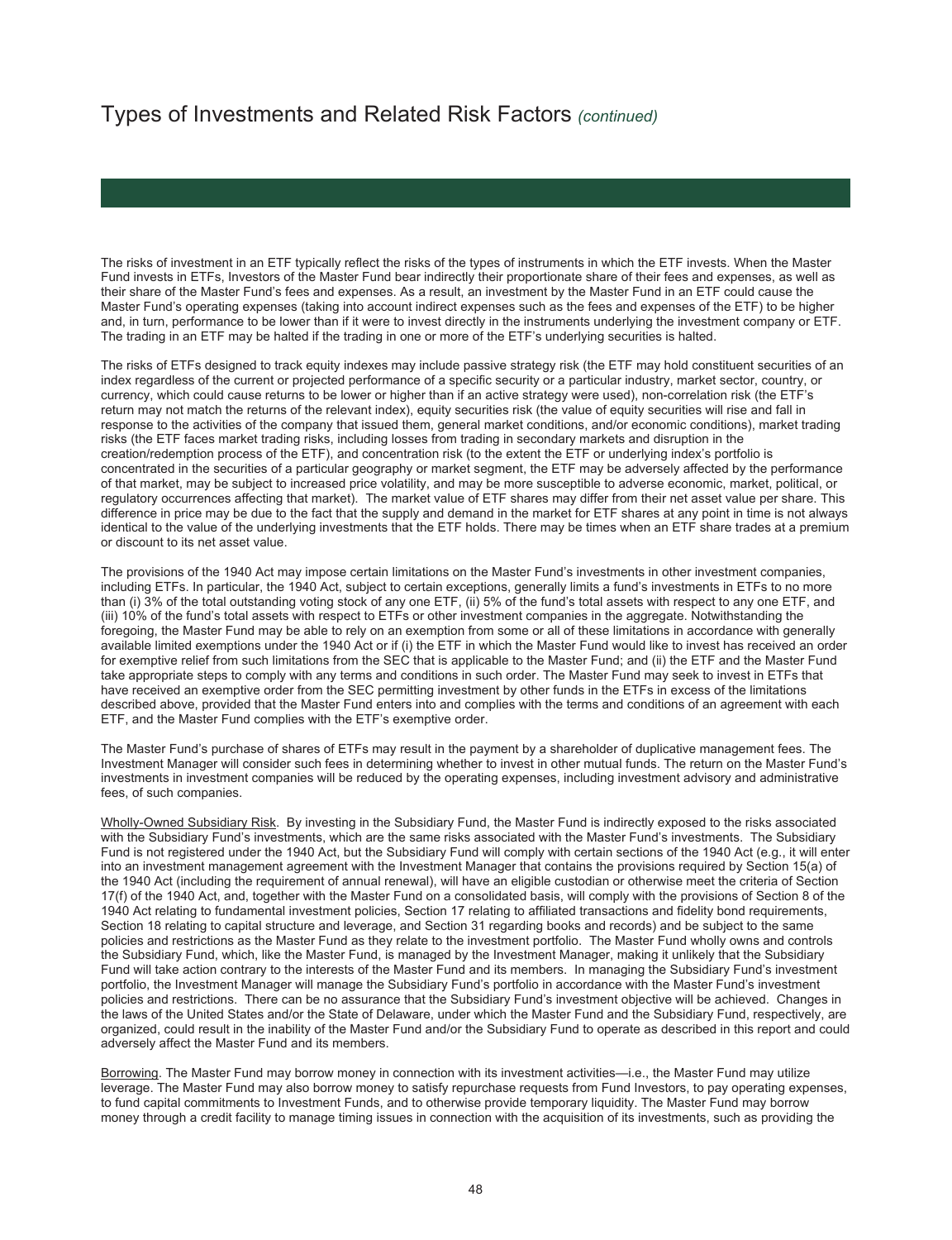The risks of investment in an ETF typically reflect the risks of the types of instruments in which the ETF invests. When the Master Fund invests in ETFs, Investors of the Master Fund bear indirectly their proportionate share of their fees and expenses, as well as their share of the Master Fund's fees and expenses. As a result, an investment by the Master Fund in an ETF could cause the Master Fund's operating expenses (taking into account indirect expenses such as the fees and expenses of the ETF) to be higher and, in turn, performance to be lower than if it were to invest directly in the instruments underlying the investment company or ETF. The trading in an ETF may be halted if the trading in one or more of the ETF's underlying securities is halted.

The risks of ETFs designed to track equity indexes may include passive strategy risk (the ETF may hold constituent securities of an index regardless of the current or projected performance of a specific security or a particular industry, market sector, country, or currency, which could cause returns to be lower or higher than if an active strategy were used), non-correlation risk (the ETF's return may not match the returns of the relevant index), equity securities risk (the value of equity securities will rise and fall in response to the activities of the company that issued them, general market conditions, and/or economic conditions), market trading risks (the ETF faces market trading risks, including losses from trading in secondary markets and disruption in the creation/redemption process of the ETF), and concentration risk (to the extent the ETF or underlying index's portfolio is concentrated in the securities of a particular geography or market segment, the ETF may be adversely affected by the performance of that market, may be subject to increased price volatility, and may be more susceptible to adverse economic, market, political, or regulatory occurrences affecting that market). The market value of ETF shares may differ from their net asset value per share. This difference in price may be due to the fact that the supply and demand in the market for ETF shares at any point in time is not always identical to the value of the underlying investments that the ETF holds. There may be times when an ETF share trades at a premium or discount to its net asset value.

The provisions of the 1940 Act may impose certain limitations on the Master Fund's investments in other investment companies, including ETFs. In particular, the 1940 Act, subject to certain exceptions, generally limits a fund's investments in ETFs to no more than (i) 3% of the total outstanding voting stock of any one ETF, (ii) 5% of the fund's total assets with respect to any one ETF, and (iii) 10% of the fund's total assets with respect to ETFs or other investment companies in the aggregate. Notwithstanding the foregoing, the Master Fund may be able to rely on an exemption from some or all of these limitations in accordance with generally available limited exemptions under the 1940 Act or if (i) the ETF in which the Master Fund would like to invest has received an order for exemptive relief from such limitations from the SEC that is applicable to the Master Fund; and (ii) the ETF and the Master Fund take appropriate steps to comply with any terms and conditions in such order. The Master Fund may seek to invest in ETFs that have received an exemptive order from the SEC permitting investment by other funds in the ETFs in excess of the limitations described above, provided that the Master Fund enters into and complies with the terms and conditions of an agreement with each ETF, and the Master Fund complies with the ETF's exemptive order.

The Master Fund's purchase of shares of ETFs may result in the payment by a shareholder of duplicative management fees. The Investment Manager will consider such fees in determining whether to invest in other mutual funds. The return on the Master Fund's investments in investment companies will be reduced by the operating expenses, including investment advisory and administrative fees, of such companies.

Wholly-Owned Subsidiary Risk. By investing in the Subsidiary Fund, the Master Fund is indirectly exposed to the risks associated with the Subsidiary Fund's investments, which are the same risks associated with the Master Fund's investments. The Subsidiary Fund is not registered under the 1940 Act, but the Subsidiary Fund will comply with certain sections of the 1940 Act (e.g., it will enter into an investment management agreement with the Investment Manager that contains the provisions required by Section 15(a) of the 1940 Act (including the requirement of annual renewal), will have an eligible custodian or otherwise meet the criteria of Section 17(f) of the 1940 Act, and, together with the Master Fund on a consolidated basis, will comply with the provisions of Section 8 of the 1940 Act relating to fundamental investment policies, Section 17 relating to affiliated transactions and fidelity bond requirements, Section 18 relating to capital structure and leverage, and Section 31 regarding books and records) and be subject to the same policies and restrictions as the Master Fund as they relate to the investment portfolio. The Master Fund wholly owns and controls the Subsidiary Fund, which, like the Master Fund, is managed by the Investment Manager, making it unlikely that the Subsidiary Fund will take action contrary to the interests of the Master Fund and its members. In managing the Subsidiary Fund's investment portfolio, the Investment Manager will manage the Subsidiary Fund's portfolio in accordance with the Master Fund's investment policies and restrictions. There can be no assurance that the Subsidiary Fund's investment objective will be achieved. Changes in the laws of the United States and/or the State of Delaware, under which the Master Fund and the Subsidiary Fund, respectively, are organized, could result in the inability of the Master Fund and/or the Subsidiary Fund to operate as described in this report and could adversely affect the Master Fund and its members.

Borrowing. The Master Fund may borrow money in connection with its investment activities—i.e., the Master Fund may utilize leverage. The Master Fund may also borrow money to satisfy repurchase requests from Fund Investors, to pay operating expenses, to fund capital commitments to Investment Funds, and to otherwise provide temporary liquidity. The Master Fund may borrow money through a credit facility to manage timing issues in connection with the acquisition of its investments, such as providing the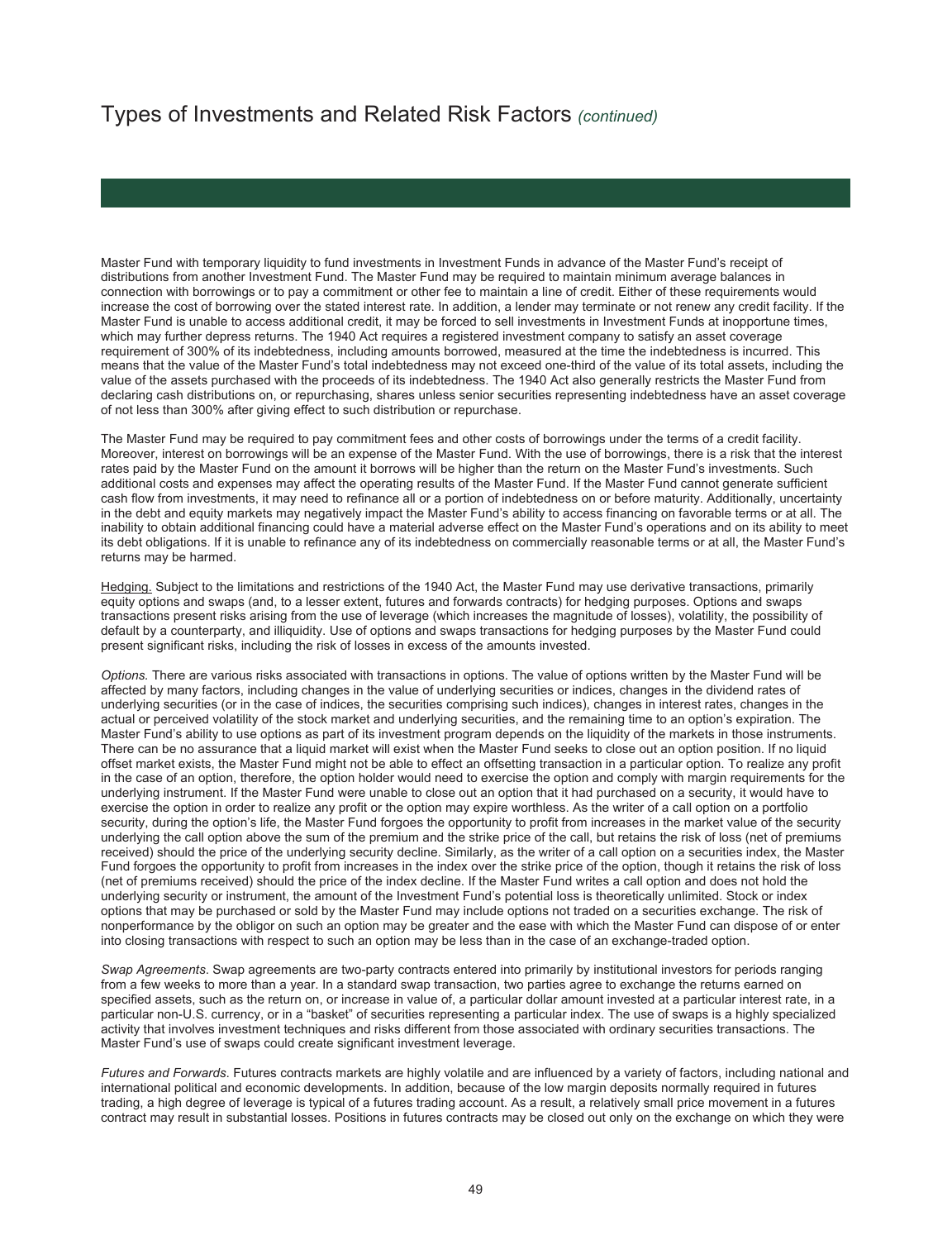Master Fund with temporary liquidity to fund investments in Investment Funds in advance of the Master Fund's receipt of distributions from another Investment Fund. The Master Fund may be required to maintain minimum average balances in connection with borrowings or to pay a commitment or other fee to maintain a line of credit. Either of these requirements would increase the cost of borrowing over the stated interest rate. In addition, a lender may terminate or not renew any credit facility. If the Master Fund is unable to access additional credit, it may be forced to sell investments in Investment Funds at inopportune times, which may further depress returns. The 1940 Act requires a registered investment company to satisfy an asset coverage requirement of 300% of its indebtedness, including amounts borrowed, measured at the time the indebtedness is incurred. This means that the value of the Master Fund's total indebtedness may not exceed one-third of the value of its total assets, including the value of the assets purchased with the proceeds of its indebtedness. The 1940 Act also generally restricts the Master Fund from declaring cash distributions on, or repurchasing, shares unless senior securities representing indebtedness have an asset coverage of not less than 300% after giving effect to such distribution or repurchase.

The Master Fund may be required to pay commitment fees and other costs of borrowings under the terms of a credit facility. Moreover, interest on borrowings will be an expense of the Master Fund. With the use of borrowings, there is a risk that the interest rates paid by the Master Fund on the amount it borrows will be higher than the return on the Master Fund's investments. Such additional costs and expenses may affect the operating results of the Master Fund. If the Master Fund cannot generate sufficient cash flow from investments, it may need to refinance all or a portion of indebtedness on or before maturity. Additionally, uncertainty in the debt and equity markets may negatively impact the Master Fund's ability to access financing on favorable terms or at all. The inability to obtain additional financing could have a material adverse effect on the Master Fund's operations and on its ability to meet its debt obligations. If it is unable to refinance any of its indebtedness on commercially reasonable terms or at all, the Master Fund's returns may be harmed.

Hedging. Subject to the limitations and restrictions of the 1940 Act, the Master Fund may use derivative transactions, primarily equity options and swaps (and, to a lesser extent, futures and forwards contracts) for hedging purposes. Options and swaps transactions present risks arising from the use of leverage (which increases the magnitude of losses), volatility, the possibility of default by a counterparty, and illiquidity. Use of options and swaps transactions for hedging purposes by the Master Fund could present significant risks, including the risk of losses in excess of the amounts invested.

*Options.* There are various risks associated with transactions in options. The value of options written by the Master Fund will be affected by many factors, including changes in the value of underlying securities or indices, changes in the dividend rates of underlying securities (or in the case of indices, the securities comprising such indices), changes in interest rates, changes in the actual or perceived volatility of the stock market and underlying securities, and the remaining time to an option's expiration. The Master Fund's ability to use options as part of its investment program depends on the liquidity of the markets in those instruments. There can be no assurance that a liquid market will exist when the Master Fund seeks to close out an option position. If no liquid offset market exists, the Master Fund might not be able to effect an offsetting transaction in a particular option. To realize any profit in the case of an option, therefore, the option holder would need to exercise the option and comply with margin requirements for the underlying instrument. If the Master Fund were unable to close out an option that it had purchased on a security, it would have to exercise the option in order to realize any profit or the option may expire worthless. As the writer of a call option on a portfolio security, during the option's life, the Master Fund forgoes the opportunity to profit from increases in the market value of the security underlying the call option above the sum of the premium and the strike price of the call, but retains the risk of loss (net of premiums received) should the price of the underlying security decline. Similarly, as the writer of a call option on a securities index, the Master Fund forgoes the opportunity to profit from increases in the index over the strike price of the option, though it retains the risk of loss (net of premiums received) should the price of the index decline. If the Master Fund writes a call option and does not hold the underlying security or instrument, the amount of the Investment Fund's potential loss is theoretically unlimited. Stock or index options that may be purchased or sold by the Master Fund may include options not traded on a securities exchange. The risk of nonperformance by the obligor on such an option may be greater and the ease with which the Master Fund can dispose of or enter into closing transactions with respect to such an option may be less than in the case of an exchange-traded option.

*Swap Agreements*. Swap agreements are two-party contracts entered into primarily by institutional investors for periods ranging from a few weeks to more than a year. In a standard swap transaction, two parties agree to exchange the returns earned on specified assets, such as the return on, or increase in value of, a particular dollar amount invested at a particular interest rate, in a particular non-U.S. currency, or in a "basket" of securities representing a particular index. The use of swaps is a highly specialized activity that involves investment techniques and risks different from those associated with ordinary securities transactions. The Master Fund's use of swaps could create significant investment leverage.

*Futures and Forwards*. Futures contracts markets are highly volatile and are influenced by a variety of factors, including national and international political and economic developments. In addition, because of the low margin deposits normally required in futures trading, a high degree of leverage is typical of a futures trading account. As a result, a relatively small price movement in a futures contract may result in substantial losses. Positions in futures contracts may be closed out only on the exchange on which they were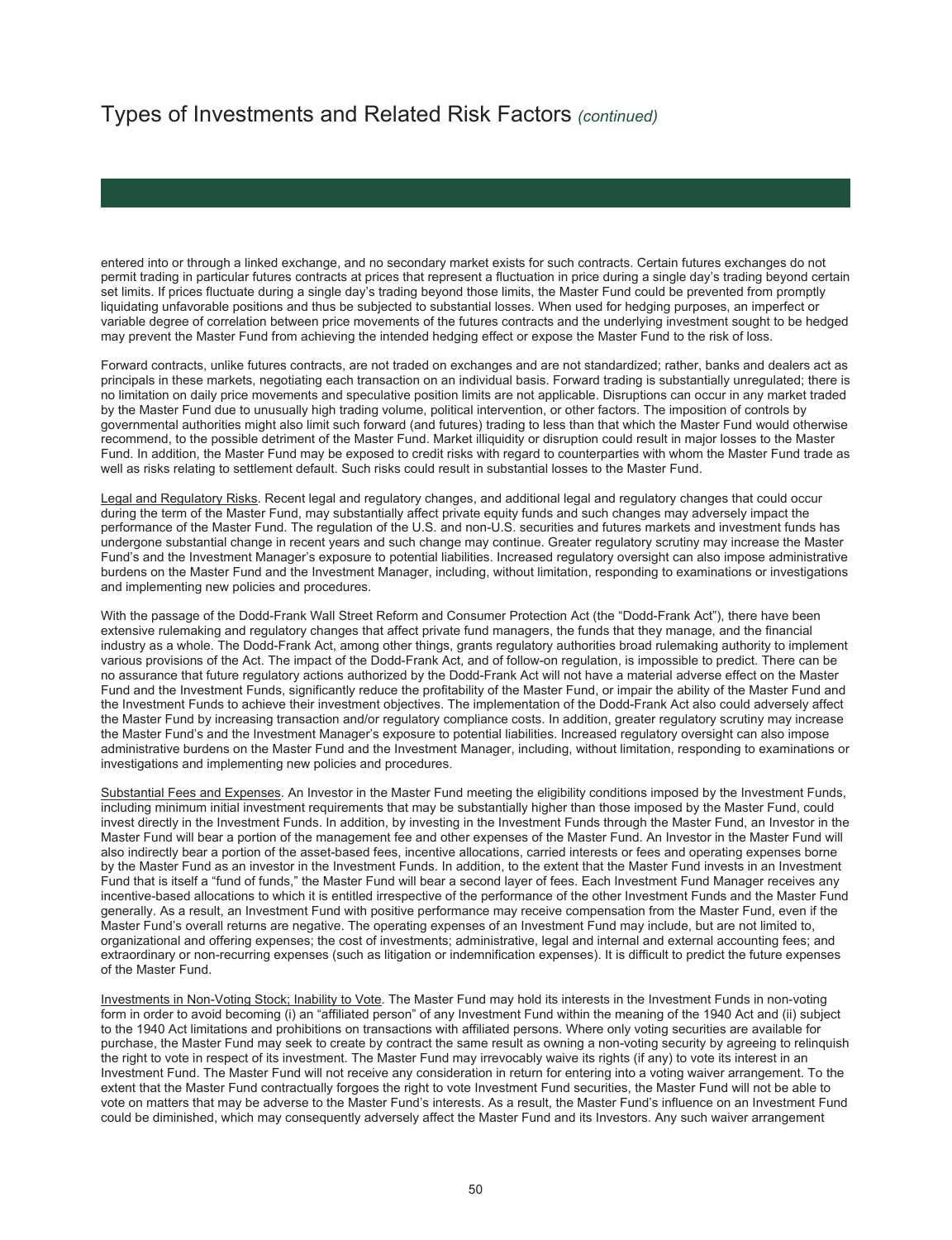entered into or through a linked exchange, and no secondary market exists for such contracts. Certain futures exchanges do not permit trading in particular futures contracts at prices that represent a fluctuation in price during a single day's trading beyond certain set limits. If prices fluctuate during a single day's trading beyond those limits, the Master Fund could be prevented from promptly liquidating unfavorable positions and thus be subjected to substantial losses. When used for hedging purposes, an imperfect or variable degree of correlation between price movements of the futures contracts and the underlying investment sought to be hedged may prevent the Master Fund from achieving the intended hedging effect or expose the Master Fund to the risk of loss.

Forward contracts, unlike futures contracts, are not traded on exchanges and are not standardized; rather, banks and dealers act as principals in these markets, negotiating each transaction on an individual basis. Forward trading is substantially unregulated; there is no limitation on daily price movements and speculative position limits are not applicable. Disruptions can occur in any market traded by the Master Fund due to unusually high trading volume, political intervention, or other factors. The imposition of controls by governmental authorities might also limit such forward (and futures) trading to less than that which the Master Fund would otherwise recommend, to the possible detriment of the Master Fund. Market illiquidity or disruption could result in major losses to the Master Fund. In addition, the Master Fund may be exposed to credit risks with regard to counterparties with whom the Master Fund trade as well as risks relating to settlement default. Such risks could result in substantial losses to the Master Fund.

Legal and Regulatory Risks. Recent legal and regulatory changes, and additional legal and regulatory changes that could occur during the term of the Master Fund, may substantially affect private equity funds and such changes may adversely impact the performance of the Master Fund. The regulation of the U.S. and non-U.S. securities and futures markets and investment funds has undergone substantial change in recent years and such change may continue. Greater regulatory scrutiny may increase the Master Fund's and the Investment Manager's exposure to potential liabilities. Increased regulatory oversight can also impose administrative burdens on the Master Fund and the Investment Manager, including, without limitation, responding to examinations or investigations and implementing new policies and procedures.

With the passage of the Dodd-Frank Wall Street Reform and Consumer Protection Act (the "Dodd-Frank Act"), there have been extensive rulemaking and regulatory changes that affect private fund managers, the funds that they manage, and the financial industry as a whole. The Dodd-Frank Act, among other things, grants regulatory authorities broad rulemaking authority to implement various provisions of the Act. The impact of the Dodd-Frank Act, and of follow-on regulation, is impossible to predict. There can be no assurance that future regulatory actions authorized by the Dodd-Frank Act will not have a material adverse effect on the Master Fund and the Investment Funds, significantly reduce the profitability of the Master Fund, or impair the ability of the Master Fund and the Investment Funds to achieve their investment objectives. The implementation of the Dodd-Frank Act also could adversely affect the Master Fund by increasing transaction and/or regulatory compliance costs. In addition, greater regulatory scrutiny may increase the Master Fund's and the Investment Manager's exposure to potential liabilities. Increased regulatory oversight can also impose administrative burdens on the Master Fund and the Investment Manager, including, without limitation, responding to examinations or investigations and implementing new policies and procedures.

Substantial Fees and Expenses. An Investor in the Master Fund meeting the eligibility conditions imposed by the Investment Funds, including minimum initial investment requirements that may be substantially higher than those imposed by the Master Fund, could invest directly in the Investment Funds. In addition, by investing in the Investment Funds through the Master Fund, an Investor in the Master Fund will bear a portion of the management fee and other expenses of the Master Fund. An Investor in the Master Fund will also indirectly bear a portion of the asset-based fees, incentive allocations, carried interests or fees and operating expenses borne by the Master Fund as an investor in the Investment Funds. In addition, to the extent that the Master Fund invests in an Investment Fund that is itself a "fund of funds," the Master Fund will bear a second layer of fees. Each Investment Fund Manager receives any incentive-based allocations to which it is entitled irrespective of the performance of the other Investment Funds and the Master Fund generally. As a result, an Investment Fund with positive performance may receive compensation from the Master Fund, even if the Master Fund's overall returns are negative. The operating expenses of an Investment Fund may include, but are not limited to, organizational and offering expenses; the cost of investments; administrative, legal and internal and external accounting fees; and extraordinary or non-recurring expenses (such as litigation or indemnification expenses). It is difficult to predict the future expenses of the Master Fund.

Investments in Non-Voting Stock; Inability to Vote. The Master Fund may hold its interests in the Investment Funds in non-voting form in order to avoid becoming (i) an "affiliated person" of any Investment Fund within the meaning of the 1940 Act and (ii) subject to the 1940 Act limitations and prohibitions on transactions with affiliated persons. Where only voting securities are available for purchase, the Master Fund may seek to create by contract the same result as owning a non-voting security by agreeing to relinquish the right to vote in respect of its investment. The Master Fund may irrevocably waive its rights (if any) to vote its interest in an Investment Fund. The Master Fund will not receive any consideration in return for entering into a voting waiver arrangement. To the extent that the Master Fund contractually forgoes the right to vote Investment Fund securities, the Master Fund will not be able to vote on matters that may be adverse to the Master Fund's interests. As a result, the Master Fund's influence on an Investment Fund could be diminished, which may consequently adversely affect the Master Fund and its Investors. Any such waiver arrangement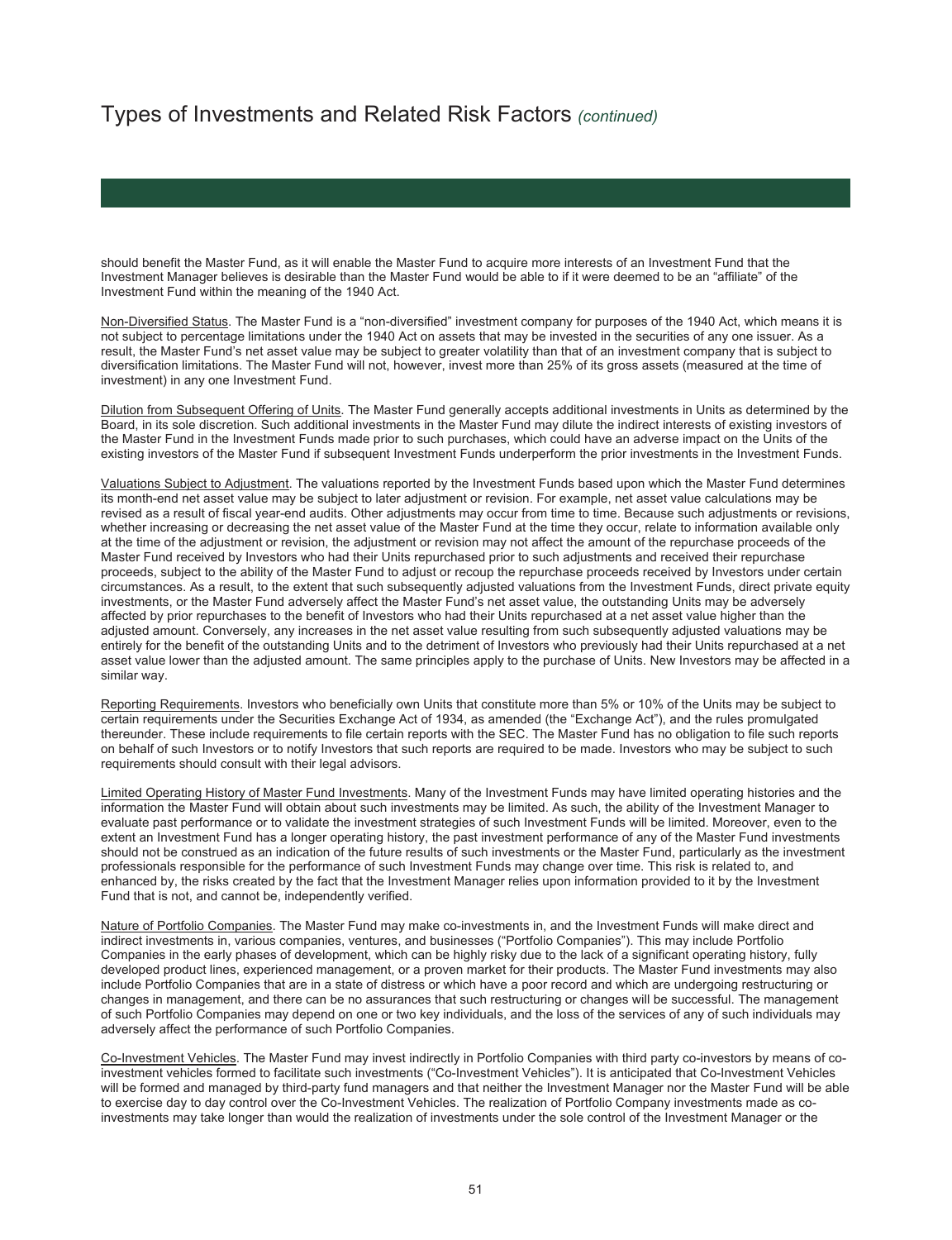should benefit the Master Fund, as it will enable the Master Fund to acquire more interests of an Investment Fund that the Investment Manager believes is desirable than the Master Fund would be able to if it were deemed to be an "affiliate" of the Investment Fund within the meaning of the 1940 Act.

Non-Diversified Status. The Master Fund is a "non-diversified" investment company for purposes of the 1940 Act, which means it is not subject to percentage limitations under the 1940 Act on assets that may be invested in the securities of any one issuer. As a result, the Master Fund's net asset value may be subject to greater volatility than that of an investment company that is subject to diversification limitations. The Master Fund will not, however, invest more than 25% of its gross assets (measured at the time of investment) in any one Investment Fund.

Dilution from Subsequent Offering of Units. The Master Fund generally accepts additional investments in Units as determined by the Board, in its sole discretion. Such additional investments in the Master Fund may dilute the indirect interests of existing investors of the Master Fund in the Investment Funds made prior to such purchases, which could have an adverse impact on the Units of the existing investors of the Master Fund if subsequent Investment Funds underperform the prior investments in the Investment Funds.

Valuations Subject to Adjustment. The valuations reported by the Investment Funds based upon which the Master Fund determines its month-end net asset value may be subject to later adjustment or revision. For example, net asset value calculations may be revised as a result of fiscal year-end audits. Other adjustments may occur from time to time. Because such adjustments or revisions, whether increasing or decreasing the net asset value of the Master Fund at the time they occur, relate to information available only at the time of the adjustment or revision, the adjustment or revision may not affect the amount of the repurchase proceeds of the Master Fund received by Investors who had their Units repurchased prior to such adjustments and received their repurchase proceeds, subject to the ability of the Master Fund to adjust or recoup the repurchase proceeds received by Investors under certain circumstances. As a result, to the extent that such subsequently adjusted valuations from the Investment Funds, direct private equity investments, or the Master Fund adversely affect the Master Fund's net asset value, the outstanding Units may be adversely affected by prior repurchases to the benefit of Investors who had their Units repurchased at a net asset value higher than the adjusted amount. Conversely, any increases in the net asset value resulting from such subsequently adjusted valuations may be entirely for the benefit of the outstanding Units and to the detriment of Investors who previously had their Units repurchased at a net asset value lower than the adjusted amount. The same principles apply to the purchase of Units. New Investors may be affected in a similar way.

Reporting Requirements. Investors who beneficially own Units that constitute more than 5% or 10% of the Units may be subject to certain requirements under the Securities Exchange Act of 1934, as amended (the "Exchange Act"), and the rules promulgated thereunder. These include requirements to file certain reports with the SEC. The Master Fund has no obligation to file such reports on behalf of such Investors or to notify Investors that such reports are required to be made. Investors who may be subject to such requirements should consult with their legal advisors.

Limited Operating History of Master Fund Investments. Many of the Investment Funds may have limited operating histories and the information the Master Fund will obtain about such investments may be limited. As such, the ability of the Investment Manager to evaluate past performance or to validate the investment strategies of such Investment Funds will be limited. Moreover, even to the extent an Investment Fund has a longer operating history, the past investment performance of any of the Master Fund investments should not be construed as an indication of the future results of such investments or the Master Fund, particularly as the investment professionals responsible for the performance of such Investment Funds may change over time. This risk is related to, and enhanced by, the risks created by the fact that the Investment Manager relies upon information provided to it by the Investment Fund that is not, and cannot be, independently verified.

Nature of Portfolio Companies. The Master Fund may make co-investments in, and the Investment Funds will make direct and indirect investments in, various companies, ventures, and businesses ("Portfolio Companies"). This may include Portfolio Companies in the early phases of development, which can be highly risky due to the lack of a significant operating history, fully developed product lines, experienced management, or a proven market for their products. The Master Fund investments may also include Portfolio Companies that are in a state of distress or which have a poor record and which are undergoing restructuring or changes in management, and there can be no assurances that such restructuring or changes will be successful. The management of such Portfolio Companies may depend on one or two key individuals, and the loss of the services of any of such individuals may adversely affect the performance of such Portfolio Companies.

Co-Investment Vehicles. The Master Fund may invest indirectly in Portfolio Companies with third party co-investors by means of coinvestment vehicles formed to facilitate such investments ("Co-Investment Vehicles"). It is anticipated that Co-Investment Vehicles will be formed and managed by third-party fund managers and that neither the Investment Manager nor the Master Fund will be able to exercise day to day control over the Co-Investment Vehicles. The realization of Portfolio Company investments made as coinvestments may take longer than would the realization of investments under the sole control of the Investment Manager or the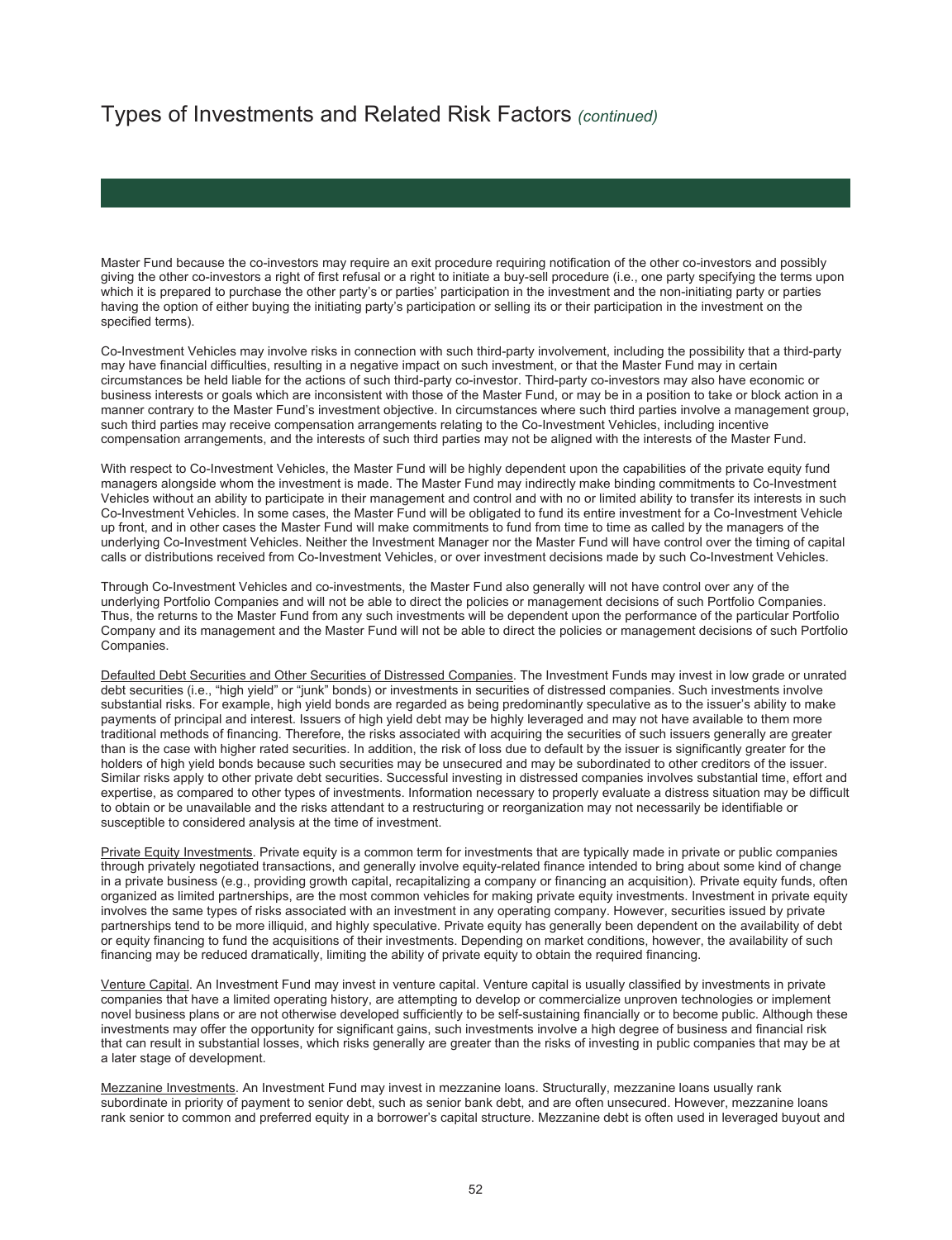Master Fund because the co-investors may require an exit procedure requiring notification of the other co-investors and possibly giving the other co-investors a right of first refusal or a right to initiate a buy-sell procedure (i.e., one party specifying the terms upon which it is prepared to purchase the other party's or parties' participation in the investment and the non-initiating party or parties having the option of either buying the initiating party's participation or selling its or their participation in the investment on the specified terms).

Co-Investment Vehicles may involve risks in connection with such third-party involvement, including the possibility that a third-party may have financial difficulties, resulting in a negative impact on such investment, or that the Master Fund may in certain circumstances be held liable for the actions of such third-party co-investor. Third-party co-investors may also have economic or business interests or goals which are inconsistent with those of the Master Fund, or may be in a position to take or block action in a manner contrary to the Master Fund's investment objective. In circumstances where such third parties involve a management group, such third parties may receive compensation arrangements relating to the Co-Investment Vehicles, including incentive compensation arrangements, and the interests of such third parties may not be aligned with the interests of the Master Fund.

With respect to Co-Investment Vehicles, the Master Fund will be highly dependent upon the capabilities of the private equity fund managers alongside whom the investment is made. The Master Fund may indirectly make binding commitments to Co-Investment Vehicles without an ability to participate in their management and control and with no or limited ability to transfer its interests in such Co-Investment Vehicles. In some cases, the Master Fund will be obligated to fund its entire investment for a Co-Investment Vehicle up front, and in other cases the Master Fund will make commitments to fund from time to time as called by the managers of the underlying Co-Investment Vehicles. Neither the Investment Manager nor the Master Fund will have control over the timing of capital calls or distributions received from Co-Investment Vehicles, or over investment decisions made by such Co-Investment Vehicles.

Through Co-Investment Vehicles and co-investments, the Master Fund also generally will not have control over any of the underlying Portfolio Companies and will not be able to direct the policies or management decisions of such Portfolio Companies. Thus, the returns to the Master Fund from any such investments will be dependent upon the performance of the particular Portfolio Company and its management and the Master Fund will not be able to direct the policies or management decisions of such Portfolio Companies.

Defaulted Debt Securities and Other Securities of Distressed Companies. The Investment Funds may invest in low grade or unrated debt securities (i.e., "high yield" or "junk" bonds) or investments in securities of distressed companies. Such investments involve substantial risks. For example, high yield bonds are regarded as being predominantly speculative as to the issuer's ability to make payments of principal and interest. Issuers of high yield debt may be highly leveraged and may not have available to them more traditional methods of financing. Therefore, the risks associated with acquiring the securities of such issuers generally are greater than is the case with higher rated securities. In addition, the risk of loss due to default by the issuer is significantly greater for the holders of high yield bonds because such securities may be unsecured and may be subordinated to other creditors of the issuer. Similar risks apply to other private debt securities. Successful investing in distressed companies involves substantial time, effort and expertise, as compared to other types of investments. Information necessary to properly evaluate a distress situation may be difficult to obtain or be unavailable and the risks attendant to a restructuring or reorganization may not necessarily be identifiable or susceptible to considered analysis at the time of investment.

Private Equity Investments. Private equity is a common term for investments that are typically made in private or public companies through privately negotiated transactions, and generally involve equity-related finance intended to bring about some kind of change in a private business (e.g., providing growth capital, recapitalizing a company or financing an acquisition). Private equity funds, often organized as limited partnerships, are the most common vehicles for making private equity investments. Investment in private equity involves the same types of risks associated with an investment in any operating company. However, securities issued by private partnerships tend to be more illiquid, and highly speculative. Private equity has generally been dependent on the availability of debt or equity financing to fund the acquisitions of their investments. Depending on market conditions, however, the availability of such financing may be reduced dramatically, limiting the ability of private equity to obtain the required financing.

Venture Capital. An Investment Fund may invest in venture capital. Venture capital is usually classified by investments in private companies that have a limited operating history, are attempting to develop or commercialize unproven technologies or implement novel business plans or are not otherwise developed sufficiently to be self-sustaining financially or to become public. Although these investments may offer the opportunity for significant gains, such investments involve a high degree of business and financial risk that can result in substantial losses, which risks generally are greater than the risks of investing in public companies that may be at a later stage of development.

Mezzanine Investments. An Investment Fund may invest in mezzanine loans. Structurally, mezzanine loans usually rank subordinate in priority of payment to senior debt, such as senior bank debt, and are often unsecured. However, mezzanine loans rank senior to common and preferred equity in a borrower's capital structure. Mezzanine debt is often used in leveraged buyout and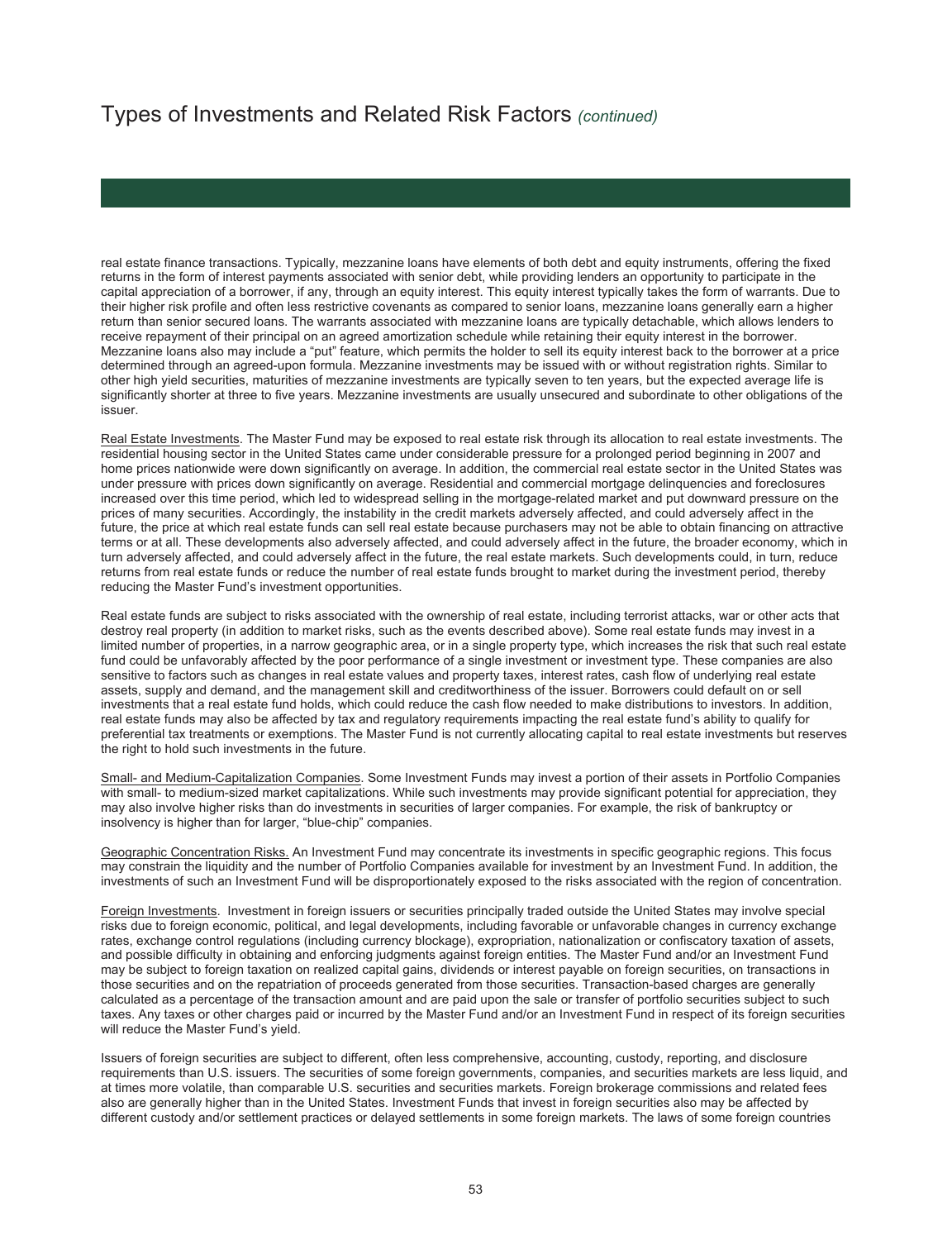real estate finance transactions. Typically, mezzanine loans have elements of both debt and equity instruments, offering the fixed returns in the form of interest payments associated with senior debt, while providing lenders an opportunity to participate in the capital appreciation of a borrower, if any, through an equity interest. This equity interest typically takes the form of warrants. Due to their higher risk profile and often less restrictive covenants as compared to senior loans, mezzanine loans generally earn a higher return than senior secured loans. The warrants associated with mezzanine loans are typically detachable, which allows lenders to receive repayment of their principal on an agreed amortization schedule while retaining their equity interest in the borrower. Mezzanine loans also may include a "put" feature, which permits the holder to sell its equity interest back to the borrower at a price determined through an agreed-upon formula. Mezzanine investments may be issued with or without registration rights. Similar to other high yield securities, maturities of mezzanine investments are typically seven to ten years, but the expected average life is significantly shorter at three to five years. Mezzanine investments are usually unsecured and subordinate to other obligations of the issuer.

Real Estate Investments. The Master Fund may be exposed to real estate risk through its allocation to real estate investments. The residential housing sector in the United States came under considerable pressure for a prolonged period beginning in 2007 and home prices nationwide were down significantly on average. In addition, the commercial real estate sector in the United States was under pressure with prices down significantly on average. Residential and commercial mortgage delinquencies and foreclosures increased over this time period, which led to widespread selling in the mortgage-related market and put downward pressure on the prices of many securities. Accordingly, the instability in the credit markets adversely affected, and could adversely affect in the future, the price at which real estate funds can sell real estate because purchasers may not be able to obtain financing on attractive terms or at all. These developments also adversely affected, and could adversely affect in the future, the broader economy, which in turn adversely affected, and could adversely affect in the future, the real estate markets. Such developments could, in turn, reduce returns from real estate funds or reduce the number of real estate funds brought to market during the investment period, thereby reducing the Master Fund's investment opportunities.

Real estate funds are subject to risks associated with the ownership of real estate, including terrorist attacks, war or other acts that destroy real property (in addition to market risks, such as the events described above). Some real estate funds may invest in a limited number of properties, in a narrow geographic area, or in a single property type, which increases the risk that such real estate fund could be unfavorably affected by the poor performance of a single investment or investment type. These companies are also sensitive to factors such as changes in real estate values and property taxes, interest rates, cash flow of underlying real estate assets, supply and demand, and the management skill and creditworthiness of the issuer. Borrowers could default on or sell investments that a real estate fund holds, which could reduce the cash flow needed to make distributions to investors. In addition, real estate funds may also be affected by tax and regulatory requirements impacting the real estate fund's ability to qualify for preferential tax treatments or exemptions. The Master Fund is not currently allocating capital to real estate investments but reserves the right to hold such investments in the future.

Small- and Medium-Capitalization Companies. Some Investment Funds may invest a portion of their assets in Portfolio Companies with small- to medium-sized market capitalizations. While such investments may provide significant potential for appreciation, they may also involve higher risks than do investments in securities of larger companies. For example, the risk of bankruptcy or insolvency is higher than for larger, "blue-chip" companies.

Geographic Concentration Risks. An Investment Fund may concentrate its investments in specific geographic regions. This focus may constrain the liquidity and the number of Portfolio Companies available for investment by an Investment Fund. In addition, the investments of such an Investment Fund will be disproportionately exposed to the risks associated with the region of concentration.

Foreign Investments. Investment in foreign issuers or securities principally traded outside the United States may involve special risks due to foreign economic, political, and legal developments, including favorable or unfavorable changes in currency exchange rates, exchange control regulations (including currency blockage), expropriation, nationalization or confiscatory taxation of assets, and possible difficulty in obtaining and enforcing judgments against foreign entities. The Master Fund and/or an Investment Fund may be subject to foreign taxation on realized capital gains, dividends or interest payable on foreign securities, on transactions in those securities and on the repatriation of proceeds generated from those securities. Transaction-based charges are generally calculated as a percentage of the transaction amount and are paid upon the sale or transfer of portfolio securities subject to such taxes. Any taxes or other charges paid or incurred by the Master Fund and/or an Investment Fund in respect of its foreign securities will reduce the Master Fund's yield.

Issuers of foreign securities are subject to different, often less comprehensive, accounting, custody, reporting, and disclosure requirements than U.S. issuers. The securities of some foreign governments, companies, and securities markets are less liquid, and at times more volatile, than comparable U.S. securities and securities markets. Foreign brokerage commissions and related fees also are generally higher than in the United States. Investment Funds that invest in foreign securities also may be affected by different custody and/or settlement practices or delayed settlements in some foreign markets. The laws of some foreign countries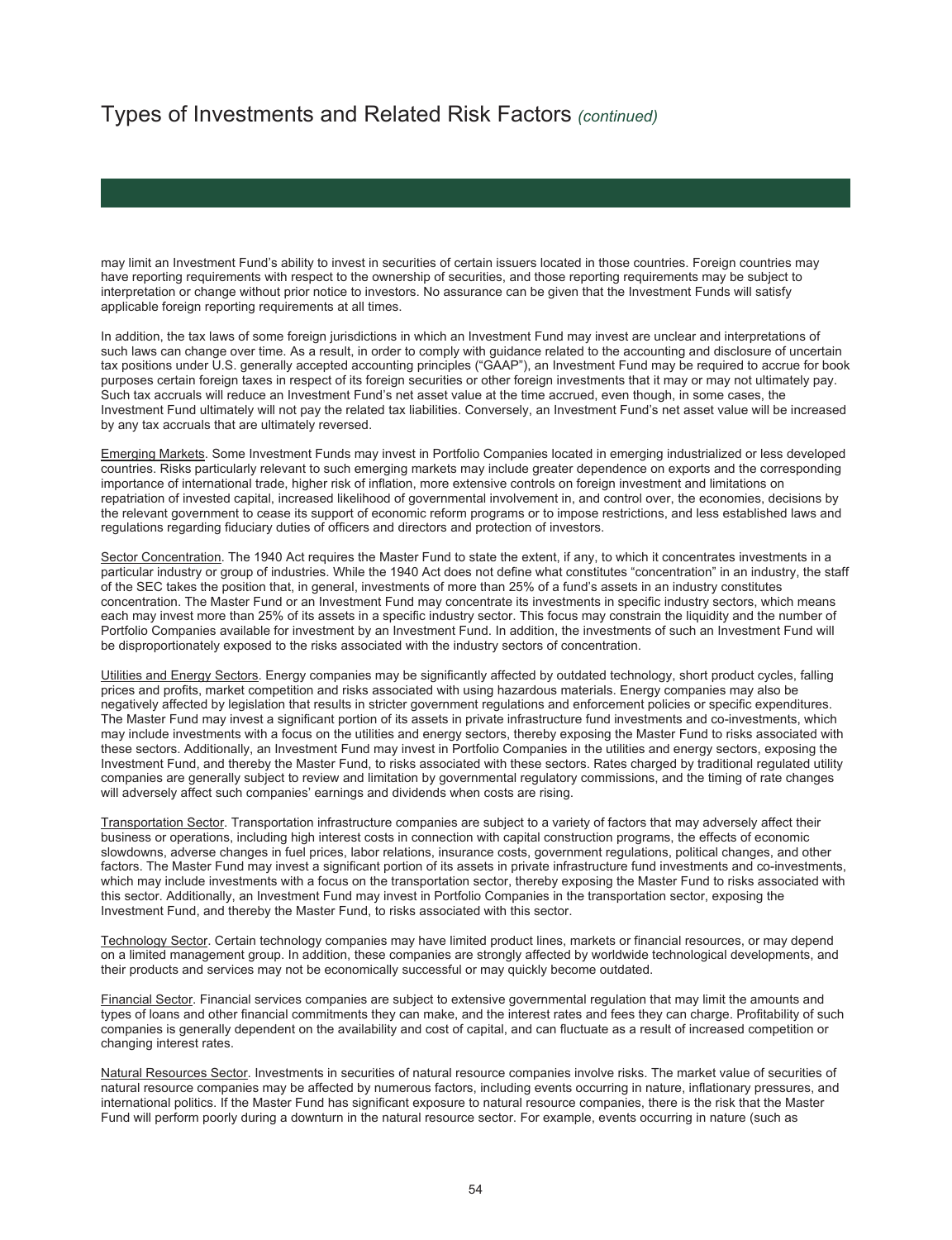may limit an Investment Fund's ability to invest in securities of certain issuers located in those countries. Foreign countries may have reporting requirements with respect to the ownership of securities, and those reporting requirements may be subject to interpretation or change without prior notice to investors. No assurance can be given that the Investment Funds will satisfy applicable foreign reporting requirements at all times.

In addition, the tax laws of some foreign jurisdictions in which an Investment Fund may invest are unclear and interpretations of such laws can change over time. As a result, in order to comply with guidance related to the accounting and disclosure of uncertain tax positions under U.S. generally accepted accounting principles ("GAAP"), an Investment Fund may be required to accrue for book purposes certain foreign taxes in respect of its foreign securities or other foreign investments that it may or may not ultimately pay. Such tax accruals will reduce an Investment Fund's net asset value at the time accrued, even though, in some cases, the Investment Fund ultimately will not pay the related tax liabilities. Conversely, an Investment Fund's net asset value will be increased by any tax accruals that are ultimately reversed.

Emerging Markets. Some Investment Funds may invest in Portfolio Companies located in emerging industrialized or less developed countries. Risks particularly relevant to such emerging markets may include greater dependence on exports and the corresponding importance of international trade, higher risk of inflation, more extensive controls on foreign investment and limitations on repatriation of invested capital, increased likelihood of governmental involvement in, and control over, the economies, decisions by the relevant government to cease its support of economic reform programs or to impose restrictions, and less established laws and regulations regarding fiduciary duties of officers and directors and protection of investors.

Sector Concentration. The 1940 Act requires the Master Fund to state the extent, if any, to which it concentrates investments in a particular industry or group of industries. While the 1940 Act does not define what constitutes "concentration" in an industry, the staff of the SEC takes the position that, in general, investments of more than 25% of a fund's assets in an industry constitutes concentration. The Master Fund or an Investment Fund may concentrate its investments in specific industry sectors, which means each may invest more than 25% of its assets in a specific industry sector. This focus may constrain the liquidity and the number of Portfolio Companies available for investment by an Investment Fund. In addition, the investments of such an Investment Fund will be disproportionately exposed to the risks associated with the industry sectors of concentration.

Utilities and Energy Sectors. Energy companies may be significantly affected by outdated technology, short product cycles, falling prices and profits, market competition and risks associated with using hazardous materials. Energy companies may also be negatively affected by legislation that results in stricter government regulations and enforcement policies or specific expenditures. The Master Fund may invest a significant portion of its assets in private infrastructure fund investments and co-investments, which may include investments with a focus on the utilities and energy sectors, thereby exposing the Master Fund to risks associated with these sectors. Additionally, an Investment Fund may invest in Portfolio Companies in the utilities and energy sectors, exposing the Investment Fund, and thereby the Master Fund, to risks associated with these sectors. Rates charged by traditional regulated utility companies are generally subject to review and limitation by governmental regulatory commissions, and the timing of rate changes will adversely affect such companies' earnings and dividends when costs are rising.

Transportation Sector. Transportation infrastructure companies are subject to a variety of factors that may adversely affect their business or operations, including high interest costs in connection with capital construction programs, the effects of economic slowdowns, adverse changes in fuel prices, labor relations, insurance costs, government regulations, political changes, and other factors. The Master Fund may invest a significant portion of its assets in private infrastructure fund investments and co-investments, which may include investments with a focus on the transportation sector, thereby exposing the Master Fund to risks associated with this sector. Additionally, an Investment Fund may invest in Portfolio Companies in the transportation sector, exposing the Investment Fund, and thereby the Master Fund, to risks associated with this sector.

Technology Sector. Certain technology companies may have limited product lines, markets or financial resources, or may depend on a limited management group. In addition, these companies are strongly affected by worldwide technological developments, and their products and services may not be economically successful or may quickly become outdated.

Financial Sector. Financial services companies are subject to extensive governmental regulation that may limit the amounts and types of loans and other financial commitments they can make, and the interest rates and fees they can charge. Profitability of such companies is generally dependent on the availability and cost of capital, and can fluctuate as a result of increased competition or changing interest rates.

Natural Resources Sector. Investments in securities of natural resource companies involve risks. The market value of securities of natural resource companies may be affected by numerous factors, including events occurring in nature, inflationary pressures, and international politics. If the Master Fund has significant exposure to natural resource companies, there is the risk that the Master Fund will perform poorly during a downturn in the natural resource sector. For example, events occurring in nature (such as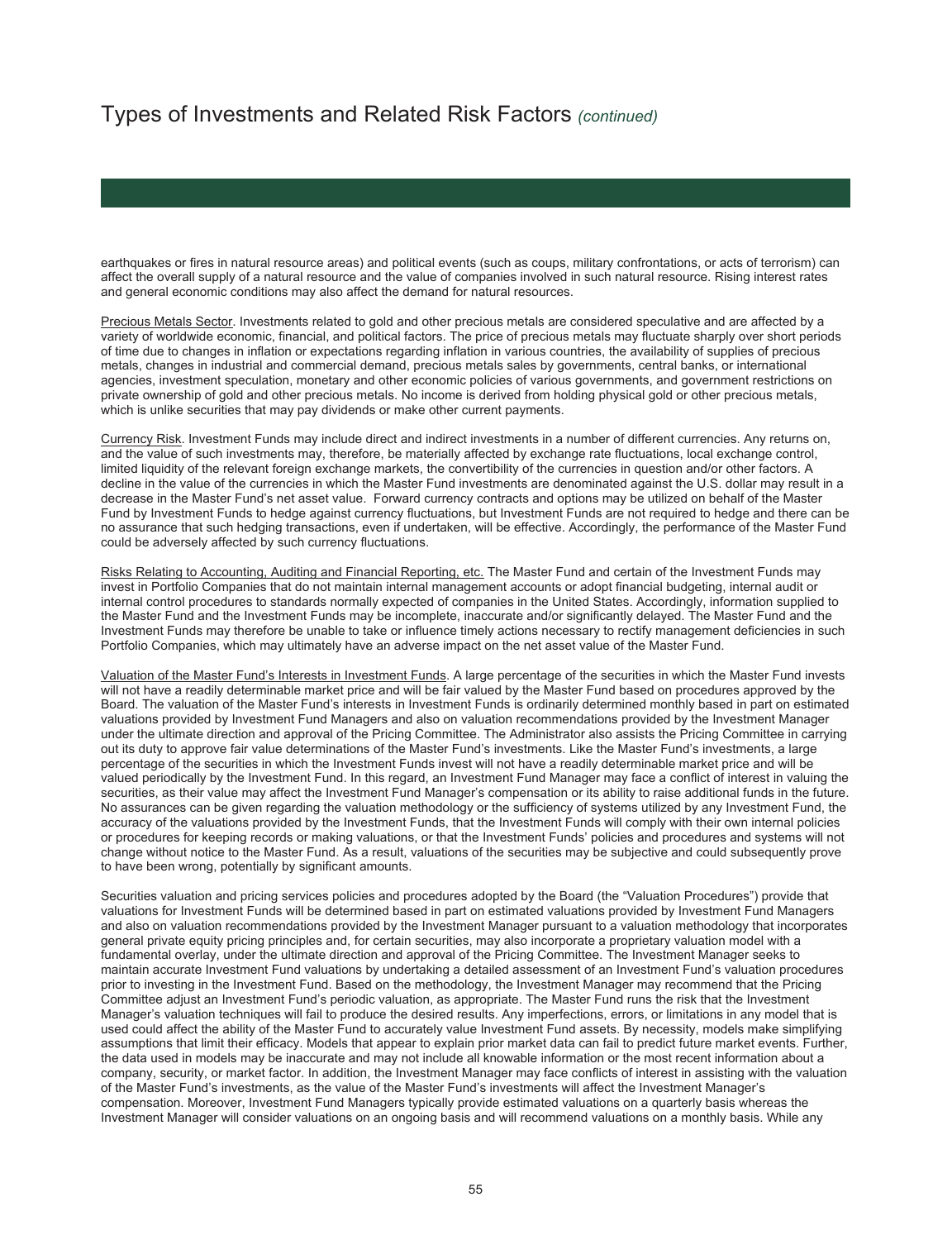earthquakes or fires in natural resource areas) and political events (such as coups, military confrontations, or acts of terrorism) can affect the overall supply of a natural resource and the value of companies involved in such natural resource. Rising interest rates and general economic conditions may also affect the demand for natural resources.

Precious Metals Sector. Investments related to gold and other precious metals are considered speculative and are affected by a variety of worldwide economic, financial, and political factors. The price of precious metals may fluctuate sharply over short periods of time due to changes in inflation or expectations regarding inflation in various countries, the availability of supplies of precious metals, changes in industrial and commercial demand, precious metals sales by governments, central banks, or international agencies, investment speculation, monetary and other economic policies of various governments, and government restrictions on private ownership of gold and other precious metals. No income is derived from holding physical gold or other precious metals, which is unlike securities that may pay dividends or make other current payments.

Currency Risk. Investment Funds may include direct and indirect investments in a number of different currencies. Any returns on, and the value of such investments may, therefore, be materially affected by exchange rate fluctuations, local exchange control, limited liquidity of the relevant foreign exchange markets, the convertibility of the currencies in question and/or other factors. A decline in the value of the currencies in which the Master Fund investments are denominated against the U.S. dollar may result in a decrease in the Master Fund's net asset value. Forward currency contracts and options may be utilized on behalf of the Master Fund by Investment Funds to hedge against currency fluctuations, but Investment Funds are not required to hedge and there can be no assurance that such hedging transactions, even if undertaken, will be effective. Accordingly, the performance of the Master Fund could be adversely affected by such currency fluctuations.

Risks Relating to Accounting, Auditing and Financial Reporting, etc. The Master Fund and certain of the Investment Funds may invest in Portfolio Companies that do not maintain internal management accounts or adopt financial budgeting, internal audit or internal control procedures to standards normally expected of companies in the United States. Accordingly, information supplied to the Master Fund and the Investment Funds may be incomplete, inaccurate and/or significantly delayed. The Master Fund and the Investment Funds may therefore be unable to take or influence timely actions necessary to rectify management deficiencies in such Portfolio Companies, which may ultimately have an adverse impact on the net asset value of the Master Fund.

Valuation of the Master Fund's Interests in Investment Funds. A large percentage of the securities in which the Master Fund invests will not have a readily determinable market price and will be fair valued by the Master Fund based on procedures approved by the Board. The valuation of the Master Fund's interests in Investment Funds is ordinarily determined monthly based in part on estimated valuations provided by Investment Fund Managers and also on valuation recommendations provided by the Investment Manager under the ultimate direction and approval of the Pricing Committee. The Administrator also assists the Pricing Committee in carrying out its duty to approve fair value determinations of the Master Fund's investments. Like the Master Fund's investments, a large percentage of the securities in which the Investment Funds invest will not have a readily determinable market price and will be valued periodically by the Investment Fund. In this regard, an Investment Fund Manager may face a conflict of interest in valuing the securities, as their value may affect the Investment Fund Manager's compensation or its ability to raise additional funds in the future. No assurances can be given regarding the valuation methodology or the sufficiency of systems utilized by any Investment Fund, the accuracy of the valuations provided by the Investment Funds, that the Investment Funds will comply with their own internal policies or procedures for keeping records or making valuations, or that the Investment Funds' policies and procedures and systems will not change without notice to the Master Fund. As a result, valuations of the securities may be subjective and could subsequently prove to have been wrong, potentially by significant amounts.

Securities valuation and pricing services policies and procedures adopted by the Board (the "Valuation Procedures") provide that valuations for Investment Funds will be determined based in part on estimated valuations provided by Investment Fund Managers and also on valuation recommendations provided by the Investment Manager pursuant to a valuation methodology that incorporates general private equity pricing principles and, for certain securities, may also incorporate a proprietary valuation model with a fundamental overlay, under the ultimate direction and approval of the Pricing Committee. The Investment Manager seeks to maintain accurate Investment Fund valuations by undertaking a detailed assessment of an Investment Fund's valuation procedures prior to investing in the Investment Fund. Based on the methodology, the Investment Manager may recommend that the Pricing Committee adjust an Investment Fund's periodic valuation, as appropriate. The Master Fund runs the risk that the Investment Manager's valuation techniques will fail to produce the desired results. Any imperfections, errors, or limitations in any model that is used could affect the ability of the Master Fund to accurately value Investment Fund assets. By necessity, models make simplifying assumptions that limit their efficacy. Models that appear to explain prior market data can fail to predict future market events. Further, the data used in models may be inaccurate and may not include all knowable information or the most recent information about a company, security, or market factor. In addition, the Investment Manager may face conflicts of interest in assisting with the valuation of the Master Fund's investments, as the value of the Master Fund's investments will affect the Investment Manager's compensation. Moreover, Investment Fund Managers typically provide estimated valuations on a quarterly basis whereas the Investment Manager will consider valuations on an ongoing basis and will recommend valuations on a monthly basis. While any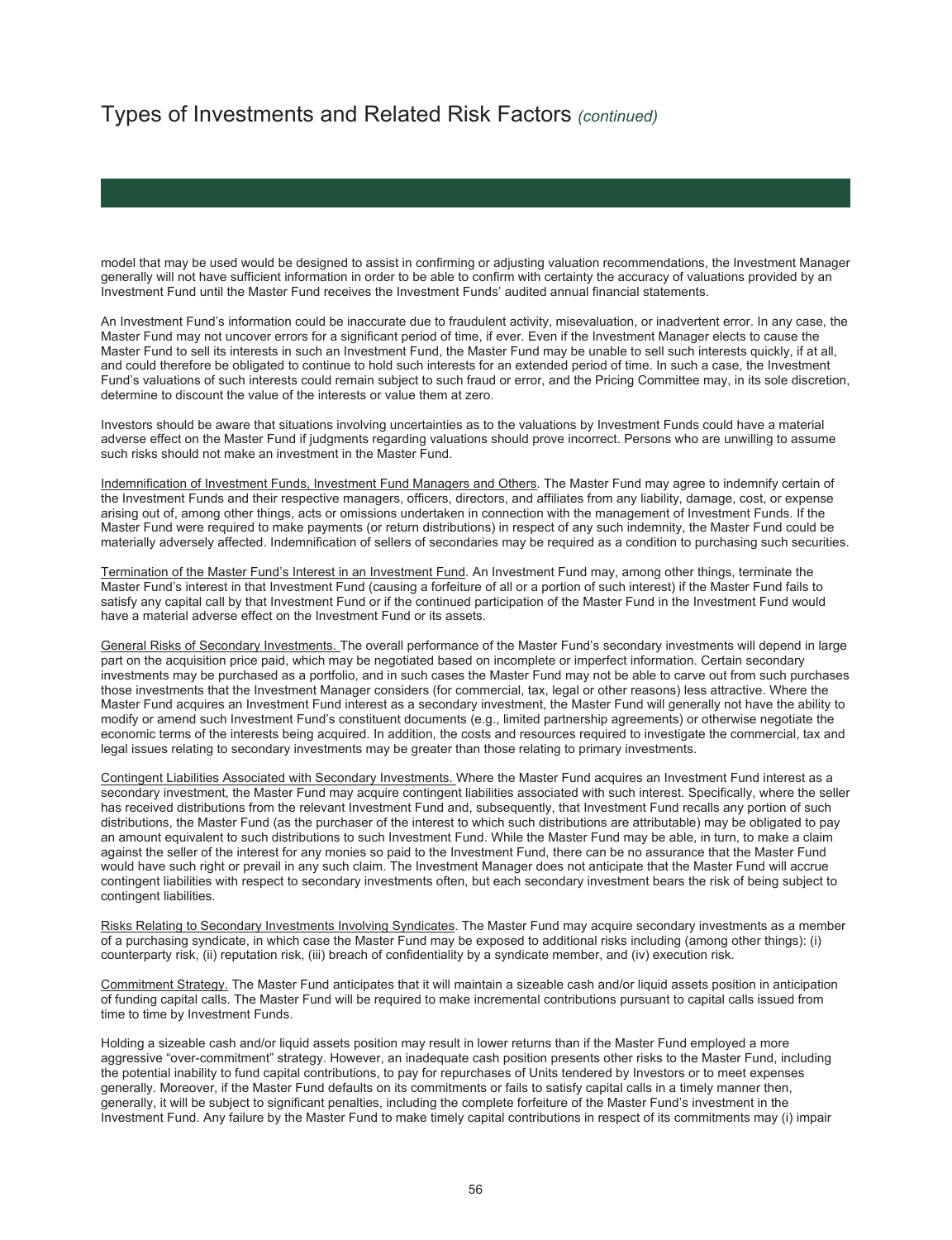model that may be used would be designed to assist in confirming or adjusting valuation recommendations, the Investment Manager generally will not have sufficient information in order to be able to confirm with certainty the accuracy of valuations provided by an Investment Fund until the Master Fund receives the Investment Funds' audited annual financial statements.

An Investment Fund's information could be inaccurate due to fraudulent activity, misevaluation, or inadvertent error. In any case, the Master Fund may not uncover errors for a significant period of time, if ever. Even if the Investment Manager elects to cause the Master Fund to sell its interests in such an Investment Fund, the Master Fund may be unable to sell such interests quickly, if at all, and could therefore be obligated to continue to hold such interests for an extended period of time. In such a case, the Investment Fund's valuations of such interests could remain subject to such fraud or error, and the Pricing Committee may, in its sole discretion, determine to discount the value of the interests or value them at zero.

Investors should be aware that situations involving uncertainties as to the valuations by Investment Funds could have a material adverse effect on the Master Fund if judgments regarding valuations should prove incorrect. Persons who are unwilling to assume such risks should not make an investment in the Master Fund.

Indemnification of Investment Funds, Investment Fund Managers and Others. The Master Fund may agree to indemnify certain of the Investment Funds and their respective managers, officers, directors, and affiliates from any liability, damage, cost, or expense arising out of, among other things, acts or omissions undertaken in connection with the management of Investment Funds. If the Master Fund were required to make payments (or return distributions) in respect of any such indemnity, the Master Fund could be materially adversely affected. Indemnification of sellers of secondaries may be required as a condition to purchasing such securities.

Termination of the Master Fund's Interest in an Investment Fund. An Investment Fund may, among other things, terminate the Master Fund's interest in that Investment Fund (causing a forfeiture of all or a portion of such interest) if the Master Fund fails to satisfy any capital call by that Investment Fund or if the continued participation of the Master Fund in the Investment Fund would have a material adverse effect on the Investment Fund or its assets.

General Risks of Secondary Investments. The overall performance of the Master Fund's secondary investments will depend in large part on the acquisition price paid, which may be negotiated based on incomplete or imperfect information. Certain secondary investments may be purchased as a portfolio, and in such cases the Master Fund may not be able to carve out from such purchases those investments that the Investment Manager considers (for commercial, tax, legal or other reasons) less attractive. Where the Master Fund acquires an Investment Fund interest as a secondary investment, the Master Fund will generally not have the ability to modify or amend such Investment Fund's constituent documents (e.g., limited partnership agreements) or otherwise negotiate the economic terms of the interests being acquired. In addition, the costs and resources required to investigate the commercial, tax and legal issues relating to secondary investments may be greater than those relating to primary investments.

Contingent Liabilities Associated with Secondary Investments. Where the Master Fund acquires an Investment Fund interest as a secondary investment, the Master Fund may acquire contingent liabilities associated with such interest. Specifically, where the seller has received distributions from the relevant Investment Fund and, subsequently, that Investment Fund recalls any portion of such distributions, the Master Fund (as the purchaser of the interest to which such distributions are attributable) may be obligated to pay an amount equivalent to such distributions to such Investment Fund. While the Master Fund may be able, in turn, to make a claim against the seller of the interest for any monies so paid to the Investment Fund, there can be no assurance that the Master Fund would have such right or prevail in any such claim. The Investment Manager does not anticipate that the Master Fund will accrue contingent liabilities with respect to secondary investments often, but each secondary investment bears the risk of being subject to contingent liabilities.

Risks Relating to Secondary Investments Involving Syndicates. The Master Fund may acquire secondary investments as a member of a purchasing syndicate, in which case the Master Fund may be exposed to additional risks including (among other things): (i) counterparty risk, (ii) reputation risk, (iii) breach of confidentiality by a syndicate member, and (iv) execution risk.

Commitment Strategy. The Master Fund anticipates that it will maintain a sizeable cash and/or liquid assets position in anticipation of funding capital calls. The Master Fund will be required to make incremental contributions pursuant to capital calls issued from time to time by Investment Funds.

Holding a sizeable cash and/or liquid assets position may result in lower returns than if the Master Fund employed a more aggressive "over-commitment" strategy. However, an inadequate cash position presents other risks to the Master Fund, including the potential inability to fund capital contributions, to pay for repurchases of Units tendered by Investors or to meet expenses generally. Moreover, if the Master Fund defaults on its commitments or fails to satisfy capital calls in a timely manner then, generally, it will be subject to significant penalties, including the complete forfeiture of the Master Fund's investment in the Investment Fund. Any failure by the Master Fund to make timely capital contributions in respect of its commitments may (i) impair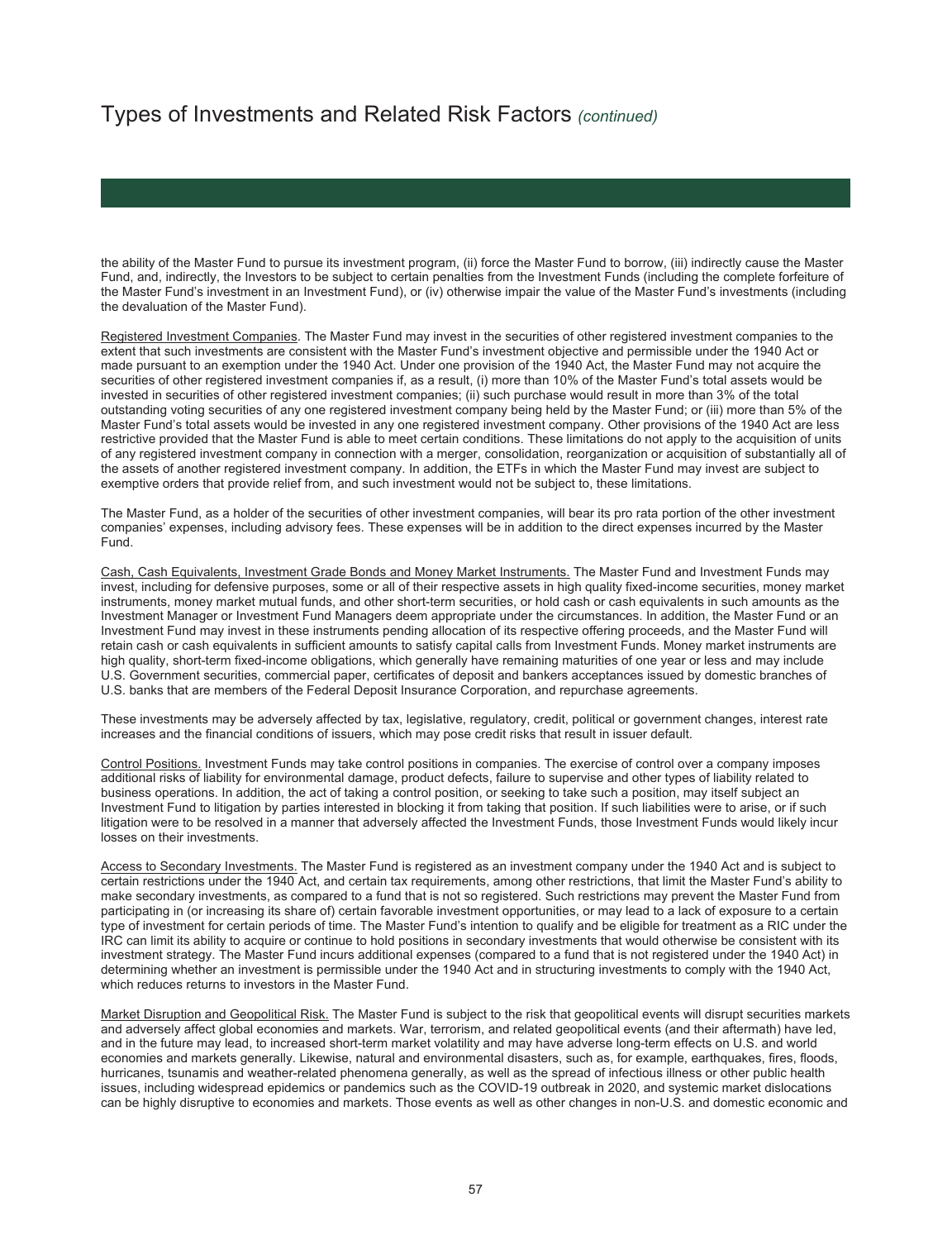the ability of the Master Fund to pursue its investment program, (ii) force the Master Fund to borrow, (iii) indirectly cause the Master Fund, and, indirectly, the Investors to be subject to certain penalties from the Investment Funds (including the complete forfeiture of the Master Fund's investment in an Investment Fund), or (iv) otherwise impair the value of the Master Fund's investments (including the devaluation of the Master Fund).

Registered Investment Companies. The Master Fund may invest in the securities of other registered investment companies to the extent that such investments are consistent with the Master Fund's investment objective and permissible under the 1940 Act or made pursuant to an exemption under the 1940 Act. Under one provision of the 1940 Act, the Master Fund may not acquire the securities of other registered investment companies if, as a result, (i) more than 10% of the Master Fund's total assets would be invested in securities of other registered investment companies; (ii) such purchase would result in more than 3% of the total outstanding voting securities of any one registered investment company being held by the Master Fund; or (iii) more than 5% of the Master Fund's total assets would be invested in any one registered investment company. Other provisions of the 1940 Act are less restrictive provided that the Master Fund is able to meet certain conditions. These limitations do not apply to the acquisition of units of any registered investment company in connection with a merger, consolidation, reorganization or acquisition of substantially all of the assets of another registered investment company. In addition, the ETFs in which the Master Fund may invest are subject to exemptive orders that provide relief from, and such investment would not be subject to, these limitations.

The Master Fund, as a holder of the securities of other investment companies, will bear its pro rata portion of the other investment companies' expenses, including advisory fees. These expenses will be in addition to the direct expenses incurred by the Master Fund.

Cash, Cash Equivalents, Investment Grade Bonds and Money Market Instruments. The Master Fund and Investment Funds may invest, including for defensive purposes, some or all of their respective assets in high quality fixed-income securities, money market instruments, money market mutual funds, and other short-term securities, or hold cash or cash equivalents in such amounts as the Investment Manager or Investment Fund Managers deem appropriate under the circumstances. In addition, the Master Fund or an Investment Fund may invest in these instruments pending allocation of its respective offering proceeds, and the Master Fund will retain cash or cash equivalents in sufficient amounts to satisfy capital calls from Investment Funds. Money market instruments are high quality, short-term fixed-income obligations, which generally have remaining maturities of one year or less and may include U.S. Government securities, commercial paper, certificates of deposit and bankers acceptances issued by domestic branches of U.S. banks that are members of the Federal Deposit Insurance Corporation, and repurchase agreements.

These investments may be adversely affected by tax, legislative, regulatory, credit, political or government changes, interest rate increases and the financial conditions of issuers, which may pose credit risks that result in issuer default.

Control Positions. Investment Funds may take control positions in companies. The exercise of control over a company imposes additional risks of liability for environmental damage, product defects, failure to supervise and other types of liability related to business operations. In addition, the act of taking a control position, or seeking to take such a position, may itself subject an Investment Fund to litigation by parties interested in blocking it from taking that position. If such liabilities were to arise, or if such litigation were to be resolved in a manner that adversely affected the Investment Funds, those Investment Funds would likely incur losses on their investments.

Access to Secondary Investments. The Master Fund is registered as an investment company under the 1940 Act and is subject to certain restrictions under the 1940 Act, and certain tax requirements, among other restrictions, that limit the Master Fund's ability to make secondary investments, as compared to a fund that is not so registered. Such restrictions may prevent the Master Fund from participating in (or increasing its share of) certain favorable investment opportunities, or may lead to a lack of exposure to a certain type of investment for certain periods of time. The Master Fund's intention to qualify and be eligible for treatment as a RIC under the IRC can limit its ability to acquire or continue to hold positions in secondary investments that would otherwise be consistent with its investment strategy. The Master Fund incurs additional expenses (compared to a fund that is not registered under the 1940 Act) in determining whether an investment is permissible under the 1940 Act and in structuring investments to comply with the 1940 Act, which reduces returns to investors in the Master Fund.

Market Disruption and Geopolitical Risk. The Master Fund is subject to the risk that geopolitical events will disrupt securities markets and adversely affect global economies and markets. War, terrorism, and related geopolitical events (and their aftermath) have led, and in the future may lead, to increased short-term market volatility and may have adverse long-term effects on U.S. and world economies and markets generally. Likewise, natural and environmental disasters, such as, for example, earthquakes, fires, floods, hurricanes, tsunamis and weather-related phenomena generally, as well as the spread of infectious illness or other public health issues, including widespread epidemics or pandemics such as the COVID-19 outbreak in 2020, and systemic market dislocations can be highly disruptive to economies and markets. Those events as well as other changes in non-U.S. and domestic economic and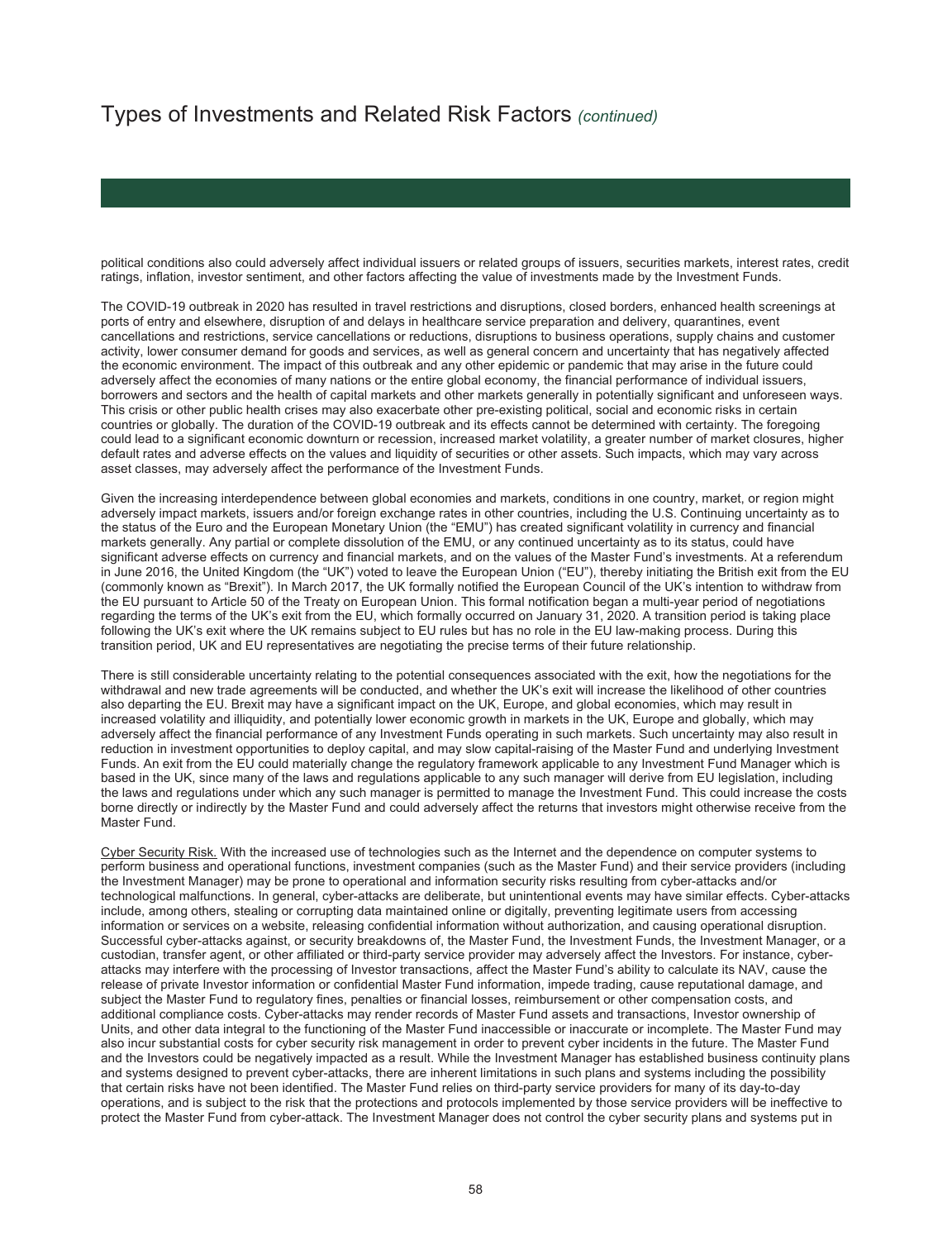political conditions also could adversely affect individual issuers or related groups of issuers, securities markets, interest rates, credit ratings, inflation, investor sentiment, and other factors affecting the value of investments made by the Investment Funds.

The COVID-19 outbreak in 2020 has resulted in travel restrictions and disruptions, closed borders, enhanced health screenings at ports of entry and elsewhere, disruption of and delays in healthcare service preparation and delivery, quarantines, event cancellations and restrictions, service cancellations or reductions, disruptions to business operations, supply chains and customer activity, lower consumer demand for goods and services, as well as general concern and uncertainty that has negatively affected the economic environment. The impact of this outbreak and any other epidemic or pandemic that may arise in the future could adversely affect the economies of many nations or the entire global economy, the financial performance of individual issuers, borrowers and sectors and the health of capital markets and other markets generally in potentially significant and unforeseen ways. This crisis or other public health crises may also exacerbate other pre-existing political, social and economic risks in certain countries or globally. The duration of the COVID-19 outbreak and its effects cannot be determined with certainty. The foregoing could lead to a significant economic downturn or recession, increased market volatility, a greater number of market closures, higher default rates and adverse effects on the values and liquidity of securities or other assets. Such impacts, which may vary across asset classes, may adversely affect the performance of the Investment Funds.

Given the increasing interdependence between global economies and markets, conditions in one country, market, or region might adversely impact markets, issuers and/or foreign exchange rates in other countries, including the U.S. Continuing uncertainty as to the status of the Euro and the European Monetary Union (the "EMU") has created significant volatility in currency and financial markets generally. Any partial or complete dissolution of the EMU, or any continued uncertainty as to its status, could have significant adverse effects on currency and financial markets, and on the values of the Master Fund's investments. At a referendum in June 2016, the United Kingdom (the "UK") voted to leave the European Union ("EU"), thereby initiating the British exit from the EU (commonly known as "Brexit"). In March 2017, the UK formally notified the European Council of the UK's intention to withdraw from the EU pursuant to Article 50 of the Treaty on European Union. This formal notification began a multi-year period of negotiations regarding the terms of the UK's exit from the EU, which formally occurred on January 31, 2020. A transition period is taking place following the UK's exit where the UK remains subject to EU rules but has no role in the EU law-making process. During this transition period, UK and EU representatives are negotiating the precise terms of their future relationship.

There is still considerable uncertainty relating to the potential consequences associated with the exit, how the negotiations for the withdrawal and new trade agreements will be conducted, and whether the UK's exit will increase the likelihood of other countries also departing the EU. Brexit may have a significant impact on the UK, Europe, and global economies, which may result in increased volatility and illiquidity, and potentially lower economic growth in markets in the UK, Europe and globally, which may adversely affect the financial performance of any Investment Funds operating in such markets. Such uncertainty may also result in reduction in investment opportunities to deploy capital, and may slow capital-raising of the Master Fund and underlying Investment Funds. An exit from the EU could materially change the regulatory framework applicable to any Investment Fund Manager which is based in the UK, since many of the laws and regulations applicable to any such manager will derive from EU legislation, including the laws and regulations under which any such manager is permitted to manage the Investment Fund. This could increase the costs borne directly or indirectly by the Master Fund and could adversely affect the returns that investors might otherwise receive from the Master Fund.

Cyber Security Risk. With the increased use of technologies such as the Internet and the dependence on computer systems to perform business and operational functions, investment companies (such as the Master Fund) and their service providers (including the Investment Manager) may be prone to operational and information security risks resulting from cyber-attacks and/or technological malfunctions. In general, cyber-attacks are deliberate, but unintentional events may have similar effects. Cyber-attacks include, among others, stealing or corrupting data maintained online or digitally, preventing legitimate users from accessing information or services on a website, releasing confidential information without authorization, and causing operational disruption. Successful cyber-attacks against, or security breakdowns of, the Master Fund, the Investment Funds, the Investment Manager, or a custodian, transfer agent, or other affiliated or third-party service provider may adversely affect the Investors. For instance, cyberattacks may interfere with the processing of Investor transactions, affect the Master Fund's ability to calculate its NAV, cause the release of private Investor information or confidential Master Fund information, impede trading, cause reputational damage, and subject the Master Fund to regulatory fines, penalties or financial losses, reimbursement or other compensation costs, and additional compliance costs. Cyber-attacks may render records of Master Fund assets and transactions, Investor ownership of Units, and other data integral to the functioning of the Master Fund inaccessible or inaccurate or incomplete. The Master Fund may also incur substantial costs for cyber security risk management in order to prevent cyber incidents in the future. The Master Fund and the Investors could be negatively impacted as a result. While the Investment Manager has established business continuity plans and systems designed to prevent cyber-attacks, there are inherent limitations in such plans and systems including the possibility that certain risks have not been identified. The Master Fund relies on third-party service providers for many of its day-to-day operations, and is subject to the risk that the protections and protocols implemented by those service providers will be ineffective to protect the Master Fund from cyber-attack. The Investment Manager does not control the cyber security plans and systems put in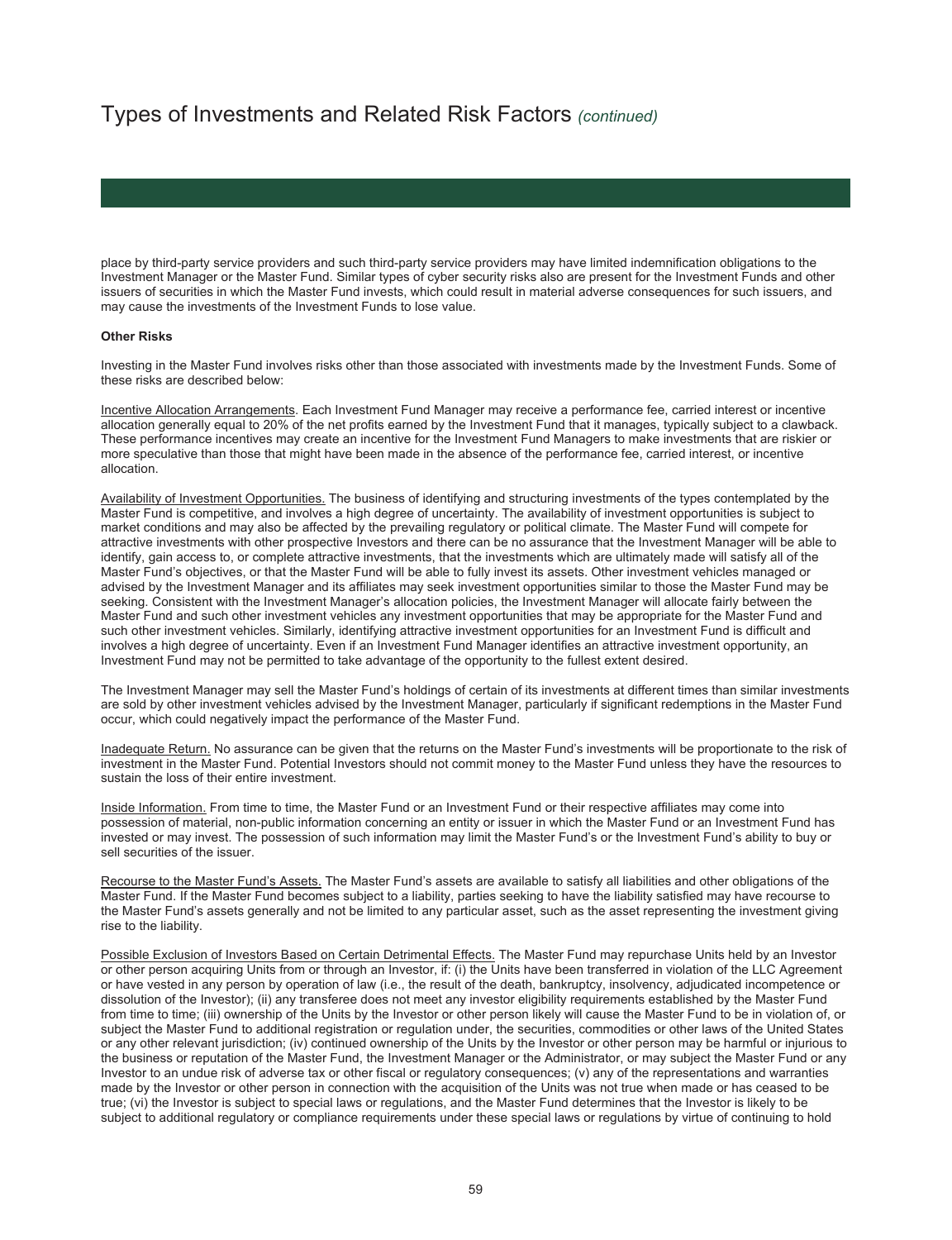place by third-party service providers and such third-party service providers may have limited indemnification obligations to the Investment Manager or the Master Fund. Similar types of cyber security risks also are present for the Investment Funds and other issuers of securities in which the Master Fund invests, which could result in material adverse consequences for such issuers, and may cause the investments of the Investment Funds to lose value.

#### **Other Risks**

Investing in the Master Fund involves risks other than those associated with investments made by the Investment Funds. Some of these risks are described below:

Incentive Allocation Arrangements. Each Investment Fund Manager may receive a performance fee, carried interest or incentive allocation generally equal to 20% of the net profits earned by the Investment Fund that it manages, typically subject to a clawback. These performance incentives may create an incentive for the Investment Fund Managers to make investments that are riskier or more speculative than those that might have been made in the absence of the performance fee, carried interest, or incentive allocation.

Availability of Investment Opportunities. The business of identifying and structuring investments of the types contemplated by the Master Fund is competitive, and involves a high degree of uncertainty. The availability of investment opportunities is subject to market conditions and may also be affected by the prevailing regulatory or political climate. The Master Fund will compete for attractive investments with other prospective Investors and there can be no assurance that the Investment Manager will be able to identify, gain access to, or complete attractive investments, that the investments which are ultimately made will satisfy all of the Master Fund's objectives, or that the Master Fund will be able to fully invest its assets. Other investment vehicles managed or advised by the Investment Manager and its affiliates may seek investment opportunities similar to those the Master Fund may be seeking. Consistent with the Investment Manager's allocation policies, the Investment Manager will allocate fairly between the Master Fund and such other investment vehicles any investment opportunities that may be appropriate for the Master Fund and such other investment vehicles. Similarly, identifying attractive investment opportunities for an Investment Fund is difficult and involves a high degree of uncertainty. Even if an Investment Fund Manager identifies an attractive investment opportunity, an Investment Fund may not be permitted to take advantage of the opportunity to the fullest extent desired.

The Investment Manager may sell the Master Fund's holdings of certain of its investments at different times than similar investments are sold by other investment vehicles advised by the Investment Manager, particularly if significant redemptions in the Master Fund occur, which could negatively impact the performance of the Master Fund.

Inadequate Return. No assurance can be given that the returns on the Master Fund's investments will be proportionate to the risk of investment in the Master Fund. Potential Investors should not commit money to the Master Fund unless they have the resources to sustain the loss of their entire investment.

Inside Information. From time to time, the Master Fund or an Investment Fund or their respective affiliates may come into possession of material, non-public information concerning an entity or issuer in which the Master Fund or an Investment Fund has invested or may invest. The possession of such information may limit the Master Fund's or the Investment Fund's ability to buy or sell securities of the issuer.

Recourse to the Master Fund's Assets. The Master Fund's assets are available to satisfy all liabilities and other obligations of the Master Fund. If the Master Fund becomes subject to a liability, parties seeking to have the liability satisfied may have recourse to the Master Fund's assets generally and not be limited to any particular asset, such as the asset representing the investment giving rise to the liability.

Possible Exclusion of Investors Based on Certain Detrimental Effects. The Master Fund may repurchase Units held by an Investor or other person acquiring Units from or through an Investor, if: (i) the Units have been transferred in violation of the LLC Agreement or have vested in any person by operation of law (i.e., the result of the death, bankruptcy, insolvency, adjudicated incompetence or dissolution of the Investor); (ii) any transferee does not meet any investor eligibility requirements established by the Master Fund from time to time; (iii) ownership of the Units by the Investor or other person likely will cause the Master Fund to be in violation of, or subject the Master Fund to additional registration or regulation under, the securities, commodities or other laws of the United States or any other relevant jurisdiction; (iv) continued ownership of the Units by the Investor or other person may be harmful or injurious to the business or reputation of the Master Fund, the Investment Manager or the Administrator, or may subject the Master Fund or any Investor to an undue risk of adverse tax or other fiscal or regulatory consequences; (v) any of the representations and warranties made by the Investor or other person in connection with the acquisition of the Units was not true when made or has ceased to be true; (vi) the Investor is subject to special laws or regulations, and the Master Fund determines that the Investor is likely to be subject to additional regulatory or compliance requirements under these special laws or regulations by virtue of continuing to hold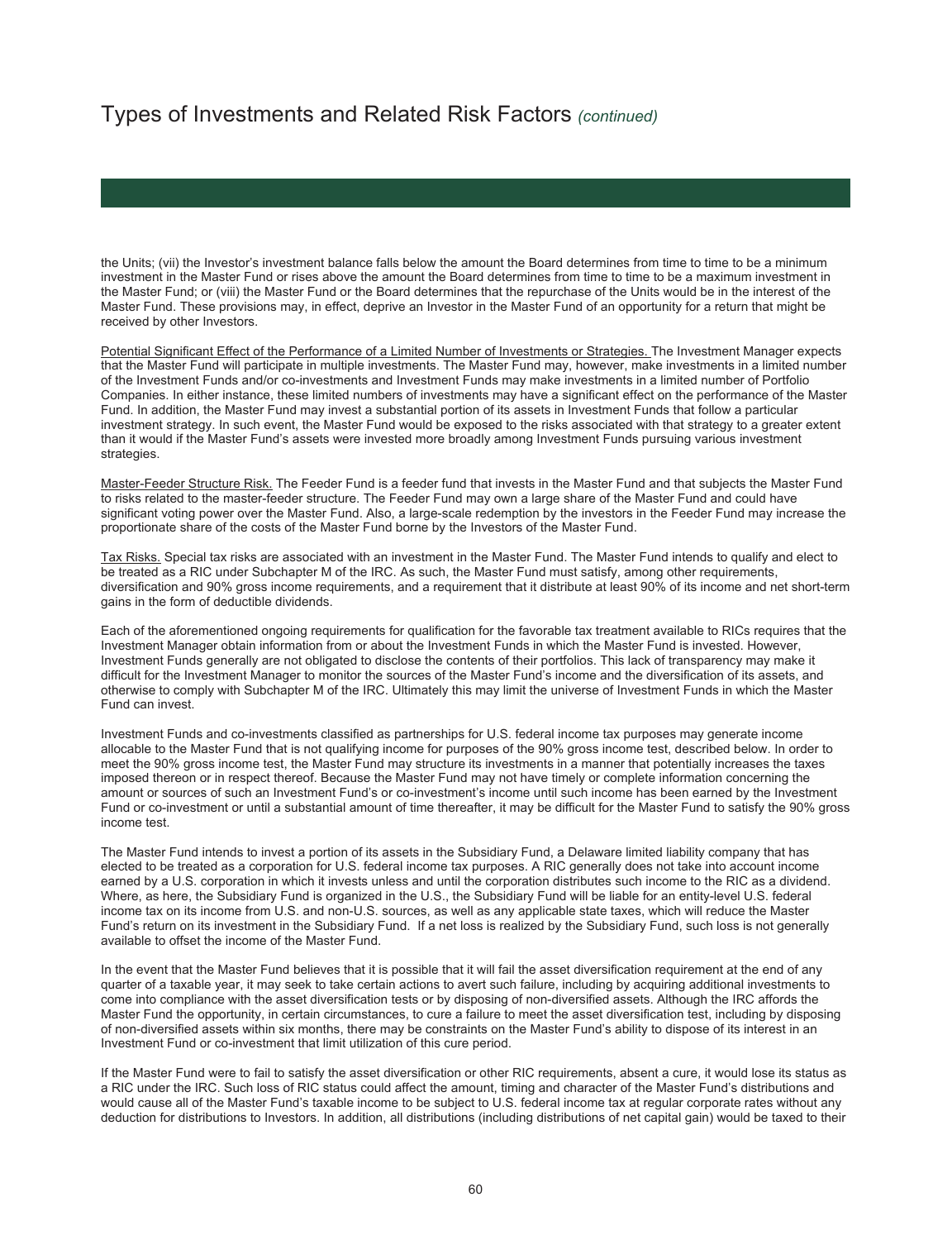the Units; (vii) the Investor's investment balance falls below the amount the Board determines from time to time to be a minimum investment in the Master Fund or rises above the amount the Board determines from time to time to be a maximum investment in the Master Fund; or (viii) the Master Fund or the Board determines that the repurchase of the Units would be in the interest of the Master Fund. These provisions may, in effect, deprive an Investor in the Master Fund of an opportunity for a return that might be received by other Investors.

Potential Significant Effect of the Performance of a Limited Number of Investments or Strategies. The Investment Manager expects that the Master Fund will participate in multiple investments. The Master Fund may, however, make investments in a limited number of the Investment Funds and/or co-investments and Investment Funds may make investments in a limited number of Portfolio Companies. In either instance, these limited numbers of investments may have a significant effect on the performance of the Master Fund. In addition, the Master Fund may invest a substantial portion of its assets in Investment Funds that follow a particular investment strategy. In such event, the Master Fund would be exposed to the risks associated with that strategy to a greater extent than it would if the Master Fund's assets were invested more broadly among Investment Funds pursuing various investment strategies.

Master-Feeder Structure Risk. The Feeder Fund is a feeder fund that invests in the Master Fund and that subjects the Master Fund to risks related to the master-feeder structure. The Feeder Fund may own a large share of the Master Fund and could have significant voting power over the Master Fund. Also, a large-scale redemption by the investors in the Feeder Fund may increase the proportionate share of the costs of the Master Fund borne by the Investors of the Master Fund.

Tax Risks. Special tax risks are associated with an investment in the Master Fund. The Master Fund intends to qualify and elect to be treated as a RIC under Subchapter M of the IRC. As such, the Master Fund must satisfy, among other requirements, diversification and 90% gross income requirements, and a requirement that it distribute at least 90% of its income and net short-term gains in the form of deductible dividends.

Each of the aforementioned ongoing requirements for qualification for the favorable tax treatment available to RICs requires that the Investment Manager obtain information from or about the Investment Funds in which the Master Fund is invested. However, Investment Funds generally are not obligated to disclose the contents of their portfolios. This lack of transparency may make it difficult for the Investment Manager to monitor the sources of the Master Fund's income and the diversification of its assets, and otherwise to comply with Subchapter M of the IRC. Ultimately this may limit the universe of Investment Funds in which the Master Fund can invest.

Investment Funds and co-investments classified as partnerships for U.S. federal income tax purposes may generate income allocable to the Master Fund that is not qualifying income for purposes of the 90% gross income test, described below. In order to meet the 90% gross income test, the Master Fund may structure its investments in a manner that potentially increases the taxes imposed thereon or in respect thereof. Because the Master Fund may not have timely or complete information concerning the amount or sources of such an Investment Fund's or co-investment's income until such income has been earned by the Investment Fund or co-investment or until a substantial amount of time thereafter, it may be difficult for the Master Fund to satisfy the 90% gross income test.

The Master Fund intends to invest a portion of its assets in the Subsidiary Fund, a Delaware limited liability company that has elected to be treated as a corporation for U.S. federal income tax purposes. A RIC generally does not take into account income earned by a U.S. corporation in which it invests unless and until the corporation distributes such income to the RIC as a dividend. Where, as here, the Subsidiary Fund is organized in the U.S., the Subsidiary Fund will be liable for an entity-level U.S. federal income tax on its income from U.S. and non-U.S. sources, as well as any applicable state taxes, which will reduce the Master Fund's return on its investment in the Subsidiary Fund. If a net loss is realized by the Subsidiary Fund, such loss is not generally available to offset the income of the Master Fund.

In the event that the Master Fund believes that it is possible that it will fail the asset diversification requirement at the end of any quarter of a taxable year, it may seek to take certain actions to avert such failure, including by acquiring additional investments to come into compliance with the asset diversification tests or by disposing of non-diversified assets. Although the IRC affords the Master Fund the opportunity, in certain circumstances, to cure a failure to meet the asset diversification test, including by disposing of non-diversified assets within six months, there may be constraints on the Master Fund's ability to dispose of its interest in an Investment Fund or co-investment that limit utilization of this cure period.

If the Master Fund were to fail to satisfy the asset diversification or other RIC requirements, absent a cure, it would lose its status as a RIC under the IRC. Such loss of RIC status could affect the amount, timing and character of the Master Fund's distributions and would cause all of the Master Fund's taxable income to be subject to U.S. federal income tax at regular corporate rates without any deduction for distributions to Investors. In addition, all distributions (including distributions of net capital gain) would be taxed to their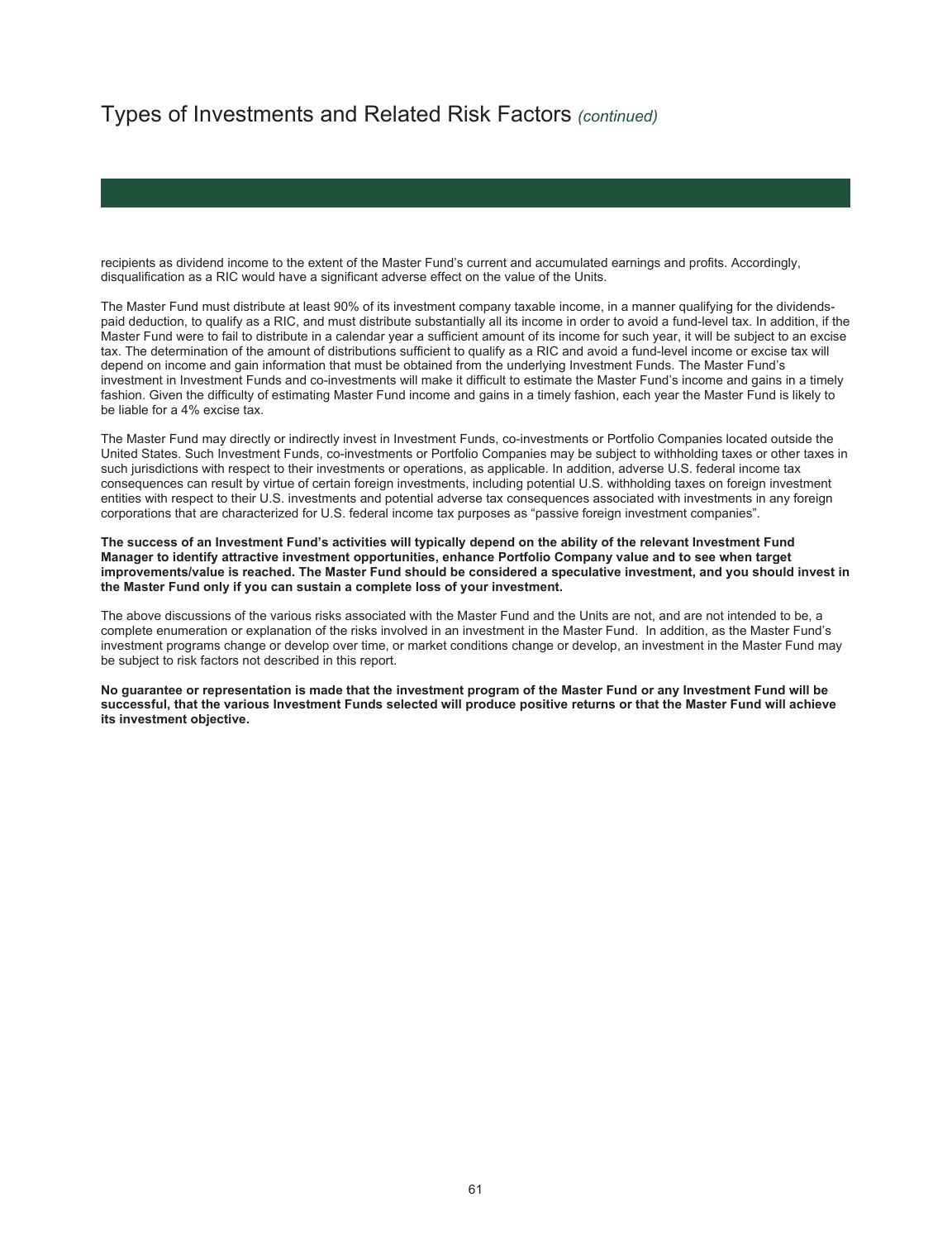recipients as dividend income to the extent of the Master Fund's current and accumulated earnings and profits. Accordingly, disqualification as a RIC would have a significant adverse effect on the value of the Units.

The Master Fund must distribute at least 90% of its investment company taxable income, in a manner qualifying for the dividendspaid deduction, to qualify as a RIC, and must distribute substantially all its income in order to avoid a fund-level tax. In addition, if the Master Fund were to fail to distribute in a calendar year a sufficient amount of its income for such year, it will be subject to an excise tax. The determination of the amount of distributions sufficient to qualify as a RIC and avoid a fund-level income or excise tax will depend on income and gain information that must be obtained from the underlying Investment Funds. The Master Fund's investment in Investment Funds and co-investments will make it difficult to estimate the Master Fund's income and gains in a timely fashion. Given the difficulty of estimating Master Fund income and gains in a timely fashion, each year the Master Fund is likely to be liable for a 4% excise tax.

The Master Fund may directly or indirectly invest in Investment Funds, co-investments or Portfolio Companies located outside the United States. Such Investment Funds, co-investments or Portfolio Companies may be subject to withholding taxes or other taxes in such jurisdictions with respect to their investments or operations, as applicable. In addition, adverse U.S. federal income tax consequences can result by virtue of certain foreign investments, including potential U.S. withholding taxes on foreign investment entities with respect to their U.S. investments and potential adverse tax consequences associated with investments in any foreign corporations that are characterized for U.S. federal income tax purposes as "passive foreign investment companies".

**The success of an Investment Fund's activities will typically depend on the ability of the relevant Investment Fund Manager to identify attractive investment opportunities, enhance Portfolio Company value and to see when target improvements/value is reached. The Master Fund should be considered a speculative investment, and you should invest in the Master Fund only if you can sustain a complete loss of your investment.** 

The above discussions of the various risks associated with the Master Fund and the Units are not, and are not intended to be, a complete enumeration or explanation of the risks involved in an investment in the Master Fund. In addition, as the Master Fund's investment programs change or develop over time, or market conditions change or develop, an investment in the Master Fund may be subject to risk factors not described in this report.

**No guarantee or representation is made that the investment program of the Master Fund or any Investment Fund will be successful, that the various Investment Funds selected will produce positive returns or that the Master Fund will achieve its investment objective.**